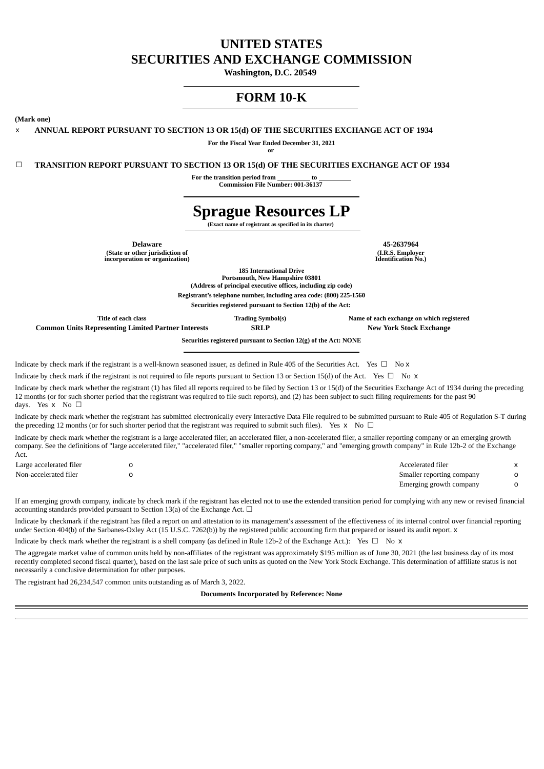# **UNITED STATES SECURITIES AND EXCHANGE COMMISSION**

**Washington, D.C. 20549**

# **FORM 10-K**

**(Mark one)**

x **ANNUAL REPORT PURSUANT TO SECTION 13 OR 15(d) OF THE SECURITIES EXCHANGE ACT OF 1934**

**For the Fiscal Year Ended December 31, 2021 or**

☐ **TRANSITION REPORT PURSUANT TO SECTION 13 OR 15(d) OF THE SECURITIES EXCHANGE ACT OF 1934**

**For the transition period from to Commission File Number: 001-36137**

# **Sprague Resources LP**

**(Exact name of registrant as specified in its charter)**

**Delaware 45-2637964 (State or other jurisdiction of incorporation or organization)**

**(I.R.S. Employer Identification No.)**

**185 International Drive Portsmouth, New Hampshire 03801 (Address of principal executive offices, including zip code) Registrant's telephone number, including area code: (800) 225-1560 Securities registered pursuant to Section 12(b) of the Act:**

**Title of each class Trading Symbol(s) Name of each exchange on which registered Common Units Representing Limited Partner Interests SRLP SRLP New York Stock Exchange** 

**Securities registered pursuant to Section 12(g) of the Act: NONE**

Indicate by check mark if the registrant is a well-known seasoned issuer, as defined in Rule 405 of the Securities Act. Yes  $\Box$  No x

Indicate by check mark if the registrant is not required to file reports pursuant to Section 13 or Section 15(d) of the Act. Yes  $\Box$  No x

Indicate by check mark whether the registrant (1) has filed all reports required to be filed by Section 13 or 15(d) of the Securities Exchange Act of 1934 during the preceding 12 months (or for such shorter period that the registrant was required to file such reports), and (2) has been subject to such filing requirements for the past 90 days. Yes x No □

Indicate by check mark whether the registrant has submitted electronically every Interactive Data File required to be submitted pursuant to Rule 405 of Regulation S-T during the preceding 12 months (or for such shorter period that the registrant was required to submit such files). Yes  $x$  No  $\Box$ 

Indicate by check mark whether the registrant is a large accelerated filer, an accelerated filer, a non-accelerated filer, a smaller reporting company or an emerging growth company. See the definitions of "large accelerated filer," "accelerated filer," "smaller reporting company," and "emerging growth company" in Rule 12b-2 of the Exchange Act.

| Large accelerated filer | Accelerated filer         |  |
|-------------------------|---------------------------|--|
| Non-accelerated filer   | Smaller reporting company |  |
|                         | Emerging growth company   |  |

If an emerging growth company, indicate by check mark if the registrant has elected not to use the extended transition period for complying with any new or revised financial accounting standards provided pursuant to Section 13(a) of the Exchange Act.  $\Box$ 

Indicate by checkmark if the registrant has filed a report on and attestation to its management's assessment of the effectiveness of its internal control over financial reporting under Section 404(b) of the Sarbanes-Oxley Act (15 U.S.C. 7262(b)) by the registered public accounting firm that prepared or issued its audit report. x

Indicate by check mark whether the registrant is a shell company (as defined in Rule 12b-2 of the Exchange Act.): Yes  $\Box$  No x

The aggregate market value of common units held by non-affiliates of the registrant was approximately \$195 million as of June 30, 2021 (the last business day of its most recently completed second fiscal quarter), based on the last sale price of such units as quoted on the New York Stock Exchange. This determination of affiliate status is not necessarily a conclusive determination for other purposes.

<span id="page-0-0"></span>The registrant had 26,234,547 common units outstanding as of March 3, 2022.

**Documents Incorporated by Reference: None**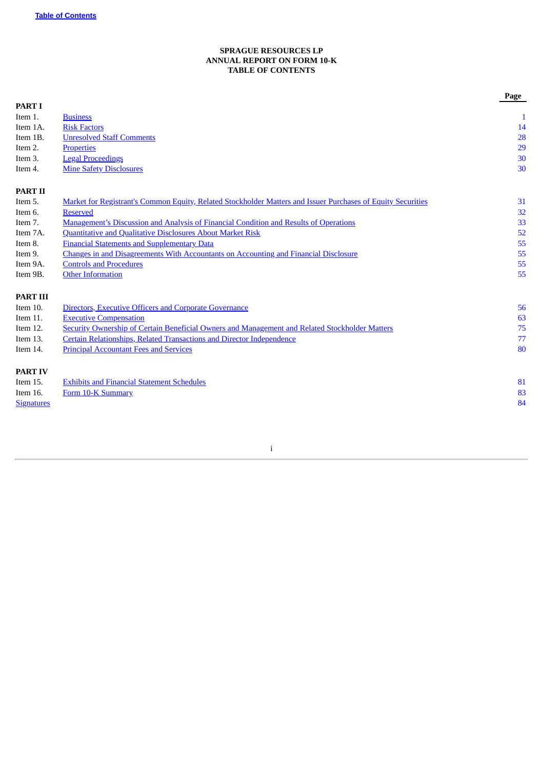# **SPRAGUE RESOURCES LP ANNUAL REPORT ON FORM 10-K TABLE OF CONTENTS**

|                   |                                                                                                              | Page         |
|-------------------|--------------------------------------------------------------------------------------------------------------|--------------|
| <b>PART I</b>     |                                                                                                              |              |
| Item 1.           | <b>Business</b>                                                                                              | $\mathbf{1}$ |
| Item 1A.          | <b>Risk Factors</b>                                                                                          | 14           |
| Item 1B.          | <b>Unresolved Staff Comments</b>                                                                             | 28           |
| Item 2.           | <b>Properties</b>                                                                                            | 29           |
| Item 3.           | <b>Legal Proceedings</b>                                                                                     | 30           |
| Item 4.           | <b>Mine Safety Disclosures</b>                                                                               | 30           |
| <b>PART II</b>    |                                                                                                              |              |
| Item 5.           | Market for Registrant's Common Equity, Related Stockholder Matters and Issuer Purchases of Equity Securities | 31           |
| Item 6.           | <b>Reserved</b>                                                                                              | 32           |
| Item 7.           | Management's Discussion and Analysis of Financial Condition and Results of Operations                        | 33           |
| Item 7A.          | <b>Quantitative and Qualitative Disclosures About Market Risk</b>                                            | 52           |
| Item 8.           | <b>Financial Statements and Supplementary Data</b>                                                           | 55           |
| Item 9.           | <b>Changes in and Disagreements With Accountants on Accounting and Financial Disclosure</b>                  | 55           |
| Item 9A.          | <b>Controls and Procedures</b>                                                                               | 55           |
| Item 9B.          | <b>Other Information</b>                                                                                     | 55           |
| <b>PART III</b>   |                                                                                                              |              |
| Item 10.          | Directors, Executive Officers and Corporate Governance                                                       | 56           |
| Item 11.          | <b>Executive Compensation</b>                                                                                | 63           |
| Item 12.          | <b>Security Ownership of Certain Beneficial Owners and Management and Related Stockholder Matters</b>        | 75           |
| Item 13.          | <b>Certain Relationships, Related Transactions and Director Independence</b>                                 | 77           |
| Item 14.          | <b>Principal Accountant Fees and Services</b>                                                                | 80           |
| <b>PART IV</b>    |                                                                                                              |              |
| Item 15.          | <b>Exhibits and Financial Statement Schedules</b>                                                            | 81           |
| Item 16.          | Form 10-K Summary                                                                                            | 83           |
| <b>Signatures</b> |                                                                                                              | 84           |
|                   |                                                                                                              |              |

i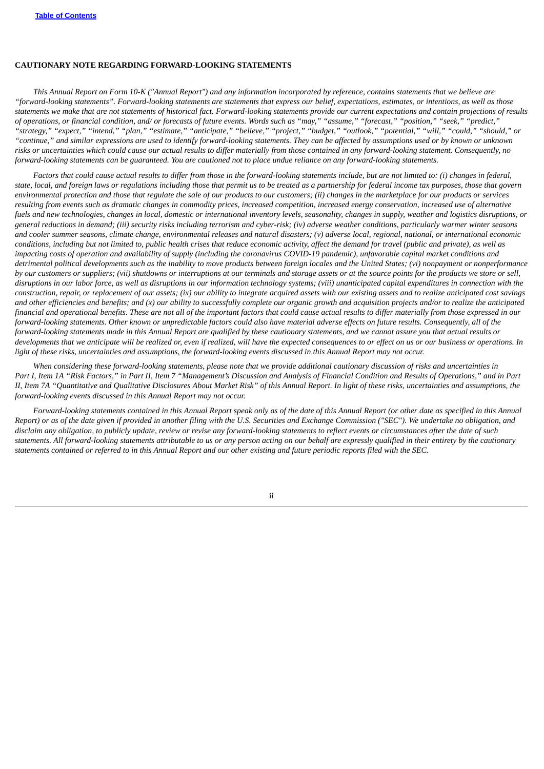#### **CAUTIONARY NOTE REGARDING FORWARD-LOOKING STATEMENTS**

This Annual Report on Form 10-K ("Annual Report") and any information incorporated by reference, contains statements that we believe are "forward-looking statements". Forward-looking statements are statements that express our belief, expectations, estimates, or intentions, as well as those statements we make that are not statements of historical fact. Forward-looking statements provide our current expectations and contain projections of results of operations, or financial condition, and/ or forecasts of future events. Words such as "may," "assume," "forecast," "position," "seek," "predict," "strategy," "expect," "intend," "plan," "estimate," "anticipate," "believe," "project," "budget," "outlook," "potential," "will," "could," "should," or "continue," and similar expressions are used to identify forward-looking statements. They can be affected by assumptions used or by known or unknown risks or uncertainties which could cause our actual results to differ materially from those contained in any forward-looking statement. Consequently, no forward-looking statements can be guaranteed. You are cautioned not to place undue reliance on any forward-looking statements.

Factors that could cause actual results to differ from those in the forward-looking statements include, but are not limited to: (i) changes in federal, state, local, and foreign laws or regulations including those that permit us to be treated as a partnership for federal income tax purposes, those that govern environmental protection and those that regulate the sale of our products to our customers; (ii) changes in the marketplace for our products or services resulting from events such as dramatic changes in commodity prices, increased competition, increased energy conservation, increased use of alternative fuels and new technologies, changes in local, domestic or international inventory levels, seasonality, changes in supply, weather and logistics disruptions, or general reductions in demand; (iii) security risks including terrorism and cyber-risk; (iv) adverse weather conditions, particularly warmer winter seasons and cooler summer seasons, climate change, environmental releases and natural disasters; (v) adverse local, regional, national, or international economic conditions, including but not limited to, public health crises that reduce economic activity, affect the demand for travel (public and private), as well as impacting costs of operation and availability of supply (including the coronavirus COVID-19 pandemic), unfavorable capital market conditions and detrimental political developments such as the inability to move products between foreign locales and the United States; (vi) nonpayment or nonperformance by our customers or suppliers; (vii) shutdowns or interruptions at our terminals and storage assets or at the source points for the products we store or sell, disruptions in our labor force, as well as disruptions in our information technology systems; (viii) unanticipated capital expenditures in connection with the construction, repair, or replacement of our assets; (ix) our ability to integrate acquired assets with our existing assets and to realize anticipated cost savings and other efficiencies and benefits; and  $(x)$  our ability to successfully complete our organic arowth and acquisition projects and/or to realize the anticipated financial and operational benefits. These are not all of the important factors that could cause actual results to differ materially from those expressed in our forward-looking statements. Other known or unpredictable factors could also have material adverse effects on future results. Consequently, all of the forward-looking statements made in this Annual Report are qualified by these cautionary statements, and we cannot assure you that actual results or developments that we anticipate will be realized or, even if realized, will have the expected consequences to or effect on us or our business or operations. In light of these risks, uncertainties and assumptions, the forward-looking events discussed in this Annual Report may not occur.

When considering these forward-looking statements, please note that we provide additional cautionary discussion of risks and uncertainties in Part I, Item 1A "Risk Factors," in Part II, Item 7 "Management's Discussion and Analysis of Financial Condition and Results of Operations," and in Part II, Item 7A "Quantitative and Qualitative Disclosures About Market Risk" of this Annual Report. In light of these risks, uncertainties and assumptions, the *forward-looking events discussed in this Annual Report may not occur.*

Forward-looking statements contained in this Annual Report speak only as of the date of this Annual Report (or other date as specified in this Annual Report) or as of the date given if provided in another filing with the U.S. Securities and Exchange Commission ("SEC"). We undertake no obligation, and disclaim any obligation, to publicly update, review or revise any forward-looking statements to reflect events or circumstances after the date of such statements. All forward-looking statements attributable to us or any person acting on our behalf are expressly qualified in their entirety by the cautionary statements contained or referred to in this Annual Report and our other existing and future periodic reports filed with the SEC.

ii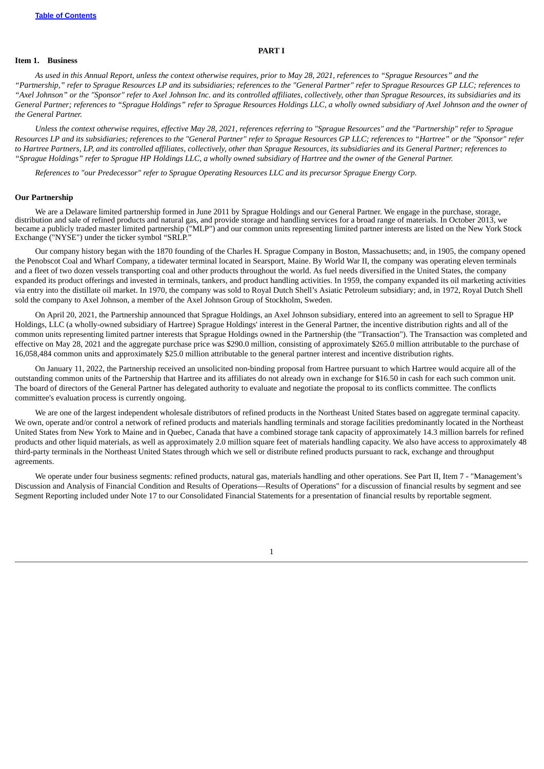#### **PART I**

#### <span id="page-3-0"></span>**Item 1. Business**

As used in this Annual Report, unless the context otherwise requires, prior to May 28, 2021, references to "Sprague Resources" and the "Partnership," refer to Spraque Resources LP and its subsidiaries; references to the "General Partner" refer to Spraque Resources GP LLC; references to "Axel Johnson" or the "Sponsor" refer to Axel Johnson Inc. and its controlled affiliates, collectively, other than Sprague Resources, its subsidiaries and its General Partner; references to "Sprague Holdings" refer to Sprague Resources Holdings LLC, a wholly owned subsidiary of Axel Johnson and the owner of *the General Partner.*

Unless the context otherwise requires, effective May 28, 2021, references referring to "Sprague Resources" and the "Partnership" refer to Spraque Resources LP and its subsidiaries; references to the "General Partner" refer to Spraque Resources GP LLC; references to "Hartree" or the "Sponsor" refer to Hartree Partners, LP, and its controlled affiliates, collectively, other than Sprague Resources, its subsidiaries and its General Partner; references to "Spraaue Holdinas" refer to Spraaue HP Holdinas LLC. a wholly owned subsidiary of Hartree and the owner of the General Partner.

*References to "our Predecessor" refer to Sprague Operating Resources LLC and its precursor Sprague Energy Corp.*

# **Our Partnership**

We are a Delaware limited partnership formed in June 2011 by Sprague Holdings and our General Partner. We engage in the purchase, storage, distribution and sale of refined products and natural gas, and provide storage and handling services for a broad range of materials. In October 2013, we became a publicly traded master limited partnership ("MLP") and our common units representing limited partner interests are listed on the New York Stock Exchange ("NYSE") under the ticker symbol "SRLP."

Our company history began with the 1870 founding of the Charles H. Sprague Company in Boston, Massachusetts; and, in 1905, the company opened the Penobscot Coal and Wharf Company, a tidewater terminal located in Searsport, Maine. By World War II, the company was operating eleven terminals and a fleet of two dozen vessels transporting coal and other products throughout the world. As fuel needs diversified in the United States, the company expanded its product offerings and invested in terminals, tankers, and product handling activities. In 1959, the company expanded its oil marketing activities via entry into the distillate oil market. In 1970, the company was sold to Royal Dutch Shell's Asiatic Petroleum subsidiary; and, in 1972, Royal Dutch Shell sold the company to Axel Johnson, a member of the Axel Johnson Group of Stockholm, Sweden.

On April 20, 2021, the Partnership announced that Sprague Holdings, an Axel Johnson subsidiary, entered into an agreement to sell to Sprague HP Holdings, LLC (a wholly-owned subsidiary of Hartree) Sprague Holdings' interest in the General Partner, the incentive distribution rights and all of the common units representing limited partner interests that Sprague Holdings owned in the Partnership (the "Transaction"). The Transaction was completed and effective on May 28, 2021 and the aggregate purchase price was \$290.0 million, consisting of approximately \$265.0 million attributable to the purchase of 16,058,484 common units and approximately \$25.0 million attributable to the general partner interest and incentive distribution rights.

On January 11, 2022, the Partnership received an unsolicited non-binding proposal from Hartree pursuant to which Hartree would acquire all of the outstanding common units of the Partnership that Hartree and its affiliates do not already own in exchange for \$16.50 in cash for each such common unit. The board of directors of the General Partner has delegated authority to evaluate and negotiate the proposal to its conflicts committee. The conflicts committee's evaluation process is currently ongoing.

We are one of the largest independent wholesale distributors of refined products in the Northeast United States based on aggregate terminal capacity. We own, operate and/or control a network of refined products and materials handling terminals and storage facilities predominantly located in the Northeast United States from New York to Maine and in Quebec, Canada that have a combined storage tank capacity of approximately 14.3 million barrels for refined products and other liquid materials, as well as approximately 2.0 million square feet of materials handling capacity. We also have access to approximately 48 third-party terminals in the Northeast United States through which we sell or distribute refined products pursuant to rack, exchange and throughput agreements.

We operate under four business segments: refined products, natural gas, materials handling and other operations. See Part II, Item 7 - "Management's Discussion and Analysis of Financial Condition and Results of Operations—Results of Operations" for a discussion of financial results by segment and see Segment Reporting included under Note 17 to our Consolidated Financial Statements for a presentation of financial results by reportable segment.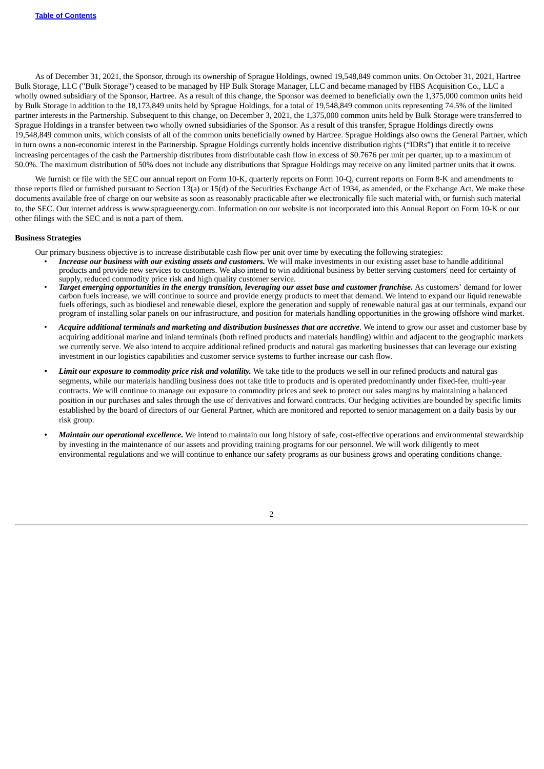As of December 31, 2021, the Sponsor, through its ownership of Sprague Holdings, owned 19,548,849 common units. On October 31, 2021, Hartree Bulk Storage, LLC ("Bulk Storage") ceased to be managed by HP Bulk Storage Manager, LLC and became managed by HBS Acquisition Co., LLC a wholly owned subsidiary of the Sponsor, Hartree. As a result of this change, the Sponsor was deemed to beneficially own the 1,375,000 common units held by Bulk Storage in addition to the 18,173,849 units held by Sprague Holdings, for a total of 19,548,849 common units representing 74.5% of the limited partner interests in the Partnership. Subsequent to this change, on December 3, 2021, the 1,375,000 common units held by Bulk Storage were transferred to Sprague Holdings in a transfer between two wholly owned subsidiaries of the Sponsor. As a result of this transfer, Sprague Holdings directly owns 19,548,849 common units, which consists of all of the common units beneficially owned by Hartree. Sprague Holdings also owns the General Partner, which in turn owns a non-economic interest in the Partnership. Sprague Holdings currently holds incentive distribution rights ("IDRs") that entitle it to receive increasing percentages of the cash the Partnership distributes from distributable cash flow in excess of \$0.7676 per unit per quarter, up to a maximum of 50.0%. The maximum distribution of 50% does not include any distributions that Sprague Holdings may receive on any limited partner units that it owns.

We furnish or file with the SEC our annual report on Form 10-K, quarterly reports on Form 10-Q, current reports on Form 8-K and amendments to those reports filed or furnished pursuant to Section 13(a) or 15(d) of the Securities Exchange Act of 1934, as amended, or the Exchange Act. We make these documents available free of charge on our website as soon as reasonably practicable after we electronically file such material with, or furnish such material to, the SEC. Our internet address is www.spragueenergy.com. Information on our website is not incorporated into this Annual Report on Form 10-K or our other filings with the SEC and is not a part of them.

#### **Business Strategies**

Our primary business objective is to increase distributable cash flow per unit over time by executing the following strategies:

- *Increase our business with our existing assets and customers.* We will make investments in our existing asset base to handle additional products and provide new services to customers. We also intend to win additional business by better serving customers' need for certainty of supply, reduced commodity price risk and high quality customer service.
- Target emerging opportunities in the energy transition, leveraging our asset base and customer franchise. As customers' demand for lower carbon fuels increase, we will continue to source and provide energy products to meet that demand. We intend to expand our liquid renewable fuels offerings, such as biodiesel and renewable diesel, explore the generation and supply of renewable natural gas at our terminals, expand our program of installing solar panels on our infrastructure, and position for materials handling opportunities in the growing offshore wind market.
- *Acquire additional terminals and marketing and distribution businesses that are accretive*. We intend to grow our asset and customer base by acquiring additional marine and inland terminals (both refined products and materials handling) within and adjacent to the geographic markets we currently serve. We also intend to acquire additional refined products and natural gas marketing businesses that can leverage our existing investment in our logistics capabilities and customer service systems to further increase our cash flow.
- *• Limit our exposure to commodity price risk and volatility.* We take title to the products we sell in our refined products and natural gas segments, while our materials handling business does not take title to products and is operated predominantly under fixed-fee, multi-year contracts. We will continue to manage our exposure to commodity prices and seek to protect our sales margins by maintaining a balanced position in our purchases and sales through the use of derivatives and forward contracts. Our hedging activities are bounded by specific limits established by the board of directors of our General Partner, which are monitored and reported to senior management on a daily basis by our risk group.
- *• Maintain our operational excellence.* We intend to maintain our long history of safe, cost-effective operations and environmental stewardship by investing in the maintenance of our assets and providing training programs for our personnel. We will work diligently to meet environmental regulations and we will continue to enhance our safety programs as our business grows and operating conditions change.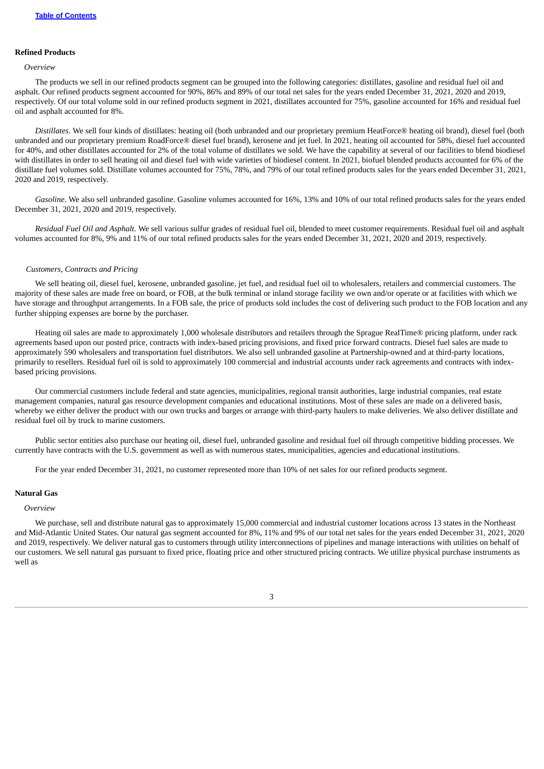#### **Refined Products**

#### *Overview*

The products we sell in our refined products segment can be grouped into the following categories: distillates, gasoline and residual fuel oil and asphalt. Our refined products segment accounted for 90%, 86% and 89% of our total net sales for the years ended December 31, 2021, 2020 and 2019, respectively. Of our total volume sold in our refined products segment in 2021, distillates accounted for 75%, gasoline accounted for 16% and residual fuel oil and asphalt accounted for 8%.

*Distillates*. We sell four kinds of distillates: heating oil (both unbranded and our proprietary premium HeatForce® heating oil brand), diesel fuel (both unbranded and our proprietary premium RoadForce® diesel fuel brand), kerosene and jet fuel. In 2021, heating oil accounted for 58%, diesel fuel accounted for 40%, and other distillates accounted for 2% of the total volume of distillates we sold. We have the capability at several of our facilities to blend biodiesel with distillates in order to sell heating oil and diesel fuel with wide varieties of biodiesel content. In 2021, biofuel blended products accounted for 6% of the distillate fuel volumes sold. Distillate volumes accounted for 75%, 78%, and 79% of our total refined products sales for the years ended December 31, 2021, 2020 and 2019, respectively.

*Gasoline*. We also sell unbranded gasoline. Gasoline volumes accounted for 16%, 13% and 10% of our total refined products sales for the years ended December 31, 2021, 2020 and 2019, respectively.

*Residual Fuel Oil and Asphalt.* We sell various sulfur grades of residual fuel oil, blended to meet customer requirements. Residual fuel oil and asphalt volumes accounted for 8%, 9% and 11% of our total refined products sales for the years ended December 31, 2021, 2020 and 2019, respectively.

#### *Customers, Contracts and Pricing*

We sell heating oil, diesel fuel, kerosene, unbranded gasoline, jet fuel, and residual fuel oil to wholesalers, retailers and commercial customers. The majority of these sales are made free on board, or FOB, at the bulk terminal or inland storage facility we own and/or operate or at facilities with which we have storage and throughput arrangements. In a FOB sale, the price of products sold includes the cost of delivering such product to the FOB location and any further shipping expenses are borne by the purchaser.

Heating oil sales are made to approximately 1,000 wholesale distributors and retailers through the Sprague RealTime® pricing platform, under rack agreements based upon our posted price, contracts with index-based pricing provisions, and fixed price forward contracts. Diesel fuel sales are made to approximately 590 wholesalers and transportation fuel distributors. We also sell unbranded gasoline at Partnership-owned and at third-party locations, primarily to resellers. Residual fuel oil is sold to approximately 100 commercial and industrial accounts under rack agreements and contracts with indexbased pricing provisions.

Our commercial customers include federal and state agencies, municipalities, regional transit authorities, large industrial companies, real estate management companies, natural gas resource development companies and educational institutions. Most of these sales are made on a delivered basis, whereby we either deliver the product with our own trucks and barges or arrange with third-party haulers to make deliveries. We also deliver distillate and residual fuel oil by truck to marine customers.

Public sector entities also purchase our heating oil, diesel fuel, unbranded gasoline and residual fuel oil through competitive bidding processes. We currently have contracts with the U.S. government as well as with numerous states, municipalities, agencies and educational institutions.

For the year ended December 31, 2021, no customer represented more than 10% of net sales for our refined products segment.

#### **Natural Gas**

# *Overview*

We purchase, sell and distribute natural gas to approximately 15,000 commercial and industrial customer locations across 13 states in the Northeast and Mid-Atlantic United States. Our natural gas segment accounted for 8%, 11% and 9% of our total net sales for the years ended December 31, 2021, 2020 and 2019, respectively. We deliver natural gas to customers through utility interconnections of pipelines and manage interactions with utilities on behalf of our customers. We sell natural gas pursuant to fixed price, floating price and other structured pricing contracts. We utilize physical purchase instruments as well as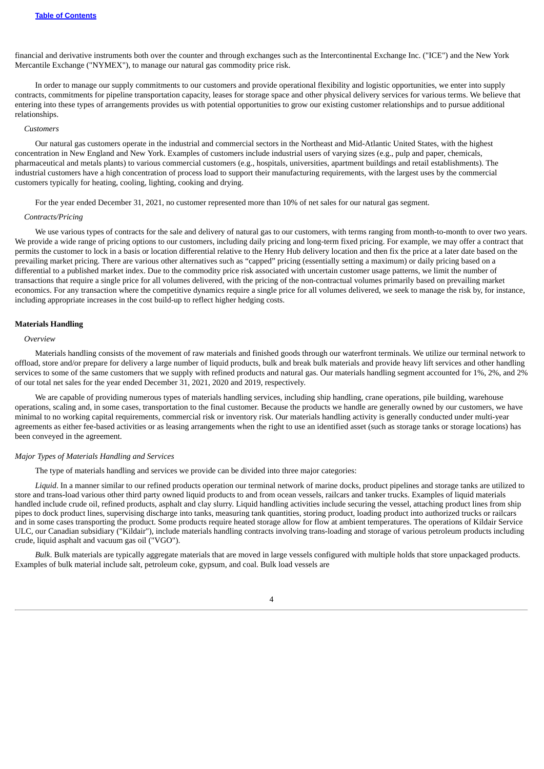financial and derivative instruments both over the counter and through exchanges such as the Intercontinental Exchange Inc. ("ICE") and the New York Mercantile Exchange ("NYMEX"), to manage our natural gas commodity price risk.

In order to manage our supply commitments to our customers and provide operational flexibility and logistic opportunities, we enter into supply contracts, commitments for pipeline transportation capacity, leases for storage space and other physical delivery services for various terms. We believe that entering into these types of arrangements provides us with potential opportunities to grow our existing customer relationships and to pursue additional relationships.

#### *Customers*

Our natural gas customers operate in the industrial and commercial sectors in the Northeast and Mid-Atlantic United States, with the highest concentration in New England and New York. Examples of customers include industrial users of varying sizes (e.g., pulp and paper, chemicals, pharmaceutical and metals plants) to various commercial customers (e.g., hospitals, universities, apartment buildings and retail establishments). The industrial customers have a high concentration of process load to support their manufacturing requirements, with the largest uses by the commercial customers typically for heating, cooling, lighting, cooking and drying.

For the year ended December 31, 2021, no customer represented more than 10% of net sales for our natural gas segment.

#### *Contracts/Pricing*

We use various types of contracts for the sale and delivery of natural gas to our customers, with terms ranging from month-to-month to over two years. We provide a wide range of pricing options to our customers, including daily pricing and long-term fixed pricing. For example, we may offer a contract that permits the customer to lock in a basis or location differential relative to the Henry Hub delivery location and then fix the price at a later date based on the prevailing market pricing. There are various other alternatives such as "capped" pricing (essentially setting a maximum) or daily pricing based on a differential to a published market index. Due to the commodity price risk associated with uncertain customer usage patterns, we limit the number of transactions that require a single price for all volumes delivered, with the pricing of the non-contractual volumes primarily based on prevailing market economics. For any transaction where the competitive dynamics require a single price for all volumes delivered, we seek to manage the risk by, for instance, including appropriate increases in the cost build-up to reflect higher hedging costs.

#### **Materials Handling**

#### *Overview*

Materials handling consists of the movement of raw materials and finished goods through our waterfront terminals. We utilize our terminal network to offload, store and/or prepare for delivery a large number of liquid products, bulk and break bulk materials and provide heavy lift services and other handling services to some of the same customers that we supply with refined products and natural gas. Our materials handling segment accounted for 1%, 2%, and 2% of our total net sales for the year ended December 31, 2021, 2020 and 2019, respectively.

We are capable of providing numerous types of materials handling services, including ship handling, crane operations, pile building, warehouse operations, scaling and, in some cases, transportation to the final customer. Because the products we handle are generally owned by our customers, we have minimal to no working capital requirements, commercial risk or inventory risk. Our materials handling activity is generally conducted under multi-year agreements as either fee-based activities or as leasing arrangements when the right to use an identified asset (such as storage tanks or storage locations) has been conveyed in the agreement.

#### *Major Types of Materials Handling and Services*

The type of materials handling and services we provide can be divided into three major categories:

*Liquid*. In a manner similar to our refined products operation our terminal network of marine docks, product pipelines and storage tanks are utilized to store and trans-load various other third party owned liquid products to and from ocean vessels, railcars and tanker trucks. Examples of liquid materials handled include crude oil, refined products, asphalt and clay slurry. Liquid handling activities include securing the vessel, attaching product lines from ship pipes to dock product lines, supervising discharge into tanks, measuring tank quantities, storing product, loading product into authorized trucks or railcars and in some cases transporting the product. Some products require heated storage allow for flow at ambient temperatures. The operations of Kildair Service ULC, our Canadian subsidiary ("Kildair"), include materials handling contracts involving trans-loading and storage of various petroleum products including crude, liquid asphalt and vacuum gas oil ("VGO").

*Bulk*. Bulk materials are typically aggregate materials that are moved in large vessels configured with multiple holds that store unpackaged products. Examples of bulk material include salt, petroleum coke, gypsum, and coal. Bulk load vessels are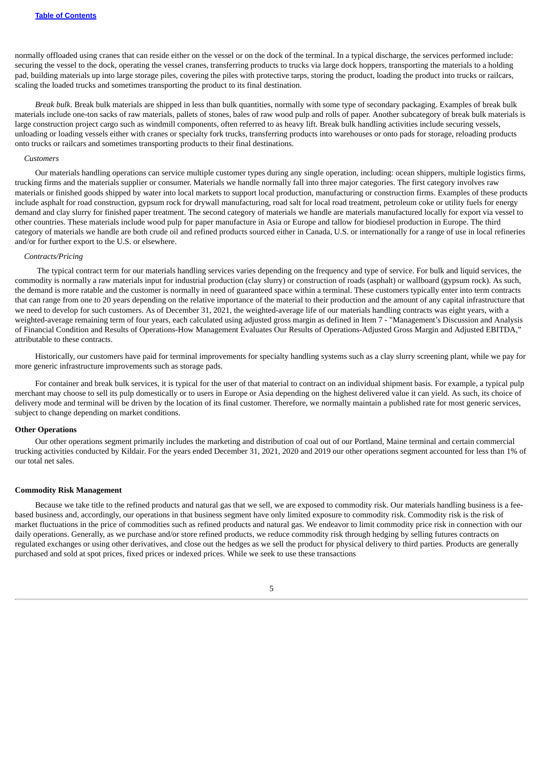normally offloaded using cranes that can reside either on the vessel or on the dock of the terminal. In a typical discharge, the services performed include: securing the vessel to the dock, operating the vessel cranes, transferring products to trucks via large dock hoppers, transporting the materials to a holding pad, building materials up into large storage piles, covering the piles with protective tarps, storing the product, loading the product into trucks or railcars, scaling the loaded trucks and sometimes transporting the product to its final destination.

*Break bulk*. Break bulk materials are shipped in less than bulk quantities, normally with some type of secondary packaging. Examples of break bulk materials include one-ton sacks of raw materials, pallets of stones, bales of raw wood pulp and rolls of paper. Another subcategory of break bulk materials is large construction project cargo such as windmill components, often referred to as heavy lift. Break bulk handling activities include securing vessels, unloading or loading vessels either with cranes or specialty fork trucks, transferring products into warehouses or onto pads for storage, reloading products onto trucks or railcars and sometimes transporting products to their final destinations.

#### *Customers*

Our materials handling operations can service multiple customer types during any single operation, including: ocean shippers, multiple logistics firms, trucking firms and the materials supplier or consumer. Materials we handle normally fall into three major categories. The first category involves raw materials or finished goods shipped by water into local markets to support local production, manufacturing or construction firms. Examples of these products include asphalt for road construction, gypsum rock for drywall manufacturing, road salt for local road treatment, petroleum coke or utility fuels for energy demand and clay slurry for finished paper treatment. The second category of materials we handle are materials manufactured locally for export via vessel to other countries. These materials include wood pulp for paper manufacture in Asia or Europe and tallow for biodiesel production in Europe. The third category of materials we handle are both crude oil and refined products sourced either in Canada, U.S. or internationally for a range of use in local refineries and/or for further export to the U.S. or elsewhere.

# *Contracts/Pricing*

The typical contract term for our materials handling services varies depending on the frequency and type of service. For bulk and liquid services, the commodity is normally a raw materials input for industrial production (clay slurry) or construction of roads (asphalt) or wallboard (gypsum rock). As such, the demand is more ratable and the customer is normally in need of guaranteed space within a terminal. These customers typically enter into term contracts that can range from one to 20 years depending on the relative importance of the material to their production and the amount of any capital infrastructure that we need to develop for such customers. As of December 31, 2021, the weighted-average life of our materials handling contracts was eight years, with a weighted-average remaining term of four years, each calculated using adjusted gross margin as defined in Item 7 - "Management's Discussion and Analysis of Financial Condition and Results of Operations-How Management Evaluates Our Results of Operations-Adjusted Gross Margin and Adjusted EBITDA," attributable to these contracts.

Historically, our customers have paid for terminal improvements for specialty handling systems such as a clay slurry screening plant, while we pay for more generic infrastructure improvements such as storage pads.

For container and break bulk services, it is typical for the user of that material to contract on an individual shipment basis. For example, a typical pulp merchant may choose to sell its pulp domestically or to users in Europe or Asia depending on the highest delivered value it can yield. As such, its choice of delivery mode and terminal will be driven by the location of its final customer. Therefore, we normally maintain a published rate for most generic services, subject to change depending on market conditions.

#### **Other Operations**

Our other operations segment primarily includes the marketing and distribution of coal out of our Portland, Maine terminal and certain commercial trucking activities conducted by Kildair. For the years ended December 31, 2021, 2020 and 2019 our other operations segment accounted for less than 1% of our total net sales.

#### **Commodity Risk Management**

Because we take title to the refined products and natural gas that we sell, we are exposed to commodity risk. Our materials handling business is a feebased business and, accordingly, our operations in that business segment have only limited exposure to commodity risk. Commodity risk is the risk of market fluctuations in the price of commodities such as refined products and natural gas. We endeavor to limit commodity price risk in connection with our daily operations. Generally, as we purchase and/or store refined products, we reduce commodity risk through hedging by selling futures contracts on regulated exchanges or using other derivatives, and close out the hedges as we sell the product for physical delivery to third parties. Products are generally purchased and sold at spot prices, fixed prices or indexed prices. While we seek to use these transactions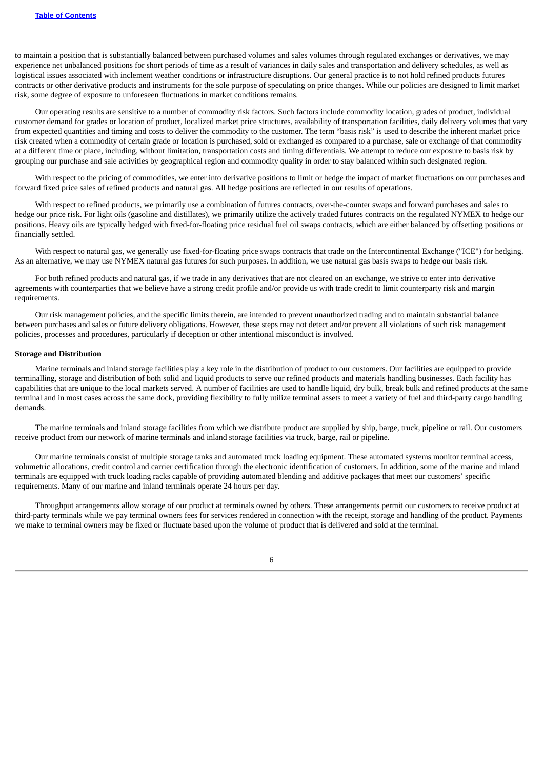to maintain a position that is substantially balanced between purchased volumes and sales volumes through regulated exchanges or derivatives, we may experience net unbalanced positions for short periods of time as a result of variances in daily sales and transportation and delivery schedules, as well as logistical issues associated with inclement weather conditions or infrastructure disruptions. Our general practice is to not hold refined products futures contracts or other derivative products and instruments for the sole purpose of speculating on price changes. While our policies are designed to limit market risk, some degree of exposure to unforeseen fluctuations in market conditions remains.

Our operating results are sensitive to a number of commodity risk factors. Such factors include commodity location, grades of product, individual customer demand for grades or location of product, localized market price structures, availability of transportation facilities, daily delivery volumes that vary from expected quantities and timing and costs to deliver the commodity to the customer. The term "basis risk" is used to describe the inherent market price risk created when a commodity of certain grade or location is purchased, sold or exchanged as compared to a purchase, sale or exchange of that commodity at a different time or place, including, without limitation, transportation costs and timing differentials. We attempt to reduce our exposure to basis risk by grouping our purchase and sale activities by geographical region and commodity quality in order to stay balanced within such designated region.

With respect to the pricing of commodities, we enter into derivative positions to limit or hedge the impact of market fluctuations on our purchases and forward fixed price sales of refined products and natural gas. All hedge positions are reflected in our results of operations.

With respect to refined products, we primarily use a combination of futures contracts, over-the-counter swaps and forward purchases and sales to hedge our price risk. For light oils (gasoline and distillates), we primarily utilize the actively traded futures contracts on the regulated NYMEX to hedge our positions. Heavy oils are typically hedged with fixed-for-floating price residual fuel oil swaps contracts, which are either balanced by offsetting positions or financially settled.

With respect to natural gas, we generally use fixed-for-floating price swaps contracts that trade on the Intercontinental Exchange ("ICE") for hedging. As an alternative, we may use NYMEX natural gas futures for such purposes. In addition, we use natural gas basis swaps to hedge our basis risk.

For both refined products and natural gas, if we trade in any derivatives that are not cleared on an exchange, we strive to enter into derivative agreements with counterparties that we believe have a strong credit profile and/or provide us with trade credit to limit counterparty risk and margin requirements.

Our risk management policies, and the specific limits therein, are intended to prevent unauthorized trading and to maintain substantial balance between purchases and sales or future delivery obligations. However, these steps may not detect and/or prevent all violations of such risk management policies, processes and procedures, particularly if deception or other intentional misconduct is involved.

### **Storage and Distribution**

Marine terminals and inland storage facilities play a key role in the distribution of product to our customers. Our facilities are equipped to provide terminalling, storage and distribution of both solid and liquid products to serve our refined products and materials handling businesses. Each facility has capabilities that are unique to the local markets served. A number of facilities are used to handle liquid, dry bulk, break bulk and refined products at the same terminal and in most cases across the same dock, providing flexibility to fully utilize terminal assets to meet a variety of fuel and third-party cargo handling demands.

The marine terminals and inland storage facilities from which we distribute product are supplied by ship, barge, truck, pipeline or rail. Our customers receive product from our network of marine terminals and inland storage facilities via truck, barge, rail or pipeline.

Our marine terminals consist of multiple storage tanks and automated truck loading equipment. These automated systems monitor terminal access, volumetric allocations, credit control and carrier certification through the electronic identification of customers. In addition, some of the marine and inland terminals are equipped with truck loading racks capable of providing automated blending and additive packages that meet our customers' specific requirements. Many of our marine and inland terminals operate 24 hours per day.

Throughput arrangements allow storage of our product at terminals owned by others. These arrangements permit our customers to receive product at third-party terminals while we pay terminal owners fees for services rendered in connection with the receipt, storage and handling of the product. Payments we make to terminal owners may be fixed or fluctuate based upon the volume of product that is delivered and sold at the terminal.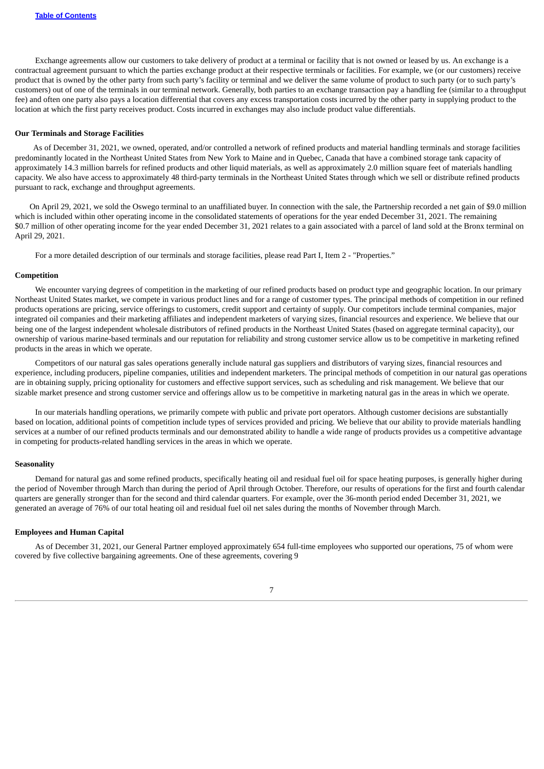Exchange agreements allow our customers to take delivery of product at a terminal or facility that is not owned or leased by us. An exchange is a contractual agreement pursuant to which the parties exchange product at their respective terminals or facilities. For example, we (or our customers) receive product that is owned by the other party from such party's facility or terminal and we deliver the same volume of product to such party (or to such party's customers) out of one of the terminals in our terminal network. Generally, both parties to an exchange transaction pay a handling fee (similar to a throughput fee) and often one party also pays a location differential that covers any excess transportation costs incurred by the other party in supplying product to the location at which the first party receives product. Costs incurred in exchanges may also include product value differentials.

#### **Our Terminals and Storage Facilities**

As of December 31, 2021, we owned, operated, and/or controlled a network of refined products and material handling terminals and storage facilities predominantly located in the Northeast United States from New York to Maine and in Quebec, Canada that have a combined storage tank capacity of approximately 14.3 million barrels for refined products and other liquid materials, as well as approximately 2.0 million square feet of materials handling capacity. We also have access to approximately 48 third-party terminals in the Northeast United States through which we sell or distribute refined products pursuant to rack, exchange and throughput agreements.

On April 29, 2021, we sold the Oswego terminal to an unaffiliated buyer. In connection with the sale, the Partnership recorded a net gain of \$9.0 million which is included within other operating income in the consolidated statements of operations for the year ended December 31, 2021. The remaining \$0.7 million of other operating income for the year ended December 31, 2021 relates to a gain associated with a parcel of land sold at the Bronx terminal on April 29, 2021.

For a more detailed description of our terminals and storage facilities, please read Part I, Item 2 - "Properties."

# **Competition**

We encounter varying degrees of competition in the marketing of our refined products based on product type and geographic location. In our primary Northeast United States market, we compete in various product lines and for a range of customer types. The principal methods of competition in our refined products operations are pricing, service offerings to customers, credit support and certainty of supply. Our competitors include terminal companies, major integrated oil companies and their marketing affiliates and independent marketers of varying sizes, financial resources and experience. We believe that our being one of the largest independent wholesale distributors of refined products in the Northeast United States (based on aggregate terminal capacity), our ownership of various marine-based terminals and our reputation for reliability and strong customer service allow us to be competitive in marketing refined products in the areas in which we operate.

Competitors of our natural gas sales operations generally include natural gas suppliers and distributors of varying sizes, financial resources and experience, including producers, pipeline companies, utilities and independent marketers. The principal methods of competition in our natural gas operations are in obtaining supply, pricing optionality for customers and effective support services, such as scheduling and risk management. We believe that our sizable market presence and strong customer service and offerings allow us to be competitive in marketing natural gas in the areas in which we operate.

In our materials handling operations, we primarily compete with public and private port operators. Although customer decisions are substantially based on location, additional points of competition include types of services provided and pricing. We believe that our ability to provide materials handling services at a number of our refined products terminals and our demonstrated ability to handle a wide range of products provides us a competitive advantage in competing for products-related handling services in the areas in which we operate.

#### **Seasonality**

Demand for natural gas and some refined products, specifically heating oil and residual fuel oil for space heating purposes, is generally higher during the period of November through March than during the period of April through October. Therefore, our results of operations for the first and fourth calendar quarters are generally stronger than for the second and third calendar quarters. For example, over the 36-month period ended December 31, 2021, we generated an average of 76% of our total heating oil and residual fuel oil net sales during the months of November through March.

#### **Employees and Human Capital**

As of December 31, 2021, our General Partner employed approximately 654 full-time employees who supported our operations, 75 of whom were covered by five collective bargaining agreements. One of these agreements, covering 9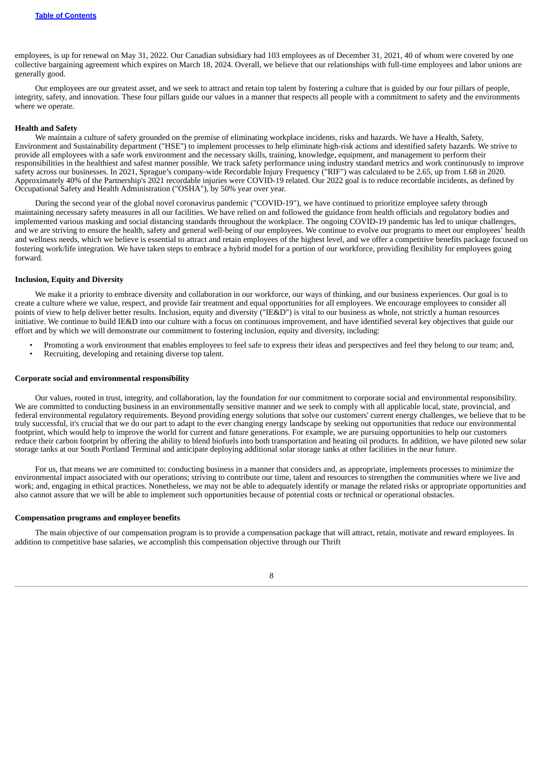employees, is up for renewal on May 31, 2022. Our Canadian subsidiary had 103 employees as of December 31, 2021, 40 of whom were covered by one collective bargaining agreement which expires on March 18, 2024. Overall, we believe that our relationships with full-time employees and labor unions are generally good.

Our employees are our greatest asset, and we seek to attract and retain top talent by fostering a culture that is guided by our four pillars of people, integrity, safety, and innovation. These four pillars guide our values in a manner that respects all people with a commitment to safety and the environments where we operate.

#### **Health and Safety**

We maintain a culture of safety grounded on the premise of eliminating workplace incidents, risks and hazards. We have a Health, Safety, Environment and Sustainability department ("HSE") to implement processes to help eliminate high-risk actions and identified safety hazards. We strive to provide all employees with a safe work environment and the necessary skills, training, knowledge, equipment, and management to perform their responsibilities in the healthiest and safest manner possible. We track safety performance using industry standard metrics and work continuously to improve safety across our businesses. In 2021, Sprague's company-wide Recordable Injury Frequency ("RIF") was calculated to be 2.65, up from 1.68 in 2020. Approximately 40% of the Partnership's 2021 recordable injuries were COVID-19 related. Our 2022 goal is to reduce recordable incidents, as defined by Occupational Safety and Health Administration ("OSHA"), by 50% year over year.

During the second year of the global novel coronavirus pandemic ("COVID-19"), we have continued to prioritize employee safety through maintaining necessary safety measures in all our facilities. We have relied on and followed the guidance from health officials and regulatory bodies and implemented various masking and social distancing standards throughout the workplace. The ongoing COVID-19 pandemic has led to unique challenges, and we are striving to ensure the health, safety and general well-being of our employees. We continue to evolve our programs to meet our employees' health and wellness needs, which we believe is essential to attract and retain employees of the highest level, and we offer a competitive benefits package focused on fostering work/life integration. We have taken steps to embrace a hybrid model for a portion of our workforce, providing flexibility for employees going forward.

# **Inclusion, Equity and Diversity**

We make it a priority to embrace diversity and collaboration in our workforce, our ways of thinking, and our business experiences. Our goal is to create a culture where we value, respect, and provide fair treatment and equal opportunities for all employees. We encourage employees to consider all points of view to help deliver better results. Inclusion, equity and diversity ("IE&D") is vital to our business as whole, not strictly a human resources initiative. We continue to build IE&D into our culture with a focus on continuous improvement, and have identified several key objectives that guide our effort and by which we will demonstrate our commitment to fostering inclusion, equity and diversity, including:

- Promoting a work environment that enables employees to feel safe to express their ideas and perspectives and feel they belong to our team; and,
- Recruiting, developing and retaining diverse top talent.

#### **Corporate social and environmental responsibility**

Our values, rooted in trust, integrity, and collaboration, lay the foundation for our commitment to corporate social and environmental responsibility. We are committed to conducting business in an environmentally sensitive manner and we seek to comply with all applicable local, state, provincial, and federal environmental regulatory requirements. Beyond providing energy solutions that solve our customers' current energy challenges, we believe that to be truly successful, it's crucial that we do our part to adapt to the ever changing energy landscape by seeking out opportunities that reduce our environmental footprint, which would help to improve the world for current and future generations. For example, we are pursuing opportunities to help our customers reduce their carbon footprint by offering the ability to blend biofuels into both transportation and heating oil products. In addition, we have piloted new solar storage tanks at our South Portland Terminal and anticipate deploying additional solar storage tanks at other facilities in the near future.

For us, that means we are committed to: conducting business in a manner that considers and, as appropriate, implements processes to minimize the environmental impact associated with our operations; striving to contribute our time, talent and resources to strengthen the communities where we live and work; and, engaging in ethical practices. Nonetheless, we may not be able to adequately identify or manage the related risks or appropriate opportunities and also cannot assure that we will be able to implement such opportunities because of potential costs or technical or operational obstacles.

#### **Compensation programs and employee benefits**

The main objective of our compensation program is to provide a compensation package that will attract, retain, motivate and reward employees. In addition to competitive base salaries, we accomplish this compensation objective through our Thrift

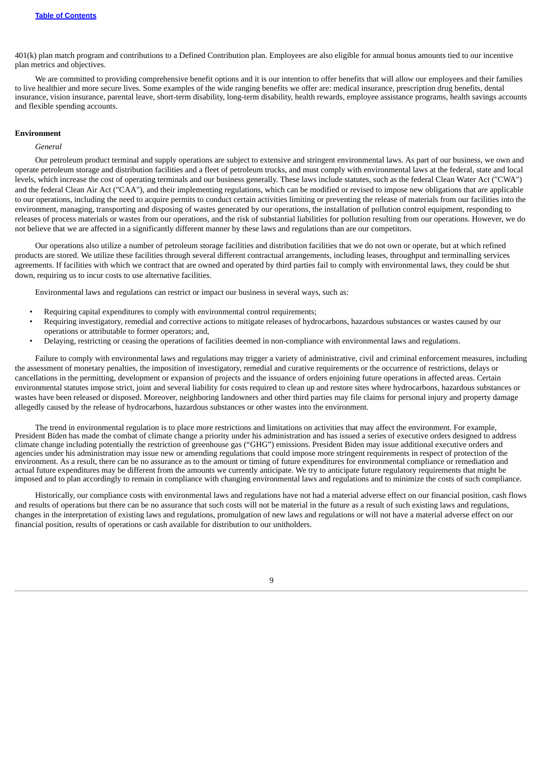401(k) plan match program and contributions to a Defined Contribution plan. Employees are also eligible for annual bonus amounts tied to our incentive plan metrics and objectives.

We are committed to providing comprehensive benefit options and it is our intention to offer benefits that will allow our employees and their families to live healthier and more secure lives. Some examples of the wide ranging benefits we offer are: medical insurance, prescription drug benefits, dental insurance, vision insurance, parental leave, short-term disability, long-term disability, health rewards, employee assistance programs, health savings accounts and flexible spending accounts.

#### **Environment**

#### *General*

Our petroleum product terminal and supply operations are subject to extensive and stringent environmental laws. As part of our business, we own and operate petroleum storage and distribution facilities and a fleet of petroleum trucks, and must comply with environmental laws at the federal, state and local levels, which increase the cost of operating terminals and our business generally. These laws include statutes, such as the federal Clean Water Act ("CWA") and the federal Clean Air Act ("CAA"), and their implementing regulations, which can be modified or revised to impose new obligations that are applicable to our operations, including the need to acquire permits to conduct certain activities limiting or preventing the release of materials from our facilities into the environment, managing, transporting and disposing of wastes generated by our operations, the installation of pollution control equipment, responding to releases of process materials or wastes from our operations, and the risk of substantial liabilities for pollution resulting from our operations. However, we do not believe that we are affected in a significantly different manner by these laws and regulations than are our competitors.

Our operations also utilize a number of petroleum storage facilities and distribution facilities that we do not own or operate, but at which refined products are stored. We utilize these facilities through several different contractual arrangements, including leases, throughput and terminalling services agreements. If facilities with which we contract that are owned and operated by third parties fail to comply with environmental laws, they could be shut down, requiring us to incur costs to use alternative facilities.

Environmental laws and regulations can restrict or impact our business in several ways, such as:

- Requiring capital expenditures to comply with environmental control requirements;
- Requiring investigatory, remedial and corrective actions to mitigate releases of hydrocarbons, hazardous substances or wastes caused by our operations or attributable to former operators; and,
- Delaying, restricting or ceasing the operations of facilities deemed in non-compliance with environmental laws and regulations.

Failure to comply with environmental laws and regulations may trigger a variety of administrative, civil and criminal enforcement measures, including the assessment of monetary penalties, the imposition of investigatory, remedial and curative requirements or the occurrence of restrictions, delays or cancellations in the permitting, development or expansion of projects and the issuance of orders enjoining future operations in affected areas. Certain environmental statutes impose strict, joint and several liability for costs required to clean up and restore sites where hydrocarbons, hazardous substances or wastes have been released or disposed. Moreover, neighboring landowners and other third parties may file claims for personal injury and property damage allegedly caused by the release of hydrocarbons, hazardous substances or other wastes into the environment.

The trend in environmental regulation is to place more restrictions and limitations on activities that may affect the environment. For example, President Biden has made the combat of climate change a priority under his administration and has issued a series of executive orders designed to address climate change including potentially the restriction of greenhouse gas ("GHG") emissions. President Biden may issue additional executive orders and agencies under his administration may issue new or amending regulations that could impose more stringent requirements in respect of protection of the environment. As a result, there can be no assurance as to the amount or timing of future expenditures for environmental compliance or remediation and actual future expenditures may be different from the amounts we currently anticipate. We try to anticipate future regulatory requirements that might be imposed and to plan accordingly to remain in compliance with changing environmental laws and regulations and to minimize the costs of such compliance.

Historically, our compliance costs with environmental laws and regulations have not had a material adverse effect on our financial position, cash flows and results of operations but there can be no assurance that such costs will not be material in the future as a result of such existing laws and regulations, changes in the interpretation of existing laws and regulations, promulgation of new laws and regulations or will not have a material adverse effect on our financial position, results of operations or cash available for distribution to our unitholders.

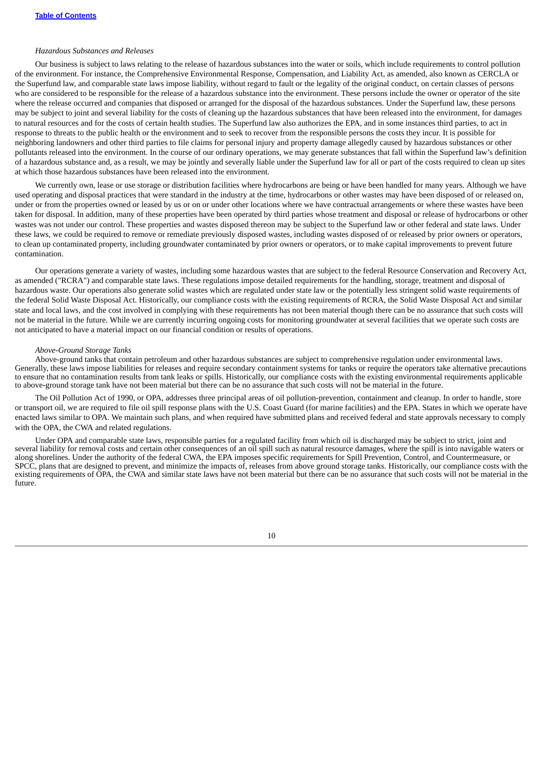#### *Hazardous Substances and Releases*

Our business is subject to laws relating to the release of hazardous substances into the water or soils, which include requirements to control pollution of the environment. For instance, the Comprehensive Environmental Response, Compensation, and Liability Act, as amended, also known as CERCLA or the Superfund law, and comparable state laws impose liability, without regard to fault or the legality of the original conduct, on certain classes of persons who are considered to be responsible for the release of a hazardous substance into the environment. These persons include the owner or operator of the site where the release occurred and companies that disposed or arranged for the disposal of the hazardous substances. Under the Superfund law, these persons may be subject to joint and several liability for the costs of cleaning up the hazardous substances that have been released into the environment, for damages to natural resources and for the costs of certain health studies. The Superfund law also authorizes the EPA, and in some instances third parties, to act in response to threats to the public health or the environment and to seek to recover from the responsible persons the costs they incur. It is possible for neighboring landowners and other third parties to file claims for personal injury and property damage allegedly caused by hazardous substances or other pollutants released into the environment. In the course of our ordinary operations, we may generate substances that fall within the Superfund law's definition of a hazardous substance and, as a result, we may be jointly and severally liable under the Superfund law for all or part of the costs required to clean up sites at which those hazardous substances have been released into the environment.

We currently own, lease or use storage or distribution facilities where hydrocarbons are being or have been handled for many years. Although we have used operating and disposal practices that were standard in the industry at the time, hydrocarbons or other wastes may have been disposed of or released on, under or from the properties owned or leased by us or on or under other locations where we have contractual arrangements or where these wastes have been taken for disposal. In addition, many of these properties have been operated by third parties whose treatment and disposal or release of hydrocarbons or other wastes was not under our control. These properties and wastes disposed thereon may be subject to the Superfund law or other federal and state laws. Under these laws, we could be required to remove or remediate previously disposed wastes, including wastes disposed of or released by prior owners or operators, to clean up contaminated property, including groundwater contaminated by prior owners or operators, or to make capital improvements to prevent future contamination.

Our operations generate a variety of wastes, including some hazardous wastes that are subject to the federal Resource Conservation and Recovery Act, as amended ("RCRA") and comparable state laws. These regulations impose detailed requirements for the handling, storage, treatment and disposal of hazardous waste. Our operations also generate solid wastes which are regulated under state law or the potentially less stringent solid waste requirements of the federal Solid Waste Disposal Act. Historically, our compliance costs with the existing requirements of RCRA, the Solid Waste Disposal Act and similar state and local laws, and the cost involved in complying with these requirements has not been material though there can be no assurance that such costs will not be material in the future. While we are currently incurring ongoing costs for monitoring groundwater at several facilities that we operate such costs are not anticipated to have a material impact on our financial condition or results of operations.

#### *Above-Ground Storage Tanks*

Above-ground tanks that contain petroleum and other hazardous substances are subject to comprehensive regulation under environmental laws. Generally, these laws impose liabilities for releases and require secondary containment systems for tanks or require the operators take alternative precautions to ensure that no contamination results from tank leaks or spills. Historically, our compliance costs with the existing environmental requirements applicable to above-ground storage tank have not been material but there can be no assurance that such costs will not be material in the future.

The Oil Pollution Act of 1990, or OPA, addresses three principal areas of oil pollution-prevention, containment and cleanup. In order to handle, store or transport oil, we are required to file oil spill response plans with the U.S. Coast Guard (for marine facilities) and the EPA. States in which we operate have enacted laws similar to OPA. We maintain such plans, and when required have submitted plans and received federal and state approvals necessary to comply with the OPA, the CWA and related regulations.

Under OPA and comparable state laws, responsible parties for a regulated facility from which oil is discharged may be subject to strict, joint and several liability for removal costs and certain other consequences of an oil spill such as natural resource damages, where the spill is into navigable waters or along shorelines. Under the authority of the federal CWA, the EPA imposes specific requirements for Spill Prevention, Control, and Countermeasure, or SPCC, plans that are designed to prevent, and minimize the impacts of, releases from above ground storage tanks. Historically, our compliance costs with the existing requirements of OPA, the CWA and similar state laws have not been material but there can be no assurance that such costs will not be material in the future.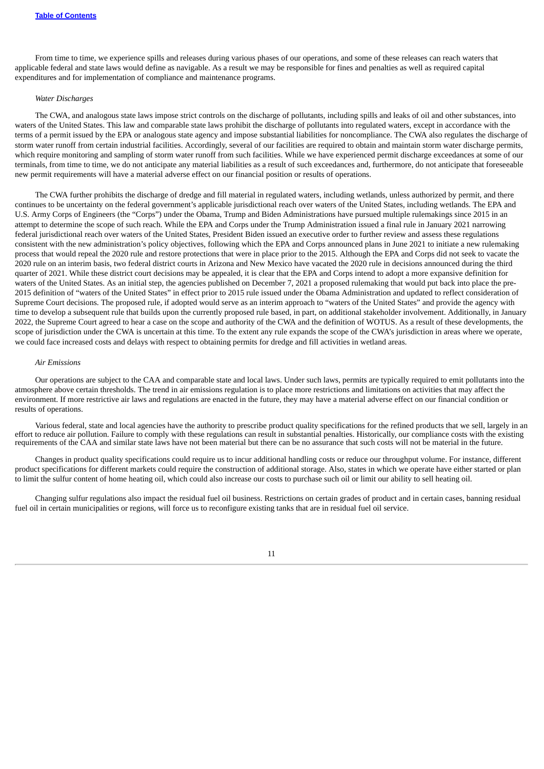From time to time, we experience spills and releases during various phases of our operations, and some of these releases can reach waters that applicable federal and state laws would define as navigable. As a result we may be responsible for fines and penalties as well as required capital expenditures and for implementation of compliance and maintenance programs.

#### *Water Discharges*

The CWA, and analogous state laws impose strict controls on the discharge of pollutants, including spills and leaks of oil and other substances, into waters of the United States. This law and comparable state laws prohibit the discharge of pollutants into regulated waters, except in accordance with the terms of a permit issued by the EPA or analogous state agency and impose substantial liabilities for noncompliance. The CWA also regulates the discharge of storm water runoff from certain industrial facilities. Accordingly, several of our facilities are required to obtain and maintain storm water discharge permits, which require monitoring and sampling of storm water runoff from such facilities. While we have experienced permit discharge exceedances at some of our terminals, from time to time, we do not anticipate any material liabilities as a result of such exceedances and, furthermore, do not anticipate that foreseeable new permit requirements will have a material adverse effect on our financial position or results of operations.

The CWA further prohibits the discharge of dredge and fill material in regulated waters, including wetlands, unless authorized by permit, and there continues to be uncertainty on the federal government's applicable jurisdictional reach over waters of the United States, including wetlands. The EPA and U.S. Army Corps of Engineers (the "Corps") under the Obama, Trump and Biden Administrations have pursued multiple rulemakings since 2015 in an attempt to determine the scope of such reach. While the EPA and Corps under the Trump Administration issued a final rule in January 2021 narrowing federal jurisdictional reach over waters of the United States, President Biden issued an executive order to further review and assess these regulations consistent with the new administration's policy objectives, following which the EPA and Corps announced plans in June 2021 to initiate a new rulemaking process that would repeal the 2020 rule and restore protections that were in place prior to the 2015. Although the EPA and Corps did not seek to vacate the 2020 rule on an interim basis, two federal district courts in Arizona and New Mexico have vacated the 2020 rule in decisions announced during the third quarter of 2021. While these district court decisions may be appealed, it is clear that the EPA and Corps intend to adopt a more expansive definition for waters of the United States. As an initial step, the agencies published on December 7, 2021 a proposed rulemaking that would put back into place the pre-2015 definition of "waters of the United States" in effect prior to 2015 rule issued under the Obama Administration and updated to reflect consideration of Supreme Court decisions. The proposed rule, if adopted would serve as an interim approach to "waters of the United States" and provide the agency with time to develop a subsequent rule that builds upon the currently proposed rule based, in part, on additional stakeholder involvement. Additionally, in January 2022, the Supreme Court agreed to hear a case on the scope and authority of the CWA and the definition of WOTUS. As a result of these developments, the scope of jurisdiction under the CWA is uncertain at this time. To the extent any rule expands the scope of the CWA's jurisdiction in areas where we operate, we could face increased costs and delays with respect to obtaining permits for dredge and fill activities in wetland areas.

#### *Air Emissions*

Our operations are subject to the CAA and comparable state and local laws. Under such laws, permits are typically required to emit pollutants into the atmosphere above certain thresholds. The trend in air emissions regulation is to place more restrictions and limitations on activities that may affect the environment. If more restrictive air laws and regulations are enacted in the future, they may have a material adverse effect on our financial condition or results of operations.

Various federal, state and local agencies have the authority to prescribe product quality specifications for the refined products that we sell, largely in an effort to reduce air pollution. Failure to comply with these regulations can result in substantial penalties. Historically, our compliance costs with the existing requirements of the CAA and similar state laws have not been material but there can be no assurance that such costs will not be material in the future.

Changes in product quality specifications could require us to incur additional handling costs or reduce our throughput volume. For instance, different product specifications for different markets could require the construction of additional storage. Also, states in which we operate have either started or plan to limit the sulfur content of home heating oil, which could also increase our costs to purchase such oil or limit our ability to sell heating oil.

Changing sulfur regulations also impact the residual fuel oil business. Restrictions on certain grades of product and in certain cases, banning residual fuel oil in certain municipalities or regions, will force us to reconfigure existing tanks that are in residual fuel oil service.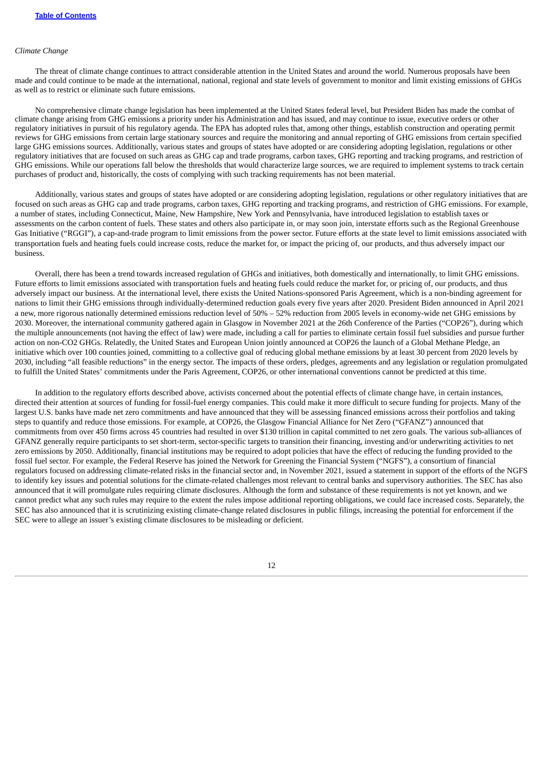#### *Climate Change*

The threat of climate change continues to attract considerable attention in the United States and around the world. Numerous proposals have been made and could continue to be made at the international, national, regional and state levels of government to monitor and limit existing emissions of GHGs as well as to restrict or eliminate such future emissions.

No comprehensive climate change legislation has been implemented at the United States federal level, but President Biden has made the combat of climate change arising from GHG emissions a priority under his Administration and has issued, and may continue to issue, executive orders or other regulatory initiatives in pursuit of his regulatory agenda. The EPA has adopted rules that, among other things, establish construction and operating permit reviews for GHG emissions from certain large stationary sources and require the monitoring and annual reporting of GHG emissions from certain specified large GHG emissions sources. Additionally, various states and groups of states have adopted or are considering adopting legislation, regulations or other regulatory initiatives that are focused on such areas as GHG cap and trade programs, carbon taxes, GHG reporting and tracking programs, and restriction of GHG emissions. While our operations fall below the thresholds that would characterize large sources, we are required to implement systems to track certain purchases of product and, historically, the costs of complying with such tracking requirements has not been material.

Additionally, various states and groups of states have adopted or are considering adopting legislation, regulations or other regulatory initiatives that are focused on such areas as GHG cap and trade programs, carbon taxes, GHG reporting and tracking programs, and restriction of GHG emissions. For example, a number of states, including Connecticut, Maine, New Hampshire, New York and Pennsylvania, have introduced legislation to establish taxes or assessments on the carbon content of fuels. These states and others also participate in, or may soon join, interstate efforts such as the Regional Greenhouse Gas Initiative ("RGGI"), a cap-and-trade program to limit emissions from the power sector. Future efforts at the state level to limit emissions associated with transportation fuels and heating fuels could increase costs, reduce the market for, or impact the pricing of, our products, and thus adversely impact our business.

Overall, there has been a trend towards increased regulation of GHGs and initiatives, both domestically and internationally, to limit GHG emissions. Future efforts to limit emissions associated with transportation fuels and heating fuels could reduce the market for, or pricing of, our products, and thus adversely impact our business. At the international level, there exists the United Nations-sponsored Paris Agreement, which is a non-binding agreement for nations to limit their GHG emissions through individually-determined reduction goals every five years after 2020. President Biden announced in April 2021 a new, more rigorous nationally determined emissions reduction level of 50% – 52% reduction from 2005 levels in economy-wide net GHG emissions by 2030. Moreover, the international community gathered again in Glasgow in November 2021 at the 26th Conference of the Parties ("COP26"), during which the multiple announcements (not having the effect of law) were made, including a call for parties to eliminate certain fossil fuel subsidies and pursue further action on non-CO2 GHGs. Relatedly, the United States and European Union jointly announced at COP26 the launch of a Global Methane Pledge, an initiative which over 100 counties joined, committing to a collective goal of reducing global methane emissions by at least 30 percent from 2020 levels by 2030, including "all feasible reductions" in the energy sector. The impacts of these orders, pledges, agreements and any legislation or regulation promulgated to fulfill the United States' commitments under the Paris Agreement, COP26, or other international conventions cannot be predicted at this time.

In addition to the regulatory efforts described above, activists concerned about the potential effects of climate change have, in certain instances, directed their attention at sources of funding for fossil-fuel energy companies. This could make it more difficult to secure funding for projects. Many of the largest U.S. banks have made net zero commitments and have announced that they will be assessing financed emissions across their portfolios and taking steps to quantify and reduce those emissions. For example, at COP26, the Glasgow Financial Alliance for Net Zero ("GFANZ") announced that commitments from over 450 firms across 45 countries had resulted in over \$130 trillion in capital committed to net zero goals. The various sub-alliances of GFANZ generally require participants to set short-term, sector-specific targets to transition their financing, investing and/or underwriting activities to net zero emissions by 2050. Additionally, financial institutions may be required to adopt policies that have the effect of reducing the funding provided to the fossil fuel sector. For example, the Federal Reserve has joined the Network for Greening the Financial System ("NGFS"), a consortium of financial regulators focused on addressing climate-related risks in the financial sector and, in November 2021, issued a statement in support of the efforts of the NGFS to identify key issues and potential solutions for the climate-related challenges most relevant to central banks and supervisory authorities. The SEC has also announced that it will promulgate rules requiring climate disclosures. Although the form and substance of these requirements is not yet known, and we cannot predict what any such rules may require to the extent the rules impose additional reporting obligations, we could face increased costs. Separately, the SEC has also announced that it is scrutinizing existing climate-change related disclosures in public filings, increasing the potential for enforcement if the SEC were to allege an issuer's existing climate disclosures to be misleading or deficient.

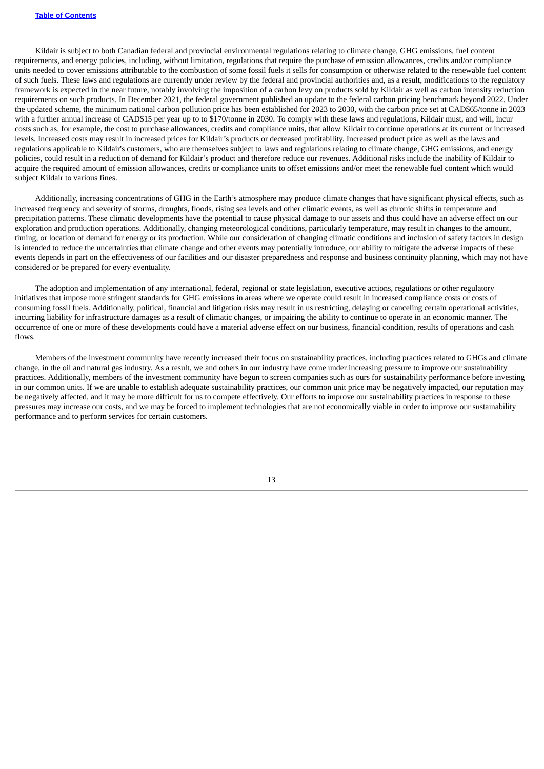Kildair is subject to both Canadian federal and provincial environmental regulations relating to climate change, GHG emissions, fuel content requirements, and energy policies, including, without limitation, regulations that require the purchase of emission allowances, credits and/or compliance units needed to cover emissions attributable to the combustion of some fossil fuels it sells for consumption or otherwise related to the renewable fuel content of such fuels. These laws and regulations are currently under review by the federal and provincial authorities and, as a result, modifications to the regulatory framework is expected in the near future, notably involving the imposition of a carbon levy on products sold by Kildair as well as carbon intensity reduction requirements on such products. In December 2021, the federal government published an update to the federal carbon pricing benchmark beyond 2022. Under the updated scheme, the minimum national carbon pollution price has been established for 2023 to 2030, with the carbon price set at CAD\$65/tonne in 2023 with a further annual increase of CAD\$15 per year up to to \$170/tonne in 2030. To comply with these laws and regulations, Kildair must, and will, incur costs such as, for example, the cost to purchase allowances, credits and compliance units, that allow Kildair to continue operations at its current or increased levels. Increased costs may result in increased prices for Kildair's products or decreased profitability. Increased product price as well as the laws and regulations applicable to Kildair's customers, who are themselves subject to laws and regulations relating to climate change, GHG emissions, and energy policies, could result in a reduction of demand for Kildair's product and therefore reduce our revenues. Additional risks include the inability of Kildair to acquire the required amount of emission allowances, credits or compliance units to offset emissions and/or meet the renewable fuel content which would subject Kildair to various fines.

Additionally, increasing concentrations of GHG in the Earth's atmosphere may produce climate changes that have significant physical effects, such as increased frequency and severity of storms, droughts, floods, rising sea levels and other climatic events, as well as chronic shifts in temperature and precipitation patterns. These climatic developments have the potential to cause physical damage to our assets and thus could have an adverse effect on our exploration and production operations. Additionally, changing meteorological conditions, particularly temperature, may result in changes to the amount, timing, or location of demand for energy or its production. While our consideration of changing climatic conditions and inclusion of safety factors in design is intended to reduce the uncertainties that climate change and other events may potentially introduce, our ability to mitigate the adverse impacts of these events depends in part on the effectiveness of our facilities and our disaster preparedness and response and business continuity planning, which may not have considered or be prepared for every eventuality.

The adoption and implementation of any international, federal, regional or state legislation, executive actions, regulations or other regulatory initiatives that impose more stringent standards for GHG emissions in areas where we operate could result in increased compliance costs or costs of consuming fossil fuels. Additionally, political, financial and litigation risks may result in us restricting, delaying or canceling certain operational activities, incurring liability for infrastructure damages as a result of climatic changes, or impairing the ability to continue to operate in an economic manner. The occurrence of one or more of these developments could have a material adverse effect on our business, financial condition, results of operations and cash flows.

<span id="page-15-0"></span>Members of the investment community have recently increased their focus on sustainability practices, including practices related to GHGs and climate change, in the oil and natural gas industry. As a result, we and others in our industry have come under increasing pressure to improve our sustainability practices. Additionally, members of the investment community have begun to screen companies such as ours for sustainability performance before investing in our common units. If we are unable to establish adequate sustainability practices, our common unit price may be negatively impacted, our reputation may be negatively affected, and it may be more difficult for us to compete effectively. Our efforts to improve our sustainability practices in response to these pressures may increase our costs, and we may be forced to implement technologies that are not economically viable in order to improve our sustainability performance and to perform services for certain customers.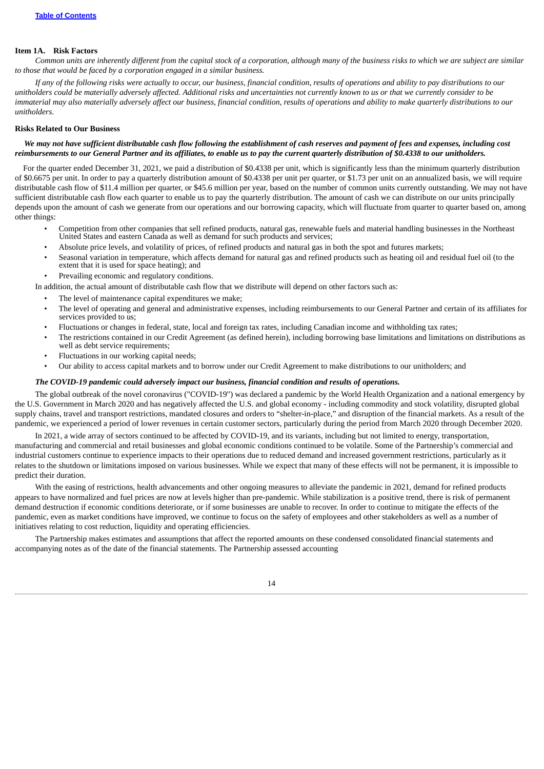# **Item 1A. Risk Factors**

Common units are inherently different from the capital stock of a corporation, although many of the business risks to which we are subject are similar *to those that would be faced by a corporation engaged in a similar business.*

If any of the following risks were actually to occur, our business, financial condition, results of operations and ability to pay distributions to our unitholders could be materially adversely affected. Additional risks and uncertainties not currently known to us or that we currently consider to be immaterial may also materially adversely affect our business, financial condition, results of operations and ability to make quarterly distributions to our *unitholders.*

#### **Risks Related to Our Business**

# We may not have sufficient distributable cash flow following the establishment of cash reserves and payment of fees and expenses, including cost reimbursements to our General Partner and its affiliates, to enable us to pay the current quarterly distribution of \$0.4338 to our unitholders.

For the quarter ended December 31, 2021, we paid a distribution of \$0.4338 per unit, which is significantly less than the minimum quarterly distribution of \$0.6675 per unit. In order to pay a quarterly distribution amount of \$0.4338 per unit per quarter, or \$1.73 per unit on an annualized basis, we will require distributable cash flow of \$11.4 million per quarter, or \$45.6 million per year, based on the number of common units currently outstanding. We may not have sufficient distributable cash flow each quarter to enable us to pay the quarterly distribution. The amount of cash we can distribute on our units principally depends upon the amount of cash we generate from our operations and our borrowing capacity, which will fluctuate from quarter to quarter based on, among other things:

- Competition from other companies that sell refined products, natural gas, renewable fuels and material handling businesses in the Northeast United States and eastern Canada as well as demand for such products and services;
- Absolute price levels, and volatility of prices, of refined products and natural gas in both the spot and futures markets;
- Seasonal variation in temperature, which affects demand for natural gas and refined products such as heating oil and residual fuel oil (to the extent that it is used for space heating); and
- Prevailing economic and regulatory conditions.

In addition, the actual amount of distributable cash flow that we distribute will depend on other factors such as:

- The level of maintenance capital expenditures we make;
- The level of operating and general and administrative expenses, including reimbursements to our General Partner and certain of its affiliates for services provided to us;
- Fluctuations or changes in federal, state, local and foreign tax rates, including Canadian income and withholding tax rates;
- The restrictions contained in our Credit Agreement (as defined herein), including borrowing base limitations and limitations on distributions as well as debt service requirements;
- Fluctuations in our working capital needs;
- Our ability to access capital markets and to borrow under our Credit Agreement to make distributions to our unitholders; and

#### *The COVID-19 pandemic could adversely impact our business, financial condition and results of operations.*

The global outbreak of the novel coronavirus ("COVID-19") was declared a pandemic by the World Health Organization and a national emergency by the U.S. Government in March 2020 and has negatively affected the U.S. and global economy - including commodity and stock volatility, disrupted global supply chains, travel and transport restrictions, mandated closures and orders to "shelter-in-place," and disruption of the financial markets. As a result of the pandemic, we experienced a period of lower revenues in certain customer sectors, particularly during the period from March 2020 through December 2020.

In 2021, a wide array of sectors continued to be affected by COVID-19, and its variants, including but not limited to energy, transportation, manufacturing and commercial and retail businesses and global economic conditions continued to be volatile. Some of the Partnership's commercial and industrial customers continue to experience impacts to their operations due to reduced demand and increased government restrictions, particularly as it relates to the shutdown or limitations imposed on various businesses. While we expect that many of these effects will not be permanent, it is impossible to predict their duration.

With the easing of restrictions, health advancements and other ongoing measures to alleviate the pandemic in 2021, demand for refined products appears to have normalized and fuel prices are now at levels higher than pre-pandemic. While stabilization is a positive trend, there is risk of permanent demand destruction if economic conditions deteriorate, or if some businesses are unable to recover. In order to continue to mitigate the effects of the pandemic, even as market conditions have improved, we continue to focus on the safety of employees and other stakeholders as well as a number of initiatives relating to cost reduction, liquidity and operating efficiencies.

The Partnership makes estimates and assumptions that affect the reported amounts on these condensed consolidated financial statements and accompanying notes as of the date of the financial statements. The Partnership assessed accounting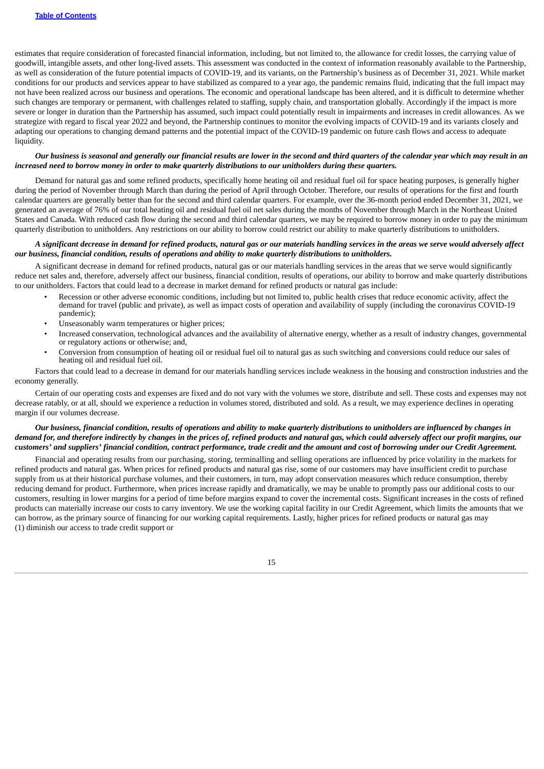estimates that require consideration of forecasted financial information, including, but not limited to, the allowance for credit losses, the carrying value of goodwill, intangible assets, and other long-lived assets. This assessment was conducted in the context of information reasonably available to the Partnership, as well as consideration of the future potential impacts of COVID-19, and its variants, on the Partnership's business as of December 31, 2021. While market conditions for our products and services appear to have stabilized as compared to a year ago, the pandemic remains fluid, indicating that the full impact may not have been realized across our business and operations. The economic and operational landscape has been altered, and it is difficult to determine whether such changes are temporary or permanent, with challenges related to staffing, supply chain, and transportation globally. Accordingly if the impact is more severe or longer in duration than the Partnership has assumed, such impact could potentially result in impairments and increases in credit allowances. As we strategize with regard to fiscal year 2022 and beyond, the Partnership continues to monitor the evolving impacts of COVID-19 and its variants closely and adapting our operations to changing demand patterns and the potential impact of the COVID-19 pandemic on future cash flows and access to adequate liquidity.

# Our business is seasonal and generally our financial results are lower in the second and third quarters of the calendar year which may result in an increased need to borrow money in order to make quarterly distributions to our unitholders during these quarters.

Demand for natural gas and some refined products, specifically home heating oil and residual fuel oil for space heating purposes, is generally higher during the period of November through March than during the period of April through October. Therefore, our results of operations for the first and fourth calendar quarters are generally better than for the second and third calendar quarters. For example, over the 36-month period ended December 31, 2021, we generated an average of 76% of our total heating oil and residual fuel oil net sales during the months of November through March in the Northeast United States and Canada. With reduced cash flow during the second and third calendar quarters, we may be required to borrow money in order to pay the minimum quarterly distribution to unitholders. Any restrictions on our ability to borrow could restrict our ability to make quarterly distributions to unitholders.

# A significant decrease in demand for refined products, natural gas or our materials handling services in the areas we serve would adversely affect *our business, financial condition, results of operations and ability to make quarterly distributions to unitholders.*

A significant decrease in demand for refined products, natural gas or our materials handling services in the areas that we serve would significantly reduce net sales and, therefore, adversely affect our business, financial condition, results of operations, our ability to borrow and make quarterly distributions to our unitholders. Factors that could lead to a decrease in market demand for refined products or natural gas include:

- Recession or other adverse economic conditions, including but not limited to, public health crises that reduce economic activity, affect the demand for travel (public and private), as well as impact costs of operation and availability of supply (including the coronavirus COVID-19 pandemic);
- Unseasonably warm temperatures or higher prices;
- Increased conservation, technological advances and the availability of alternative energy, whether as a result of industry changes, governmental or regulatory actions or otherwise; and,
- Conversion from consumption of heating oil or residual fuel oil to natural gas as such switching and conversions could reduce our sales of heating oil and residual fuel oil.

Factors that could lead to a decrease in demand for our materials handling services include weakness in the housing and construction industries and the economy generally.

Certain of our operating costs and expenses are fixed and do not vary with the volumes we store, distribute and sell. These costs and expenses may not decrease ratably, or at all, should we experience a reduction in volumes stored, distributed and sold. As a result, we may experience declines in operating margin if our volumes decrease.

# Our business, financial condition, results of operations and ability to make quarterly distributions to unitholders are influenced by changes in demand for, and therefore indirectly by changes in the prices of, refined products and natural gas, which could adversely affect our profit margins, our customers' and suppliers' financial condition, contract performance, trade credit and the amount and cost of borrowing under our Credit Agreement.

Financial and operating results from our purchasing, storing, terminalling and selling operations are influenced by price volatility in the markets for refined products and natural gas. When prices for refined products and natural gas rise, some of our customers may have insufficient credit to purchase supply from us at their historical purchase volumes, and their customers, in turn, may adopt conservation measures which reduce consumption, thereby reducing demand for product. Furthermore, when prices increase rapidly and dramatically, we may be unable to promptly pass our additional costs to our customers, resulting in lower margins for a period of time before margins expand to cover the incremental costs. Significant increases in the costs of refined products can materially increase our costs to carry inventory. We use the working capital facility in our Credit Agreement, which limits the amounts that we can borrow, as the primary source of financing for our working capital requirements. Lastly, higher prices for refined products or natural gas may (1) diminish our access to trade credit support or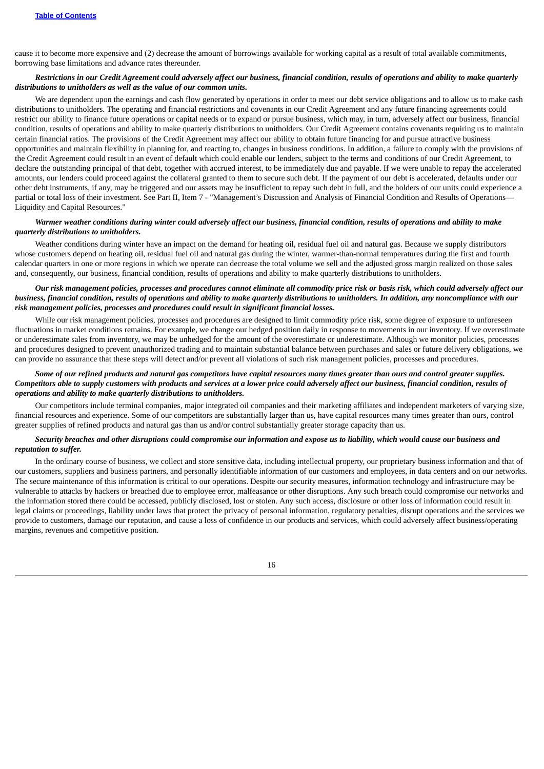cause it to become more expensive and (2) decrease the amount of borrowings available for working capital as a result of total available commitments, borrowing base limitations and advance rates thereunder.

# Restrictions in our Credit Agreement could adversely affect our business, financial condition, results of operations and ability to make quarterly *distributions to unitholders as well as the value of our common units.*

We are dependent upon the earnings and cash flow generated by operations in order to meet our debt service obligations and to allow us to make cash distributions to unitholders. The operating and financial restrictions and covenants in our Credit Agreement and any future financing agreements could restrict our ability to finance future operations or capital needs or to expand or pursue business, which may, in turn, adversely affect our business, financial condition, results of operations and ability to make quarterly distributions to unitholders. Our Credit Agreement contains covenants requiring us to maintain certain financial ratios. The provisions of the Credit Agreement may affect our ability to obtain future financing for and pursue attractive business opportunities and maintain flexibility in planning for, and reacting to, changes in business conditions. In addition, a failure to comply with the provisions of the Credit Agreement could result in an event of default which could enable our lenders, subject to the terms and conditions of our Credit Agreement, to declare the outstanding principal of that debt, together with accrued interest, to be immediately due and payable. If we were unable to repay the accelerated amounts, our lenders could proceed against the collateral granted to them to secure such debt. If the payment of our debt is accelerated, defaults under our other debt instruments, if any, may be triggered and our assets may be insufficient to repay such debt in full, and the holders of our units could experience a partial or total loss of their investment. See Part II, Item 7 - "Management's Discussion and Analysis of Financial Condition and Results of Operations— Liquidity and Capital Resources."

# Warmer weather conditions during winter could adversely affect our business, financial condition, results of operations and ability to make *quarterly distributions to unitholders.*

Weather conditions during winter have an impact on the demand for heating oil, residual fuel oil and natural gas. Because we supply distributors whose customers depend on heating oil, residual fuel oil and natural gas during the winter, warmer-than-normal temperatures during the first and fourth calendar quarters in one or more regions in which we operate can decrease the total volume we sell and the adjusted gross margin realized on those sales and, consequently, our business, financial condition, results of operations and ability to make quarterly distributions to unitholders.

# Our risk management policies, processes and procedures cannot eliminate all commodity price risk or basis risk, which could adversely affect our business, financial condition, results of operations and ability to make quarterly distributions to unitholders. In addition, any noncompliance with our *risk management policies, processes and procedures could result in significant financial losses.*

While our risk management policies, processes and procedures are designed to limit commodity price risk, some degree of exposure to unforeseen fluctuations in market conditions remains. For example, we change our hedged position daily in response to movements in our inventory. If we overestimate or underestimate sales from inventory, we may be unhedged for the amount of the overestimate or underestimate. Although we monitor policies, processes and procedures designed to prevent unauthorized trading and to maintain substantial balance between purchases and sales or future delivery obligations, we can provide no assurance that these steps will detect and/or prevent all violations of such risk management policies, processes and procedures.

# Some of our refined products and natural gas competitors have capital resources many times greater than ours and control greater supplies. Competitors able to supply customers with products and services at a lower price could adversely affect our business, financial condition, results of *operations and ability to make quarterly distributions to unitholders.*

Our competitors include terminal companies, major integrated oil companies and their marketing affiliates and independent marketers of varying size, financial resources and experience. Some of our competitors are substantially larger than us, have capital resources many times greater than ours, control greater supplies of refined products and natural gas than us and/or control substantially greater storage capacity than us.

# Security breaches and other disruptions could compromise our information and expose us to liability, which would cause our business and *reputation to suffer.*

In the ordinary course of business, we collect and store sensitive data, including intellectual property, our proprietary business information and that of our customers, suppliers and business partners, and personally identifiable information of our customers and employees, in data centers and on our networks. The secure maintenance of this information is critical to our operations. Despite our security measures, information technology and infrastructure may be vulnerable to attacks by hackers or breached due to employee error, malfeasance or other disruptions. Any such breach could compromise our networks and the information stored there could be accessed, publicly disclosed, lost or stolen. Any such access, disclosure or other loss of information could result in legal claims or proceedings, liability under laws that protect the privacy of personal information, regulatory penalties, disrupt operations and the services we provide to customers, damage our reputation, and cause a loss of confidence in our products and services, which could adversely affect business/operating margins, revenues and competitive position.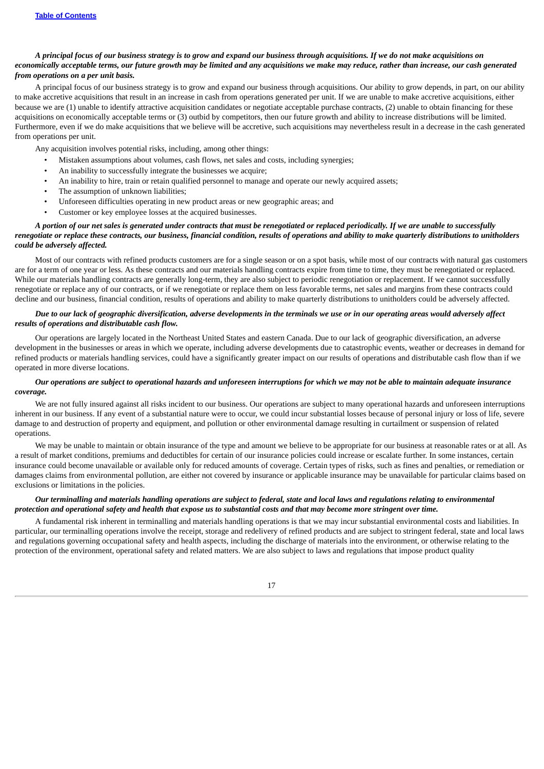# A principal focus of our business strategy is to grow and expand our business through acquisitions. If we do not make acquisitions on economically acceptable terms, our future growth may be limited and any acquisitions we make may reduce, rather than increase, our cash generated *from operations on a per unit basis.*

A principal focus of our business strategy is to grow and expand our business through acquisitions. Our ability to grow depends, in part, on our ability to make accretive acquisitions that result in an increase in cash from operations generated per unit. If we are unable to make accretive acquisitions, either because we are (1) unable to identify attractive acquisition candidates or negotiate acceptable purchase contracts, (2) unable to obtain financing for these acquisitions on economically acceptable terms or (3) outbid by competitors, then our future growth and ability to increase distributions will be limited. Furthermore, even if we do make acquisitions that we believe will be accretive, such acquisitions may nevertheless result in a decrease in the cash generated from operations per unit.

Any acquisition involves potential risks, including, among other things:

- Mistaken assumptions about volumes, cash flows, net sales and costs, including synergies;
- An inability to successfully integrate the businesses we acquire;
- An inability to hire, train or retain qualified personnel to manage and operate our newly acquired assets;
- The assumption of unknown liabilities;
- Unforeseen difficulties operating in new product areas or new geographic areas; and
- Customer or key employee losses at the acquired businesses.

# A portion of our net sales is generated under contracts that must be renegotiated or replaced periodically. If we are unable to successfully renegotiate or replace these contracts, our business, financial condition, results of operations and ability to make quarterly distributions to unitholders *could be adversely affected.*

Most of our contracts with refined products customers are for a single season or on a spot basis, while most of our contracts with natural gas customers are for a term of one year or less. As these contracts and our materials handling contracts expire from time to time, they must be renegotiated or replaced. While our materials handling contracts are generally long-term, they are also subject to periodic renegotiation or replacement. If we cannot successfully renegotiate or replace any of our contracts, or if we renegotiate or replace them on less favorable terms, net sales and margins from these contracts could decline and our business, financial condition, results of operations and ability to make quarterly distributions to unitholders could be adversely affected.

# Due to our lack of geographic diversification, adverse developments in the terminals we use or in our operating areas would adversely affect *results of operations and distributable cash flow.*

Our operations are largely located in the Northeast United States and eastern Canada. Due to our lack of geographic diversification, an adverse development in the businesses or areas in which we operate, including adverse developments due to catastrophic events, weather or decreases in demand for refined products or materials handling services, could have a significantly greater impact on our results of operations and distributable cash flow than if we operated in more diverse locations.

#### Our operations are subject to operational hazards and unforeseen interruptions for which we may not be able to maintain adequate insurance *coverage.*

We are not fully insured against all risks incident to our business. Our operations are subject to many operational hazards and unforeseen interruptions inherent in our business. If any event of a substantial nature were to occur, we could incur substantial losses because of personal injury or loss of life, severe damage to and destruction of property and equipment, and pollution or other environmental damage resulting in curtailment or suspension of related operations.

We may be unable to maintain or obtain insurance of the type and amount we believe to be appropriate for our business at reasonable rates or at all. As a result of market conditions, premiums and deductibles for certain of our insurance policies could increase or escalate further. In some instances, certain insurance could become unavailable or available only for reduced amounts of coverage. Certain types of risks, such as fines and penalties, or remediation or damages claims from environmental pollution, are either not covered by insurance or applicable insurance may be unavailable for particular claims based on exclusions or limitations in the policies.

# Our terminalling and materials handling operations are subject to federal, state and local laws and regulations relating to environmental protection and operational safety and health that expose us to substantial costs and that may become more stringent over time.

A fundamental risk inherent in terminalling and materials handling operations is that we may incur substantial environmental costs and liabilities. In particular, our terminalling operations involve the receipt, storage and redelivery of refined products and are subject to stringent federal, state and local laws and regulations governing occupational safety and health aspects, including the discharge of materials into the environment, or otherwise relating to the protection of the environment, operational safety and related matters. We are also subject to laws and regulations that impose product quality

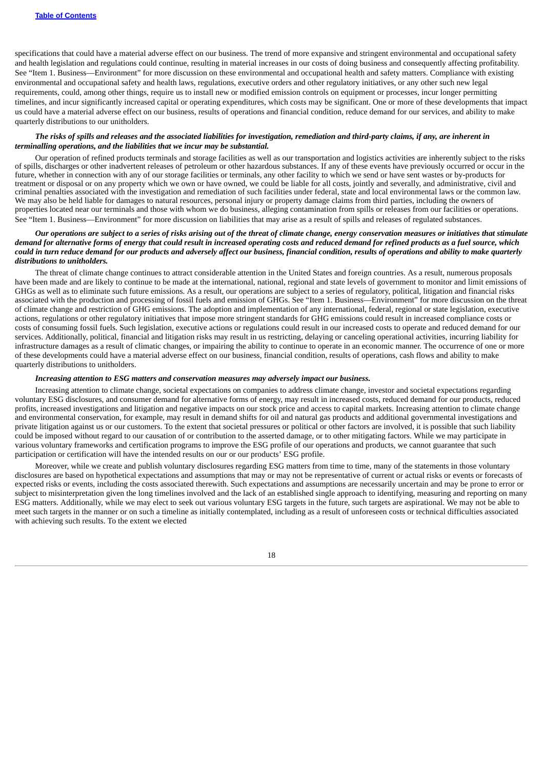specifications that could have a material adverse effect on our business. The trend of more expansive and stringent environmental and occupational safety and health legislation and regulations could continue, resulting in material increases in our costs of doing business and consequently affecting profitability. See "Item 1. Business—Environment" for more discussion on these environmental and occupational health and safety matters. Compliance with existing environmental and occupational safety and health laws, regulations, executive orders and other regulatory initiatives, or any other such new legal requirements, could, among other things, require us to install new or modified emission controls on equipment or processes, incur longer permitting timelines, and incur significantly increased capital or operating expenditures, which costs may be significant. One or more of these developments that impact us could have a material adverse effect on our business, results of operations and financial condition, reduce demand for our services, and ability to make quarterly distributions to our unitholders.

# The risks of spills and releases and the associated liabilities for investigation, remediation and third-party claims, if any, are inherent in *terminalling operations, and the liabilities that we incur may be substantial.*

Our operation of refined products terminals and storage facilities as well as our transportation and logistics activities are inherently subject to the risks of spills, discharges or other inadvertent releases of petroleum or other hazardous substances. If any of these events have previously occurred or occur in the future, whether in connection with any of our storage facilities or terminals, any other facility to which we send or have sent wastes or by-products for treatment or disposal or on any property which we own or have owned, we could be liable for all costs, jointly and severally, and administrative, civil and criminal penalties associated with the investigation and remediation of such facilities under federal, state and local environmental laws or the common law. We may also be held liable for damages to natural resources, personal injury or property damage claims from third parties, including the owners of properties located near our terminals and those with whom we do business, alleging contamination from spills or releases from our facilities or operations. See "Item 1. Business—Environment" for more discussion on liabilities that may arise as a result of spills and releases of regulated substances.

#### Our operations are subject to a series of risks arising out of the threat of climate change, energy conservation measures or initiatives that stimulate demand for alternative forms of energy that could result in increased operating costs and reduced demand for refined products as a fuel source, which could in turn reduce demand for our products and adversely affect our business, financial condition, results of operations and ability to make quarterly *distributions to unitholders.*

The threat of climate change continues to attract considerable attention in the United States and foreign countries. As a result, numerous proposals have been made and are likely to continue to be made at the international, national, regional and state levels of government to monitor and limit emissions of GHGs as well as to eliminate such future emissions. As a result, our operations are subject to a series of regulatory, political, litigation and financial risks associated with the production and processing of fossil fuels and emission of GHGs. See "Item 1. Business—Environment" for more discussion on the threat of climate change and restriction of GHG emissions. The adoption and implementation of any international, federal, regional or state legislation, executive actions, regulations or other regulatory initiatives that impose more stringent standards for GHG emissions could result in increased compliance costs or costs of consuming fossil fuels. Such legislation, executive actions or regulations could result in our increased costs to operate and reduced demand for our services. Additionally, political, financial and litigation risks may result in us restricting, delaying or canceling operational activities, incurring liability for infrastructure damages as a result of climatic changes, or impairing the ability to continue to operate in an economic manner. The occurrence of one or more of these developments could have a material adverse effect on our business, financial condition, results of operations, cash flows and ability to make quarterly distributions to unitholders.

#### *Increasing attention to ESG matters and conservation measures may adversely impact our business.*

Increasing attention to climate change, societal expectations on companies to address climate change, investor and societal expectations regarding voluntary ESG disclosures, and consumer demand for alternative forms of energy, may result in increased costs, reduced demand for our products, reduced profits, increased investigations and litigation and negative impacts on our stock price and access to capital markets. Increasing attention to climate change and environmental conservation, for example, may result in demand shifts for oil and natural gas products and additional governmental investigations and private litigation against us or our customers. To the extent that societal pressures or political or other factors are involved, it is possible that such liability could be imposed without regard to our causation of or contribution to the asserted damage, or to other mitigating factors. While we may participate in various voluntary frameworks and certification programs to improve the ESG profile of our operations and products, we cannot guarantee that such participation or certification will have the intended results on our or our products' ESG profile.

Moreover, while we create and publish voluntary disclosures regarding ESG matters from time to time, many of the statements in those voluntary disclosures are based on hypothetical expectations and assumptions that may or may not be representative of current or actual risks or events or forecasts of expected risks or events, including the costs associated therewith. Such expectations and assumptions are necessarily uncertain and may be prone to error or subject to misinterpretation given the long timelines involved and the lack of an established single approach to identifying, measuring and reporting on many ESG matters. Additionally, while we may elect to seek out various voluntary ESG targets in the future, such targets are aspirational. We may not be able to meet such targets in the manner or on such a timeline as initially contemplated, including as a result of unforeseen costs or technical difficulties associated with achieving such results. To the extent we elected

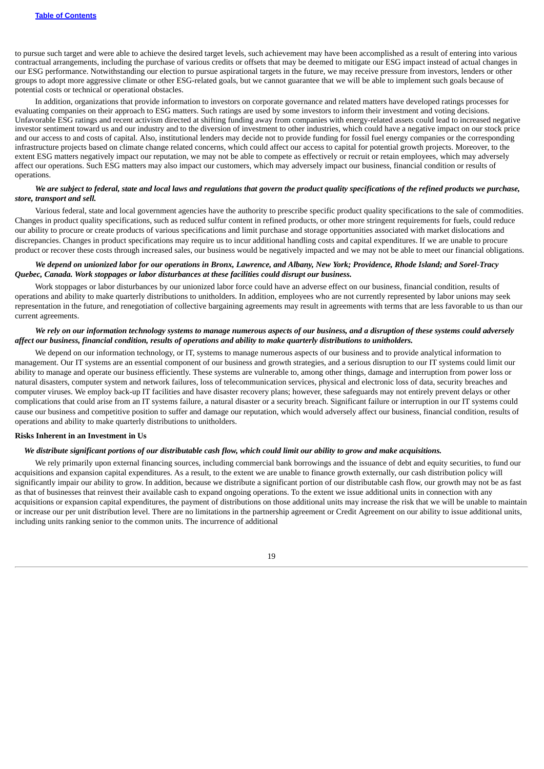to pursue such target and were able to achieve the desired target levels, such achievement may have been accomplished as a result of entering into various contractual arrangements, including the purchase of various credits or offsets that may be deemed to mitigate our ESG impact instead of actual changes in our ESG performance. Notwithstanding our election to pursue aspirational targets in the future, we may receive pressure from investors, lenders or other groups to adopt more aggressive climate or other ESG-related goals, but we cannot guarantee that we will be able to implement such goals because of potential costs or technical or operational obstacles.

In addition, organizations that provide information to investors on corporate governance and related matters have developed ratings processes for evaluating companies on their approach to ESG matters. Such ratings are used by some investors to inform their investment and voting decisions. Unfavorable ESG ratings and recent activism directed at shifting funding away from companies with energy-related assets could lead to increased negative investor sentiment toward us and our industry and to the diversion of investment to other industries, which could have a negative impact on our stock price and our access to and costs of capital. Also, institutional lenders may decide not to provide funding for fossil fuel energy companies or the corresponding infrastructure projects based on climate change related concerns, which could affect our access to capital for potential growth projects. Moreover, to the extent ESG matters negatively impact our reputation, we may not be able to compete as effectively or recruit or retain employees, which may adversely affect our operations. Such ESG matters may also impact our customers, which may adversely impact our business, financial condition or results of operations.

# We are subject to federal, state and local laws and regulations that govern the product quality specifications of the refined products we purchase, *store, transport and sell.*

Various federal, state and local government agencies have the authority to prescribe specific product quality specifications to the sale of commodities. Changes in product quality specifications, such as reduced sulfur content in refined products, or other more stringent requirements for fuels, could reduce our ability to procure or create products of various specifications and limit purchase and storage opportunities associated with market dislocations and discrepancies. Changes in product specifications may require us to incur additional handling costs and capital expenditures. If we are unable to procure product or recover these costs through increased sales, our business would be negatively impacted and we may not be able to meet our financial obligations.

# We depend on unionized labor for our operations in Bronx, Lawrence, and Albany, New York; Providence, Rhode Island; and Sorel-Tracy *Quebec, Canada. Work stoppages or labor disturbances at these facilities could disrupt our business.*

Work stoppages or labor disturbances by our unionized labor force could have an adverse effect on our business, financial condition, results of operations and ability to make quarterly distributions to unitholders. In addition, employees who are not currently represented by labor unions may seek representation in the future, and renegotiation of collective bargaining agreements may result in agreements with terms that are less favorable to us than our current agreements.

# We rely on our information technology systems to manage numerous aspects of our business, and a disruption of these systems could adversely affect our business, financial condition, results of operations and ability to make quarterly distributions to unitholders.

We depend on our information technology, or IT, systems to manage numerous aspects of our business and to provide analytical information to management. Our IT systems are an essential component of our business and growth strategies, and a serious disruption to our IT systems could limit our ability to manage and operate our business efficiently. These systems are vulnerable to, among other things, damage and interruption from power loss or natural disasters, computer system and network failures, loss of telecommunication services, physical and electronic loss of data, security breaches and computer viruses. We employ back-up IT facilities and have disaster recovery plans; however, these safeguards may not entirely prevent delays or other complications that could arise from an IT systems failure, a natural disaster or a security breach. Significant failure or interruption in our IT systems could cause our business and competitive position to suffer and damage our reputation, which would adversely affect our business, financial condition, results of operations and ability to make quarterly distributions to unitholders.

# **Risks Inherent in an Investment in Us**

#### We distribute significant portions of our distributable cash flow, which could limit our ability to grow and make acquisitions.

We rely primarily upon external financing sources, including commercial bank borrowings and the issuance of debt and equity securities, to fund our acquisitions and expansion capital expenditures. As a result, to the extent we are unable to finance growth externally, our cash distribution policy will significantly impair our ability to grow. In addition, because we distribute a significant portion of our distributable cash flow, our growth may not be as fast as that of businesses that reinvest their available cash to expand ongoing operations. To the extent we issue additional units in connection with any acquisitions or expansion capital expenditures, the payment of distributions on those additional units may increase the risk that we will be unable to maintain or increase our per unit distribution level. There are no limitations in the partnership agreement or Credit Agreement on our ability to issue additional units, including units ranking senior to the common units. The incurrence of additional

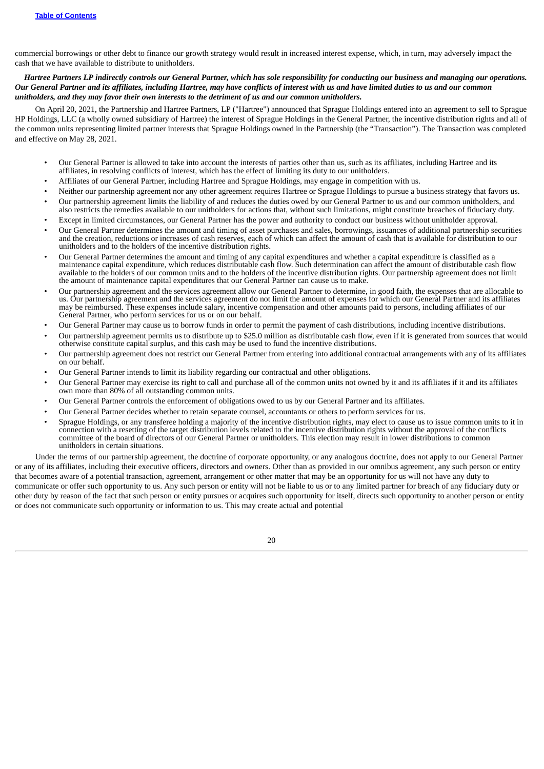commercial borrowings or other debt to finance our growth strategy would result in increased interest expense, which, in turn, may adversely impact the cash that we have available to distribute to unitholders.

# Hartree Partners LP indirectly controls our General Partner, which has sole responsibility for conductina our business and managing our operations. Our General Partner and its affiliates, including Hartree, may have conflicts of interest with us and have limited duties to us and our common *unitholders, and they may favor their own interests to the detriment of us and our common unitholders.*

On April 20, 2021, the Partnership and Hartree Partners, LP ("Hartree") announced that Sprague Holdings entered into an agreement to sell to Sprague HP Holdings, LLC (a wholly owned subsidiary of Hartree) the interest of Sprague Holdings in the General Partner, the incentive distribution rights and all of the common units representing limited partner interests that Sprague Holdings owned in the Partnership (the "Transaction"). The Transaction was completed and effective on May 28, 2021.

- Our General Partner is allowed to take into account the interests of parties other than us, such as its affiliates, including Hartree and its affiliates, in resolving conflicts of interest, which has the effect of limiting its duty to our unitholders.
- Affiliates of our General Partner, including Hartree and Sprague Holdings, may engage in competition with us.
- Neither our partnership agreement nor any other agreement requires Hartree or Sprague Holdings to pursue a business strategy that favors us.
- Our partnership agreement limits the liability of and reduces the duties owed by our General Partner to us and our common unitholders, and also restricts the remedies available to our unitholders for actions that, without such limitations, might constitute breaches of fiduciary duty.
- Except in limited circumstances, our General Partner has the power and authority to conduct our business without unitholder approval.
- Our General Partner determines the amount and timing of asset purchases and sales, borrowings, issuances of additional partnership securities and the creation, reductions or increases of cash reserves, each of which can affect the amount of cash that is available for distribution to our unitholders and to the holders of the incentive distribution rights.
- Our General Partner determines the amount and timing of any capital expenditures and whether a capital expenditure is classified as a maintenance capital expenditure, which reduces distributable cash flow. Such determination can affect the amount of distributable cash flow available to the holders of our common units and to the holders of the incentive distribution rights. Our partnership agreement does not limit the amount of maintenance capital expenditures that our General Partner can cause us to make.
- Our partnership agreement and the services agreement allow our General Partner to determine, in good faith, the expenses that are allocable to us. Our partnership agreement and the services agreement do not limit the amount of expenses for which our General Partner and its affiliates may be reimbursed. These expenses include salary, incentive compensation and other amounts paid to persons, including affiliates of our General Partner, who perform services for us or on our behalf.
- Our General Partner may cause us to borrow funds in order to permit the payment of cash distributions, including incentive distributions.
- Our partnership agreement permits us to distribute up to \$25.0 million as distributable cash flow, even if it is generated from sources that would otherwise constitute capital surplus, and this cash may be used to fund the incentive distributions.
- Our partnership agreement does not restrict our General Partner from entering into additional contractual arrangements with any of its affiliates on our behalf.
- Our General Partner intends to limit its liability regarding our contractual and other obligations.
- Our General Partner may exercise its right to call and purchase all of the common units not owned by it and its affiliates if it and its affiliates own more than 80% of all outstanding common units.
- Our General Partner controls the enforcement of obligations owed to us by our General Partner and its affiliates.
- Our General Partner decides whether to retain separate counsel, accountants or others to perform services for us.
- Sprague Holdings, or any transferee holding a majority of the incentive distribution rights, may elect to cause us to issue common units to it in connection with a resetting of the target distribution levels related to the incentive distribution rights without the approval of the conflicts committee of the board of directors of our General Partner or unitholders. This election may result in lower distributions to common unitholders in certain situations.

Under the terms of our partnership agreement, the doctrine of corporate opportunity, or any analogous doctrine, does not apply to our General Partner or any of its affiliates, including their executive officers, directors and owners. Other than as provided in our omnibus agreement, any such person or entity that becomes aware of a potential transaction, agreement, arrangement or other matter that may be an opportunity for us will not have any duty to communicate or offer such opportunity to us. Any such person or entity will not be liable to us or to any limited partner for breach of any fiduciary duty or other duty by reason of the fact that such person or entity pursues or acquires such opportunity for itself, directs such opportunity to another person or entity or does not communicate such opportunity or information to us. This may create actual and potential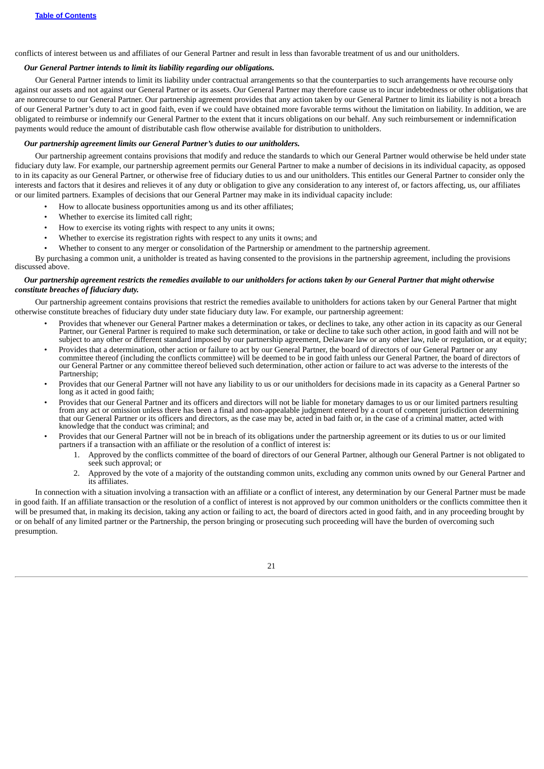conflicts of interest between us and affiliates of our General Partner and result in less than favorable treatment of us and our unitholders.

## *Our General Partner intends to limit its liability regarding our obligations.*

Our General Partner intends to limit its liability under contractual arrangements so that the counterparties to such arrangements have recourse only against our assets and not against our General Partner or its assets. Our General Partner may therefore cause us to incur indebtedness or other obligations that are nonrecourse to our General Partner. Our partnership agreement provides that any action taken by our General Partner to limit its liability is not a breach of our General Partner's duty to act in good faith, even if we could have obtained more favorable terms without the limitation on liability. In addition, we are obligated to reimburse or indemnify our General Partner to the extent that it incurs obligations on our behalf. Any such reimbursement or indemnification payments would reduce the amount of distributable cash flow otherwise available for distribution to unitholders.

# *Our partnership agreement limits our General Partner's duties to our unitholders.*

Our partnership agreement contains provisions that modify and reduce the standards to which our General Partner would otherwise be held under state fiduciary duty law. For example, our partnership agreement permits our General Partner to make a number of decisions in its individual capacity, as opposed to in its capacity as our General Partner, or otherwise free of fiduciary duties to us and our unitholders. This entitles our General Partner to consider only the interests and factors that it desires and relieves it of any duty or obligation to give any consideration to any interest of, or factors affecting, us, our affiliates or our limited partners. Examples of decisions that our General Partner may make in its individual capacity include:

- How to allocate business opportunities among us and its other affiliates;
- Whether to exercise its limited call right;
- How to exercise its voting rights with respect to any units it owns;
- Whether to exercise its registration rights with respect to any units it owns; and
- Whether to consent to any merger or consolidation of the Partnership or amendment to the partnership agreement.

By purchasing a common unit, a unitholder is treated as having consented to the provisions in the partnership agreement, including the provisions discussed above.

# Our partnership agreement restricts the remedies available to our unitholders for actions taken by our General Partner that might otherwise *constitute breaches of fiduciary duty.*

Our partnership agreement contains provisions that restrict the remedies available to unitholders for actions taken by our General Partner that might otherwise constitute breaches of fiduciary duty under state fiduciary duty law. For example, our partnership agreement:

- Provides that whenever our General Partner makes a determination or takes, or declines to take, any other action in its capacity as our General Partner, our General Partner is required to make such determination, or take or decline to take such other action, in good faith and will not be subject to any other or different standard imposed by our partnership agreement, Delaware law or any other law, rule or regulation, or at equity;
- Provides that a determination, other action or failure to act by our General Partner, the board of directors of our General Partner or any committee thereof (including the conflicts committee) will be deemed to be in good faith unless our General Partner, the board of directors of our General Partner or any committee thereof believed such determination, other action or failure to act was adverse to the interests of the Partnership;
- Provides that our General Partner will not have any liability to us or our unitholders for decisions made in its capacity as a General Partner so long as it acted in good faith;
- Provides that our General Partner and its officers and directors will not be liable for monetary damages to us or our limited partners resulting from any act or omission unless there has been a final and non-appealable judgment entered by a court of competent jurisdiction determining that our General Partner or its officers and directors, as the case may be, acted in bad faith or, in the case of a criminal matter, acted with knowledge that the conduct was criminal; and
- Provides that our General Partner will not be in breach of its obligations under the partnership agreement or its duties to us or our limited partners if a transaction with an affiliate or the resolution of a conflict of interest is:
	- 1. Approved by the conflicts committee of the board of directors of our General Partner, although our General Partner is not obligated to seek such approval; or
	- 2. Approved by the vote of a majority of the outstanding common units, excluding any common units owned by our General Partner and its affiliates.

In connection with a situation involving a transaction with an affiliate or a conflict of interest, any determination by our General Partner must be made in good faith. If an affiliate transaction or the resolution of a conflict of interest is not approved by our common unitholders or the conflicts committee then it will be presumed that, in making its decision, taking any action or failing to act, the board of directors acted in good faith, and in any proceeding brought by or on behalf of any limited partner or the Partnership, the person bringing or prosecuting such proceeding will have the burden of overcoming such presumption.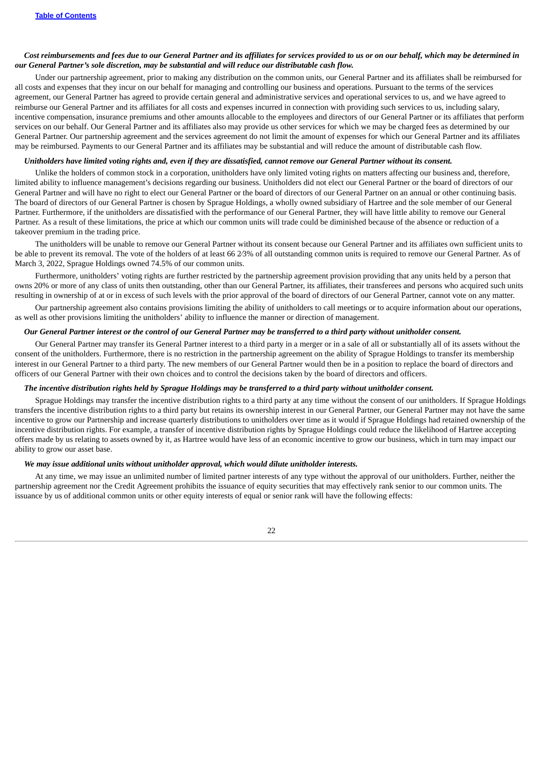# Cost reimbursements and fees due to our General Partner and its affiliates for services provided to us or on our behalf, which may be determined in *our General Partner's sole discretion, may be substantial and will reduce our distributable cash flow.*

Under our partnership agreement, prior to making any distribution on the common units, our General Partner and its affiliates shall be reimbursed for all costs and expenses that they incur on our behalf for managing and controlling our business and operations. Pursuant to the terms of the services agreement, our General Partner has agreed to provide certain general and administrative services and operational services to us, and we have agreed to reimburse our General Partner and its affiliates for all costs and expenses incurred in connection with providing such services to us, including salary, incentive compensation, insurance premiums and other amounts allocable to the employees and directors of our General Partner or its affiliates that perform services on our behalf. Our General Partner and its affiliates also may provide us other services for which we may be charged fees as determined by our General Partner. Our partnership agreement and the services agreement do not limit the amount of expenses for which our General Partner and its affiliates may be reimbursed. Payments to our General Partner and its affiliates may be substantial and will reduce the amount of distributable cash flow.

#### Unitholders have limited voting rights and, even if they are dissatisfied, cannot remove our General Partner without its consent.

Unlike the holders of common stock in a corporation, unitholders have only limited voting rights on matters affecting our business and, therefore, limited ability to influence management's decisions regarding our business. Unitholders did not elect our General Partner or the board of directors of our General Partner and will have no right to elect our General Partner or the board of directors of our General Partner on an annual or other continuing basis. The board of directors of our General Partner is chosen by Sprague Holdings, a wholly owned subsidiary of Hartree and the sole member of our General Partner. Furthermore, if the unitholders are dissatisfied with the performance of our General Partner, they will have little ability to remove our General Partner. As a result of these limitations, the price at which our common units will trade could be diminished because of the absence or reduction of a takeover premium in the trading price.

The unitholders will be unable to remove our General Partner without its consent because our General Partner and its affiliates own sufficient units to be able to prevent its removal. The vote of the holders of at least 66 23% of all outstanding common units is required to remove our General Partner. As of March 3, 2022, Sprague Holdings owned 74.5% of our common units.

Furthermore, unitholders' voting rights are further restricted by the partnership agreement provision providing that any units held by a person that owns 20% or more of any class of units then outstanding, other than our General Partner, its affiliates, their transferees and persons who acquired such units resulting in ownership of at or in excess of such levels with the prior approval of the board of directors of our General Partner, cannot vote on any matter.

Our partnership agreement also contains provisions limiting the ability of unitholders to call meetings or to acquire information about our operations, as well as other provisions limiting the unitholders' ability to influence the manner or direction of management.

#### Our General Partner interest or the control of our General Partner may be transferred to a third party without unitholder consent.

Our General Partner may transfer its General Partner interest to a third party in a merger or in a sale of all or substantially all of its assets without the consent of the unitholders. Furthermore, there is no restriction in the partnership agreement on the ability of Sprague Holdings to transfer its membership interest in our General Partner to a third party. The new members of our General Partner would then be in a position to replace the board of directors and officers of our General Partner with their own choices and to control the decisions taken by the board of directors and officers.

#### The incentive distribution rights held by Sprague Holdings may be transferred to a third party without unitholder consent.

Sprague Holdings may transfer the incentive distribution rights to a third party at any time without the consent of our unitholders. If Sprague Holdings transfers the incentive distribution rights to a third party but retains its ownership interest in our General Partner, our General Partner may not have the same incentive to grow our Partnership and increase quarterly distributions to unitholders over time as it would if Sprague Holdings had retained ownership of the incentive distribution rights. For example, a transfer of incentive distribution rights by Sprague Holdings could reduce the likelihood of Hartree accepting offers made by us relating to assets owned by it, as Hartree would have less of an economic incentive to grow our business, which in turn may impact our ability to grow our asset base.

# *We may issue additional units without unitholder approval, which would dilute unitholder interests.*

At any time, we may issue an unlimited number of limited partner interests of any type without the approval of our unitholders. Further, neither the partnership agreement nor the Credit Agreement prohibits the issuance of equity securities that may effectively rank senior to our common units. The issuance by us of additional common units or other equity interests of equal or senior rank will have the following effects: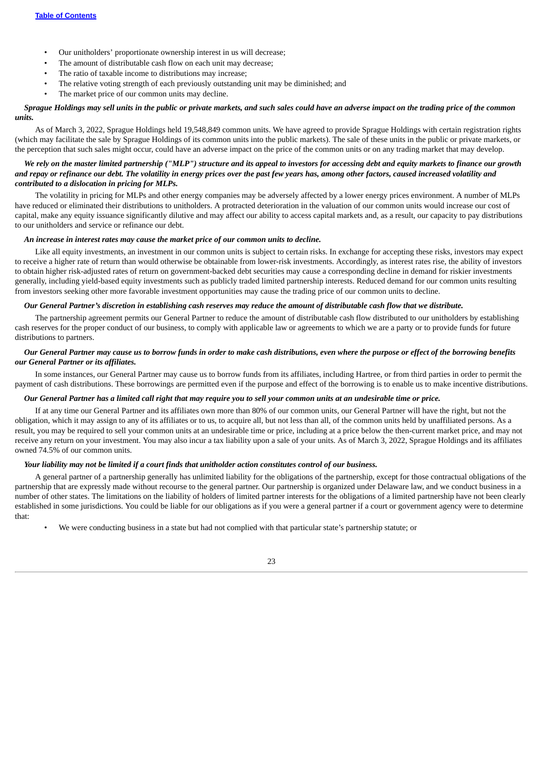- Our unitholders' proportionate ownership interest in us will decrease;
- The amount of distributable cash flow on each unit may decrease;
- The ratio of taxable income to distributions may increase;
- The relative voting strength of each previously outstanding unit may be diminished; and
- The market price of our common units may decline.

# Spraque Holdings may sell units in the public or private markets, and such sales could have an adverse impact on the trading price of the common *units.*

As of March 3, 2022, Sprague Holdings held 19,548,849 common units. We have agreed to provide Sprague Holdings with certain registration rights (which may facilitate the sale by Sprague Holdings of its common units into the public markets). The sale of these units in the public or private markets, or the perception that such sales might occur, could have an adverse impact on the price of the common units or on any trading market that may develop.

# We rely on the master limited partnership ("MLP") structure and its appeal to investors for accessing debt and equity markets to finance our growth and repay or refinance our debt. The volatility in energy prices over the past few years has, among other factors, caused increased volatility and *contributed to a dislocation in pricing for MLPs.*

The volatility in pricing for MLPs and other energy companies may be adversely affected by a lower energy prices environment. A number of MLPs have reduced or eliminated their distributions to unitholders. A protracted deterioration in the valuation of our common units would increase our cost of capital, make any equity issuance significantly dilutive and may affect our ability to access capital markets and, as a result, our capacity to pay distributions to our unitholders and service or refinance our debt.

# *An increase in interest rates may cause the market price of our common units to decline.*

Like all equity investments, an investment in our common units is subject to certain risks. In exchange for accepting these risks, investors may expect to receive a higher rate of return than would otherwise be obtainable from lower-risk investments. Accordingly, as interest rates rise, the ability of investors to obtain higher risk-adjusted rates of return on government-backed debt securities may cause a corresponding decline in demand for riskier investments generally, including yield-based equity investments such as publicly traded limited partnership interests. Reduced demand for our common units resulting from investors seeking other more favorable investment opportunities may cause the trading price of our common units to decline.

# Our General Partner's discretion in establishing cash reserves may reduce the amount of distributable cash flow that we distribute.

The partnership agreement permits our General Partner to reduce the amount of distributable cash flow distributed to our unitholders by establishing cash reserves for the proper conduct of our business, to comply with applicable law or agreements to which we are a party or to provide funds for future distributions to partners.

# Our General Partner may cause us to borrow funds in order to make cash distributions, even where the purpose or effect of the borrowing benefits *our General Partner or its affiliates.*

In some instances, our General Partner may cause us to borrow funds from its affiliates, including Hartree, or from third parties in order to permit the payment of cash distributions. These borrowings are permitted even if the purpose and effect of the borrowing is to enable us to make incentive distributions.

#### Our General Partner has a limited call right that may require you to sell your common units at an undesirable time or price.

If at any time our General Partner and its affiliates own more than 80% of our common units, our General Partner will have the right, but not the obligation, which it may assign to any of its affiliates or to us, to acquire all, but not less than all, of the common units held by unaffiliated persons. As a result, you may be required to sell your common units at an undesirable time or price, including at a price below the then-current market price, and may not receive any return on your investment. You may also incur a tax liability upon a sale of your units. As of March 3, 2022, Sprague Holdings and its affiliates owned 74.5% of our common units.

# Your liability may not be limited if a court finds that unitholder action constitutes control of our business.

A general partner of a partnership generally has unlimited liability for the obligations of the partnership, except for those contractual obligations of the partnership that are expressly made without recourse to the general partner. Our partnership is organized under Delaware law, and we conduct business in a number of other states. The limitations on the liability of holders of limited partner interests for the obligations of a limited partnership have not been clearly established in some jurisdictions. You could be liable for our obligations as if you were a general partner if a court or government agency were to determine that:

• We were conducting business in a state but had not complied with that particular state's partnership statute; or

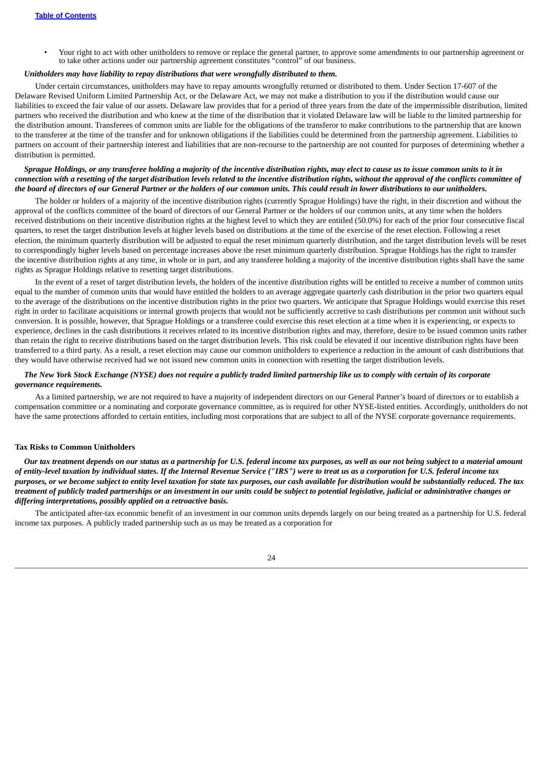• Your right to act with other unitholders to remove or replace the general partner, to approve some amendments to our partnership agreement or to take other actions under our partnership agreement constitutes "control" of our business.

# *Unitholders may have liability to repay distributions that were wrongfully distributed to them.*

Under certain circumstances, unitholders may have to repay amounts wrongfully returned or distributed to them. Under Section 17-607 of the Delaware Revised Uniform Limited Partnership Act, or the Delaware Act, we may not make a distribution to you if the distribution would cause our liabilities to exceed the fair value of our assets. Delaware law provides that for a period of three years from the date of the impermissible distribution, limited partners who received the distribution and who knew at the time of the distribution that it violated Delaware law will be liable to the limited partnership for the distribution amount. Transferees of common units are liable for the obligations of the transferor to make contributions to the partnership that are known to the transferee at the time of the transfer and for unknown obligations if the liabilities could be determined from the partnership agreement. Liabilities to partners on account of their partnership interest and liabilities that are non-recourse to the partnership are not counted for purposes of determining whether a distribution is permitted.

# Sprague Holdings, or any transferee holding a majority of the incentive distribution rights, may elect to cause us to issue common units to it in connection with a resetting of the target distribution levels related to the incentive distribution rights, without the approval of the conflicts committee of the board of directors of our General Partner or the holders of our common units. This could result in lower distributions to our unitholders.

The holder or holders of a majority of the incentive distribution rights (currently Sprague Holdings) have the right, in their discretion and without the approval of the conflicts committee of the board of directors of our General Partner or the holders of our common units, at any time when the holders received distributions on their incentive distribution rights at the highest level to which they are entitled (50.0%) for each of the prior four consecutive fiscal quarters, to reset the target distribution levels at higher levels based on distributions at the time of the exercise of the reset election. Following a reset election, the minimum quarterly distribution will be adjusted to equal the reset minimum quarterly distribution, and the target distribution levels will be reset to correspondingly higher levels based on percentage increases above the reset minimum quarterly distribution. Sprague Holdings has the right to transfer the incentive distribution rights at any time, in whole or in part, and any transferee holding a majority of the incentive distribution rights shall have the same rights as Sprague Holdings relative to resetting target distributions.

In the event of a reset of target distribution levels, the holders of the incentive distribution rights will be entitled to receive a number of common units equal to the number of common units that would have entitled the holders to an average aggregate quarterly cash distribution in the prior two quarters equal to the average of the distributions on the incentive distribution rights in the prior two quarters. We anticipate that Sprague Holdings would exercise this reset right in order to facilitate acquisitions or internal growth projects that would not be sufficiently accretive to cash distributions per common unit without such conversion. It is possible, however, that Sprague Holdings or a transferee could exercise this reset election at a time when it is experiencing, or expects to experience, declines in the cash distributions it receives related to its incentive distribution rights and may, therefore, desire to be issued common units rather than retain the right to receive distributions based on the target distribution levels. This risk could be elevated if our incentive distribution rights have been transferred to a third party. As a result, a reset election may cause our common unitholders to experience a reduction in the amount of cash distributions that they would have otherwise received had we not issued new common units in connection with resetting the target distribution levels.

# The New York Stock Exchange (NYSE) does not require a publicly traded limited partnership like us to comply with certain of its corporate *governance requirements.*

As a limited partnership, we are not required to have a majority of independent directors on our General Partner's board of directors or to establish a compensation committee or a nominating and corporate governance committee, as is required for other NYSE-listed entities. Accordingly, unitholders do not have the same protections afforded to certain entities, including most corporations that are subject to all of the NYSE corporate governance requirements.

#### **Tax Risks to Common Unitholders**

Our tax treatment depends on our status as a partnership for U.S. federal income tax purposes, as well as our not being subject to a material amount of entity-level taxation by individual states. If the Internal Revenue Service ("IRS") were to treat us as a corporation for U.S. federal income tax purposes, or we become subject to entity level taxation for state tax purposes, our cash available for distribution would be substantially reduced. The tax treatment of publicly traded partnerships or an investment in our units could be subject to potential legislative, judicial or administrative changes or *differing interpretations, possibly applied on a retroactive basis.*

The anticipated after-tax economic benefit of an investment in our common units depends largely on our being treated as a partnership for U.S. federal income tax purposes. A publicly traded partnership such as us may be treated as a corporation for

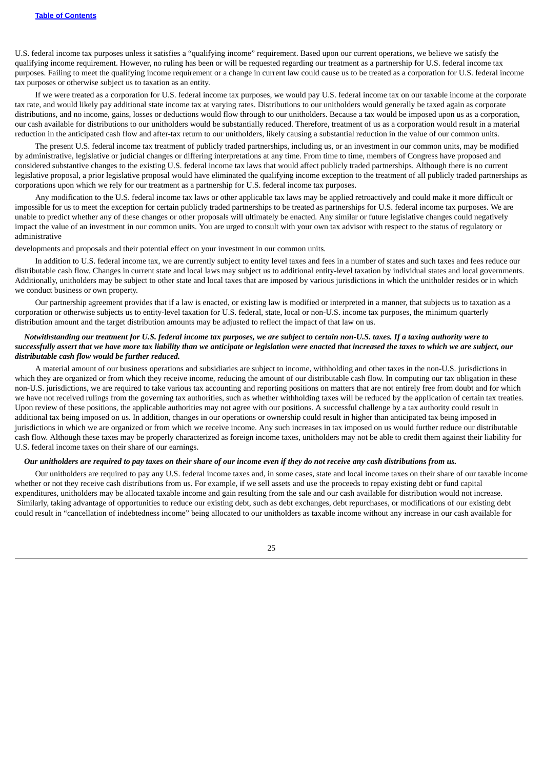U.S. federal income tax purposes unless it satisfies a "qualifying income" requirement. Based upon our current operations, we believe we satisfy the qualifying income requirement. However, no ruling has been or will be requested regarding our treatment as a partnership for U.S. federal income tax purposes. Failing to meet the qualifying income requirement or a change in current law could cause us to be treated as a corporation for U.S. federal income tax purposes or otherwise subject us to taxation as an entity.

If we were treated as a corporation for U.S. federal income tax purposes, we would pay U.S. federal income tax on our taxable income at the corporate tax rate, and would likely pay additional state income tax at varying rates. Distributions to our unitholders would generally be taxed again as corporate distributions, and no income, gains, losses or deductions would flow through to our unitholders. Because a tax would be imposed upon us as a corporation, our cash available for distributions to our unitholders would be substantially reduced. Therefore, treatment of us as a corporation would result in a material reduction in the anticipated cash flow and after-tax return to our unitholders, likely causing a substantial reduction in the value of our common units.

The present U.S. federal income tax treatment of publicly traded partnerships, including us, or an investment in our common units, may be modified by administrative, legislative or judicial changes or differing interpretations at any time. From time to time, members of Congress have proposed and considered substantive changes to the existing U.S. federal income tax laws that would affect publicly traded partnerships. Although there is no current legislative proposal, a prior legislative proposal would have eliminated the qualifying income exception to the treatment of all publicly traded partnerships as corporations upon which we rely for our treatment as a partnership for U.S. federal income tax purposes.

Any modification to the U.S. federal income tax laws or other applicable tax laws may be applied retroactively and could make it more difficult or impossible for us to meet the exception for certain publicly traded partnerships to be treated as partnerships for U.S. federal income tax purposes. We are unable to predict whether any of these changes or other proposals will ultimately be enacted. Any similar or future legislative changes could negatively impact the value of an investment in our common units. You are urged to consult with your own tax advisor with respect to the status of regulatory or administrative

developments and proposals and their potential effect on your investment in our common units.

In addition to U.S. federal income tax, we are currently subject to entity level taxes and fees in a number of states and such taxes and fees reduce our distributable cash flow. Changes in current state and local laws may subject us to additional entity-level taxation by individual states and local governments. Additionally, unitholders may be subject to other state and local taxes that are imposed by various jurisdictions in which the unitholder resides or in which we conduct business or own property.

Our partnership agreement provides that if a law is enacted, or existing law is modified or interpreted in a manner, that subjects us to taxation as a corporation or otherwise subjects us to entity-level taxation for U.S. federal, state, local or non-U.S. income tax purposes, the minimum quarterly distribution amount and the target distribution amounts may be adjusted to reflect the impact of that law on us.

# Notwithstanding our treatment for U.S. federal income tax purposes, we are subject to certain non-U.S. taxes. If a taxing authority were to successfully assert that we have more tax liability than we anticipate or legislation were enacted that increased the taxes to which we are subject, our *distributable cash flow would be further reduced.*

A material amount of our business operations and subsidiaries are subject to income, withholding and other taxes in the non-U.S. jurisdictions in which they are organized or from which they receive income, reducing the amount of our distributable cash flow. In computing our tax obligation in these non-U.S. jurisdictions, we are required to take various tax accounting and reporting positions on matters that are not entirely free from doubt and for which we have not received rulings from the governing tax authorities, such as whether withholding taxes will be reduced by the application of certain tax treaties. Upon review of these positions, the applicable authorities may not agree with our positions. A successful challenge by a tax authority could result in additional tax being imposed on us. In addition, changes in our operations or ownership could result in higher than anticipated tax being imposed in jurisdictions in which we are organized or from which we receive income. Any such increases in tax imposed on us would further reduce our distributable cash flow. Although these taxes may be properly characterized as foreign income taxes, unitholders may not be able to credit them against their liability for U.S. federal income taxes on their share of our earnings.

# Our unitholders are required to pay taxes on their share of our income even if they do not receive any cash distributions from us.

Our unitholders are required to pay any U.S. federal income taxes and, in some cases, state and local income taxes on their share of our taxable income whether or not they receive cash distributions from us. For example, if we sell assets and use the proceeds to repay existing debt or fund capital expenditures, unitholders may be allocated taxable income and gain resulting from the sale and our cash available for distribution would not increase. Similarly, taking advantage of opportunities to reduce our existing debt, such as debt exchanges, debt repurchases, or modifications of our existing debt could result in "cancellation of indebtedness income" being allocated to our unitholders as taxable income without any increase in our cash available for

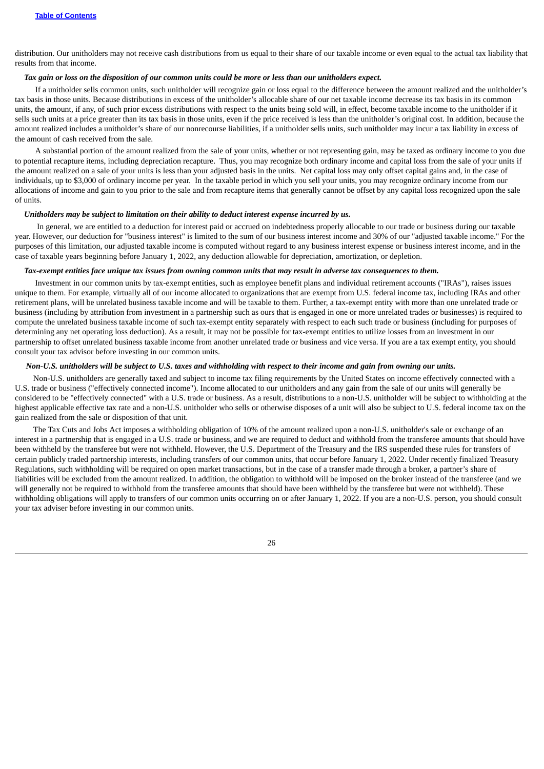distribution. Our unitholders may not receive cash distributions from us equal to their share of our taxable income or even equal to the actual tax liability that results from that income.

# Tax gain or loss on the disposition of our common units could be more or less than our unitholders expect.

If a unitholder sells common units, such unitholder will recognize gain or loss equal to the difference between the amount realized and the unitholder's tax basis in those units. Because distributions in excess of the unitholder's allocable share of our net taxable income decrease its tax basis in its common units, the amount, if any, of such prior excess distributions with respect to the units being sold will, in effect, become taxable income to the unitholder if it sells such units at a price greater than its tax basis in those units, even if the price received is less than the unitholder's original cost. In addition, because the amount realized includes a unitholder's share of our nonrecourse liabilities, if a unitholder sells units, such unitholder may incur a tax liability in excess of the amount of cash received from the sale.

A substantial portion of the amount realized from the sale of your units, whether or not representing gain, may be taxed as ordinary income to you due to potential recapture items, including depreciation recapture. Thus, you may recognize both ordinary income and capital loss from the sale of your units if the amount realized on a sale of your units is less than your adjusted basis in the units. Net capital loss may only offset capital gains and, in the case of individuals, up to \$3,000 of ordinary income per year. In the taxable period in which you sell your units, you may recognize ordinary income from our allocations of income and gain to you prior to the sale and from recapture items that generally cannot be offset by any capital loss recognized upon the sale of units.

#### *Unitholders may be subject to limitation on their ability to deduct interest expense incurred by us.*

In general, we are entitled to a deduction for interest paid or accrued on indebtedness properly allocable to our trade or business during our taxable year. However, our deduction for "business interest" is limited to the sum of our business interest income and 30% of our "adjusted taxable income." For the purposes of this limitation, our adjusted taxable income is computed without regard to any business interest expense or business interest income, and in the case of taxable years beginning before January 1, 2022, any deduction allowable for depreciation, amortization, or depletion.

#### Tax-exempt entities face unique tax issues from owning common units that may result in adverse tax consequences to them.

Investment in our common units by tax-exempt entities, such as employee benefit plans and individual retirement accounts ("IRAs"), raises issues unique to them. For example, virtually all of our income allocated to organizations that are exempt from U.S. federal income tax, including IRAs and other retirement plans, will be unrelated business taxable income and will be taxable to them. Further, a tax-exempt entity with more than one unrelated trade or business (including by attribution from investment in a partnership such as ours that is engaged in one or more unrelated trades or businesses) is required to compute the unrelated business taxable income of such tax-exempt entity separately with respect to each such trade or business (including for purposes of determining any net operating loss deduction). As a result, it may not be possible for tax-exempt entities to utilize losses from an investment in our partnership to offset unrelated business taxable income from another unrelated trade or business and vice versa. If you are a tax exempt entity, you should consult your tax advisor before investing in our common units.

# Non-U.S. unitholders will be subject to U.S. taxes and withholding with respect to their income and gain from owning our units.

Non-U.S. unitholders are generally taxed and subject to income tax filing requirements by the United States on income effectively connected with a U.S. trade or business ("effectively connected income"). Income allocated to our unitholders and any gain from the sale of our units will generally be considered to be "effectively connected" with a U.S. trade or business. As a result, distributions to a non-U.S. unitholder will be subject to withholding at the highest applicable effective tax rate and a non-U.S. unitholder who sells or otherwise disposes of a unit will also be subject to U.S. federal income tax on the gain realized from the sale or disposition of that unit.

The Tax Cuts and Jobs Act imposes a withholding obligation of 10% of the amount realized upon a non-U.S. unitholder's sale or exchange of an interest in a partnership that is engaged in a U.S. trade or business, and we are required to deduct and withhold from the transferee amounts that should have been withheld by the transferee but were not withheld. However, the U.S. Department of the Treasury and the IRS suspended these rules for transfers of certain publicly traded partnership interests, including transfers of our common units, that occur before January 1, 2022. Under recently finalized Treasury Regulations, such withholding will be required on open market transactions, but in the case of a transfer made through a broker, a partner's share of liabilities will be excluded from the amount realized. In addition, the obligation to withhold will be imposed on the broker instead of the transferee (and we will generally not be required to withhold from the transferee amounts that should have been withheld by the transferee but were not withheld). These withholding obligations will apply to transfers of our common units occurring on or after January 1, 2022. If you are a non-U.S. person, you should consult your tax adviser before investing in our common units.

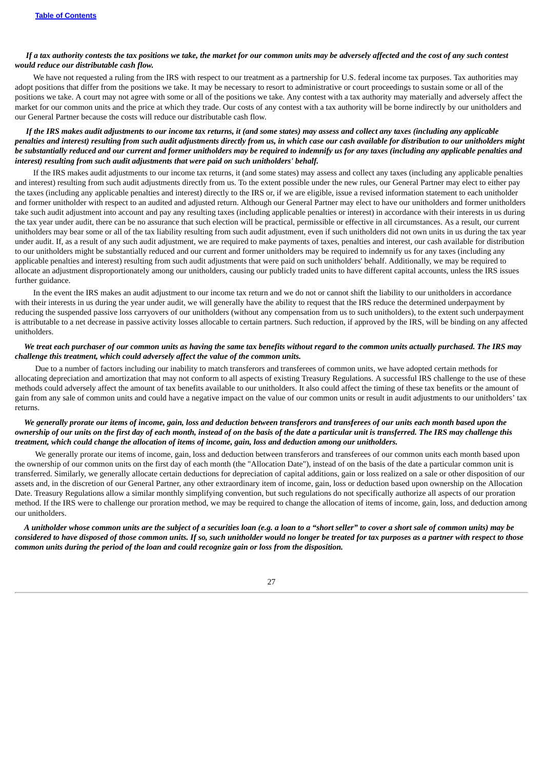# If a tax authority contests the tax positions we take, the market for our common units may be adversely affected and the cost of any such contest *would reduce our distributable cash flow.*

We have not requested a ruling from the IRS with respect to our treatment as a partnership for U.S. federal income tax purposes. Tax authorities may adopt positions that differ from the positions we take. It may be necessary to resort to administrative or court proceedings to sustain some or all of the positions we take. A court may not agree with some or all of the positions we take. Any contest with a tax authority may materially and adversely affect the market for our common units and the price at which they trade. Our costs of any contest with a tax authority will be borne indirectly by our unitholders and our General Partner because the costs will reduce our distributable cash flow.

If the IRS makes audit adjustments to our income tax returns, it (and some states) may assess and collect any taxes (including any applicable penalties and interest) resulting from such audit adjustments directly from us, in which case our cash available for distribution to our unitholders might be substantially reduced and our current and former unitholders may be required to indemnify us for any taxes (including any applicable penalties and *interest) resulting from such audit adjustments that were paid on such unitholders' behalf.*

If the IRS makes audit adjustments to our income tax returns, it (and some states) may assess and collect any taxes (including any applicable penalties and interest) resulting from such audit adjustments directly from us. To the extent possible under the new rules, our General Partner may elect to either pay the taxes (including any applicable penalties and interest) directly to the IRS or, if we are eligible, issue a revised information statement to each unitholder and former unitholder with respect to an audited and adjusted return. Although our General Partner may elect to have our unitholders and former unitholders take such audit adjustment into account and pay any resulting taxes (including applicable penalties or interest) in accordance with their interests in us during the tax year under audit, there can be no assurance that such election will be practical, permissible or effective in all circumstances. As a result, our current unitholders may bear some or all of the tax liability resulting from such audit adjustment, even if such unitholders did not own units in us during the tax year under audit. If, as a result of any such audit adjustment, we are required to make payments of taxes, penalties and interest, our cash available for distribution to our unitholders might be substantially reduced and our current and former unitholders may be required to indemnify us for any taxes (including any applicable penalties and interest) resulting from such audit adjustments that were paid on such unitholders' behalf. Additionally, we may be required to allocate an adjustment disproportionately among our unitholders, causing our publicly traded units to have different capital accounts, unless the IRS issues further guidance.

In the event the IRS makes an audit adjustment to our income tax return and we do not or cannot shift the liability to our unitholders in accordance with their interests in us during the year under audit, we will generally have the ability to request that the IRS reduce the determined underpayment by reducing the suspended passive loss carryovers of our unitholders (without any compensation from us to such unitholders), to the extent such underpayment is attributable to a net decrease in passive activity losses allocable to certain partners. Such reduction, if approved by the IRS, will be binding on any affected unitholders.

# We treat each purchaser of our common units as having the same tax benefits without regard to the common units actually purchased. The IRS may *challenge this treatment, which could adversely affect the value of the common units.*

Due to a number of factors including our inability to match transferors and transferees of common units, we have adopted certain methods for allocating depreciation and amortization that may not conform to all aspects of existing Treasury Regulations. A successful IRS challenge to the use of these methods could adversely affect the amount of tax benefits available to our unitholders. It also could affect the timing of these tax benefits or the amount of gain from any sale of common units and could have a negative impact on the value of our common units or result in audit adjustments to our unitholders' tax returns.

# We generally prorate our items of income, gain, loss and deduction between transferors and transferees of our units each month based upon the ownership of our units on the first day of each month, instead of on the basis of the date a particular unit is transferred. The IRS may challenge this treatment, which could change the allocation of items of income, gain, loss and deduction among our unitholders.

We generally prorate our items of income, gain, loss and deduction between transferors and transferees of our common units each month based upon the ownership of our common units on the first day of each month (the "Allocation Date"), instead of on the basis of the date a particular common unit is transferred. Similarly, we generally allocate certain deductions for depreciation of capital additions, gain or loss realized on a sale or other disposition of our assets and, in the discretion of our General Partner, any other extraordinary item of income, gain, loss or deduction based upon ownership on the Allocation Date. Treasury Regulations allow a similar monthly simplifying convention, but such regulations do not specifically authorize all aspects of our proration method. If the IRS were to challenge our proration method, we may be required to change the allocation of items of income, gain, loss, and deduction among our unitholders.

A unitholder whose common units are the subject of a securities loan (e.g. a loan to a "short seller" to cover a short sale of common units) may be considered to have disposed of those common units. If so, such unitholder would no longer be treated for tax purposes as a partner with respect to those *common units during the period of the loan and could recognize gain or loss from the disposition.*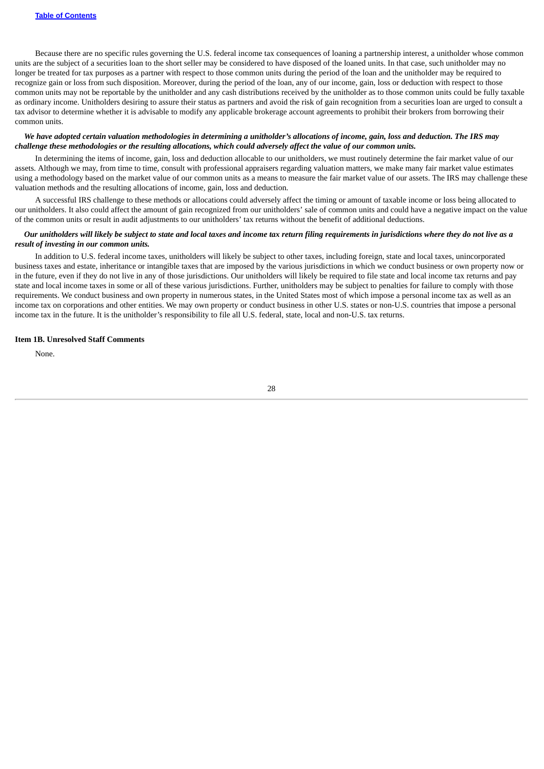Because there are no specific rules governing the U.S. federal income tax consequences of loaning a partnership interest, a unitholder whose common units are the subject of a securities loan to the short seller may be considered to have disposed of the loaned units. In that case, such unitholder may no longer be treated for tax purposes as a partner with respect to those common units during the period of the loan and the unitholder may be required to recognize gain or loss from such disposition. Moreover, during the period of the loan, any of our income, gain, loss or deduction with respect to those common units may not be reportable by the unitholder and any cash distributions received by the unitholder as to those common units could be fully taxable as ordinary income. Unitholders desiring to assure their status as partners and avoid the risk of gain recognition from a securities loan are urged to consult a tax advisor to determine whether it is advisable to modify any applicable brokerage account agreements to prohibit their brokers from borrowing their common units.

# We have adopted certain valuation methodologies in determining a unitholder's allocations of income, gain, loss and deduction. The IRS may challenge these methodologies or the resulting allocations, which could adversely affect the value of our common units.

In determining the items of income, gain, loss and deduction allocable to our unitholders, we must routinely determine the fair market value of our assets. Although we may, from time to time, consult with professional appraisers regarding valuation matters, we make many fair market value estimates using a methodology based on the market value of our common units as a means to measure the fair market value of our assets. The IRS may challenge these valuation methods and the resulting allocations of income, gain, loss and deduction.

A successful IRS challenge to these methods or allocations could adversely affect the timing or amount of taxable income or loss being allocated to our unitholders. It also could affect the amount of gain recognized from our unitholders' sale of common units and could have a negative impact on the value of the common units or result in audit adjustments to our unitholders' tax returns without the benefit of additional deductions.

# Our unitholders will likely be subject to state and local taxes and income tax return filing requirements in jurisdictions where they do not live as a *result of investing in our common units.*

In addition to U.S. federal income taxes, unitholders will likely be subject to other taxes, including foreign, state and local taxes, unincorporated business taxes and estate, inheritance or intangible taxes that are imposed by the various jurisdictions in which we conduct business or own property now or in the future, even if they do not live in any of those jurisdictions. Our unitholders will likely be required to file state and local income tax returns and pay state and local income taxes in some or all of these various jurisdictions. Further, unitholders may be subject to penalties for failure to comply with those requirements. We conduct business and own property in numerous states, in the United States most of which impose a personal income tax as well as an income tax on corporations and other entities. We may own property or conduct business in other U.S. states or non-U.S. countries that impose a personal income tax in the future. It is the unitholder's responsibility to file all U.S. federal, state, local and non-U.S. tax returns.

# <span id="page-30-0"></span>**Item 1B. Unresolved Staff Comments**

<span id="page-30-1"></span>None.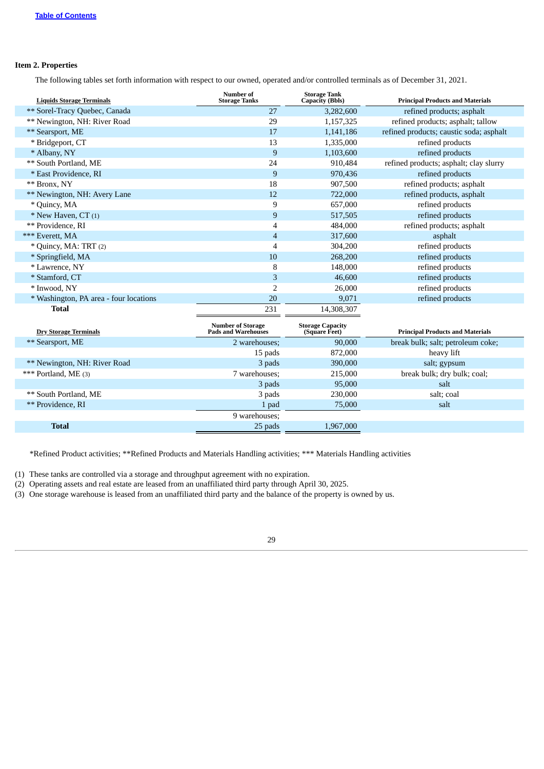# **Item 2. Properties**

The following tables set forth information with respect to our owned, operated and/or controlled terminals as of December 31, 2021.

| <b>Liquids Storage Terminals</b>       | <b>Number of</b><br><b>Storage Tanks</b>               | <b>Storage Tank</b><br>Capacity (Bbls)   | <b>Principal Products and Materials</b> |
|----------------------------------------|--------------------------------------------------------|------------------------------------------|-----------------------------------------|
| ** Sorel-Tracy Quebec, Canada          | 27                                                     | 3,282,600                                | refined products; asphalt               |
| ** Newington, NH: River Road           | 29                                                     | 1,157,325                                | refined products; asphalt; tallow       |
| ** Searsport, ME                       | 17                                                     | 1,141,186                                | refined products; caustic soda; asphalt |
| * Bridgeport, CT                       | 13                                                     | 1,335,000                                | refined products                        |
| * Albany, NY                           | 9                                                      | 1,103,600                                | refined products                        |
| ** South Portland, ME                  | 24                                                     | 910,484                                  | refined products; asphalt; clay slurry  |
| * East Providence, RI                  | 9                                                      | 970,436                                  | refined products                        |
| ** Bronx, NY                           | 18                                                     | 907,500                                  | refined products; asphalt               |
| ** Newington, NH: Avery Lane           | 12                                                     | 722,000                                  | refined products, asphalt               |
| * Quincy, MA                           | 9                                                      | 657,000                                  | refined products                        |
| $*$ New Haven, CT $(1)$                | 9                                                      | 517,505                                  | refined products                        |
| ** Providence, RI                      | $\overline{4}$                                         | 484,000                                  | refined products; asphalt               |
| *** Everett, MA                        | $\overline{4}$                                         | 317,600                                  | asphalt                                 |
| * Quincy, MA: TRT (2)                  | 4                                                      | 304,200                                  | refined products                        |
| * Springfield, MA                      | 10                                                     | 268,200                                  | refined products                        |
| * Lawrence, NY                         | 8                                                      | 148,000                                  | refined products                        |
| * Stamford, CT                         | 3                                                      | 46,600                                   | refined products                        |
| * Inwood, NY                           | $\overline{2}$                                         | 26,000                                   | refined products                        |
| * Washington, PA area - four locations | 20                                                     | 9,071                                    | refined products                        |
| <b>Total</b>                           | 231                                                    | 14,308,307                               |                                         |
| <b>Dry Storage Terminals</b>           | <b>Number of Storage</b><br><b>Pads and Warehouses</b> | <b>Storage Capacity</b><br>(Square Feet) | <b>Principal Products and Materials</b> |
| ** Searsport, ME                       | 2 warehouses:                                          | 90,000                                   | break bulk; salt; petroleum coke;       |
|                                        | 15 pads                                                | 872,000                                  | heavy lift                              |
| ** Newington, NH: River Road           | 3 pads                                                 | 390,000                                  | salt; gypsum                            |
| *** Portland, ME (3)                   | 7 warehouses;                                          | 215,000                                  | break bulk; dry bulk; coal;             |
|                                        | 3 pads                                                 | 95,000                                   | salt                                    |
| ** South Portland, ME                  | 3 pads                                                 | 230,000                                  | salt; coal                              |
| ** Providence, RI                      | 1 pad                                                  | 75,000                                   | salt                                    |

\*Refined Product activities; \*\*Refined Products and Materials Handling activities; \*\*\* Materials Handling activities

(1) These tanks are controlled via a storage and throughput agreement with no expiration.

(2) Operating assets and real estate are leased from an unaffiliated third party through April 30, 2025.

(3) One storage warehouse is leased from an unaffiliated third party and the balance of the property is owned by us.

**Total** 25 pads 1,967,000

9 warehouses;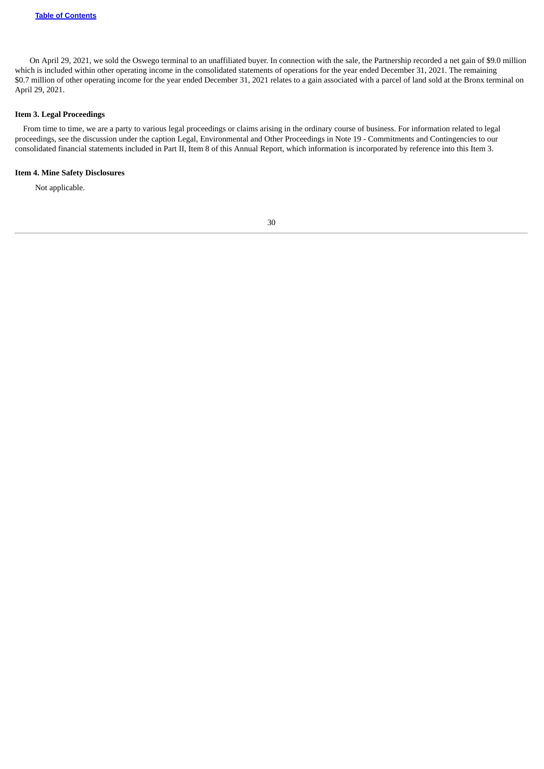On April 29, 2021, we sold the Oswego terminal to an unaffiliated buyer. In connection with the sale, the Partnership recorded a net gain of \$9.0 million which is included within other operating income in the consolidated statements of operations for the year ended December 31, 2021. The remaining \$0.7 million of other operating income for the year ended December 31, 2021 relates to a gain associated with a parcel of land sold at the Bronx terminal on April 29, 2021.

# <span id="page-32-0"></span>**Item 3. Legal Proceedings**

From time to time, we are a party to various legal proceedings or claims arising in the ordinary course of business. For information related to legal proceedings, see the discussion under the caption Legal, Environmental and Other Proceedings in Note 19 - Commitments and Contingencies to our consolidated financial statements included in Part II, Item 8 of this Annual Report, which information is incorporated by reference into this Item 3.

# <span id="page-32-1"></span>**Item 4. Mine Safety Disclosures**

Not applicable.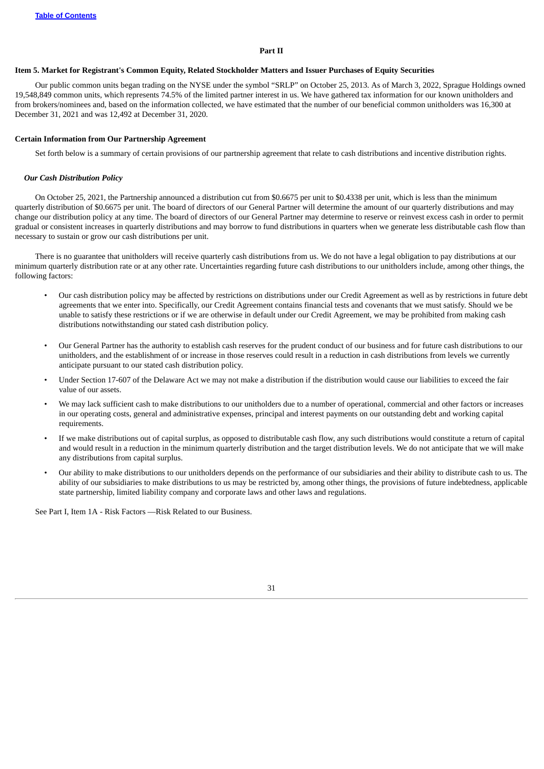#### **Part II**

#### <span id="page-33-0"></span>Item 5. Market for Registrant's Common Equity, Related Stockholder Matters and Issuer Purchases of Equity Securities

Our public common units began trading on the NYSE under the symbol "SRLP" on October 25, 2013. As of March 3, 2022, Sprague Holdings owned 19,548,849 common units, which represents 74.5% of the limited partner interest in us. We have gathered tax information for our known unitholders and from brokers/nominees and, based on the information collected, we have estimated that the number of our beneficial common unitholders was 16,300 at December 31, 2021 and was 12,492 at December 31, 2020.

# **Certain Information from Our Partnership Agreement**

Set forth below is a summary of certain provisions of our partnership agreement that relate to cash distributions and incentive distribution rights.

#### *Our Cash Distribution Policy*

On October 25, 2021, the Partnership announced a distribution cut from \$0.6675 per unit to \$0.4338 per unit, which is less than the minimum quarterly distribution of \$0.6675 per unit. The board of directors of our General Partner will determine the amount of our quarterly distributions and may change our distribution policy at any time. The board of directors of our General Partner may determine to reserve or reinvest excess cash in order to permit gradual or consistent increases in quarterly distributions and may borrow to fund distributions in quarters when we generate less distributable cash flow than necessary to sustain or grow our cash distributions per unit.

There is no guarantee that unitholders will receive quarterly cash distributions from us. We do not have a legal obligation to pay distributions at our minimum quarterly distribution rate or at any other rate. Uncertainties regarding future cash distributions to our unitholders include, among other things, the following factors:

- Our cash distribution policy may be affected by restrictions on distributions under our Credit Agreement as well as by restrictions in future debt agreements that we enter into. Specifically, our Credit Agreement contains financial tests and covenants that we must satisfy. Should we be unable to satisfy these restrictions or if we are otherwise in default under our Credit Agreement, we may be prohibited from making cash distributions notwithstanding our stated cash distribution policy.
- Our General Partner has the authority to establish cash reserves for the prudent conduct of our business and for future cash distributions to our unitholders, and the establishment of or increase in those reserves could result in a reduction in cash distributions from levels we currently anticipate pursuant to our stated cash distribution policy.
- Under Section 17-607 of the Delaware Act we may not make a distribution if the distribution would cause our liabilities to exceed the fair value of our assets.
- We may lack sufficient cash to make distributions to our unitholders due to a number of operational, commercial and other factors or increases in our operating costs, general and administrative expenses, principal and interest payments on our outstanding debt and working capital requirements.
- If we make distributions out of capital surplus, as opposed to distributable cash flow, any such distributions would constitute a return of capital and would result in a reduction in the minimum quarterly distribution and the target distribution levels. We do not anticipate that we will make any distributions from capital surplus.
- Our ability to make distributions to our unitholders depends on the performance of our subsidiaries and their ability to distribute cash to us. The ability of our subsidiaries to make distributions to us may be restricted by, among other things, the provisions of future indebtedness, applicable state partnership, limited liability company and corporate laws and other laws and regulations.

See Part I, Item 1A - Risk Factors —Risk Related to our Business.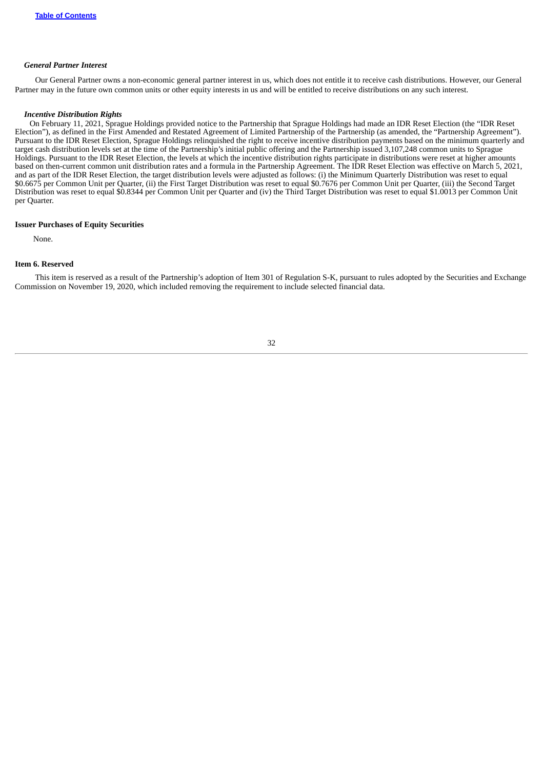#### *General Partner Interest*

Our General Partner owns a non-economic general partner interest in us, which does not entitle it to receive cash distributions. However, our General Partner may in the future own common units or other equity interests in us and will be entitled to receive distributions on any such interest.

#### *Incentive Distribution Rights*

On February 11, 2021, Sprague Holdings provided notice to the Partnership that Sprague Holdings had made an IDR Reset Election (the "IDR Reset Election"), as defined in the First Amended and Restated Agreement of Limited Partnership of the Partnership (as amended, the "Partnership Agreement"). Pursuant to the IDR Reset Election, Sprague Holdings relinquished the right to receive incentive distribution payments based on the minimum quarterly and target cash distribution levels set at the time of the Partnership's initial public offering and the Partnership issued 3,107,248 common units to Sprague Holdings. Pursuant to the IDR Reset Election, the levels at which the incentive distribution rights participate in distributions were reset at higher amounts based on then-current common unit distribution rates and a formula in the Partnership Agreement. The IDR Reset Election was effective on March 5, 2021, and as part of the IDR Reset Election, the target distribution levels were adjusted as follows: (i) the Minimum Quarterly Distribution was reset to equal \$0.6675 per Common Unit per Quarter, (ii) the First Target Distribution was reset to equal \$0.7676 per Common Unit per Quarter, (iii) the Second Target Distribution was reset to equal \$0.8344 per Common Unit per Quarter and (iv) the Third Target Distribution was reset to equal \$1.0013 per Common Unit per Quarter.

#### **Issuer Purchases of Equity Securities**

None.

#### <span id="page-34-0"></span>**Item 6. Reserved**

<span id="page-34-1"></span>This item is reserved as a result of the Partnership's adoption of Item 301 of Regulation S-K, pursuant to rules adopted by the Securities and Exchange Commission on November 19, 2020, which included removing the requirement to include selected financial data.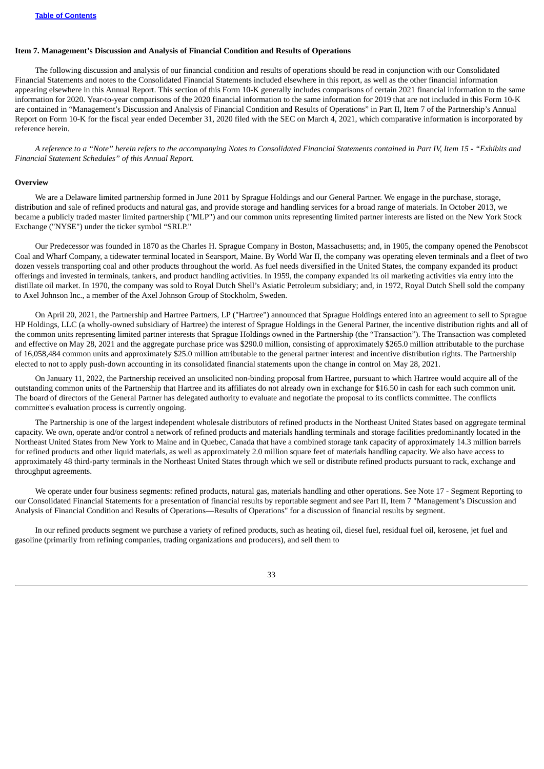#### **Item 7. Management's Discussion and Analysis of Financial Condition and Results of Operations**

The following discussion and analysis of our financial condition and results of operations should be read in conjunction with our Consolidated Financial Statements and notes to the Consolidated Financial Statements included elsewhere in this report, as well as the other financial information appearing elsewhere in this Annual Report. This section of this Form 10-K generally includes comparisons of certain 2021 financial information to the same information for 2020. Year-to-year comparisons of the 2020 financial information to the same information for 2019 that are not included in this Form 10-K are contained in "Management's Discussion and Analysis of Financial Condition and Results of Operations" in Part II, Item 7 of the Partnership's Annual Report on Form 10-K for the fiscal year ended December 31, 2020 filed with the SEC on March 4, 2021, which comparative information is incorporated by reference herein.

A reference to a "Note" herein refers to the accompanying Notes to Consolidated Financial Statements contained in Part IV, Item 15 - "Exhibits and *Financial Statement Schedules" of this Annual Report.*

#### **Overview**

We are a Delaware limited partnership formed in June 2011 by Sprague Holdings and our General Partner. We engage in the purchase, storage, distribution and sale of refined products and natural gas, and provide storage and handling services for a broad range of materials. In October 2013, we became a publicly traded master limited partnership ("MLP") and our common units representing limited partner interests are listed on the New York Stock Exchange ("NYSE") under the ticker symbol "SRLP."

Our Predecessor was founded in 1870 as the Charles H. Sprague Company in Boston, Massachusetts; and, in 1905, the company opened the Penobscot Coal and Wharf Company, a tidewater terminal located in Searsport, Maine. By World War II, the company was operating eleven terminals and a fleet of two dozen vessels transporting coal and other products throughout the world. As fuel needs diversified in the United States, the company expanded its product offerings and invested in terminals, tankers, and product handling activities. In 1959, the company expanded its oil marketing activities via entry into the distillate oil market. In 1970, the company was sold to Royal Dutch Shell's Asiatic Petroleum subsidiary; and, in 1972, Royal Dutch Shell sold the company to Axel Johnson Inc., a member of the Axel Johnson Group of Stockholm, Sweden.

On April 20, 2021, the Partnership and Hartree Partners, LP ("Hartree") announced that Sprague Holdings entered into an agreement to sell to Sprague HP Holdings, LLC (a wholly-owned subsidiary of Hartree) the interest of Sprague Holdings in the General Partner, the incentive distribution rights and all of the common units representing limited partner interests that Sprague Holdings owned in the Partnership (the "Transaction"). The Transaction was completed and effective on May 28, 2021 and the aggregate purchase price was \$290.0 million, consisting of approximately \$265.0 million attributable to the purchase of 16,058,484 common units and approximately \$25.0 million attributable to the general partner interest and incentive distribution rights. The Partnership elected to not to apply push-down accounting in its consolidated financial statements upon the change in control on May 28, 2021.

On January 11, 2022, the Partnership received an unsolicited non-binding proposal from Hartree, pursuant to which Hartree would acquire all of the outstanding common units of the Partnership that Hartree and its affiliates do not already own in exchange for \$16.50 in cash for each such common unit. The board of directors of the General Partner has delegated authority to evaluate and negotiate the proposal to its conflicts committee. The conflicts committee's evaluation process is currently ongoing.

The Partnership is one of the largest independent wholesale distributors of refined products in the Northeast United States based on aggregate terminal capacity. We own, operate and/or control a network of refined products and materials handling terminals and storage facilities predominantly located in the Northeast United States from New York to Maine and in Quebec, Canada that have a combined storage tank capacity of approximately 14.3 million barrels for refined products and other liquid materials, as well as approximately 2.0 million square feet of materials handling capacity. We also have access to approximately 48 third-party terminals in the Northeast United States through which we sell or distribute refined products pursuant to rack, exchange and throughput agreements.

We operate under four business segments: refined products, natural gas, materials handling and other operations. See Note 17 - Segment Reporting to our Consolidated Financial Statements for a presentation of financial results by reportable segment and see Part II, Item 7 "Management's Discussion and Analysis of Financial Condition and Results of Operations—Results of Operations" for a discussion of financial results by segment.

In our refined products segment we purchase a variety of refined products, such as heating oil, diesel fuel, residual fuel oil, kerosene, jet fuel and gasoline (primarily from refining companies, trading organizations and producers), and sell them to

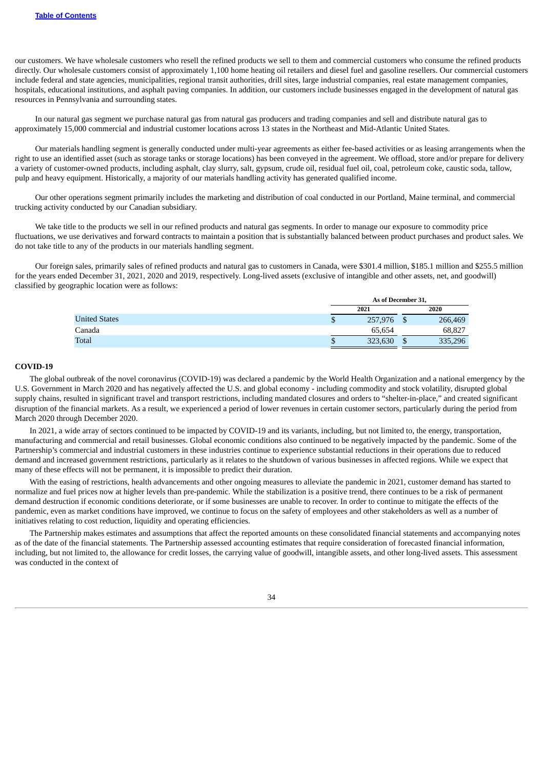our customers. We have wholesale customers who resell the refined products we sell to them and commercial customers who consume the refined products directly. Our wholesale customers consist of approximately 1,100 home heating oil retailers and diesel fuel and gasoline resellers. Our commercial customers include federal and state agencies, municipalities, regional transit authorities, drill sites, large industrial companies, real estate management companies, hospitals, educational institutions, and asphalt paving companies. In addition, our customers include businesses engaged in the development of natural gas resources in Pennsylvania and surrounding states.

In our natural gas segment we purchase natural gas from natural gas producers and trading companies and sell and distribute natural gas to approximately 15,000 commercial and industrial customer locations across 13 states in the Northeast and Mid-Atlantic United States.

Our materials handling segment is generally conducted under multi-year agreements as either fee-based activities or as leasing arrangements when the right to use an identified asset (such as storage tanks or storage locations) has been conveyed in the agreement. We offload, store and/or prepare for delivery a variety of customer-owned products, including asphalt, clay slurry, salt, gypsum, crude oil, residual fuel oil, coal, petroleum coke, caustic soda, tallow, pulp and heavy equipment. Historically, a majority of our materials handling activity has generated qualified income.

Our other operations segment primarily includes the marketing and distribution of coal conducted in our Portland, Maine terminal, and commercial trucking activity conducted by our Canadian subsidiary.

We take title to the products we sell in our refined products and natural gas segments. In order to manage our exposure to commodity price fluctuations, we use derivatives and forward contracts to maintain a position that is substantially balanced between product purchases and product sales. We do not take title to any of the products in our materials handling segment.

Our foreign sales, primarily sales of refined products and natural gas to customers in Canada, were \$301.4 million, \$185.1 million and \$255.5 million for the years ended December 31, 2021, 2020 and 2019, respectively. Long-lived assets (exclusive of intangible and other assets, net, and goodwill) classified by geographic location were as follows:

|                      |   | As of December 31,<br>2021<br>257,976 |   |         |  |
|----------------------|---|---------------------------------------|---|---------|--|
|                      |   | 2020                                  |   |         |  |
| <b>United States</b> | J |                                       |   | 266,469 |  |
| Canada               |   | 65.654                                |   | 68,827  |  |
| Total                |   | 323,630                               | Φ | 335,296 |  |

# **COVID-19**

The global outbreak of the novel coronavirus (COVID-19) was declared a pandemic by the World Health Organization and a national emergency by the U.S. Government in March 2020 and has negatively affected the U.S. and global economy - including commodity and stock volatility, disrupted global supply chains, resulted in significant travel and transport restrictions, including mandated closures and orders to "shelter-in-place," and created significant disruption of the financial markets. As a result, we experienced a period of lower revenues in certain customer sectors, particularly during the period from March 2020 through December 2020.

In 2021, a wide array of sectors continued to be impacted by COVID-19 and its variants, including, but not limited to, the energy, transportation, manufacturing and commercial and retail businesses. Global economic conditions also continued to be negatively impacted by the pandemic. Some of the Partnership's commercial and industrial customers in these industries continue to experience substantial reductions in their operations due to reduced demand and increased government restrictions, particularly as it relates to the shutdown of various businesses in affected regions. While we expect that many of these effects will not be permanent, it is impossible to predict their duration.

With the easing of restrictions, health advancements and other ongoing measures to alleviate the pandemic in 2021, customer demand has started to normalize and fuel prices now at higher levels than pre-pandemic. While the stabilization is a positive trend, there continues to be a risk of permanent demand destruction if economic conditions deteriorate, or if some businesses are unable to recover. In order to continue to mitigate the effects of the pandemic, even as market conditions have improved, we continue to focus on the safety of employees and other stakeholders as well as a number of initiatives relating to cost reduction, liquidity and operating efficiencies.

The Partnership makes estimates and assumptions that affect the reported amounts on these consolidated financial statements and accompanying notes as of the date of the financial statements. The Partnership assessed accounting estimates that require consideration of forecasted financial information, including, but not limited to, the allowance for credit losses, the carrying value of goodwill, intangible assets, and other long-lived assets. This assessment was conducted in the context of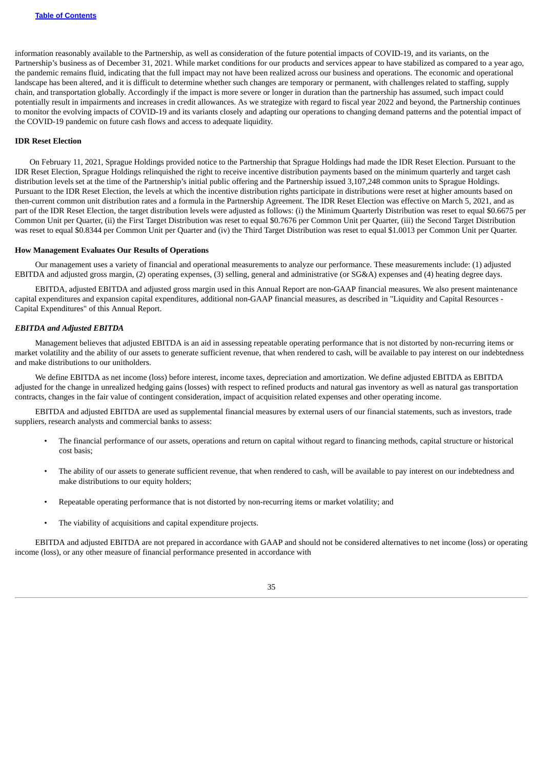information reasonably available to the Partnership, as well as consideration of the future potential impacts of COVID-19, and its variants, on the Partnership's business as of December 31, 2021. While market conditions for our products and services appear to have stabilized as compared to a year ago, the pandemic remains fluid, indicating that the full impact may not have been realized across our business and operations. The economic and operational landscape has been altered, and it is difficult to determine whether such changes are temporary or permanent, with challenges related to staffing, supply chain, and transportation globally. Accordingly if the impact is more severe or longer in duration than the partnership has assumed, such impact could potentially result in impairments and increases in credit allowances. As we strategize with regard to fiscal year 2022 and beyond, the Partnership continues to monitor the evolving impacts of COVID-19 and its variants closely and adapting our operations to changing demand patterns and the potential impact of the COVID-19 pandemic on future cash flows and access to adequate liquidity.

### **IDR Reset Election**

On February 11, 2021, Sprague Holdings provided notice to the Partnership that Sprague Holdings had made the IDR Reset Election. Pursuant to the IDR Reset Election, Sprague Holdings relinquished the right to receive incentive distribution payments based on the minimum quarterly and target cash distribution levels set at the time of the Partnership's initial public offering and the Partnership issued 3,107,248 common units to Sprague Holdings. Pursuant to the IDR Reset Election, the levels at which the incentive distribution rights participate in distributions were reset at higher amounts based on then-current common unit distribution rates and a formula in the Partnership Agreement. The IDR Reset Election was effective on March 5, 2021, and as part of the IDR Reset Election, the target distribution levels were adjusted as follows: (i) the Minimum Quarterly Distribution was reset to equal \$0.6675 per Common Unit per Quarter, (ii) the First Target Distribution was reset to equal \$0.7676 per Common Unit per Quarter, (iii) the Second Target Distribution was reset to equal \$0.8344 per Common Unit per Quarter and (iv) the Third Target Distribution was reset to equal \$1.0013 per Common Unit per Quarter.

#### **How Management Evaluates Our Results of Operations**

Our management uses a variety of financial and operational measurements to analyze our performance. These measurements include: (1) adjusted EBITDA and adjusted gross margin, (2) operating expenses, (3) selling, general and administrative (or SG&A) expenses and (4) heating degree days.

EBITDA, adjusted EBITDA and adjusted gross margin used in this Annual Report are non-GAAP financial measures. We also present maintenance capital expenditures and expansion capital expenditures, additional non-GAAP financial measures, as described in "Liquidity and Capital Resources - Capital Expenditures" of this Annual Report.

# *EBITDA and Adjusted EBITDA*

Management believes that adjusted EBITDA is an aid in assessing repeatable operating performance that is not distorted by non-recurring items or market volatility and the ability of our assets to generate sufficient revenue, that when rendered to cash, will be available to pay interest on our indebtedness and make distributions to our unitholders.

We define EBITDA as net income (loss) before interest, income taxes, depreciation and amortization. We define adjusted EBITDA as EBITDA adjusted for the change in unrealized hedging gains (losses) with respect to refined products and natural gas inventory as well as natural gas transportation contracts, changes in the fair value of contingent consideration, impact of acquisition related expenses and other operating income.

EBITDA and adjusted EBITDA are used as supplemental financial measures by external users of our financial statements, such as investors, trade suppliers, research analysts and commercial banks to assess:

- The financial performance of our assets, operations and return on capital without regard to financing methods, capital structure or historical cost basis;
- The ability of our assets to generate sufficient revenue, that when rendered to cash, will be available to pay interest on our indebtedness and make distributions to our equity holders;
- Repeatable operating performance that is not distorted by non-recurring items or market volatility; and
- The viability of acquisitions and capital expenditure projects.

EBITDA and adjusted EBITDA are not prepared in accordance with GAAP and should not be considered alternatives to net income (loss) or operating income (loss), or any other measure of financial performance presented in accordance with

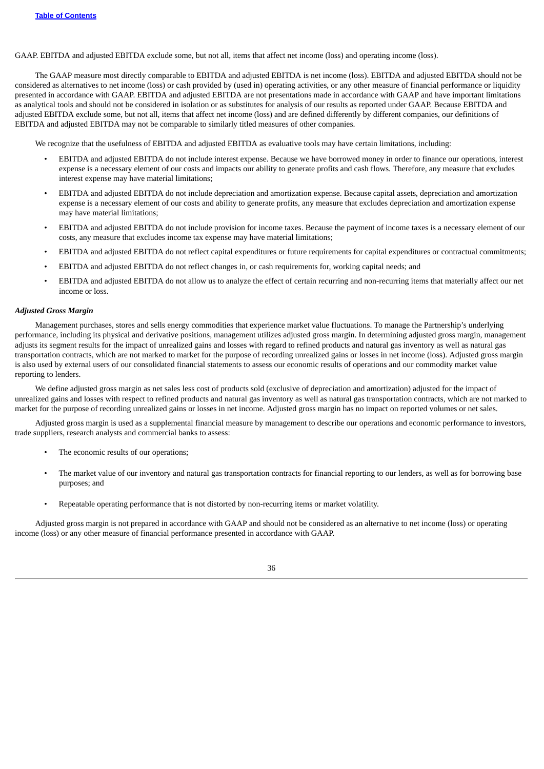GAAP. EBITDA and adjusted EBITDA exclude some, but not all, items that affect net income (loss) and operating income (loss).

The GAAP measure most directly comparable to EBITDA and adjusted EBITDA is net income (loss). EBITDA and adjusted EBITDA should not be considered as alternatives to net income (loss) or cash provided by (used in) operating activities, or any other measure of financial performance or liquidity presented in accordance with GAAP. EBITDA and adjusted EBITDA are not presentations made in accordance with GAAP and have important limitations as analytical tools and should not be considered in isolation or as substitutes for analysis of our results as reported under GAAP. Because EBITDA and adjusted EBITDA exclude some, but not all, items that affect net income (loss) and are defined differently by different companies, our definitions of EBITDA and adjusted EBITDA may not be comparable to similarly titled measures of other companies.

We recognize that the usefulness of EBITDA and adjusted EBITDA as evaluative tools may have certain limitations, including:

- EBITDA and adjusted EBITDA do not include interest expense. Because we have borrowed money in order to finance our operations, interest expense is a necessary element of our costs and impacts our ability to generate profits and cash flows. Therefore, any measure that excludes interest expense may have material limitations;
- EBITDA and adjusted EBITDA do not include depreciation and amortization expense. Because capital assets, depreciation and amortization expense is a necessary element of our costs and ability to generate profits, any measure that excludes depreciation and amortization expense may have material limitations;
- EBITDA and adjusted EBITDA do not include provision for income taxes. Because the payment of income taxes is a necessary element of our costs, any measure that excludes income tax expense may have material limitations;
- EBITDA and adjusted EBITDA do not reflect capital expenditures or future requirements for capital expenditures or contractual commitments;
- EBITDA and adjusted EBITDA do not reflect changes in, or cash requirements for, working capital needs; and
- EBITDA and adjusted EBITDA do not allow us to analyze the effect of certain recurring and non-recurring items that materially affect our net income or loss.

### *Adjusted Gross Margin*

Management purchases, stores and sells energy commodities that experience market value fluctuations. To manage the Partnership's underlying performance, including its physical and derivative positions, management utilizes adjusted gross margin. In determining adjusted gross margin, management adjusts its segment results for the impact of unrealized gains and losses with regard to refined products and natural gas inventory as well as natural gas transportation contracts, which are not marked to market for the purpose of recording unrealized gains or losses in net income (loss). Adjusted gross margin is also used by external users of our consolidated financial statements to assess our economic results of operations and our commodity market value reporting to lenders.

We define adjusted gross margin as net sales less cost of products sold (exclusive of depreciation and amortization) adjusted for the impact of unrealized gains and losses with respect to refined products and natural gas inventory as well as natural gas transportation contracts, which are not marked to market for the purpose of recording unrealized gains or losses in net income. Adjusted gross margin has no impact on reported volumes or net sales.

Adjusted gross margin is used as a supplemental financial measure by management to describe our operations and economic performance to investors, trade suppliers, research analysts and commercial banks to assess:

- The economic results of our operations;
- The market value of our inventory and natural gas transportation contracts for financial reporting to our lenders, as well as for borrowing base purposes; and
- Repeatable operating performance that is not distorted by non-recurring items or market volatility.

Adjusted gross margin is not prepared in accordance with GAAP and should not be considered as an alternative to net income (loss) or operating income (loss) or any other measure of financial performance presented in accordance with GAAP.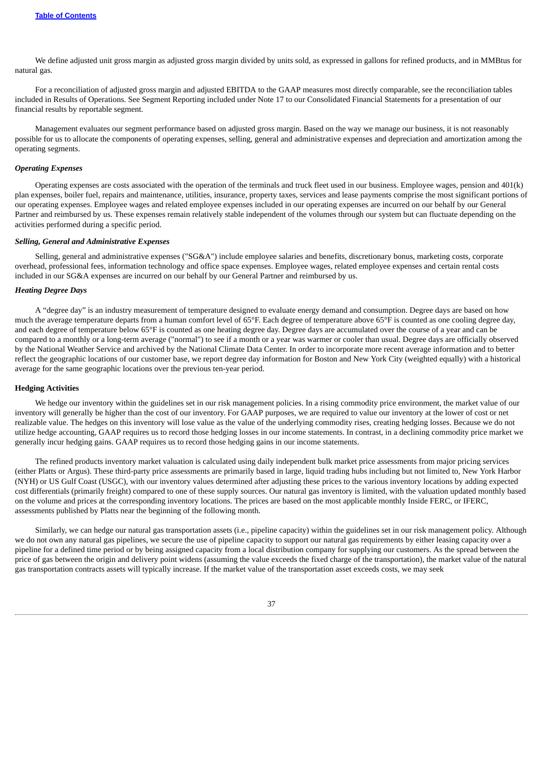We define adjusted unit gross margin as adjusted gross margin divided by units sold, as expressed in gallons for refined products, and in MMBtus for natural gas.

For a reconciliation of adjusted gross margin and adjusted EBITDA to the GAAP measures most directly comparable, see the reconciliation tables included in Results of Operations. See Segment Reporting included under Note 17 to our Consolidated Financial Statements for a presentation of our financial results by reportable segment.

Management evaluates our segment performance based on adjusted gross margin. Based on the way we manage our business, it is not reasonably possible for us to allocate the components of operating expenses, selling, general and administrative expenses and depreciation and amortization among the operating segments.

### *Operating Expenses*

Operating expenses are costs associated with the operation of the terminals and truck fleet used in our business. Employee wages, pension and 401(k) plan expenses, boiler fuel, repairs and maintenance, utilities, insurance, property taxes, services and lease payments comprise the most significant portions of our operating expenses. Employee wages and related employee expenses included in our operating expenses are incurred on our behalf by our General Partner and reimbursed by us. These expenses remain relatively stable independent of the volumes through our system but can fluctuate depending on the activities performed during a specific period.

### *Selling, General and Administrative Expenses*

Selling, general and administrative expenses ("SG&A") include employee salaries and benefits, discretionary bonus, marketing costs, corporate overhead, professional fees, information technology and office space expenses. Employee wages, related employee expenses and certain rental costs included in our SG&A expenses are incurred on our behalf by our General Partner and reimbursed by us.

# *Heating Degree Days*

A "degree day" is an industry measurement of temperature designed to evaluate energy demand and consumption. Degree days are based on how much the average temperature departs from a human comfort level of 65°F. Each degree of temperature above 65°F is counted as one cooling degree day, and each degree of temperature below 65°F is counted as one heating degree day. Degree days are accumulated over the course of a year and can be compared to a monthly or a long-term average ("normal") to see if a month or a year was warmer or cooler than usual. Degree days are officially observed by the National Weather Service and archived by the National Climate Data Center. In order to incorporate more recent average information and to better reflect the geographic locations of our customer base, we report degree day information for Boston and New York City (weighted equally) with a historical average for the same geographic locations over the previous ten-year period.

#### **Hedging Activities**

We hedge our inventory within the guidelines set in our risk management policies. In a rising commodity price environment, the market value of our inventory will generally be higher than the cost of our inventory. For GAAP purposes, we are required to value our inventory at the lower of cost or net realizable value. The hedges on this inventory will lose value as the value of the underlying commodity rises, creating hedging losses. Because we do not utilize hedge accounting, GAAP requires us to record those hedging losses in our income statements. In contrast, in a declining commodity price market we generally incur hedging gains. GAAP requires us to record those hedging gains in our income statements.

The refined products inventory market valuation is calculated using daily independent bulk market price assessments from major pricing services (either Platts or Argus). These third-party price assessments are primarily based in large, liquid trading hubs including but not limited to, New York Harbor (NYH) or US Gulf Coast (USGC), with our inventory values determined after adjusting these prices to the various inventory locations by adding expected cost differentials (primarily freight) compared to one of these supply sources. Our natural gas inventory is limited, with the valuation updated monthly based on the volume and prices at the corresponding inventory locations. The prices are based on the most applicable monthly Inside FERC, or IFERC, assessments published by Platts near the beginning of the following month.

Similarly, we can hedge our natural gas transportation assets (i.e., pipeline capacity) within the guidelines set in our risk management policy. Although we do not own any natural gas pipelines, we secure the use of pipeline capacity to support our natural gas requirements by either leasing capacity over a pipeline for a defined time period or by being assigned capacity from a local distribution company for supplying our customers. As the spread between the price of gas between the origin and delivery point widens (assuming the value exceeds the fixed charge of the transportation), the market value of the natural gas transportation contracts assets will typically increase. If the market value of the transportation asset exceeds costs, we may seek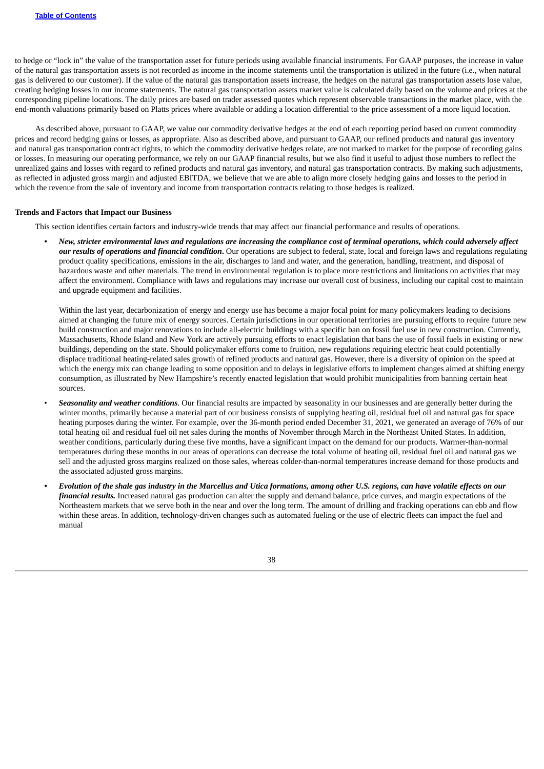to hedge or "lock in" the value of the transportation asset for future periods using available financial instruments. For GAAP purposes, the increase in value of the natural gas transportation assets is not recorded as income in the income statements until the transportation is utilized in the future (i.e., when natural gas is delivered to our customer). If the value of the natural gas transportation assets increase, the hedges on the natural gas transportation assets lose value, creating hedging losses in our income statements. The natural gas transportation assets market value is calculated daily based on the volume and prices at the corresponding pipeline locations. The daily prices are based on trader assessed quotes which represent observable transactions in the market place, with the end-month valuations primarily based on Platts prices where available or adding a location differential to the price assessment of a more liquid location.

As described above, pursuant to GAAP, we value our commodity derivative hedges at the end of each reporting period based on current commodity prices and record hedging gains or losses, as appropriate. Also as described above, and pursuant to GAAP, our refined products and natural gas inventory and natural gas transportation contract rights, to which the commodity derivative hedges relate, are not marked to market for the purpose of recording gains or losses. In measuring our operating performance, we rely on our GAAP financial results, but we also find it useful to adjust those numbers to reflect the unrealized gains and losses with regard to refined products and natural gas inventory, and natural gas transportation contracts. By making such adjustments, as reflected in adjusted gross margin and adjusted EBITDA, we believe that we are able to align more closely hedging gains and losses to the period in which the revenue from the sale of inventory and income from transportation contracts relating to those hedges is realized.

### **Trends and Factors that Impact our Business**

This section identifies certain factors and industry-wide trends that may affect our financial performance and results of operations.

New, stricter environmental laws and regulations are increasing the compliance cost of terminal operations, which could adversely affect *our results of operations and financial condition***.** Our operations are subject to federal, state, local and foreign laws and regulations regulating product quality specifications, emissions in the air, discharges to land and water, and the generation, handling, treatment, and disposal of hazardous waste and other materials. The trend in environmental regulation is to place more restrictions and limitations on activities that may affect the environment. Compliance with laws and regulations may increase our overall cost of business, including our capital cost to maintain and upgrade equipment and facilities.

Within the last year, decarbonization of energy and energy use has become a major focal point for many policymakers leading to decisions aimed at changing the future mix of energy sources. Certain jurisdictions in our operational territories are pursuing efforts to require future new build construction and major renovations to include all-electric buildings with a specific ban on fossil fuel use in new construction. Currently, Massachusetts, Rhode Island and New York are actively pursuing efforts to enact legislation that bans the use of fossil fuels in existing or new buildings, depending on the state. Should policymaker efforts come to fruition, new regulations requiring electric heat could potentially displace traditional heating-related sales growth of refined products and natural gas. However, there is a diversity of opinion on the speed at which the energy mix can change leading to some opposition and to delays in legislative efforts to implement changes aimed at shifting energy consumption, as illustrated by New Hampshire's recently enacted legislation that would prohibit municipalities from banning certain heat sources.

- *Seasonality and weather conditions*. Our financial results are impacted by seasonality in our businesses and are generally better during the winter months, primarily because a material part of our business consists of supplying heating oil, residual fuel oil and natural gas for space heating purposes during the winter. For example, over the 36-month period ended December 31, 2021, we generated an average of 76% of our total heating oil and residual fuel oil net sales during the months of November through March in the Northeast United States. In addition, weather conditions, particularly during these five months, have a significant impact on the demand for our products. Warmer-than-normal temperatures during these months in our areas of operations can decrease the total volume of heating oil, residual fuel oil and natural gas we sell and the adjusted gross margins realized on those sales, whereas colder-than-normal temperatures increase demand for those products and the associated adjusted gross margins.
- Evolution of the shale gas industry in the Marcellus and Utica formations, among other U.S. regions, can have volatile effects on our *financial results.* Increased natural gas production can alter the supply and demand balance, price curves, and margin expectations of the Northeastern markets that we serve both in the near and over the long term. The amount of drilling and fracking operations can ebb and flow within these areas. In addition, technology-driven changes such as automated fueling or the use of electric fleets can impact the fuel and manual

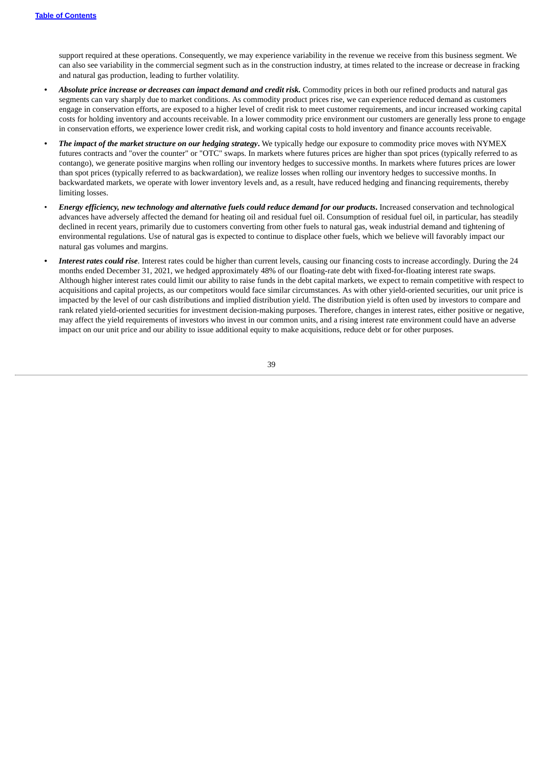support required at these operations. Consequently, we may experience variability in the revenue we receive from this business segment. We can also see variability in the commercial segment such as in the construction industry, at times related to the increase or decrease in fracking and natural gas production, leading to further volatility.

- *• Absolute price increase or decreases can impact demand and credit risk.* Commodity prices in both our refined products and natural gas segments can vary sharply due to market conditions. As commodity product prices rise, we can experience reduced demand as customers engage in conservation efforts, are exposed to a higher level of credit risk to meet customer requirements, and incur increased working capital costs for holding inventory and accounts receivable. In a lower commodity price environment our customers are generally less prone to engage in conservation efforts, we experience lower credit risk, and working capital costs to hold inventory and finance accounts receivable.
- *• The impact of the market structure on our hedging strategy***.** We typically hedge our exposure to commodity price moves with NYMEX futures contracts and "over the counter" or "OTC" swaps. In markets where futures prices are higher than spot prices (typically referred to as contango), we generate positive margins when rolling our inventory hedges to successive months. In markets where futures prices are lower than spot prices (typically referred to as backwardation), we realize losses when rolling our inventory hedges to successive months. In backwardated markets, we operate with lower inventory levels and, as a result, have reduced hedging and financing requirements, thereby limiting losses.
- Energy efficiency, new technology and alternative fuels could reduce demand for our products. Increased conservation and technological advances have adversely affected the demand for heating oil and residual fuel oil. Consumption of residual fuel oil, in particular, has steadily declined in recent years, primarily due to customers converting from other fuels to natural gas, weak industrial demand and tightening of environmental regulations. Use of natural gas is expected to continue to displace other fuels, which we believe will favorably impact our natural gas volumes and margins.
- *• Interest rates could rise*. Interest rates could be higher than current levels, causing our financing costs to increase accordingly. During the 24 months ended December 31, 2021, we hedged approximately 48% of our floating-rate debt with fixed-for-floating interest rate swaps. Although higher interest rates could limit our ability to raise funds in the debt capital markets, we expect to remain competitive with respect to acquisitions and capital projects, as our competitors would face similar circumstances. As with other yield-oriented securities, our unit price is impacted by the level of our cash distributions and implied distribution yield. The distribution yield is often used by investors to compare and rank related yield-oriented securities for investment decision-making purposes. Therefore, changes in interest rates, either positive or negative, may affect the yield requirements of investors who invest in our common units, and a rising interest rate environment could have an adverse impact on our unit price and our ability to issue additional equity to make acquisitions, reduce debt or for other purposes.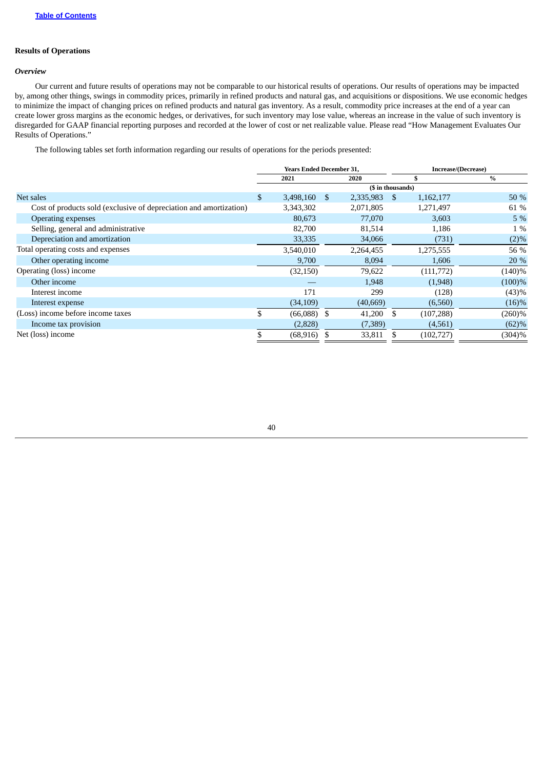# **Results of Operations**

# *Overview*

Our current and future results of operations may not be comparable to our historical results of operations. Our results of operations may be impacted by, among other things, swings in commodity prices, primarily in refined products and natural gas, and acquisitions or dispositions. We use economic hedges to minimize the impact of changing prices on refined products and natural gas inventory. As a result, commodity price increases at the end of a year can create lower gross margins as the economic hedges, or derivatives, for such inventory may lose value, whereas an increase in the value of such inventory is disregarded for GAAP financial reporting purposes and recorded at the lower of cost or net realizable value. Please read "How Management Evaluates Our Results of Operations."

The following tables set forth information regarding our results of operations for the periods presented:

|                                                                    | <b>Years Ended December 31.</b> |    |                   | Increase/(Decrease) |            |           |  |
|--------------------------------------------------------------------|---------------------------------|----|-------------------|---------------------|------------|-----------|--|
|                                                                    | 2021                            |    | 2020              |                     |            | $\%$      |  |
|                                                                    |                                 |    | (\$ in thousands) |                     |            |           |  |
| Net sales                                                          | \$<br>3,498,160                 | -S | 2,335,983         | S.                  | 1,162,177  | 50 %      |  |
| Cost of products sold (exclusive of depreciation and amortization) | 3,343,302                       |    | 2,071,805         |                     | 1,271,497  | 61 %      |  |
| <b>Operating expenses</b>                                          | 80,673                          |    | 77,070            |                     | 3,603      | 5 %       |  |
| Selling, general and administrative                                | 82,700                          |    | 81,514            |                     | 1,186      | 1 %       |  |
| Depreciation and amortization                                      | 33,335                          |    | 34,066            |                     | (731)      | (2)%      |  |
| Total operating costs and expenses                                 | 3,540,010                       |    | 2,264,455         |                     | 1,275,555  | 56 %      |  |
| Other operating income                                             | 9,700                           |    | 8,094             |                     | 1,606      | 20 %      |  |
| Operating (loss) income                                            | (32, 150)                       |    | 79,622            |                     | (111,772)  | (140)%    |  |
| Other income                                                       |                                 |    | 1,948             |                     | (1,948)    | $(100)\%$ |  |
| Interest income                                                    | 171                             |    | 299               |                     | (128)      | (43)%     |  |
| Interest expense                                                   | (34, 109)                       |    | (40,669)          |                     | (6,560)    | $(16)\%$  |  |
| (Loss) income before income taxes                                  | \$<br>(66,088)                  | S  | 41,200            | \$.                 | (107, 288) | $(260)$ % |  |
| Income tax provision                                               | (2,828)                         |    | (7,389)           |                     | (4,561)    | (62)%     |  |
| Net (loss) income                                                  | (68, 916)                       | S  | 33,811            |                     | (102, 727) | $(304)\%$ |  |

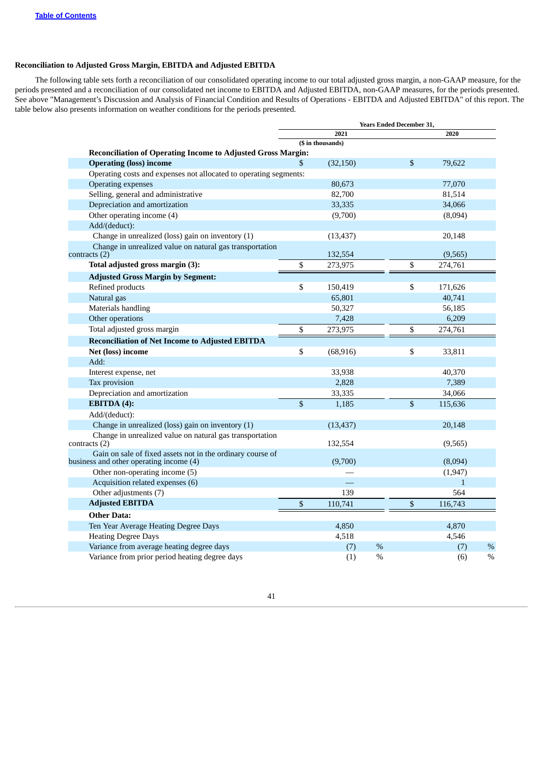# **Reconciliation to Adjusted Gross Margin, EBITDA and Adjusted EBITDA**

The following table sets forth a reconciliation of our consolidated operating income to our total adjusted gross margin, a non-GAAP measure, for the periods presented and a reconciliation of our consolidated net income to EBITDA and Adjusted EBITDA, non-GAAP measures, for the periods presented. See above "Management's Discussion and Analysis of Financial Condition and Results of Operations - EBITDA and Adjusted EBITDA" of this report. The table below also presents information on weather conditions for the periods presented.

|                                                                                                       |                   |      | <b>Years Ended December 31,</b> |              |      |
|-------------------------------------------------------------------------------------------------------|-------------------|------|---------------------------------|--------------|------|
|                                                                                                       | 2021              |      |                                 | 2020         |      |
|                                                                                                       | (\$ in thousands) |      |                                 |              |      |
| <b>Reconciliation of Operating Income to Adjusted Gross Margin:</b>                                   |                   |      |                                 |              |      |
| <b>Operating (loss) income</b>                                                                        | (32, 150)         |      | \$                              | 79,622       |      |
| Operating costs and expenses not allocated to operating segments:                                     |                   |      |                                 |              |      |
| <b>Operating expenses</b>                                                                             | 80,673            |      |                                 | 77,070       |      |
| Selling, general and administrative                                                                   | 82,700            |      |                                 | 81,514       |      |
| Depreciation and amortization                                                                         | 33,335            |      |                                 | 34,066       |      |
| Other operating income (4)                                                                            | (9,700)           |      |                                 | (8,094)      |      |
| Add/(deduct):                                                                                         |                   |      |                                 |              |      |
| Change in unrealized (loss) gain on inventory (1)                                                     | (13, 437)         |      |                                 | 20,148       |      |
| Change in unrealized value on natural gas transportation<br>contracts $(2)$                           | 132,554           |      |                                 | (9, 565)     |      |
| Total adjusted gross margin (3):                                                                      | \$<br>273,975     |      | \$                              | 274,761      |      |
| <b>Adjusted Gross Margin by Segment:</b>                                                              |                   |      |                                 |              |      |
| Refined products                                                                                      | \$<br>150,419     |      | \$                              | 171,626      |      |
| Natural gas                                                                                           | 65,801            |      |                                 | 40,741       |      |
| Materials handling                                                                                    | 50,327            |      |                                 | 56,185       |      |
| Other operations                                                                                      | 7,428             |      |                                 | 6,209        |      |
| Total adjusted gross margin                                                                           | \$<br>273,975     |      | \$                              | 274,761      |      |
| <b>Reconciliation of Net Income to Adjusted EBITDA</b>                                                |                   |      |                                 |              |      |
| Net (loss) income                                                                                     | \$<br>(68, 916)   |      | \$                              | 33,811       |      |
| Add:                                                                                                  |                   |      |                                 |              |      |
| Interest expense, net                                                                                 | 33,938            |      |                                 | 40,370       |      |
| Tax provision                                                                                         | 2,828             |      |                                 | 7,389        |      |
| Depreciation and amortization                                                                         | 33,335            |      |                                 | 34,066       |      |
| EBITDA (4):                                                                                           | \$<br>1,185       |      | \$                              | 115,636      |      |
| Add/(deduct):                                                                                         |                   |      |                                 |              |      |
| Change in unrealized (loss) gain on inventory (1)                                                     | (13, 437)         |      |                                 | 20,148       |      |
| Change in unrealized value on natural gas transportation<br>contracts (2)                             | 132,554           |      |                                 | (9, 565)     |      |
| Gain on sale of fixed assets not in the ordinary course of<br>business and other operating income (4) | (9,700)           |      |                                 | (8,094)      |      |
| Other non-operating income (5)                                                                        |                   |      |                                 | (1, 947)     |      |
| Acquisition related expenses (6)                                                                      |                   |      |                                 | $\mathbf{1}$ |      |
| Other adjustments (7)                                                                                 | 139               |      |                                 | 564          |      |
| <b>Adjusted EBITDA</b>                                                                                | \$<br>110,741     |      | \$                              | 116,743      |      |
| <b>Other Data:</b>                                                                                    |                   |      |                                 |              |      |
| Ten Year Average Heating Degree Days                                                                  | 4,850             |      |                                 | 4,870        |      |
| <b>Heating Degree Days</b>                                                                            | 4,518             |      |                                 | 4,546        |      |
| Variance from average heating degree days                                                             | (7)               | %    |                                 | (7)          | %    |
| Variance from prior period heating degree days                                                        | (1)               | $\%$ |                                 | (6)          | $\%$ |

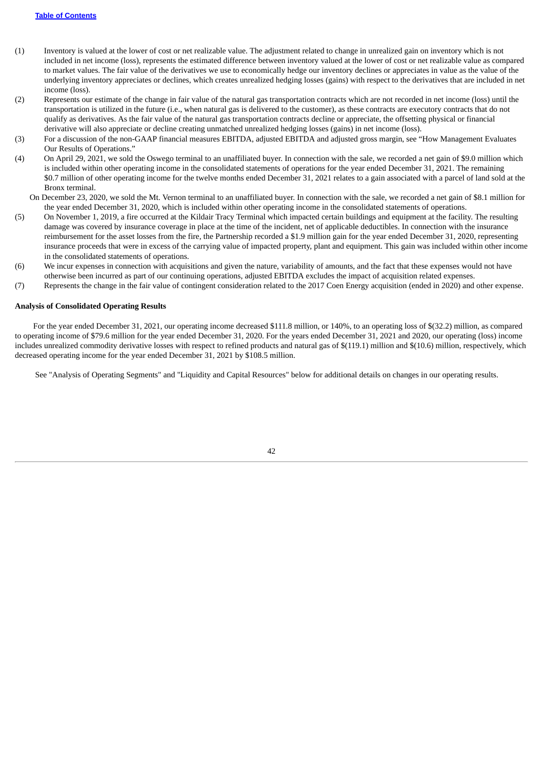- (1) Inventory is valued at the lower of cost or net realizable value. The adjustment related to change in unrealized gain on inventory which is not included in net income (loss), represents the estimated difference between inventory valued at the lower of cost or net realizable value as compared to market values. The fair value of the derivatives we use to economically hedge our inventory declines or appreciates in value as the value of the underlying inventory appreciates or declines, which creates unrealized hedging losses (gains) with respect to the derivatives that are included in net income (loss).
- (2) Represents our estimate of the change in fair value of the natural gas transportation contracts which are not recorded in net income (loss) until the transportation is utilized in the future (i.e., when natural gas is delivered to the customer), as these contracts are executory contracts that do not qualify as derivatives. As the fair value of the natural gas transportation contracts decline or appreciate, the offsetting physical or financial derivative will also appreciate or decline creating unmatched unrealized hedging losses (gains) in net income (loss).
- (3) For a discussion of the non-GAAP financial measures EBITDA, adjusted EBITDA and adjusted gross margin, see "How Management Evaluates Our Results of Operations."
- (4) On April 29, 2021, we sold the Oswego terminal to an unaffiliated buyer. In connection with the sale, we recorded a net gain of \$9.0 million which is included within other operating income in the consolidated statements of operations for the year ended December 31, 2021. The remaining \$0.7 million of other operating income for the twelve months ended December 31, 2021 relates to a gain associated with a parcel of land sold at the Bronx terminal.
	- On December 23, 2020, we sold the Mt. Vernon terminal to an unaffiliated buyer. In connection with the sale, we recorded a net gain of \$8.1 million for the year ended December 31, 2020, which is included within other operating income in the consolidated statements of operations.
- (5) On November 1, 2019, a fire occurred at the Kildair Tracy Terminal which impacted certain buildings and equipment at the facility. The resulting damage was covered by insurance coverage in place at the time of the incident, net of applicable deductibles. In connection with the insurance reimbursement for the asset losses from the fire, the Partnership recorded a \$1.9 million gain for the year ended December 31, 2020, representing insurance proceeds that were in excess of the carrying value of impacted property, plant and equipment. This gain was included within other income in the consolidated statements of operations.
- (6) We incur expenses in connection with acquisitions and given the nature, variability of amounts, and the fact that these expenses would not have otherwise been incurred as part of our continuing operations, adjusted EBITDA excludes the impact of acquisition related expenses.
- (7) Represents the change in the fair value of contingent consideration related to the 2017 Coen Energy acquisition (ended in 2020) and other expense.

# **Analysis of Consolidated Operating Results**

For the year ended December 31, 2021, our operating income decreased \$111.8 million, or 140%, to an operating loss of \$(32.2) million, as compared to operating income of \$79.6 million for the year ended December 31, 2020. For the years ended December 31, 2021 and 2020, our operating (loss) income includes unrealized commodity derivative losses with respect to refined products and natural gas of \$(119.1) million and \$(10.6) million, respectively, which decreased operating income for the year ended December 31, 2021 by \$108.5 million.

See "Analysis of Operating Segments" and "Liquidity and Capital Resources" below for additional details on changes in our operating results.

42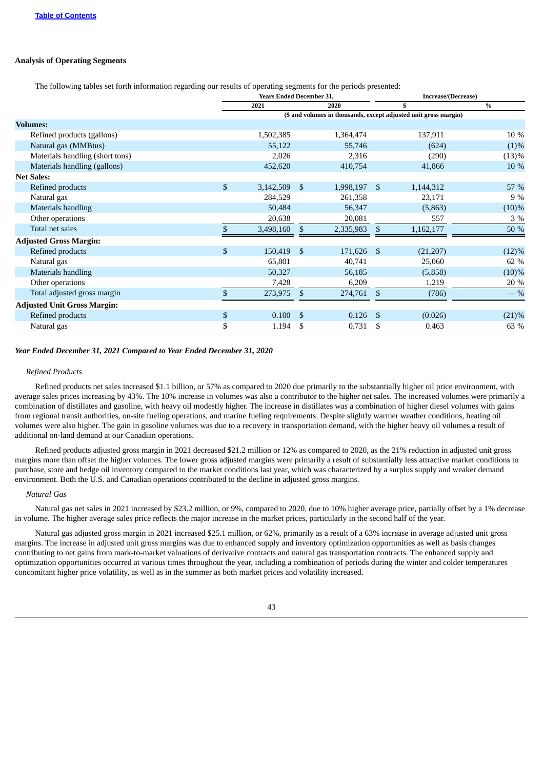# **Analysis of Operating Segments**

The following tables set forth information regarding our results of operating segments for the periods presented:

|                                    |                | <b>Years Ended December 31,</b> |               |           |               | <b>Increase/(Decrease)</b>                                       |          |  |  |
|------------------------------------|----------------|---------------------------------|---------------|-----------|---------------|------------------------------------------------------------------|----------|--|--|
|                                    |                | 2021                            |               | 2020      |               |                                                                  | $\%$     |  |  |
|                                    |                |                                 |               |           |               | (\$ and volumes in thousands, except adjusted unit gross margin) |          |  |  |
| <b>Volumes:</b>                    |                |                                 |               |           |               |                                                                  |          |  |  |
| Refined products (gallons)         |                | 1,502,385                       |               | 1,364,474 |               | 137,911                                                          | 10 %     |  |  |
| Natural gas (MMBtus)               |                | 55,122                          |               | 55,746    |               | (624)                                                            | (1)%     |  |  |
| Materials handling (short tons)    |                | 2,026                           |               | 2,316     |               | (290)                                                            | (13)%    |  |  |
| Materials handling (gallons)       |                | 452,620                         |               | 410,754   |               | 41,866                                                           | 10 %     |  |  |
| <b>Net Sales:</b>                  |                |                                 |               |           |               |                                                                  |          |  |  |
| Refined products                   | $\mathfrak{L}$ | 3,142,509                       | - \$          | 1,998,197 | $\mathbb{S}$  | 1,144,312                                                        | 57 %     |  |  |
| Natural gas                        |                | 284,529                         |               | 261,358   |               | 23,171                                                           | 9 %      |  |  |
| <b>Materials handling</b>          |                | 50,484                          |               | 56,347    |               | (5,863)                                                          | $(10)\%$ |  |  |
| Other operations                   |                | 20,638                          |               | 20,081    |               | 557                                                              | 3 %      |  |  |
| Total net sales                    |                | 3,498,160                       | <sup>\$</sup> | 2,335,983 | \$.           | 1,162,177                                                        | 50 %     |  |  |
| <b>Adjusted Gross Margin:</b>      |                |                                 |               |           |               |                                                                  |          |  |  |
| Refined products                   | $\mathfrak{L}$ | 150,419                         | - \$          | 171,626   | \$            | (21,207)                                                         | (12)%    |  |  |
| Natural gas                        |                | 65,801                          |               | 40,741    |               | 25,060                                                           | 62 %     |  |  |
| <b>Materials handling</b>          |                | 50,327                          |               | 56,185    |               | (5,858)                                                          | $(10)\%$ |  |  |
| Other operations                   |                | 7,428                           |               | 6,209     |               | 1,219                                                            | 20 %     |  |  |
| Total adjusted gross margin        |                | 273,975                         | <sup>\$</sup> | 274,761   | \$.           | (786)                                                            | $-$ %    |  |  |
| <b>Adjusted Unit Gross Margin:</b> |                |                                 |               |           |               |                                                                  |          |  |  |
| Refined products                   | \$             | 0.100                           | <sup>\$</sup> | 0.126     | <sup>\$</sup> | (0.026)                                                          | (21)%    |  |  |
| Natural gas                        | \$             | 1.194                           | \$            | 0.731     | \$            | 0.463                                                            | 63 %     |  |  |

# *Year Ended December 31, 2021 Compared to Year Ended December 31, 2020*

## *Refined Products*

Refined products net sales increased \$1.1 billion, or 57% as compared to 2020 due primarily to the substantially higher oil price environment, with average sales prices increasing by 43%. The 10% increase in volumes was also a contributor to the higher net sales. The increased volumes were primarily a combination of distillates and gasoline, with heavy oil modestly higher. The increase in distillates was a combination of higher diesel volumes with gains from regional transit authorities, on-site fueling operations, and marine fueling requirements. Despite slightly warmer weather conditions, heating oil volumes were also higher. The gain in gasoline volumes was due to a recovery in transportation demand, with the higher heavy oil volumes a result of additional on-land demand at our Canadian operations.

Refined products adjusted gross margin in 2021 decreased \$21.2 million or 12% as compared to 2020, as the 21% reduction in adjusted unit gross margins more than offset the higher volumes. The lower gross adjusted margins were primarily a result of substantially less attractive market conditions to purchase, store and hedge oil inventory compared to the market conditions last year, which was characterized by a surplus supply and weaker demand environment. Both the U.S. and Canadian operations contributed to the decline in adjusted gross margins.

# *Natural Gas*

Natural gas net sales in 2021 increased by \$23.2 million, or 9%, compared to 2020, due to 10% higher average price, partially offset by a 1% decrease in volume. The higher average sales price reflects the major increase in the market prices, particularly in the second half of the year.

Natural gas adjusted gross margin in 2021 increased \$25.1 million, or 62%, primarily as a result of a 63% increase in average adjusted unit gross margins. The increase in adjusted unit gross margins was due to enhanced supply and inventory optimization opportunities as well as basis changes contributing to net gains from mark-to-market valuations of derivative contracts and natural gas transportation contracts. The enhanced supply and optimization opportunities occurred at various times throughout the year, including a combination of periods during the winter and colder temperatures concomitant higher price volatility, as well as in the summer as both market prices and volatility increased.

43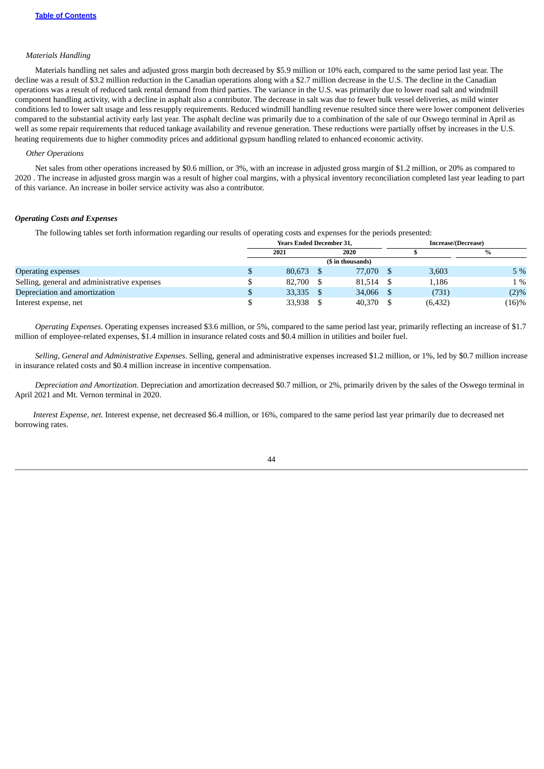#### *Materials Handling*

Materials handling net sales and adjusted gross margin both decreased by \$5.9 million or 10% each, compared to the same period last year. The decline was a result of \$3.2 million reduction in the Canadian operations along with a \$2.7 million decrease in the U.S. The decline in the Canadian operations was a result of reduced tank rental demand from third parties. The variance in the U.S. was primarily due to lower road salt and windmill component handling activity, with a decline in asphalt also a contributor. The decrease in salt was due to fewer bulk vessel deliveries, as mild winter conditions led to lower salt usage and less resupply requirements. Reduced windmill handling revenue resulted since there were lower component deliveries compared to the substantial activity early last year. The asphalt decline was primarily due to a combination of the sale of our Oswego terminal in April as well as some repair requirements that reduced tankage availability and revenue generation. These reductions were partially offset by increases in the U.S. heating requirements due to higher commodity prices and additional gypsum handling related to enhanced economic activity.

# *Other Operations*

Net sales from other operations increased by \$0.6 million, or 3%, with an increase in adjusted gross margin of \$1.2 million, or 20% as compared to 2020 . The increase in adjusted gross margin was a result of higher coal margins, with a physical inventory reconciliation completed last year leading to part of this variance. An increase in boiler service activity was also a contributor.

# *Operating Costs and Expenses*

The following tables set forth information regarding our results of operating costs and expenses for the periods presented:

|                                              | <b>Years Ended December 31,</b> |  |                   | Increase/(Decrease) |       |  |  |
|----------------------------------------------|---------------------------------|--|-------------------|---------------------|-------|--|--|
|                                              | 2021                            |  | 2020              |                     | $\%$  |  |  |
|                                              |                                 |  | (\$ in thousands) |                     |       |  |  |
| <b>Operating expenses</b>                    | 80.673                          |  | 77,070            | 3,603               | 5 %   |  |  |
| Selling, general and administrative expenses | 82,700                          |  | 81,514            | 1,186               | 1 %   |  |  |
| Depreciation and amortization                | 33,335                          |  | 34,066            | (731)               | (2)%  |  |  |
| Interest expense, net                        | 33,938                          |  | 40,370            | (6, 432)            | (16)% |  |  |

*Operating Expenses*. Operating expenses increased \$3.6 million, or 5%, compared to the same period last year, primarily reflecting an increase of \$1.7 million of employee-related expenses, \$1.4 million in insurance related costs and \$0.4 million in utilities and boiler fuel.

*Selling, General and Administrative Expenses*. Selling, general and administrative expenses increased \$1.2 million, or 1%, led by \$0.7 million increase in insurance related costs and \$0.4 million increase in incentive compensation.

*Depreciation and Amortization.* Depreciation and amortization decreased \$0.7 million, or 2%, primarily driven by the sales of the Oswego terminal in April 2021 and Mt. Vernon terminal in 2020.

*Interest Expense, net.* Interest expense, net decreased \$6.4 million, or 16%, compared to the same period last year primarily due to decreased net borrowing rates.

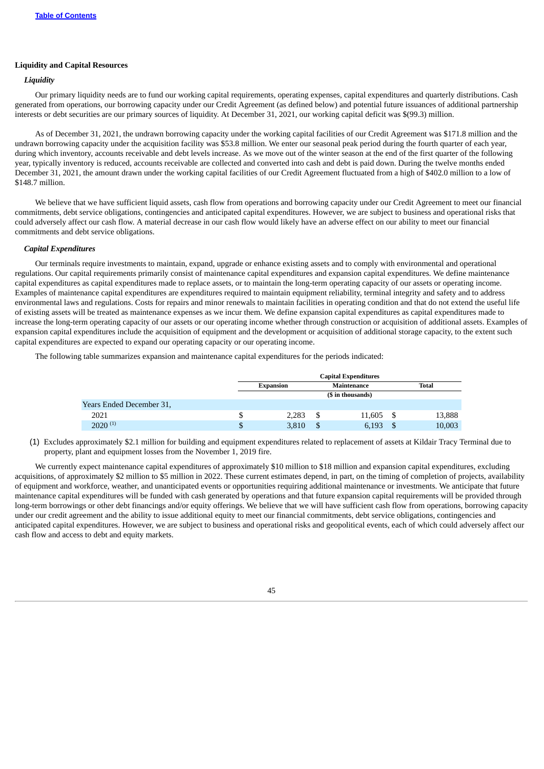# **Liquidity and Capital Resources**

# *Liquidity*

Our primary liquidity needs are to fund our working capital requirements, operating expenses, capital expenditures and quarterly distributions. Cash generated from operations, our borrowing capacity under our Credit Agreement (as defined below) and potential future issuances of additional partnership interests or debt securities are our primary sources of liquidity. At December 31, 2021, our working capital deficit was \$(99.3) million.

As of December 31, 2021, the undrawn borrowing capacity under the working capital facilities of our Credit Agreement was \$171.8 million and the undrawn borrowing capacity under the acquisition facility was \$53.8 million. We enter our seasonal peak period during the fourth quarter of each year, during which inventory, accounts receivable and debt levels increase. As we move out of the winter season at the end of the first quarter of the following year, typically inventory is reduced, accounts receivable are collected and converted into cash and debt is paid down. During the twelve months ended December 31, 2021, the amount drawn under the working capital facilities of our Credit Agreement fluctuated from a high of \$402.0 million to a low of \$148.7 million.

We believe that we have sufficient liquid assets, cash flow from operations and borrowing capacity under our Credit Agreement to meet our financial commitments, debt service obligations, contingencies and anticipated capital expenditures. However, we are subject to business and operational risks that could adversely affect our cash flow. A material decrease in our cash flow would likely have an adverse effect on our ability to meet our financial commitments and debt service obligations.

# *Capital Expenditures*

Our terminals require investments to maintain, expand, upgrade or enhance existing assets and to comply with environmental and operational regulations. Our capital requirements primarily consist of maintenance capital expenditures and expansion capital expenditures. We define maintenance capital expenditures as capital expenditures made to replace assets, or to maintain the long-term operating capacity of our assets or operating income. Examples of maintenance capital expenditures are expenditures required to maintain equipment reliability, terminal integrity and safety and to address environmental laws and regulations. Costs for repairs and minor renewals to maintain facilities in operating condition and that do not extend the useful life of existing assets will be treated as maintenance expenses as we incur them. We define expansion capital expenditures as capital expenditures made to increase the long-term operating capacity of our assets or our operating income whether through construction or acquisition of additional assets. Examples of expansion capital expenditures include the acquisition of equipment and the development or acquisition of additional storage capacity, to the extent such capital expenditures are expected to expand our operating capacity or our operating income.

The following table summarizes expansion and maintenance capital expenditures for the periods indicated:

|                          | <b>Capital Expenditures</b> |  |             |  |              |  |  |  |  |  |  |
|--------------------------|-----------------------------|--|-------------|--|--------------|--|--|--|--|--|--|
|                          | Expansion                   |  | Maintenance |  | <b>Total</b> |  |  |  |  |  |  |
|                          | (\$ in thousands)           |  |             |  |              |  |  |  |  |  |  |
| Years Ended December 31, |                             |  |             |  |              |  |  |  |  |  |  |
| 2021                     | 2.283                       |  | 11.605      |  | 13,888       |  |  |  |  |  |  |
| $2020^{(1)}$             | 3,810                       |  | 6.193       |  | 10,003       |  |  |  |  |  |  |

(1) Excludes approximately \$2.1 million for building and equipment expenditures related to replacement of assets at Kildair Tracy Terminal due to property, plant and equipment losses from the November 1, 2019 fire.

We currently expect maintenance capital expenditures of approximately \$10 million to \$18 million and expansion capital expenditures, excluding acquisitions, of approximately \$2 million to \$5 million in 2022. These current estimates depend, in part, on the timing of completion of projects, availability of equipment and workforce, weather, and unanticipated events or opportunities requiring additional maintenance or investments. We anticipate that future maintenance capital expenditures will be funded with cash generated by operations and that future expansion capital requirements will be provided through long-term borrowings or other debt financings and/or equity offerings. We believe that we will have sufficient cash flow from operations, borrowing capacity under our credit agreement and the ability to issue additional equity to meet our financial commitments, debt service obligations, contingencies and anticipated capital expenditures. However, we are subject to business and operational risks and geopolitical events, each of which could adversely affect our cash flow and access to debt and equity markets.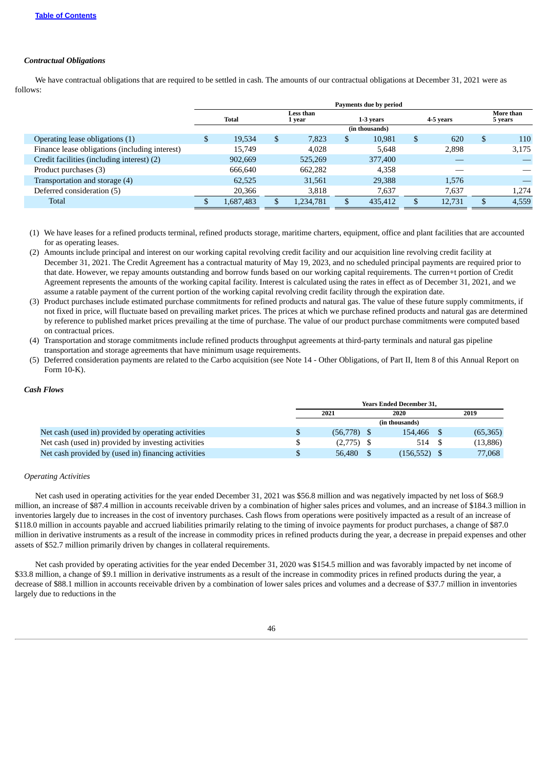# *Contractual Obligations*

We have contractual obligations that are required to be settled in cash. The amounts of our contractual obligations at December 31, 2021 were as follows:

|                                                | Payments due by period |               |                     |   |                |    |           |   |                             |
|------------------------------------------------|------------------------|---------------|---------------------|---|----------------|----|-----------|---|-----------------------------|
|                                                | Total                  |               | Less than<br>1 year |   | 1-3 years      |    | 4-5 years |   | <b>More than</b><br>5 years |
|                                                |                        |               |                     |   | (in thousands) |    |           |   |                             |
| Operating lease obligations (1)                | \$<br>19.534           | <sup>\$</sup> | 7,823               | D | 10,981         | \$ | 620       | S | 110                         |
| Finance lease obligations (including interest) | 15.749                 |               | 4,028               |   | 5.648          |    | 2,898     |   | 3,175                       |
| Credit facilities (including interest) (2)     | 902,669                |               | 525,269             |   | 377,400        |    |           |   |                             |
| Product purchases (3)                          | 666.640                |               | 662,282             |   | 4,358          |    |           |   |                             |
| Transportation and storage (4)                 | 62,525                 |               | 31,561              |   | 29,388         |    | 1,576     |   |                             |
| Deferred consideration (5)                     | 20,366                 |               | 3,818               |   | 7,637          |    | 7,637     |   | 1,274                       |
| <b>Total</b>                                   | 1,687,483              |               | 1,234,781           |   | 435,412        |    | 12,731    |   | 4,559                       |

(1) We have leases for a refined products terminal, refined products storage, maritime charters, equipment, office and plant facilities that are accounted for as operating leases.

(2) Amounts include principal and interest on our working capital revolving credit facility and our acquisition line revolving credit facility at December 31, 2021. The Credit Agreement has a contractual maturity of May 19, 2023, and no scheduled principal payments are required prior to that date. However, we repay amounts outstanding and borrow funds based on our working capital requirements. The curren+t portion of Credit Agreement represents the amounts of the working capital facility. Interest is calculated using the rates in effect as of December 31, 2021, and we assume a ratable payment of the current portion of the working capital revolving credit facility through the expiration date.

(3) Product purchases include estimated purchase commitments for refined products and natural gas. The value of these future supply commitments, if not fixed in price, will fluctuate based on prevailing market prices. The prices at which we purchase refined products and natural gas are determined by reference to published market prices prevailing at the time of purchase. The value of our product purchase commitments were computed based on contractual prices.

(4) Transportation and storage commitments include refined products throughput agreements at third-party terminals and natural gas pipeline transportation and storage agreements that have minimum usage requirements.

(5) Deferred consideration payments are related to the Carbo acquisition (see Note 14 - Other Obligations, of Part II, Item 8 of this Annual Report on Form 10-K).

# *Cash Flows*

|                                                     | <b>Years Ended December 31,</b> |  |                 |  |           |  |  |
|-----------------------------------------------------|---------------------------------|--|-----------------|--|-----------|--|--|
|                                                     | 2021                            |  | 2020            |  | 2019      |  |  |
|                                                     | (in thousands)                  |  |                 |  |           |  |  |
| Net cash (used in) provided by operating activities | $(56,778)$ \$                   |  | 154,466         |  | (65,365)  |  |  |
| Net cash (used in) provided by investing activities | (2,775)                         |  | 514             |  | (13, 886) |  |  |
| Net cash provided by (used in) financing activities | 56,480                          |  | $(156, 552)$ \$ |  | 77,068    |  |  |

# *Operating Activities*

Net cash used in operating activities for the year ended December 31, 2021 was \$56.8 million and was negatively impacted by net loss of \$68.9 million, an increase of \$87.4 million in accounts receivable driven by a combination of higher sales prices and volumes, and an increase of \$184.3 million in inventories largely due to increases in the cost of inventory purchases. Cash flows from operations were positively impacted as a result of an increase of \$118.0 million in accounts payable and accrued liabilities primarily relating to the timing of invoice payments for product purchases, a change of \$87.0 million in derivative instruments as a result of the increase in commodity prices in refined products during the year, a decrease in prepaid expenses and other assets of \$52.7 million primarily driven by changes in collateral requirements.

Net cash provided by operating activities for the year ended December 31, 2020 was \$154.5 million and was favorably impacted by net income of \$33.8 million, a change of \$9.1 million in derivative instruments as a result of the increase in commodity prices in refined products during the year, a decrease of \$88.1 million in accounts receivable driven by a combination of lower sales prices and volumes and a decrease of \$37.7 million in inventories largely due to reductions in the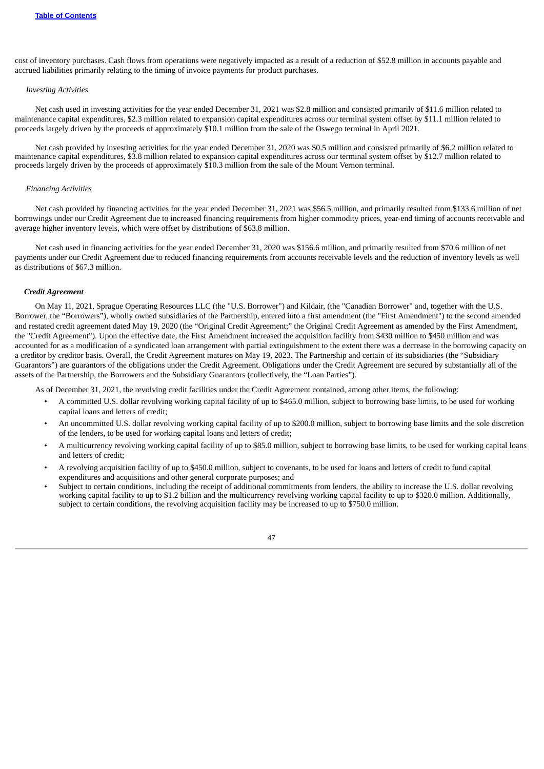cost of inventory purchases. Cash flows from operations were negatively impacted as a result of a reduction of \$52.8 million in accounts payable and accrued liabilities primarily relating to the timing of invoice payments for product purchases.

# *Investing Activities*

Net cash used in investing activities for the year ended December 31, 2021 was \$2.8 million and consisted primarily of \$11.6 million related to maintenance capital expenditures, \$2.3 million related to expansion capital expenditures across our terminal system offset by \$11.1 million related to proceeds largely driven by the proceeds of approximately \$10.1 million from the sale of the Oswego terminal in April 2021.

Net cash provided by investing activities for the year ended December 31, 2020 was \$0.5 million and consisted primarily of \$6.2 million related to maintenance capital expenditures, \$3.8 million related to expansion capital expenditures across our terminal system offset by \$12.7 million related to proceeds largely driven by the proceeds of approximately \$10.3 million from the sale of the Mount Vernon terminal.

#### *Financing Activities*

Net cash provided by financing activities for the year ended December 31, 2021 was \$56.5 million, and primarily resulted from \$133.6 million of net borrowings under our Credit Agreement due to increased financing requirements from higher commodity prices, year-end timing of accounts receivable and average higher inventory levels, which were offset by distributions of \$63.8 million.

Net cash used in financing activities for the year ended December 31, 2020 was \$156.6 million, and primarily resulted from \$70.6 million of net payments under our Credit Agreement due to reduced financing requirements from accounts receivable levels and the reduction of inventory levels as well as distributions of \$67.3 million.

#### *Credit Agreement*

On May 11, 2021, Sprague Operating Resources LLC (the "U.S. Borrower") and Kildair, (the "Canadian Borrower" and, together with the U.S. Borrower, the "Borrowers"), wholly owned subsidiaries of the Partnership, entered into a first amendment (the "First Amendment") to the second amended and restated credit agreement dated May 19, 2020 (the "Original Credit Agreement;" the Original Credit Agreement as amended by the First Amendment, the "Credit Agreement"). Upon the effective date, the First Amendment increased the acquisition facility from \$430 million to \$450 million and was accounted for as a modification of a syndicated loan arrangement with partial extinguishment to the extent there was a decrease in the borrowing capacity on a creditor by creditor basis. Overall, the Credit Agreement matures on May 19, 2023. The Partnership and certain of its subsidiaries (the "Subsidiary Guarantors") are guarantors of the obligations under the Credit Agreement. Obligations under the Credit Agreement are secured by substantially all of the assets of the Partnership, the Borrowers and the Subsidiary Guarantors (collectively, the "Loan Parties").

As of December 31, 2021, the revolving credit facilities under the Credit Agreement contained, among other items, the following:

- A committed U.S. dollar revolving working capital facility of up to \$465.0 million, subject to borrowing base limits, to be used for working capital loans and letters of credit;
- An uncommitted U.S. dollar revolving working capital facility of up to \$200.0 million, subject to borrowing base limits and the sole discretion of the lenders, to be used for working capital loans and letters of credit;
- A multicurrency revolving working capital facility of up to \$85.0 million, subject to borrowing base limits, to be used for working capital loans and letters of credit;
- A revolving acquisition facility of up to \$450.0 million, subject to covenants, to be used for loans and letters of credit to fund capital expenditures and acquisitions and other general corporate purposes; and
- Subject to certain conditions, including the receipt of additional commitments from lenders, the ability to increase the U.S. dollar revolving working capital facility to up to \$1.2 billion and the multicurrency revolving working capital facility to up to \$320.0 million. Additionally, subject to certain conditions, the revolving acquisition facility may be increased to up to \$750.0 million.

47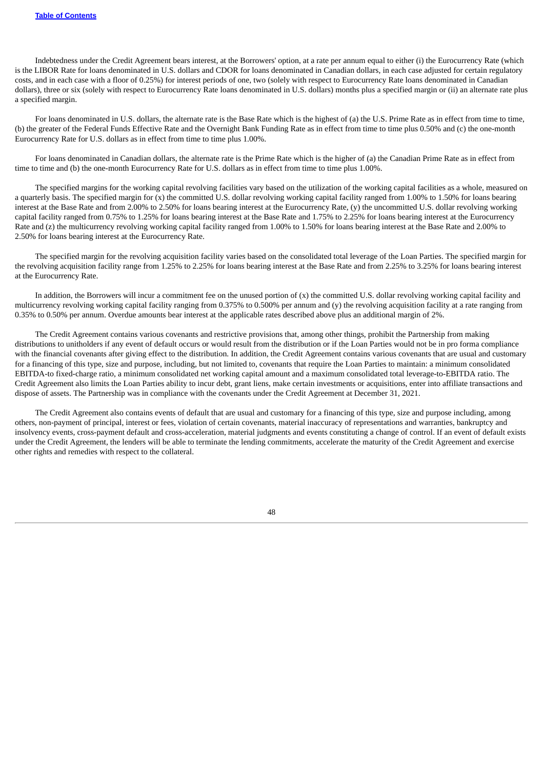Indebtedness under the Credit Agreement bears interest, at the Borrowers' option, at a rate per annum equal to either (i) the Eurocurrency Rate (which is the LIBOR Rate for loans denominated in U.S. dollars and CDOR for loans denominated in Canadian dollars, in each case adjusted for certain regulatory costs, and in each case with a floor of 0.25%) for interest periods of one, two (solely with respect to Eurocurrency Rate loans denominated in Canadian dollars), three or six (solely with respect to Eurocurrency Rate loans denominated in U.S. dollars) months plus a specified margin or (ii) an alternate rate plus a specified margin.

For loans denominated in U.S. dollars, the alternate rate is the Base Rate which is the highest of (a) the U.S. Prime Rate as in effect from time to time, (b) the greater of the Federal Funds Effective Rate and the Overnight Bank Funding Rate as in effect from time to time plus 0.50% and (c) the one-month Eurocurrency Rate for U.S. dollars as in effect from time to time plus 1.00%.

For loans denominated in Canadian dollars, the alternate rate is the Prime Rate which is the higher of (a) the Canadian Prime Rate as in effect from time to time and (b) the one-month Eurocurrency Rate for U.S. dollars as in effect from time to time plus 1.00%.

The specified margins for the working capital revolving facilities vary based on the utilization of the working capital facilities as a whole, measured on a quarterly basis. The specified margin for (x) the committed U.S. dollar revolving working capital facility ranged from 1.00% to 1.50% for loans bearing interest at the Base Rate and from 2.00% to 2.50% for loans bearing interest at the Eurocurrency Rate, (y) the uncommitted U.S. dollar revolving working capital facility ranged from 0.75% to 1.25% for loans bearing interest at the Base Rate and 1.75% to 2.25% for loans bearing interest at the Eurocurrency Rate and (z) the multicurrency revolving working capital facility ranged from 1.00% to 1.50% for loans bearing interest at the Base Rate and 2.00% to 2.50% for loans bearing interest at the Eurocurrency Rate.

The specified margin for the revolving acquisition facility varies based on the consolidated total leverage of the Loan Parties. The specified margin for the revolving acquisition facility range from 1.25% to 2.25% for loans bearing interest at the Base Rate and from 2.25% to 3.25% for loans bearing interest at the Eurocurrency Rate.

In addition, the Borrowers will incur a commitment fee on the unused portion of (x) the committed U.S. dollar revolving working capital facility and multicurrency revolving working capital facility ranging from 0.375% to 0.500% per annum and (y) the revolving acquisition facility at a rate ranging from 0.35% to 0.50% per annum. Overdue amounts bear interest at the applicable rates described above plus an additional margin of 2%.

The Credit Agreement contains various covenants and restrictive provisions that, among other things, prohibit the Partnership from making distributions to unitholders if any event of default occurs or would result from the distribution or if the Loan Parties would not be in pro forma compliance with the financial covenants after giving effect to the distribution. In addition, the Credit Agreement contains various covenants that are usual and customary for a financing of this type, size and purpose, including, but not limited to, covenants that require the Loan Parties to maintain: a minimum consolidated EBITDA-to fixed-charge ratio, a minimum consolidated net working capital amount and a maximum consolidated total leverage-to-EBITDA ratio. The Credit Agreement also limits the Loan Parties ability to incur debt, grant liens, make certain investments or acquisitions, enter into affiliate transactions and dispose of assets. The Partnership was in compliance with the covenants under the Credit Agreement at December 31, 2021.

The Credit Agreement also contains events of default that are usual and customary for a financing of this type, size and purpose including, among others, non-payment of principal, interest or fees, violation of certain covenants, material inaccuracy of representations and warranties, bankruptcy and insolvency events, cross-payment default and cross-acceleration, material judgments and events constituting a change of control. If an event of default exists under the Credit Agreement, the lenders will be able to terminate the lending commitments, accelerate the maturity of the Credit Agreement and exercise other rights and remedies with respect to the collateral.

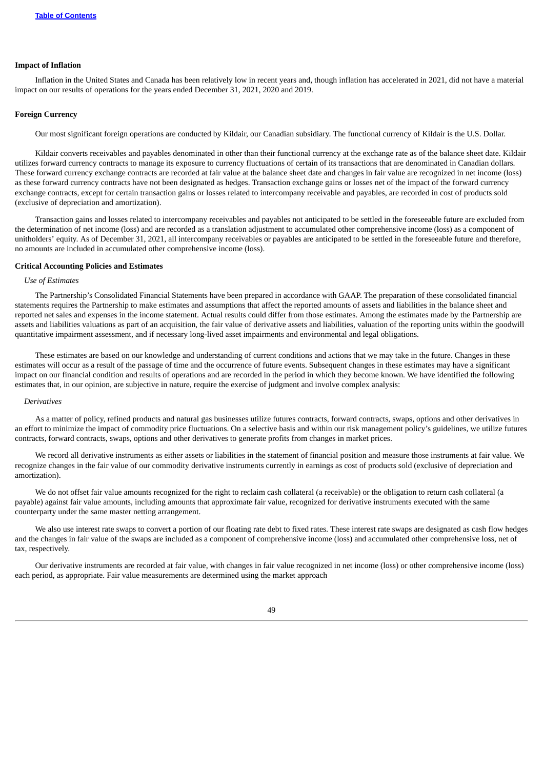## **Impact of Inflation**

Inflation in the United States and Canada has been relatively low in recent years and, though inflation has accelerated in 2021, did not have a material impact on our results of operations for the years ended December 31, 2021, 2020 and 2019.

# **Foreign Currency**

Our most significant foreign operations are conducted by Kildair, our Canadian subsidiary. The functional currency of Kildair is the U.S. Dollar.

Kildair converts receivables and payables denominated in other than their functional currency at the exchange rate as of the balance sheet date. Kildair utilizes forward currency contracts to manage its exposure to currency fluctuations of certain of its transactions that are denominated in Canadian dollars. These forward currency exchange contracts are recorded at fair value at the balance sheet date and changes in fair value are recognized in net income (loss) as these forward currency contracts have not been designated as hedges. Transaction exchange gains or losses net of the impact of the forward currency exchange contracts, except for certain transaction gains or losses related to intercompany receivable and payables, are recorded in cost of products sold (exclusive of depreciation and amortization).

Transaction gains and losses related to intercompany receivables and payables not anticipated to be settled in the foreseeable future are excluded from the determination of net income (loss) and are recorded as a translation adjustment to accumulated other comprehensive income (loss) as a component of unitholders' equity. As of December 31, 2021, all intercompany receivables or payables are anticipated to be settled in the foreseeable future and therefore, no amounts are included in accumulated other comprehensive income (loss).

#### **Critical Accounting Policies and Estimates**

#### *Use of Estimates*

The Partnership's Consolidated Financial Statements have been prepared in accordance with GAAP. The preparation of these consolidated financial statements requires the Partnership to make estimates and assumptions that affect the reported amounts of assets and liabilities in the balance sheet and reported net sales and expenses in the income statement. Actual results could differ from those estimates. Among the estimates made by the Partnership are assets and liabilities valuations as part of an acquisition, the fair value of derivative assets and liabilities, valuation of the reporting units within the goodwill quantitative impairment assessment, and if necessary long-lived asset impairments and environmental and legal obligations.

These estimates are based on our knowledge and understanding of current conditions and actions that we may take in the future. Changes in these estimates will occur as a result of the passage of time and the occurrence of future events. Subsequent changes in these estimates may have a significant impact on our financial condition and results of operations and are recorded in the period in which they become known. We have identified the following estimates that, in our opinion, are subjective in nature, require the exercise of judgment and involve complex analysis:

#### *Derivatives*

As a matter of policy, refined products and natural gas businesses utilize futures contracts, forward contracts, swaps, options and other derivatives in an effort to minimize the impact of commodity price fluctuations. On a selective basis and within our risk management policy's guidelines, we utilize futures contracts, forward contracts, swaps, options and other derivatives to generate profits from changes in market prices.

We record all derivative instruments as either assets or liabilities in the statement of financial position and measure those instruments at fair value. We recognize changes in the fair value of our commodity derivative instruments currently in earnings as cost of products sold (exclusive of depreciation and amortization).

We do not offset fair value amounts recognized for the right to reclaim cash collateral (a receivable) or the obligation to return cash collateral (a payable) against fair value amounts, including amounts that approximate fair value, recognized for derivative instruments executed with the same counterparty under the same master netting arrangement.

We also use interest rate swaps to convert a portion of our floating rate debt to fixed rates. These interest rate swaps are designated as cash flow hedges and the changes in fair value of the swaps are included as a component of comprehensive income (loss) and accumulated other comprehensive loss, net of tax, respectively.

Our derivative instruments are recorded at fair value, with changes in fair value recognized in net income (loss) or other comprehensive income (loss) each period, as appropriate. Fair value measurements are determined using the market approach

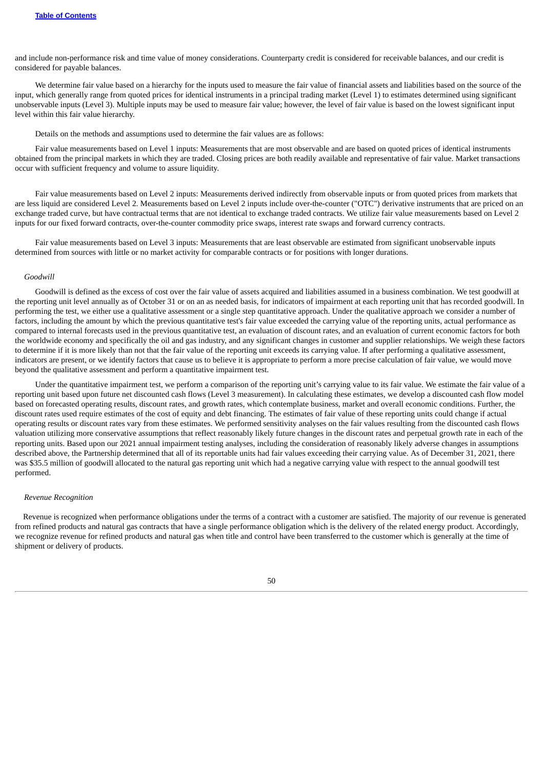and include non-performance risk and time value of money considerations. Counterparty credit is considered for receivable balances, and our credit is considered for payable balances.

We determine fair value based on a hierarchy for the inputs used to measure the fair value of financial assets and liabilities based on the source of the input, which generally range from quoted prices for identical instruments in a principal trading market (Level 1) to estimates determined using significant unobservable inputs (Level 3). Multiple inputs may be used to measure fair value; however, the level of fair value is based on the lowest significant input level within this fair value hierarchy.

Details on the methods and assumptions used to determine the fair values are as follows:

Fair value measurements based on Level 1 inputs: Measurements that are most observable and are based on quoted prices of identical instruments obtained from the principal markets in which they are traded. Closing prices are both readily available and representative of fair value. Market transactions occur with sufficient frequency and volume to assure liquidity.

Fair value measurements based on Level 2 inputs: Measurements derived indirectly from observable inputs or from quoted prices from markets that are less liquid are considered Level 2. Measurements based on Level 2 inputs include over-the-counter ("OTC") derivative instruments that are priced on an exchange traded curve, but have contractual terms that are not identical to exchange traded contracts. We utilize fair value measurements based on Level 2 inputs for our fixed forward contracts, over-the-counter commodity price swaps, interest rate swaps and forward currency contracts.

Fair value measurements based on Level 3 inputs: Measurements that are least observable are estimated from significant unobservable inputs determined from sources with little or no market activity for comparable contracts or for positions with longer durations.

#### *Goodwill*

Goodwill is defined as the excess of cost over the fair value of assets acquired and liabilities assumed in a business combination. We test goodwill at the reporting unit level annually as of October 31 or on an as needed basis, for indicators of impairment at each reporting unit that has recorded goodwill. In performing the test, we either use a qualitative assessment or a single step quantitative approach. Under the qualitative approach we consider a number of factors, including the amount by which the previous quantitative test's fair value exceeded the carrying value of the reporting units, actual performance as compared to internal forecasts used in the previous quantitative test, an evaluation of discount rates, and an evaluation of current economic factors for both the worldwide economy and specifically the oil and gas industry, and any significant changes in customer and supplier relationships. We weigh these factors to determine if it is more likely than not that the fair value of the reporting unit exceeds its carrying value. If after performing a qualitative assessment, indicators are present, or we identify factors that cause us to believe it is appropriate to perform a more precise calculation of fair value, we would move beyond the qualitative assessment and perform a quantitative impairment test.

Under the quantitative impairment test, we perform a comparison of the reporting unit's carrying value to its fair value. We estimate the fair value of a reporting unit based upon future net discounted cash flows (Level 3 measurement). In calculating these estimates, we develop a discounted cash flow model based on forecasted operating results, discount rates, and growth rates, which contemplate business, market and overall economic conditions. Further, the discount rates used require estimates of the cost of equity and debt financing. The estimates of fair value of these reporting units could change if actual operating results or discount rates vary from these estimates. We performed sensitivity analyses on the fair values resulting from the discounted cash flows valuation utilizing more conservative assumptions that reflect reasonably likely future changes in the discount rates and perpetual growth rate in each of the reporting units. Based upon our 2021 annual impairment testing analyses, including the consideration of reasonably likely adverse changes in assumptions described above, the Partnership determined that all of its reportable units had fair values exceeding their carrying value. As of December 31, 2021, there was \$35.5 million of goodwill allocated to the natural gas reporting unit which had a negative carrying value with respect to the annual goodwill test performed.

# *Revenue Recognition*

Revenue is recognized when performance obligations under the terms of a contract with a customer are satisfied. The majority of our revenue is generated from refined products and natural gas contracts that have a single performance obligation which is the delivery of the related energy product. Accordingly, we recognize revenue for refined products and natural gas when title and control have been transferred to the customer which is generally at the time of shipment or delivery of products.

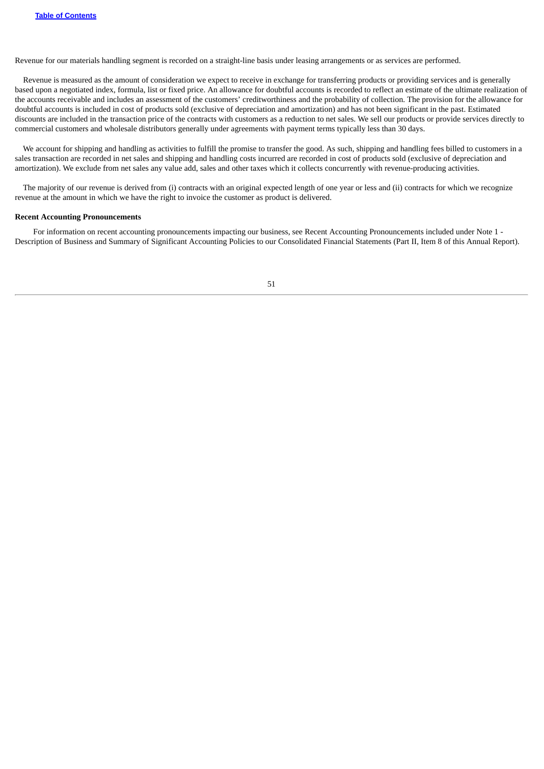Revenue for our materials handling segment is recorded on a straight-line basis under leasing arrangements or as services are performed.

Revenue is measured as the amount of consideration we expect to receive in exchange for transferring products or providing services and is generally based upon a negotiated index, formula, list or fixed price. An allowance for doubtful accounts is recorded to reflect an estimate of the ultimate realization of the accounts receivable and includes an assessment of the customers' creditworthiness and the probability of collection. The provision for the allowance for doubtful accounts is included in cost of products sold (exclusive of depreciation and amortization) and has not been significant in the past. Estimated discounts are included in the transaction price of the contracts with customers as a reduction to net sales. We sell our products or provide services directly to commercial customers and wholesale distributors generally under agreements with payment terms typically less than 30 days.

We account for shipping and handling as activities to fulfill the promise to transfer the good. As such, shipping and handling fees billed to customers in a sales transaction are recorded in net sales and shipping and handling costs incurred are recorded in cost of products sold (exclusive of depreciation and amortization). We exclude from net sales any value add, sales and other taxes which it collects concurrently with revenue-producing activities.

The majority of our revenue is derived from (i) contracts with an original expected length of one year or less and (ii) contracts for which we recognize revenue at the amount in which we have the right to invoice the customer as product is delivered.

### **Recent Accounting Pronouncements**

For information on recent accounting pronouncements impacting our business, see Recent Accounting Pronouncements included under Note 1 - Description of Business and Summary of Significant Accounting Policies to our Consolidated Financial Statements (Part II, Item 8 of this Annual Report).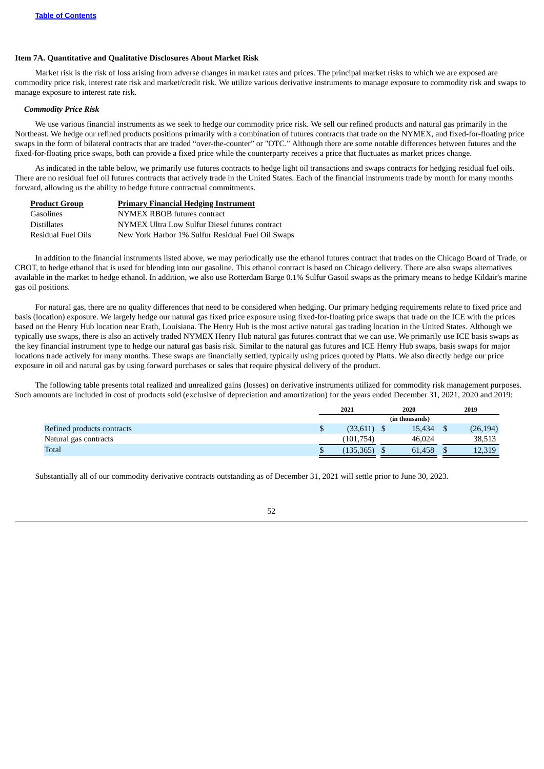# **Item 7A. Quantitative and Qualitative Disclosures About Market Risk**

Market risk is the risk of loss arising from adverse changes in market rates and prices. The principal market risks to which we are exposed are commodity price risk, interest rate risk and market/credit risk. We utilize various derivative instruments to manage exposure to commodity risk and swaps to manage exposure to interest rate risk.

# *Commodity Price Risk*

We use various financial instruments as we seek to hedge our commodity price risk. We sell our refined products and natural gas primarily in the Northeast. We hedge our refined products positions primarily with a combination of futures contracts that trade on the NYMEX, and fixed-for-floating price swaps in the form of bilateral contracts that are traded "over-the-counter" or "OTC." Although there are some notable differences between futures and the fixed-for-floating price swaps, both can provide a fixed price while the counterparty receives a price that fluctuates as market prices change.

As indicated in the table below, we primarily use futures contracts to hedge light oil transactions and swaps contracts for hedging residual fuel oils. There are no residual fuel oil futures contracts that actively trade in the United States. Each of the financial instruments trade by month for many months forward, allowing us the ability to hedge future contractual commitments.

| <b>Product Group</b> | <b>Primary Financial Hedging Instrument</b>       |
|----------------------|---------------------------------------------------|
| Gasolines            | NYMEX RBOB futures contract                       |
| <b>Distillates</b>   | NYMEX Ultra Low Sulfur Diesel futures contract    |
| Residual Fuel Oils   | New York Harbor 1% Sulfur Residual Fuel Oil Swaps |

In addition to the financial instruments listed above, we may periodically use the ethanol futures contract that trades on the Chicago Board of Trade, or CBOT, to hedge ethanol that is used for blending into our gasoline. This ethanol contract is based on Chicago delivery. There are also swaps alternatives available in the market to hedge ethanol. In addition, we also use Rotterdam Barge 0.1% Sulfur Gasoil swaps as the primary means to hedge Kildair's marine gas oil positions.

For natural gas, there are no quality differences that need to be considered when hedging. Our primary hedging requirements relate to fixed price and basis (location) exposure. We largely hedge our natural gas fixed price exposure using fixed-for-floating price swaps that trade on the ICE with the prices based on the Henry Hub location near Erath, Louisiana. The Henry Hub is the most active natural gas trading location in the United States. Although we typically use swaps, there is also an actively traded NYMEX Henry Hub natural gas futures contract that we can use. We primarily use ICE basis swaps as the key financial instrument type to hedge our natural gas basis risk. Similar to the natural gas futures and ICE Henry Hub swaps, basis swaps for major locations trade actively for many months. These swaps are financially settled, typically using prices quoted by Platts. We also directly hedge our price exposure in oil and natural gas by using forward purchases or sales that require physical delivery of the product.

The following table presents total realized and unrealized gains (losses) on derivative instruments utilized for commodity risk management purposes. Such amounts are included in cost of products sold (exclusive of depreciation and amortization) for the years ended December 31, 2021, 2020 and 2019:

|                            | 2021       | 2020           | 2019      |
|----------------------------|------------|----------------|-----------|
|                            |            | (in thousands) |           |
| Refined products contracts | (33,611)   | 15.434         | (26, 194) |
| Natural gas contracts      | (101, 754) | 46.024         | 38,513    |
| <b>Total</b>               | (135, 365) | 61.458         | 12,319    |

Substantially all of our commodity derivative contracts outstanding as of December 31, 2021 will settle prior to June 30, 2023.

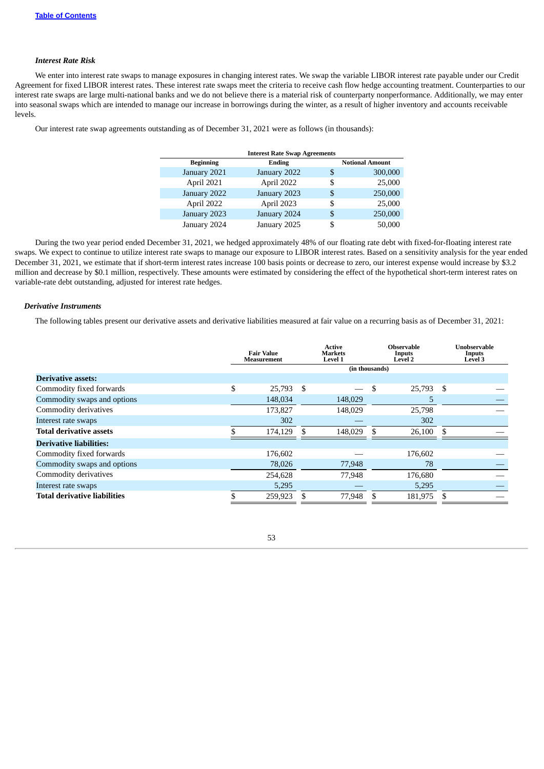#### *Interest Rate Risk*

We enter into interest rate swaps to manage exposures in changing interest rates. We swap the variable LIBOR interest rate payable under our Credit Agreement for fixed LIBOR interest rates. These interest rate swaps meet the criteria to receive cash flow hedge accounting treatment. Counterparties to our interest rate swaps are large multi-national banks and we do not believe there is a material risk of counterparty nonperformance. Additionally, we may enter into seasonal swaps which are intended to manage our increase in borrowings during the winter, as a result of higher inventory and accounts receivable levels.

Our interest rate swap agreements outstanding as of December 31, 2021 were as follows (in thousands):

| <b>Interest Rate Swap Agreements</b> |               |     |                        |  |  |  |  |  |
|--------------------------------------|---------------|-----|------------------------|--|--|--|--|--|
| <b>Beginning</b>                     | <b>Ending</b> |     | <b>Notional Amount</b> |  |  |  |  |  |
| January 2021                         | January 2022  | S   | 300,000                |  |  |  |  |  |
| April 2021                           | April 2022    | S   | 25,000                 |  |  |  |  |  |
| January 2022                         | January 2023  | S   | 250,000                |  |  |  |  |  |
| April 2022                           | April 2023    | \$  | 25,000                 |  |  |  |  |  |
| January 2023                         | January 2024  | \$. | 250,000                |  |  |  |  |  |
| January 2024                         | January 2025  |     | 50,000                 |  |  |  |  |  |

During the two year period ended December 31, 2021, we hedged approximately 48% of our floating rate debt with fixed-for-floating interest rate swaps. We expect to continue to utilize interest rate swaps to manage our exposure to LIBOR interest rates. Based on a sensitivity analysis for the year ended December 31, 2021, we estimate that if short-term interest rates increase 100 basis points or decrease to zero, our interest expense would increase by \$3.2 million and decrease by \$0.1 million, respectively. These amounts were estimated by considering the effect of the hypothetical short-term interest rates on variable-rate debt outstanding, adjusted for interest rate hedges.

# *Derivative Instruments*

The following tables present our derivative assets and derivative liabilities measured at fair value on a recurring basis as of December 31, 2021:

|                                     | <b>Fair Value</b><br>Measurement | Active<br>Markets<br><b>Level 1</b> |     | <b>Observable</b><br>Inputs<br><b>Level 2</b> | Unobservable<br>Inputs<br><b>Level 3</b> |
|-------------------------------------|----------------------------------|-------------------------------------|-----|-----------------------------------------------|------------------------------------------|
|                                     |                                  | (in thousands)                      |     |                                               |                                          |
| <b>Derivative assets:</b>           |                                  |                                     |     |                                               |                                          |
| Commodity fixed forwards            | \$<br>25,793 \$                  |                                     | -\$ | 25,793 \$                                     |                                          |
| Commodity swaps and options         | 148,034                          | 148,029                             |     | 5                                             |                                          |
| Commodity derivatives               | 173,827                          | 148,029                             |     | 25,798                                        |                                          |
| Interest rate swaps                 | 302                              |                                     |     | 302                                           |                                          |
| <b>Total derivative assets</b>      | 174,129                          | 148,029                             |     | $26,100$ \$                                   |                                          |
| <b>Derivative liabilities:</b>      |                                  |                                     |     |                                               |                                          |
| Commodity fixed forwards            | 176,602                          |                                     |     | 176,602                                       |                                          |
| Commodity swaps and options         | 78,026                           | 77,948                              |     | 78                                            |                                          |
| Commodity derivatives               | 254,628                          | 77,948                              |     | 176,680                                       |                                          |
| Interest rate swaps                 | 5,295                            |                                     |     | 5,295                                         |                                          |
| <b>Total derivative liabilities</b> | 259,923                          | 77,948                              |     | 181,975                                       |                                          |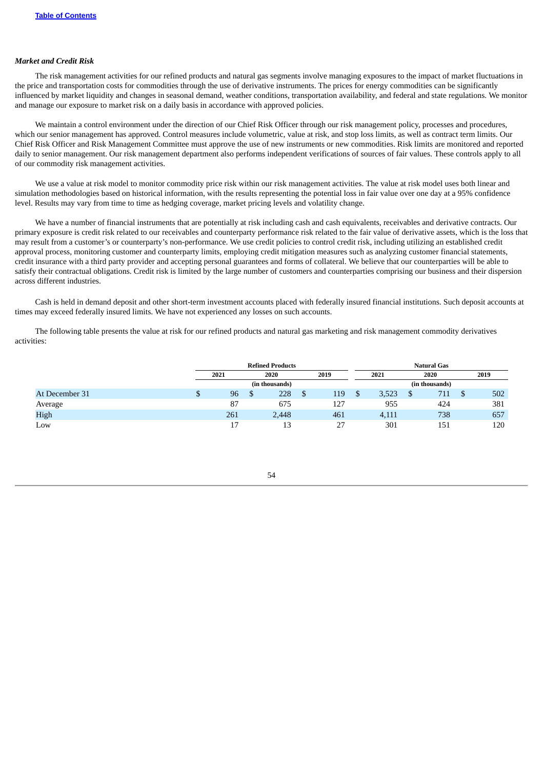#### *Market and Credit Risk*

The risk management activities for our refined products and natural gas segments involve managing exposures to the impact of market fluctuations in the price and transportation costs for commodities through the use of derivative instruments. The prices for energy commodities can be significantly influenced by market liquidity and changes in seasonal demand, weather conditions, transportation availability, and federal and state regulations. We monitor and manage our exposure to market risk on a daily basis in accordance with approved policies.

We maintain a control environment under the direction of our Chief Risk Officer through our risk management policy, processes and procedures, which our senior management has approved. Control measures include volumetric, value at risk, and stop loss limits, as well as contract term limits. Our Chief Risk Officer and Risk Management Committee must approve the use of new instruments or new commodities. Risk limits are monitored and reported daily to senior management. Our risk management department also performs independent verifications of sources of fair values. These controls apply to all of our commodity risk management activities.

We use a value at risk model to monitor commodity price risk within our risk management activities. The value at risk model uses both linear and simulation methodologies based on historical information, with the results representing the potential loss in fair value over one day at a 95% confidence level. Results may vary from time to time as hedging coverage, market pricing levels and volatility change.

We have a number of financial instruments that are potentially at risk including cash and cash equivalents, receivables and derivative contracts. Our primary exposure is credit risk related to our receivables and counterparty performance risk related to the fair value of derivative assets, which is the loss that may result from a customer's or counterparty's non-performance. We use credit policies to control credit risk, including utilizing an established credit approval process, monitoring customer and counterparty limits, employing credit mitigation measures such as analyzing customer financial statements, credit insurance with a third party provider and accepting personal guarantees and forms of collateral. We believe that our counterparties will be able to satisfy their contractual obligations. Credit risk is limited by the large number of customers and counterparties comprising our business and their dispersion across different industries.

Cash is held in demand deposit and other short-term investment accounts placed with federally insured financial institutions. Such deposit accounts at times may exceed federally insured limits. We have not experienced any losses on such accounts.

The following table presents the value at risk for our refined products and natural gas marketing and risk management commodity derivatives activities:

|                | <b>Refined Products</b> |     |   |                |  | <b>Natural Gas</b> |      |       |  |                |           |
|----------------|-------------------------|-----|---|----------------|--|--------------------|------|-------|--|----------------|-----------|
|                | 2021                    |     |   | 2020           |  | 2019               | 2021 |       |  | 2020           | 2019      |
|                |                         |     |   | (in thousands) |  |                    |      |       |  | (in thousands) |           |
| At December 31 |                         | 96  | S | 228            |  | 119                |      | 3,523 |  | 711            | \$<br>502 |
| Average        |                         | 87  |   | 675            |  | 127                |      | 955   |  | 424            | 381       |
| High           |                         | 261 |   | 2,448          |  | 461                |      | 4,111 |  | 738            | 657       |
| Low            |                         | 17  |   | 13             |  | 27                 |      | 301   |  | 151            | 120       |

# 54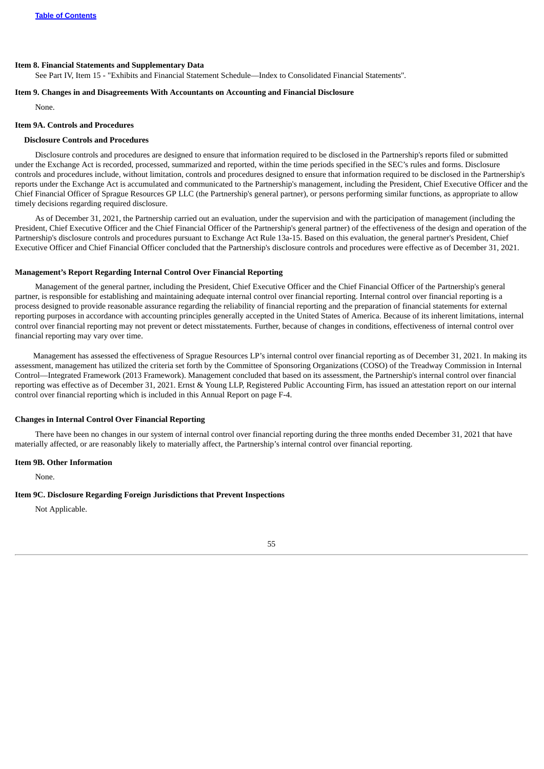### **Item 8. Financial Statements and Supplementary Data**

See Part IV, Item 15 - "Exhibits and Financial Statement Schedule—Index to Consolidated Financial Statements''.

## **Item 9. Changes in and Disagreements With Accountants on Accounting and Financial Disclosure**

None.

# **Item 9A. Controls and Procedures**

#### **Disclosure Controls and Procedures**

Disclosure controls and procedures are designed to ensure that information required to be disclosed in the Partnership's reports filed or submitted under the Exchange Act is recorded, processed, summarized and reported, within the time periods specified in the SEC's rules and forms. Disclosure controls and procedures include, without limitation, controls and procedures designed to ensure that information required to be disclosed in the Partnership's reports under the Exchange Act is accumulated and communicated to the Partnership's management, including the President, Chief Executive Officer and the Chief Financial Officer of Sprague Resources GP LLC (the Partnership's general partner), or persons performing similar functions, as appropriate to allow timely decisions regarding required disclosure.

As of December 31, 2021, the Partnership carried out an evaluation, under the supervision and with the participation of management (including the President, Chief Executive Officer and the Chief Financial Officer of the Partnership's general partner) of the effectiveness of the design and operation of the Partnership's disclosure controls and procedures pursuant to Exchange Act Rule 13a-15. Based on this evaluation, the general partner's President, Chief Executive Officer and Chief Financial Officer concluded that the Partnership's disclosure controls and procedures were effective as of December 31, 2021.

#### **Management's Report Regarding Internal Control Over Financial Reporting**

Management of the general partner, including the President, Chief Executive Officer and the Chief Financial Officer of the Partnership's general partner, is responsible for establishing and maintaining adequate internal control over financial reporting. Internal control over financial reporting is a process designed to provide reasonable assurance regarding the reliability of financial reporting and the preparation of financial statements for external reporting purposes in accordance with accounting principles generally accepted in the United States of America. Because of its inherent limitations, internal control over financial reporting may not prevent or detect misstatements. Further, because of changes in conditions, effectiveness of internal control over financial reporting may vary over time.

Management has assessed the effectiveness of Sprague Resources LP's internal control over financial reporting as of December 31, 2021. In making its assessment, management has utilized the criteria set forth by the Committee of Sponsoring Organizations (COSO) of the Treadway Commission in Internal Control—Integrated Framework (2013 Framework). Management concluded that based on its assessment, the Partnership's internal control over financial reporting was effective as of December 31, 2021. Ernst & Young LLP, Registered Public Accounting Firm, has issued an attestation report on our internal control over financial reporting which is included in this Annual Report on page F-4.

#### **Changes in Internal Control Over Financial Reporting**

There have been no changes in our system of internal control over financial reporting during the three months ended December 31, 2021 that have materially affected, or are reasonably likely to materially affect, the Partnership's internal control over financial reporting.

# **Item 9B. Other Information**

None.

# **Item 9C. Disclosure Regarding Foreign Jurisdictions that Prevent Inspections**

Not Applicable.

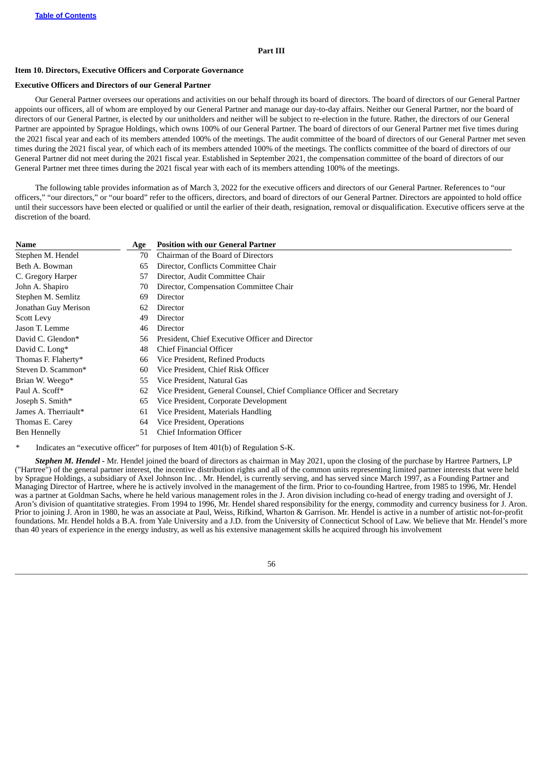#### **Part III**

# **Item 10. Directors, Executive Officers and Corporate Governance**

# **Executive Officers and Directors of our General Partner**

Our General Partner oversees our operations and activities on our behalf through its board of directors. The board of directors of our General Partner appoints our officers, all of whom are employed by our General Partner and manage our day-to-day affairs. Neither our General Partner, nor the board of directors of our General Partner, is elected by our unitholders and neither will be subject to re-election in the future. Rather, the directors of our General Partner are appointed by Sprague Holdings, which owns 100% of our General Partner. The board of directors of our General Partner met five times during the 2021 fiscal year and each of its members attended 100% of the meetings. The audit committee of the board of directors of our General Partner met seven times during the 2021 fiscal year, of which each of its members attended 100% of the meetings. The conflicts committee of the board of directors of our General Partner did not meet during the 2021 fiscal year. Established in September 2021, the compensation committee of the board of directors of our General Partner met three times during the 2021 fiscal year with each of its members attending 100% of the meetings.

The following table provides information as of March 3, 2022 for the executive officers and directors of our General Partner. References to "our officers," "our directors," or "our board" refer to the officers, directors, and board of directors of our General Partner. Directors are appointed to hold office until their successors have been elected or qualified or until the earlier of their death, resignation, removal or disqualification. Executive officers serve at the discretion of the board.

| Name                 | Age | <b>Position with our General Partner</b>                                |
|----------------------|-----|-------------------------------------------------------------------------|
| Stephen M. Hendel    | 70  | Chairman of the Board of Directors                                      |
| Beth A. Bowman       | 65  | Director, Conflicts Committee Chair                                     |
| C. Gregory Harper    | 57  | Director, Audit Committee Chair                                         |
| John A. Shapiro      | 70  | Director, Compensation Committee Chair                                  |
| Stephen M. Semlitz   | 69  | Director                                                                |
| Jonathan Guy Merison | 62  | Director                                                                |
| <b>Scott Levy</b>    | 49  | Director                                                                |
| Jason T. Lemme       | 46  | Director                                                                |
| David C. Glendon*    | 56  | President, Chief Executive Officer and Director                         |
| David C. Long*       | 48  | Chief Financial Officer                                                 |
| Thomas F. Flaherty*  | 66  | Vice President, Refined Products                                        |
| Steven D. Scammon*   | 60  | Vice President, Chief Risk Officer                                      |
| Brian W. Weego*      | 55  | Vice President, Natural Gas                                             |
| Paul A. Scoff*       | 62  | Vice President, General Counsel, Chief Compliance Officer and Secretary |
| Joseph S. Smith*     | 65  | Vice President, Corporate Development                                   |
| James A. Therriault* | 61  | Vice President, Materials Handling                                      |
| Thomas E. Carey      | 64  | Vice President, Operations                                              |
| <b>Ben Hennelly</b>  | 51  | <b>Chief Information Officer</b>                                        |

Indicates an "executive officer" for purposes of Item 401(b) of Regulation S-K.

*Stephen M. Hendel -* Mr. Hendel joined the board of directors as chairman in May 2021, upon the closing of the purchase by Hartree Partners, LP ("Hartree") of the general partner interest, the incentive distribution rights and all of the common units representing limited partner interests that were held by Sprague Holdings, a subsidiary of Axel Johnson Inc. . Mr. Hendel, is currently serving, and has served since March 1997, as a Founding Partner and Managing Director of Hartree, where he is actively involved in the management of the firm. Prior to co-founding Hartree, from 1985 to 1996, Mr. Hendel was a partner at Goldman Sachs, where he held various management roles in the J. Aron division including co-head of energy trading and oversight of J. Aron's division of quantitative strategies. From 1994 to 1996, Mr. Hendel shared responsibility for the energy, commodity and currency business for J. Aron. Prior to joining J. Aron in 1980, he was an associate at Paul, Weiss, Rifkind, Wharton & Garrison. Mr. Hendel is active in a number of artistic not-for-profit foundations. Mr. Hendel holds a B.A. from Yale University and a J.D. from the University of Connecticut School of Law. We believe that Mr. Hendel's more than 40 years of experience in the energy industry, as well as his extensive management skills he acquired through his involvement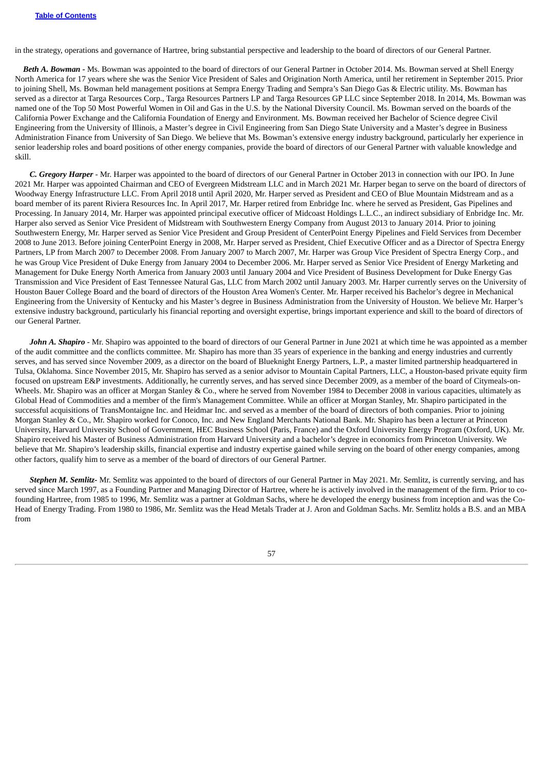in the strategy, operations and governance of Hartree, bring substantial perspective and leadership to the board of directors of our General Partner.

*Beth A. Bowman -* Ms. Bowman was appointed to the board of directors of our General Partner in October 2014. Ms. Bowman served at Shell Energy North America for 17 years where she was the Senior Vice President of Sales and Origination North America, until her retirement in September 2015. Prior to joining Shell, Ms. Bowman held management positions at Sempra Energy Trading and Sempra's San Diego Gas & Electric utility. Ms. Bowman has served as a director at Targa Resources Corp., Targa Resources Partners LP and Targa Resources GP LLC since September 2018. In 2014, Ms. Bowman was named one of the Top 50 Most Powerful Women in Oil and Gas in the U.S. by the National Diversity Council. Ms. Bowman served on the boards of the California Power Exchange and the California Foundation of Energy and Environment. Ms. Bowman received her Bachelor of Science degree Civil Engineering from the University of Illinois, a Master's degree in Civil Engineering from San Diego State University and a Master's degree in Business Administration Finance from University of San Diego. We believe that Ms. Bowman's extensive energy industry background, particularly her experience in senior leadership roles and board positions of other energy companies, provide the board of directors of our General Partner with valuable knowledge and skill.

*C. Gregory Harper* - Mr. Harper was appointed to the board of directors of our General Partner in October 2013 in connection with our IPO. In June 2021 Mr. Harper was appointed Chairman and CEO of Evergreen Midstream LLC and in March 2021 Mr. Harper began to serve on the board of directors of Woodway Energy Infrastructure LLC. From April 2018 until April 2020, Mr. Harper served as President and CEO of Blue Mountain Midstream and as a board member of its parent Riviera Resources Inc. In April 2017, Mr. Harper retired from Enbridge Inc. where he served as President, Gas Pipelines and Processing. In January 2014, Mr. Harper was appointed principal executive officer of Midcoast Holdings L.L.C., an indirect subsidiary of Enbridge Inc. Mr. Harper also served as Senior Vice President of Midstream with Southwestern Energy Company from August 2013 to January 2014. Prior to joining Southwestern Energy, Mr. Harper served as Senior Vice President and Group President of CenterPoint Energy Pipelines and Field Services from December 2008 to June 2013. Before joining CenterPoint Energy in 2008, Mr. Harper served as President, Chief Executive Officer and as a Director of Spectra Energy Partners, LP from March 2007 to December 2008. From January 2007 to March 2007, Mr. Harper was Group Vice President of Spectra Energy Corp., and he was Group Vice President of Duke Energy from January 2004 to December 2006. Mr. Harper served as Senior Vice President of Energy Marketing and Management for Duke Energy North America from January 2003 until January 2004 and Vice President of Business Development for Duke Energy Gas Transmission and Vice President of East Tennessee Natural Gas, LLC from March 2002 until January 2003. Mr. Harper currently serves on the University of Houston Bauer College Board and the board of directors of the Houston Area Women's Center. Mr. Harper received his Bachelor's degree in Mechanical Engineering from the University of Kentucky and his Master's degree in Business Administration from the University of Houston. We believe Mr. Harper's extensive industry background, particularly his financial reporting and oversight expertise, brings important experience and skill to the board of directors of our General Partner.

*John A. Shapiro* - Mr. Shapiro was appointed to the board of directors of our General Partner in June 2021 at which time he was appointed as a member of the audit committee and the conflicts committee. Mr. Shapiro has more than 35 years of experience in the banking and energy industries and currently serves, and has served since November 2009, as a director on the board of Blueknight Energy Partners, L.P., a master limited partnership headquartered in Tulsa, Oklahoma. Since November 2015, Mr. Shapiro has served as a senior advisor to Mountain Capital Partners, LLC, a Houston-based private equity firm focused on upstream E&P investments. Additionally, he currently serves, and has served since December 2009, as a member of the board of Citymeals-on-Wheels. Mr. Shapiro was an officer at Morgan Stanley & Co., where he served from November 1984 to December 2008 in various capacities, ultimately as Global Head of Commodities and a member of the firm's Management Committee. While an officer at Morgan Stanley, Mr. Shapiro participated in the successful acquisitions of TransMontaigne Inc. and Heidmar Inc. and served as a member of the board of directors of both companies. Prior to joining Morgan Stanley & Co., Mr. Shapiro worked for Conoco, Inc. and New England Merchants National Bank. Mr. Shapiro has been a lecturer at Princeton University, Harvard University School of Government, HEC Business School (Paris, France) and the Oxford University Energy Program (Oxford, UK). Mr. Shapiro received his Master of Business Administration from Harvard University and a bachelor's degree in economics from Princeton University. We believe that Mr. Shapiro's leadership skills, financial expertise and industry expertise gained while serving on the board of other energy companies, among other factors, qualify him to serve as a member of the board of directors of our General Partner.

*Stephen M. Semlitz-* Mr. Semlitz was appointed to the board of directors of our General Partner in May 2021. Mr. Semlitz, is currently serving, and has served since March 1997, as a Founding Partner and Managing Director of Hartree, where he is actively involved in the management of the firm. Prior to cofounding Hartree, from 1985 to 1996, Mr. Semlitz was a partner at Goldman Sachs, where he developed the energy business from inception and was the Co-Head of Energy Trading. From 1980 to 1986, Mr. Semlitz was the Head Metals Trader at J. Aron and Goldman Sachs. Mr. Semlitz holds a B.S. and an MBA from

57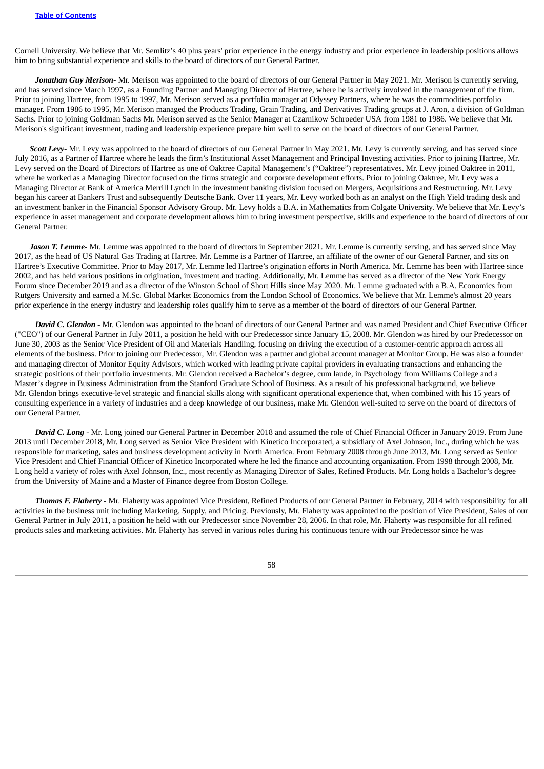Cornell University. We believe that Mr. Semlitz's 40 plus years' prior experience in the energy industry and prior experience in leadership positions allows him to bring substantial experience and skills to the board of directors of our General Partner.

*Jonathan Guy Merison-* Mr. Merison was appointed to the board of directors of our General Partner in May 2021. Mr. Merison is currently serving, and has served since March 1997, as a Founding Partner and Managing Director of Hartree, where he is actively involved in the management of the firm. Prior to joining Hartree, from 1995 to 1997, Mr. Merison served as a portfolio manager at Odyssey Partners, where he was the commodities portfolio manager. From 1986 to 1995, Mr. Merison managed the Products Trading, Grain Trading, and Derivatives Trading groups at J. Aron, a division of Goldman Sachs. Prior to joining Goldman Sachs Mr. Merison served as the Senior Manager at Czarnikow Schroeder USA from 1981 to 1986. We believe that Mr. Merison's significant investment, trading and leadership experience prepare him well to serve on the board of directors of our General Partner.

*Scott Levy-* Mr. Levy was appointed to the board of directors of our General Partner in May 2021. Mr. Levy is currently serving, and has served since July 2016, as a Partner of Hartree where he leads the firm's Institutional Asset Management and Principal Investing activities. Prior to joining Hartree, Mr. Levy served on the Board of Directors of Hartree as one of Oaktree Capital Management's ("Oaktree") representatives. Mr. Levy joined Oaktree in 2011, where he worked as a Managing Director focused on the firms strategic and corporate development efforts. Prior to joining Oaktree, Mr. Levy was a Managing Director at Bank of America Merrill Lynch in the investment banking division focused on Mergers, Acquisitions and Restructuring. Mr. Levy began his career at Bankers Trust and subsequently Deutsche Bank. Over 11 years, Mr. Levy worked both as an analyst on the High Yield trading desk and an investment banker in the Financial Sponsor Advisory Group. Mr. Levy holds a B.A. in Mathematics from Colgate University. We believe that Mr. Levy's experience in asset management and corporate development allows him to bring investment perspective, skills and experience to the board of directors of our General Partner.

*Jason T. Lemme-* Mr. Lemme was appointed to the board of directors in September 2021. Mr. Lemme is currently serving, and has served since May 2017, as the head of US Natural Gas Trading at Hartree. Mr. Lemme is a Partner of Hartree, an affiliate of the owner of our General Partner, and sits on Hartree's Executive Committee. Prior to May 2017, Mr. Lemme led Hartree's origination efforts in North America. Mr. Lemme has been with Hartree since 2002, and has held various positions in origination, investment and trading. Additionally, Mr. Lemme has served as a director of the New York Energy Forum since December 2019 and as a director of the Winston School of Short Hills since May 2020. Mr. Lemme graduated with a B.A. Economics from Rutgers University and earned a M.Sc. Global Market Economics from the London School of Economics. We believe that Mr. Lemme's almost 20 years prior experience in the energy industry and leadership roles qualify him to serve as a member of the board of directors of our General Partner.

*David C. Glendon -* Mr. Glendon was appointed to the board of directors of our General Partner and was named President and Chief Executive Officer ("CEO") of our General Partner in July 2011, a position he held with our Predecessor since January 15, 2008. Mr. Glendon was hired by our Predecessor on June 30, 2003 as the Senior Vice President of Oil and Materials Handling, focusing on driving the execution of a customer-centric approach across all elements of the business. Prior to joining our Predecessor, Mr. Glendon was a partner and global account manager at Monitor Group. He was also a founder and managing director of Monitor Equity Advisors, which worked with leading private capital providers in evaluating transactions and enhancing the strategic positions of their portfolio investments. Mr. Glendon received a Bachelor's degree, cum laude, in Psychology from Williams College and a Master's degree in Business Administration from the Stanford Graduate School of Business. As a result of his professional background, we believe Mr. Glendon brings executive-level strategic and financial skills along with significant operational experience that, when combined with his 15 years of consulting experience in a variety of industries and a deep knowledge of our business, make Mr. Glendon well-suited to serve on the board of directors of our General Partner.

*David C. Long* - Mr. Long joined our General Partner in December 2018 and assumed the role of Chief Financial Officer in January 2019. From June 2013 until December 2018, Mr. Long served as Senior Vice President with Kinetico Incorporated, a subsidiary of Axel Johnson, Inc., during which he was responsible for marketing, sales and business development activity in North America. From February 2008 through June 2013, Mr. Long served as Senior Vice President and Chief Financial Officer of Kinetico Incorporated where he led the finance and accounting organization. From 1998 through 2008, Mr. Long held a variety of roles with Axel Johnson, Inc., most recently as Managing Director of Sales, Refined Products. Mr. Long holds a Bachelor's degree from the University of Maine and a Master of Finance degree from Boston College.

*Thomas F. Flaherty -* Mr. Flaherty was appointed Vice President, Refined Products of our General Partner in February, 2014 with responsibility for all activities in the business unit including Marketing, Supply, and Pricing. Previously, Mr. Flaherty was appointed to the position of Vice President, Sales of our General Partner in July 2011, a position he held with our Predecessor since November 28, 2006. In that role, Mr. Flaherty was responsible for all refined products sales and marketing activities. Mr. Flaherty has served in various roles during his continuous tenure with our Predecessor since he was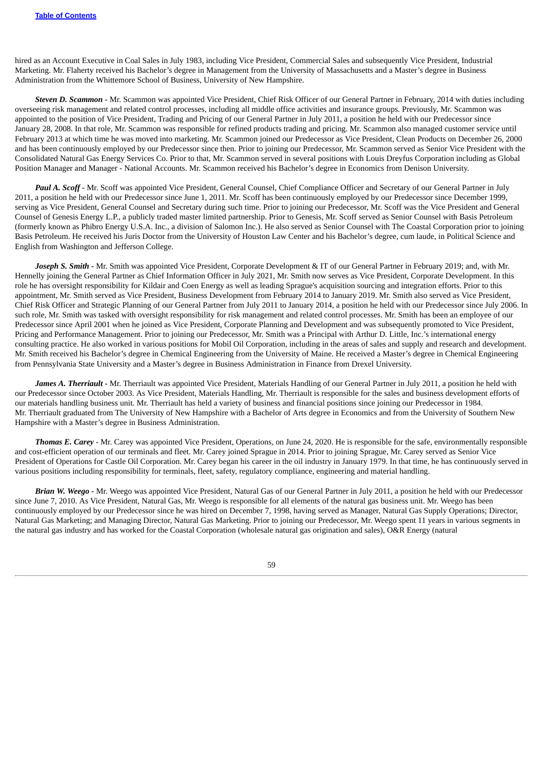hired as an Account Executive in Coal Sales in July 1983, including Vice President, Commercial Sales and subsequently Vice President, Industrial Marketing. Mr. Flaherty received his Bachelor's degree in Management from the University of Massachusetts and a Master's degree in Business Administration from the Whittemore School of Business, University of New Hampshire.

*Steven D. Scammon -* Mr. Scammon was appointed Vice President, Chief Risk Officer of our General Partner in February, 2014 with duties including overseeing risk management and related control processes, including all middle office activities and insurance groups. Previously, Mr. Scammon was appointed to the position of Vice President, Trading and Pricing of our General Partner in July 2011, a position he held with our Predecessor since January 28, 2008. In that role, Mr. Scammon was responsible for refined products trading and pricing. Mr. Scammon also managed customer service until February 2013 at which time he was moved into marketing. Mr. Scammon joined our Predecessor as Vice President, Clean Products on December 26, 2000 and has been continuously employed by our Predecessor since then. Prior to joining our Predecessor, Mr. Scammon served as Senior Vice President with the Consolidated Natural Gas Energy Services Co. Prior to that, Mr. Scammon served in several positions with Louis Dreyfus Corporation including as Global Position Manager and Manager - National Accounts. Mr. Scammon received his Bachelor's degree in Economics from Denison University.

*Paul A. Scoff -* Mr. Scoff was appointed Vice President, General Counsel, Chief Compliance Officer and Secretary of our General Partner in July 2011, a position he held with our Predecessor since June 1, 2011. Mr. Scoff has been continuously employed by our Predecessor since December 1999, serving as Vice President, General Counsel and Secretary during such time. Prior to joining our Predecessor, Mr. Scoff was the Vice President and General Counsel of Genesis Energy L.P., a publicly traded master limited partnership. Prior to Genesis, Mr. Scoff served as Senior Counsel with Basis Petroleum (formerly known as Phibro Energy U.S.A. Inc., a division of Salomon Inc.). He also served as Senior Counsel with The Coastal Corporation prior to joining Basis Petroleum. He received his Juris Doctor from the University of Houston Law Center and his Bachelor's degree, cum laude, in Political Science and English from Washington and Jefferson College.

*Joseph S. Smith -* Mr. Smith was appointed Vice President, Corporate Development & IT of our General Partner in February 2019; and, with Mr. Hennelly joining the General Partner as Chief Information Officer in July 2021, Mr. Smith now serves as Vice President, Corporate Development. In this role he has oversight responsibility for Kildair and Coen Energy as well as leading Sprague's acquisition sourcing and integration efforts. Prior to this appointment, Mr. Smith served as Vice President, Business Development from February 2014 to January 2019. Mr. Smith also served as Vice President, Chief Risk Officer and Strategic Planning of our General Partner from July 2011 to January 2014, a position he held with our Predecessor since July 2006. In such role, Mr. Smith was tasked with oversight responsibility for risk management and related control processes. Mr. Smith has been an employee of our Predecessor since April 2001 when he joined as Vice President, Corporate Planning and Development and was subsequently promoted to Vice President, Pricing and Performance Management. Prior to joining our Predecessor, Mr. Smith was a Principal with Arthur D. Little, Inc.'s international energy consulting practice. He also worked in various positions for Mobil Oil Corporation, including in the areas of sales and supply and research and development. Mr. Smith received his Bachelor's degree in Chemical Engineering from the University of Maine. He received a Master's degree in Chemical Engineering from Pennsylvania State University and a Master's degree in Business Administration in Finance from Drexel University.

*James A. Therriault -* Mr. Therriault was appointed Vice President, Materials Handling of our General Partner in July 2011, a position he held with our Predecessor since October 2003. As Vice President, Materials Handling, Mr. Therriault is responsible for the sales and business development efforts of our materials handling business unit. Mr. Therriault has held a variety of business and financial positions since joining our Predecessor in 1984. Mr. Therriault graduated from The University of New Hampshire with a Bachelor of Arts degree in Economics and from the University of Southern New Hampshire with a Master's degree in Business Administration.

*Thomas E. Carey* - Mr. Carey was appointed Vice President, Operations, on June 24, 2020. He is responsible for the safe, environmentally responsible and cost-efficient operation of our terminals and fleet. Mr. Carey joined Sprague in 2014. Prior to joining Sprague, Mr. Carey served as Senior Vice President of Operations for Castle Oil Corporation. Mr. Carey began his career in the oil industry in January 1979. In that time, he has continuously served in various positions including responsibility for terminals, fleet, safety, regulatory compliance, engineering and material handling.

*Brian W. Weego -* Mr. Weego was appointed Vice President, Natural Gas of our General Partner in July 2011, a position he held with our Predecessor since June 7, 2010. As Vice President, Natural Gas, Mr. Weego is responsible for all elements of the natural gas business unit. Mr. Weego has been continuously employed by our Predecessor since he was hired on December 7, 1998, having served as Manager, Natural Gas Supply Operations; Director, Natural Gas Marketing; and Managing Director, Natural Gas Marketing. Prior to joining our Predecessor, Mr. Weego spent 11 years in various segments in the natural gas industry and has worked for the Coastal Corporation (wholesale natural gas origination and sales), O&R Energy (natural

59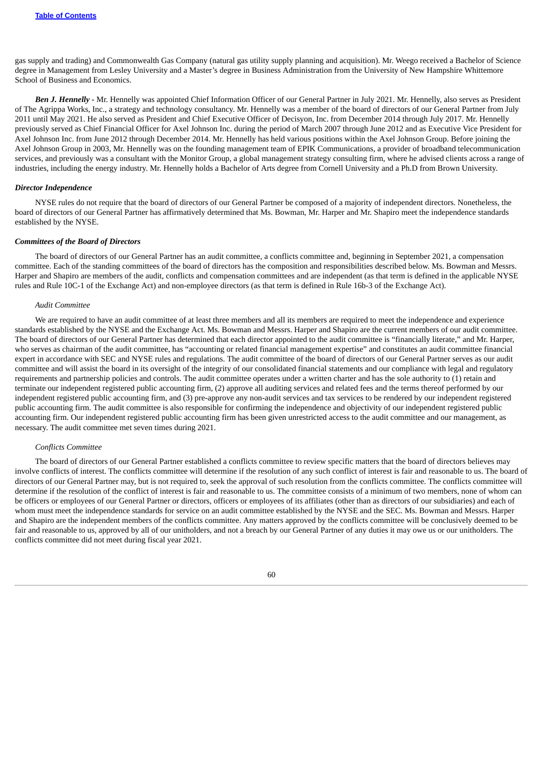gas supply and trading) and Commonwealth Gas Company (natural gas utility supply planning and acquisition). Mr. Weego received a Bachelor of Science degree in Management from Lesley University and a Master's degree in Business Administration from the University of New Hampshire Whittemore School of Business and Economics.

*Ben J. Hennelly -* Mr. Hennelly was appointed Chief Information Officer of our General Partner in July 2021. Mr. Hennelly, also serves as President of The Agrippa Works, Inc., a strategy and technology consultancy. Mr. Hennelly was a member of the board of directors of our General Partner from July 2011 until May 2021. He also served as President and Chief Executive Officer of Decisyon, Inc. from December 2014 through July 2017. Mr. Hennelly previously served as Chief Financial Officer for Axel Johnson Inc. during the period of March 2007 through June 2012 and as Executive Vice President for Axel Johnson Inc. from June 2012 through December 2014. Mr. Hennelly has held various positions within the Axel Johnson Group. Before joining the Axel Johnson Group in 2003, Mr. Hennelly was on the founding management team of EPIK Communications, a provider of broadband telecommunication services, and previously was a consultant with the Monitor Group, a global management strategy consulting firm, where he advised clients across a range of industries, including the energy industry. Mr. Hennelly holds a Bachelor of Arts degree from Cornell University and a Ph.D from Brown University.

# *Director Independence*

NYSE rules do not require that the board of directors of our General Partner be composed of a majority of independent directors. Nonetheless, the board of directors of our General Partner has affirmatively determined that Ms. Bowman, Mr. Harper and Mr. Shapiro meet the independence standards established by the NYSE.

# *Committees of the Board of Directors*

The board of directors of our General Partner has an audit committee, a conflicts committee and, beginning in September 2021, a compensation committee. Each of the standing committees of the board of directors has the composition and responsibilities described below. Ms. Bowman and Messrs. Harper and Shapiro are members of the audit, conflicts and compensation committees and are independent (as that term is defined in the applicable NYSE rules and Rule 10C-1 of the Exchange Act) and non-employee directors (as that term is defined in Rule 16b-3 of the Exchange Act).

# *Audit Committee*

We are required to have an audit committee of at least three members and all its members are required to meet the independence and experience standards established by the NYSE and the Exchange Act. Ms. Bowman and Messrs. Harper and Shapiro are the current members of our audit committee. The board of directors of our General Partner has determined that each director appointed to the audit committee is "financially literate," and Mr. Harper, who serves as chairman of the audit committee, has "accounting or related financial management expertise" and constitutes an audit committee financial expert in accordance with SEC and NYSE rules and regulations. The audit committee of the board of directors of our General Partner serves as our audit committee and will assist the board in its oversight of the integrity of our consolidated financial statements and our compliance with legal and regulatory requirements and partnership policies and controls. The audit committee operates under a written charter and has the sole authority to (1) retain and terminate our independent registered public accounting firm, (2) approve all auditing services and related fees and the terms thereof performed by our independent registered public accounting firm, and (3) pre-approve any non-audit services and tax services to be rendered by our independent registered public accounting firm. The audit committee is also responsible for confirming the independence and objectivity of our independent registered public accounting firm. Our independent registered public accounting firm has been given unrestricted access to the audit committee and our management, as necessary. The audit committee met seven times during 2021.

# *Conflicts Committee*

The board of directors of our General Partner established a conflicts committee to review specific matters that the board of directors believes may involve conflicts of interest. The conflicts committee will determine if the resolution of any such conflict of interest is fair and reasonable to us. The board of directors of our General Partner may, but is not required to, seek the approval of such resolution from the conflicts committee. The conflicts committee will determine if the resolution of the conflict of interest is fair and reasonable to us. The committee consists of a minimum of two members, none of whom can be officers or employees of our General Partner or directors, officers or employees of its affiliates (other than as directors of our subsidiaries) and each of whom must meet the independence standards for service on an audit committee established by the NYSE and the SEC. Ms. Bowman and Messrs. Harper and Shapiro are the independent members of the conflicts committee. Any matters approved by the conflicts committee will be conclusively deemed to be fair and reasonable to us, approved by all of our unitholders, and not a breach by our General Partner of any duties it may owe us or our unitholders. The conflicts committee did not meet during fiscal year 2021.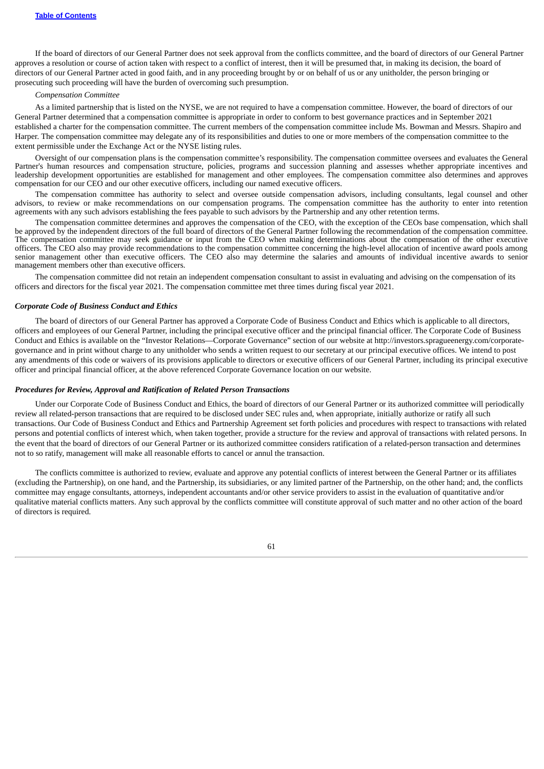If the board of directors of our General Partner does not seek approval from the conflicts committee, and the board of directors of our General Partner approves a resolution or course of action taken with respect to a conflict of interest, then it will be presumed that, in making its decision, the board of directors of our General Partner acted in good faith, and in any proceeding brought by or on behalf of us or any unitholder, the person bringing or prosecuting such proceeding will have the burden of overcoming such presumption.

# *Compensation Committee*

As a limited partnership that is listed on the NYSE, we are not required to have a compensation committee. However, the board of directors of our General Partner determined that a compensation committee is appropriate in order to conform to best governance practices and in September 2021 established a charter for the compensation committee. The current members of the compensation committee include Ms. Bowman and Messrs. Shapiro and Harper. The compensation committee may delegate any of its responsibilities and duties to one or more members of the compensation committee to the extent permissible under the Exchange Act or the NYSE listing rules.

Oversight of our compensation plans is the compensation committee's responsibility. The compensation committee oversees and evaluates the General Partner's human resources and compensation structure, policies, programs and succession planning and assesses whether appropriate incentives and leadership development opportunities are established for management and other employees. The compensation committee also determines and approves compensation for our CEO and our other executive officers, including our named executive officers.

The compensation committee has authority to select and oversee outside compensation advisors, including consultants, legal counsel and other advisors, to review or make recommendations on our compensation programs. The compensation committee has the authority to enter into retention agreements with any such advisors establishing the fees payable to such advisors by the Partnership and any other retention terms.

The compensation committee determines and approves the compensation of the CEO, with the exception of the CEOs base compensation, which shall be approved by the independent directors of the full board of directors of the General Partner following the recommendation of the compensation committee. The compensation committee may seek guidance or input from the CEO when making determinations about the compensation of the other executive officers. The CEO also may provide recommendations to the compensation committee concerning the high-level allocation of incentive award pools among senior management other than executive officers. The CEO also may determine the salaries and amounts of individual incentive awards to senior management members other than executive officers.

The compensation committee did not retain an independent compensation consultant to assist in evaluating and advising on the compensation of its officers and directors for the fiscal year 2021. The compensation committee met three times during fiscal year 2021.

## *Corporate Code of Business Conduct and Ethics*

The board of directors of our General Partner has approved a Corporate Code of Business Conduct and Ethics which is applicable to all directors, officers and employees of our General Partner, including the principal executive officer and the principal financial officer. The Corporate Code of Business Conduct and Ethics is available on the "Investor Relations—Corporate Governance" section of our website at http://investors.spragueenergy.com/corporategovernance and in print without charge to any unitholder who sends a written request to our secretary at our principal executive offices. We intend to post any amendments of this code or waivers of its provisions applicable to directors or executive officers of our General Partner, including its principal executive officer and principal financial officer, at the above referenced Corporate Governance location on our website.

#### *Procedures for Review, Approval and Ratification of Related Person Transactions*

Under our Corporate Code of Business Conduct and Ethics, the board of directors of our General Partner or its authorized committee will periodically review all related-person transactions that are required to be disclosed under SEC rules and, when appropriate, initially authorize or ratify all such transactions. Our Code of Business Conduct and Ethics and Partnership Agreement set forth policies and procedures with respect to transactions with related persons and potential conflicts of interest which, when taken together, provide a structure for the review and approval of transactions with related persons. In the event that the board of directors of our General Partner or its authorized committee considers ratification of a related-person transaction and determines not to so ratify, management will make all reasonable efforts to cancel or annul the transaction.

The conflicts committee is authorized to review, evaluate and approve any potential conflicts of interest between the General Partner or its affiliates (excluding the Partnership), on one hand, and the Partnership, its subsidiaries, or any limited partner of the Partnership, on the other hand; and, the conflicts committee may engage consultants, attorneys, independent accountants and/or other service providers to assist in the evaluation of quantitative and/or qualitative material conflicts matters. Any such approval by the conflicts committee will constitute approval of such matter and no other action of the board of directors is required.

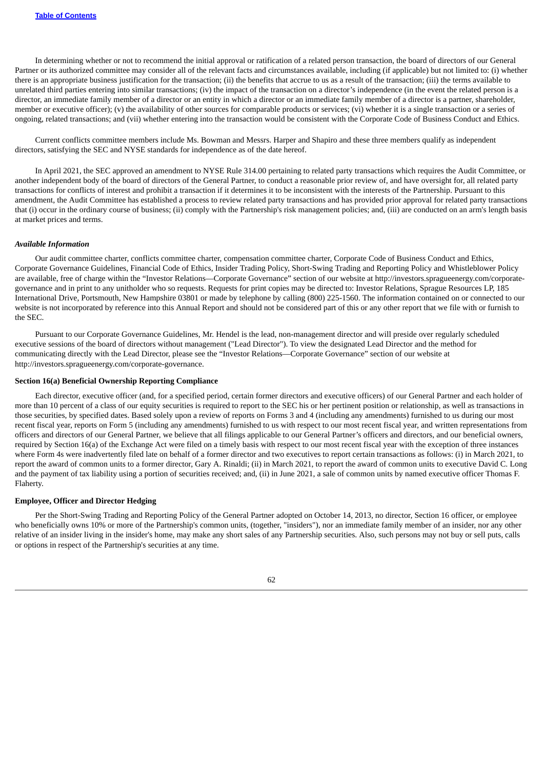In determining whether or not to recommend the initial approval or ratification of a related person transaction, the board of directors of our General Partner or its authorized committee may consider all of the relevant facts and circumstances available, including (if applicable) but not limited to: (i) whether there is an appropriate business justification for the transaction; (ii) the benefits that accrue to us as a result of the transaction; (iii) the terms available to unrelated third parties entering into similar transactions; (iv) the impact of the transaction on a director's independence (in the event the related person is a director, an immediate family member of a director or an entity in which a director or an immediate family member of a director is a partner, shareholder, member or executive officer); (v) the availability of other sources for comparable products or services; (vi) whether it is a single transaction or a series of ongoing, related transactions; and (vii) whether entering into the transaction would be consistent with the Corporate Code of Business Conduct and Ethics.

Current conflicts committee members include Ms. Bowman and Messrs. Harper and Shapiro and these three members qualify as independent directors, satisfying the SEC and NYSE standards for independence as of the date hereof.

In April 2021, the SEC approved an amendment to NYSE Rule 314.00 pertaining to related party transactions which requires the Audit Committee, or another independent body of the board of directors of the General Partner, to conduct a reasonable prior review of, and have oversight for, all related party transactions for conflicts of interest and prohibit a transaction if it determines it to be inconsistent with the interests of the Partnership. Pursuant to this amendment, the Audit Committee has established a process to review related party transactions and has provided prior approval for related party transactions that (i) occur in the ordinary course of business; (ii) comply with the Partnership's risk management policies; and, (iii) are conducted on an arm's length basis at market prices and terms.

### *Available Information*

Our audit committee charter, conflicts committee charter, compensation committee charter, Corporate Code of Business Conduct and Ethics, Corporate Governance Guidelines, Financial Code of Ethics, Insider Trading Policy, Short-Swing Trading and Reporting Policy and Whistleblower Policy are available, free of charge within the "Investor Relations—Corporate Governance" section of our website at http://investors.spragueenergy.com/corporategovernance and in print to any unitholder who so requests. Requests for print copies may be directed to: Investor Relations, Sprague Resources LP, 185 International Drive, Portsmouth, New Hampshire 03801 or made by telephone by calling (800) 225-1560. The information contained on or connected to our website is not incorporated by reference into this Annual Report and should not be considered part of this or any other report that we file with or furnish to the SEC.

Pursuant to our Corporate Governance Guidelines, Mr. Hendel is the lead, non-management director and will preside over regularly scheduled executive sessions of the board of directors without management ("Lead Director"). To view the designated Lead Director and the method for communicating directly with the Lead Director, please see the "Investor Relations—Corporate Governance" section of our website at http://investors.spragueenergy.com/corporate-governance.

#### **Section 16(a) Beneficial Ownership Reporting Compliance**

Each director, executive officer (and, for a specified period, certain former directors and executive officers) of our General Partner and each holder of more than 10 percent of a class of our equity securities is required to report to the SEC his or her pertinent position or relationship, as well as transactions in those securities, by specified dates. Based solely upon a review of reports on Forms 3 and 4 (including any amendments) furnished to us during our most recent fiscal year, reports on Form 5 (including any amendments) furnished to us with respect to our most recent fiscal year, and written representations from officers and directors of our General Partner, we believe that all filings applicable to our General Partner's officers and directors, and our beneficial owners, required by Section 16(a) of the Exchange Act were filed on a timely basis with respect to our most recent fiscal year with the exception of three instances where Form 4s were inadvertently filed late on behalf of a former director and two executives to report certain transactions as follows: (i) in March 2021, to report the award of common units to a former director, Gary A. Rinaldi; (ii) in March 2021, to report the award of common units to executive David C. Long and the payment of tax liability using a portion of securities received; and, (ii) in June 2021, a sale of common units by named executive officer Thomas F. Flaherty.

# **Employee, Officer and Director Hedging**

Per the Short-Swing Trading and Reporting Policy of the General Partner adopted on October 14, 2013, no director, Section 16 officer, or employee who beneficially owns 10% or more of the Partnership's common units, (together, "insiders"), nor an immediate family member of an insider, nor any other relative of an insider living in the insider's home, may make any short sales of any Partnership securities. Also, such persons may not buy or sell puts, calls or options in respect of the Partnership's securities at any time.

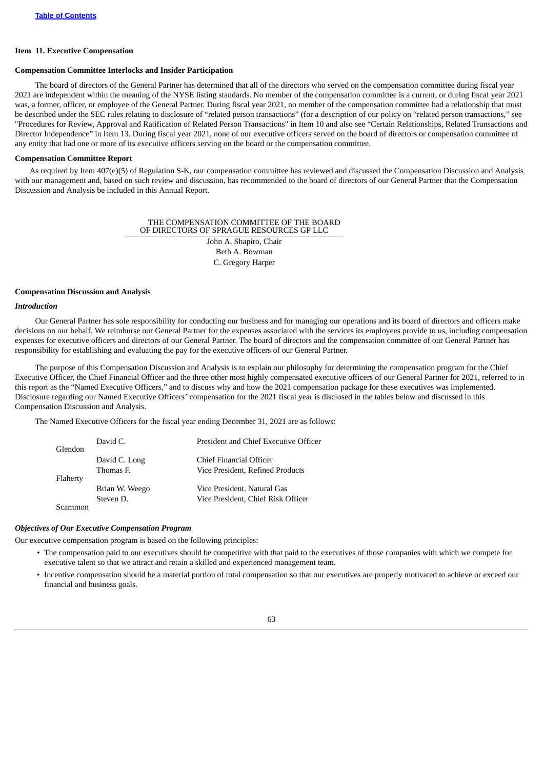### **Item 11. Executive Compensation**

### **Compensation Committee Interlocks and Insider Participation**

The board of directors of the General Partner has determined that all of the directors who served on the compensation committee during fiscal year 2021 are independent within the meaning of the NYSE listing standards. No member of the compensation committee is a current, or during fiscal year 2021 was, a former, officer, or employee of the General Partner. During fiscal year 2021, no member of the compensation committee had a relationship that must be described under the SEC rules relating to disclosure of "related person transactions" (for a description of our policy on "related person transactions," see "Procedures for Review, Approval and Ratification of Related Person Transactions" in Item 10 and also see "Certain Relationships, Related Transactions and Director Independence" in Item 13. During fiscal year 2021, none of our executive officers served on the board of directors or compensation committee of any entity that had one or more of its executive officers serving on the board or the compensation committee.

### **Compensation Committee Report**

As required by Item 407(e)(5) of Regulation S-K, our compensation committee has reviewed and discussed the Compensation Discussion and Analysis with our management and, based on such review and discussion, has recommended to the board of directors of our General Partner that the Compensation Discussion and Analysis be included in this Annual Report.

> THE COMPENSATION COMMITTEE OF THE BOARD OF DIRECTORS OF SPRAGUE RESOURCES GP LLC

> > John A. Shapiro, Chair Beth A. Bowman C. Gregory Harper

#### **Compensation Discussion and Analysis**

### *Introduction*

Our General Partner has sole responsibility for conducting our business and for managing our operations and its board of directors and officers make decisions on our behalf. We reimburse our General Partner for the expenses associated with the services its employees provide to us, including compensation expenses for executive officers and directors of our General Partner. The board of directors and the compensation committee of our General Partner has responsibility for establishing and evaluating the pay for the executive officers of our General Partner.

The purpose of this Compensation Discussion and Analysis is to explain our philosophy for determining the compensation program for the Chief Executive Officer, the Chief Financial Officer and the three other most highly compensated executive officers of our General Partner for 2021, referred to in this report as the "Named Executive Officers," and to discuss why and how the 2021 compensation package for these executives was implemented. Disclosure regarding our Named Executive Officers' compensation for the 2021 fiscal year is disclosed in the tables below and discussed in this Compensation Discussion and Analysis.

The Named Executive Officers for the fiscal year ending December 31, 2021 are as follows:

|                | David C.       | President and Chief Executive Officer |
|----------------|----------------|---------------------------------------|
| <b>Glendon</b> |                |                                       |
|                | David C. Long  | Chief Financial Officer               |
| Flaherty       | Thomas F.      | Vice President, Refined Products      |
|                | Brian W. Weego | Vice President, Natural Gas           |
|                | Steven D.      | Vice President, Chief Risk Officer    |
|                |                |                                       |

# *Objectives of Our Executive Compensation Program*

Our executive compensation program is based on the following principles:

- The compensation paid to our executives should be competitive with that paid to the executives of those companies with which we compete for executive talent so that we attract and retain a skilled and experienced management team.
- Incentive compensation should be a material portion of total compensation so that our executives are properly motivated to achieve or exceed our financial and business goals.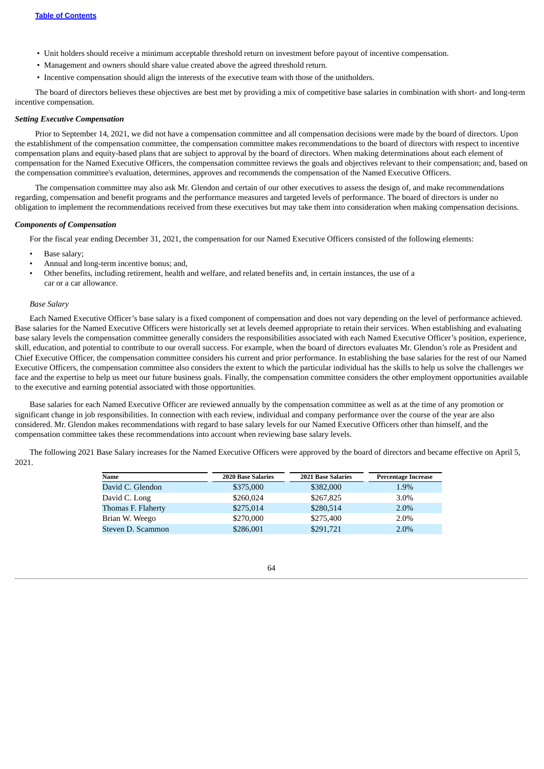- Unit holders should receive a minimum acceptable threshold return on investment before payout of incentive compensation.
- Management and owners should share value created above the agreed threshold return.
- Incentive compensation should align the interests of the executive team with those of the unitholders.

The board of directors believes these objectives are best met by providing a mix of competitive base salaries in combination with short- and long-term incentive compensation.

#### *Setting Executive Compensation*

Prior to September 14, 2021, we did not have a compensation committee and all compensation decisions were made by the board of directors. Upon the establishment of the compensation committee, the compensation committee makes recommendations to the board of directors with respect to incentive compensation plans and equity-based plans that are subject to approval by the board of directors. When making determinations about each element of compensation for the Named Executive Officers, the compensation committee reviews the goals and objectives relevant to their compensation; and, based on the compensation committee's evaluation, determines, approves and recommends the compensation of the Named Executive Officers.

The compensation committee may also ask Mr. Glendon and certain of our other executives to assess the design of, and make recommendations regarding, compensation and benefit programs and the performance measures and targeted levels of performance. The board of directors is under no obligation to implement the recommendations received from these executives but may take them into consideration when making compensation decisions.

#### *Components of Compensation*

For the fiscal year ending December 31, 2021, the compensation for our Named Executive Officers consisted of the following elements:

- Base salary;
- Annual and long-term incentive bonus; and,
- Other benefits, including retirement, health and welfare, and related benefits and, in certain instances, the use of a car or a car allowance.

#### *Base Salary*

Each Named Executive Officer's base salary is a fixed component of compensation and does not vary depending on the level of performance achieved. Base salaries for the Named Executive Officers were historically set at levels deemed appropriate to retain their services. When establishing and evaluating base salary levels the compensation committee generally considers the responsibilities associated with each Named Executive Officer's position, experience, skill, education, and potential to contribute to our overall success. For example, when the board of directors evaluates Mr. Glendon's role as President and Chief Executive Officer, the compensation committee considers his current and prior performance. In establishing the base salaries for the rest of our Named Executive Officers, the compensation committee also considers the extent to which the particular individual has the skills to help us solve the challenges we face and the expertise to help us meet our future business goals. Finally, the compensation committee considers the other employment opportunities available to the executive and earning potential associated with those opportunities.

Base salaries for each Named Executive Officer are reviewed annually by the compensation committee as well as at the time of any promotion or significant change in job responsibilities. In connection with each review, individual and company performance over the course of the year are also considered. Mr. Glendon makes recommendations with regard to base salary levels for our Named Executive Officers other than himself, and the compensation committee takes these recommendations into account when reviewing base salary levels.

The following 2021 Base Salary increases for the Named Executive Officers were approved by the board of directors and became effective on April 5, 2021.

| Name               | <b>2020 Base Salaries</b> | 2021 Base Salaries | <b>Percentage Increase</b> |
|--------------------|---------------------------|--------------------|----------------------------|
| David C. Glendon   | \$375,000                 | \$382,000          | 1.9%                       |
| David C. Long      | \$260,024                 | \$267,825          | 3.0%                       |
| Thomas F. Flaherty | \$275,014                 | \$280,514          | 2.0%                       |
| Brian W. Weego     | \$270,000                 | \$275,400          | 2.0%                       |
| Steven D. Scammon  | \$286,001                 | \$291,721          | 2.0%                       |

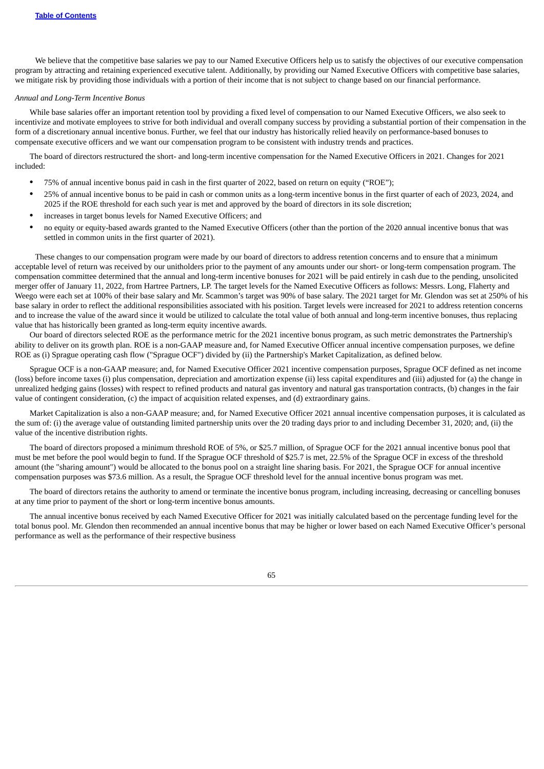We believe that the competitive base salaries we pay to our Named Executive Officers help us to satisfy the objectives of our executive compensation program by attracting and retaining experienced executive talent. Additionally, by providing our Named Executive Officers with competitive base salaries, we mitigate risk by providing those individuals with a portion of their income that is not subject to change based on our financial performance.

# *Annual and Long-Term Incentive Bonus*

While base salaries offer an important retention tool by providing a fixed level of compensation to our Named Executive Officers, we also seek to incentivize and motivate employees to strive for both individual and overall company success by providing a substantial portion of their compensation in the form of a discretionary annual incentive bonus. Further, we feel that our industry has historically relied heavily on performance-based bonuses to compensate executive officers and we want our compensation program to be consistent with industry trends and practices.

The board of directors restructured the short- and long-term incentive compensation for the Named Executive Officers in 2021. Changes for 2021 included:

- 75% of annual incentive bonus paid in cash in the first quarter of 2022, based on return on equity ("ROE");
- 25% of annual incentive bonus to be paid in cash or common units as a long-term incentive bonus in the first quarter of each of 2023, 2024, and 2025 if the ROE threshold for each such year is met and approved by the board of directors in its sole discretion;
- increases in target bonus levels for Named Executive Officers; and
- no equity or equity-based awards granted to the Named Executive Officers (other than the portion of the 2020 annual incentive bonus that was settled in common units in the first quarter of 2021).

These changes to our compensation program were made by our board of directors to address retention concerns and to ensure that a minimum acceptable level of return was received by our unitholders prior to the payment of any amounts under our short- or long-term compensation program. The compensation committee determined that the annual and long-term incentive bonuses for 2021 will be paid entirely in cash due to the pending, unsolicited merger offer of January 11, 2022, from Hartree Partners, LP. The target levels for the Named Executive Officers as follows: Messrs. Long, Flaherty and Weego were each set at 100% of their base salary and Mr. Scammon's target was 90% of base salary. The 2021 target for Mr. Glendon was set at 250% of his base salary in order to reflect the additional responsibilities associated with his position. Target levels were increased for 2021 to address retention concerns and to increase the value of the award since it would be utilized to calculate the total value of both annual and long-term incentive bonuses, thus replacing value that has historically been granted as long-term equity incentive awards.

Our board of directors selected ROE as the performance metric for the 2021 incentive bonus program, as such metric demonstrates the Partnership's ability to deliver on its growth plan. ROE is a non-GAAP measure and, for Named Executive Officer annual incentive compensation purposes, we define ROE as (i) Sprague operating cash flow ("Sprague OCF") divided by (ii) the Partnership's Market Capitalization, as defined below.

Sprague OCF is a non-GAAP measure; and, for Named Executive Officer 2021 incentive compensation purposes, Sprague OCF defined as net income (loss) before income taxes (i) plus compensation, depreciation and amortization expense (ii) less capital expenditures and (iii) adjusted for (a) the change in unrealized hedging gains (losses) with respect to refined products and natural gas inventory and natural gas transportation contracts, (b) changes in the fair value of contingent consideration, (c) the impact of acquisition related expenses, and (d) extraordinary gains.

Market Capitalization is also a non-GAAP measure; and, for Named Executive Officer 2021 annual incentive compensation purposes, it is calculated as the sum of: (i) the average value of outstanding limited partnership units over the 20 trading days prior to and including December 31, 2020; and, (ii) the value of the incentive distribution rights.

The board of directors proposed a minimum threshold ROE of 5%, or \$25.7 million, of Sprague OCF for the 2021 annual incentive bonus pool that must be met before the pool would begin to fund. If the Sprague OCF threshold of \$25.7 is met, 22.5% of the Sprague OCF in excess of the threshold amount (the "sharing amount") would be allocated to the bonus pool on a straight line sharing basis. For 2021, the Sprague OCF for annual incentive compensation purposes was \$73.6 million. As a result, the Sprague OCF threshold level for the annual incentive bonus program was met.

The board of directors retains the authority to amend or terminate the incentive bonus program, including increasing, decreasing or cancelling bonuses at any time prior to payment of the short or long-term incentive bonus amounts.

The annual incentive bonus received by each Named Executive Officer for 2021 was initially calculated based on the percentage funding level for the total bonus pool. Mr. Glendon then recommended an annual incentive bonus that may be higher or lower based on each Named Executive Officer's personal performance as well as the performance of their respective business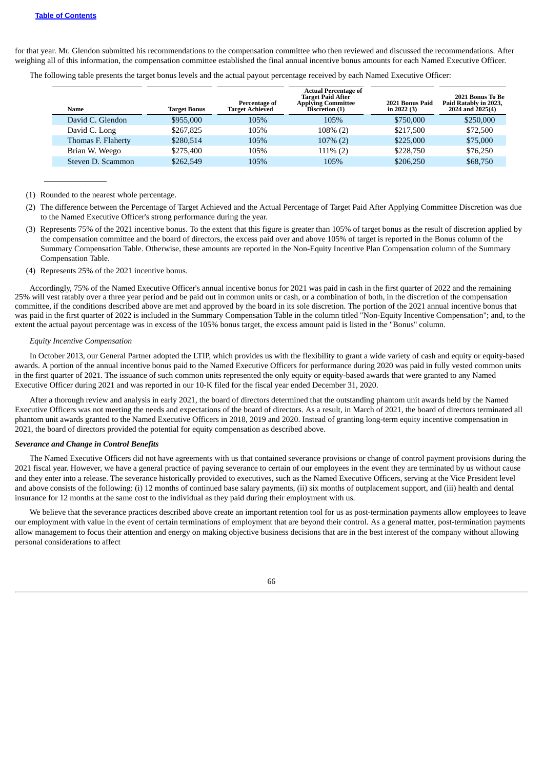for that year. Mr. Glendon submitted his recommendations to the compensation committee who then reviewed and discussed the recommendations. After weighing all of this information, the compensation committee established the final annual incentive bonus amounts for each Named Executive Officer.

The following table presents the target bonus levels and the actual payout percentage received by each Named Executive Officer:

| <b>Name</b>        | <b>Target Bonus</b> | Percentage of<br>Target Achieved | <b>Actual Percentage of</b><br>Target Paid After<br><b>Applying Committee</b><br>Discretion (1) | 2021 Bonus Paid<br>in $2022(3)$ | 2021 Bonus To Be<br>Paid Ratably in 2023,<br>2024 and 2025(4) |
|--------------------|---------------------|----------------------------------|-------------------------------------------------------------------------------------------------|---------------------------------|---------------------------------------------------------------|
| David C. Glendon   | \$955,000           | 105%                             | 105%                                                                                            | \$750,000                       | \$250,000                                                     |
| David C. Long      | \$267,825           | 105%                             | $108\%$ (2)                                                                                     | \$217,500                       | \$72,500                                                      |
| Thomas F. Flaherty | \$280,514           | 105%                             | $107\%$ (2)                                                                                     | \$225,000                       | \$75,000                                                      |
| Brian W. Weego     | \$275,400           | 105%                             | $111\%$ (2)                                                                                     | \$228,750                       | \$76,250                                                      |
| Steven D. Scammon  | \$262,549           | 105%                             | 105%                                                                                            | \$206,250                       | \$68,750                                                      |

(1) Rounded to the nearest whole percentage.

(2) The difference between the Percentage of Target Achieved and the Actual Percentage of Target Paid After Applying Committee Discretion was due to the Named Executive Officer's strong performance during the year.

- (3) Represents 75% of the 2021 incentive bonus. To the extent that this figure is greater than 105% of target bonus as the result of discretion applied by the compensation committee and the board of directors, the excess paid over and above 105% of target is reported in the Bonus column of the Summary Compensation Table. Otherwise, these amounts are reported in the Non-Equity Incentive Plan Compensation column of the Summary Compensation Table.
- (4) Represents 25% of the 2021 incentive bonus.

Accordingly, 75% of the Named Executive Officer's annual incentive bonus for 2021 was paid in cash in the first quarter of 2022 and the remaining 25% will vest ratably over a three year period and be paid out in common units or cash, or a combination of both, in the discretion of the compensation committee, if the conditions described above are met and approved by the board in its sole discretion. The portion of the 2021 annual incentive bonus that was paid in the first quarter of 2022 is included in the Summary Compensation Table in the column titled "Non-Equity Incentive Compensation"; and, to the extent the actual payout percentage was in excess of the 105% bonus target, the excess amount paid is listed in the "Bonus" column.

#### *Equity Incentive Compensation*

In October 2013, our General Partner adopted the LTIP, which provides us with the flexibility to grant a wide variety of cash and equity or equity-based awards. A portion of the annual incentive bonus paid to the Named Executive Officers for performance during 2020 was paid in fully vested common units in the first quarter of 2021. The issuance of such common units represented the only equity or equity-based awards that were granted to any Named Executive Officer during 2021 and was reported in our 10-K filed for the fiscal year ended December 31, 2020.

After a thorough review and analysis in early 2021, the board of directors determined that the outstanding phantom unit awards held by the Named Executive Officers was not meeting the needs and expectations of the board of directors. As a result, in March of 2021, the board of directors terminated all phantom unit awards granted to the Named Executive Officers in 2018, 2019 and 2020. Instead of granting long-term equity incentive compensation in 2021, the board of directors provided the potential for equity compensation as described above.

# *Severance and Change in Control Benefits*

The Named Executive Officers did not have agreements with us that contained severance provisions or change of control payment provisions during the 2021 fiscal year. However, we have a general practice of paying severance to certain of our employees in the event they are terminated by us without cause and they enter into a release. The severance historically provided to executives, such as the Named Executive Officers, serving at the Vice President level and above consists of the following: (i) 12 months of continued base salary payments, (ii) six months of outplacement support, and (iii) health and dental insurance for 12 months at the same cost to the individual as they paid during their employment with us.

We believe that the severance practices described above create an important retention tool for us as post-termination payments allow employees to leave our employment with value in the event of certain terminations of employment that are beyond their control. As a general matter, post-termination payments allow management to focus their attention and energy on making objective business decisions that are in the best interest of the company without allowing personal considerations to affect

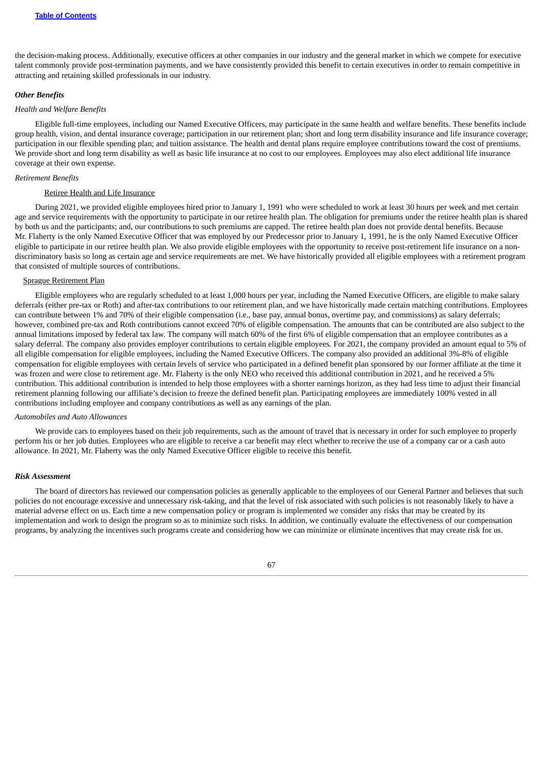the decision-making process. Additionally, executive officers at other companies in our industry and the general market in which we compete for executive talent commonly provide post-termination payments, and we have consistently provided this benefit to certain executives in order to remain competitive in attracting and retaining skilled professionals in our industry.

# *Other Benefits*

#### *Health and Welfare Benefits*

Eligible full-time employees, including our Named Executive Officers, may participate in the same health and welfare benefits. These benefits include group health, vision, and dental insurance coverage; participation in our retirement plan; short and long term disability insurance and life insurance coverage; participation in our flexible spending plan; and tuition assistance. The health and dental plans require employee contributions toward the cost of premiums. We provide short and long term disability as well as basic life insurance at no cost to our employees. Employees may also elect additional life insurance coverage at their own expense.

# *Retirement Benefits*

# Retiree Health and Life Insurance

During 2021, we provided eligible employees hired prior to January 1, 1991 who were scheduled to work at least 30 hours per week and met certain age and service requirements with the opportunity to participate in our retiree health plan. The obligation for premiums under the retiree health plan is shared by both us and the participants; and, our contributions to such premiums are capped. The retiree health plan does not provide dental benefits. Because Mr. Flaherty is the only Named Executive Officer that was employed by our Predecessor prior to January 1, 1991, he is the only Named Executive Officer eligible to participate in our retiree health plan. We also provide eligible employees with the opportunity to receive post-retirement life insurance on a nondiscriminatory basis so long as certain age and service requirements are met. We have historically provided all eligible employees with a retirement program that consisted of multiple sources of contributions.

#### Sprague Retirement Plan

Eligible employees who are regularly scheduled to at least 1,000 hours per year, including the Named Executive Officers, are eligible to make salary deferrals (either pre-tax or Roth) and after-tax contributions to our retirement plan, and we have historically made certain matching contributions. Employees can contribute between 1% and 70% of their eligible compensation (i.e., base pay, annual bonus, overtime pay, and commissions) as salary deferrals; however, combined pre-tax and Roth contributions cannot exceed 70% of eligible compensation. The amounts that can be contributed are also subject to the annual limitations imposed by federal tax law. The company will match 60% of the first 6% of eligible compensation that an employee contributes as a salary deferral. The company also provides employer contributions to certain eligible employees. For 2021, the company provided an amount equal to 5% of all eligible compensation for eligible employees, including the Named Executive Officers. The company also provided an additional 3%-8% of eligible compensation for eligible employees with certain levels of service who participated in a defined benefit plan sponsored by our former affiliate at the time it was frozen and were close to retirement age. Mr. Flaherty is the only NEO who received this additional contribution in 2021, and he received a 5% contribution. This additional contribution is intended to help those employees with a shorter earnings horizon, as they had less time to adjust their financial retirement planning following our affiliate's decision to freeze the defined benefit plan. Participating employees are immediately 100% vested in all contributions including employee and company contributions as well as any earnings of the plan.

#### *Automobiles and Auto Allowances*

We provide cars to employees based on their job requirements, such as the amount of travel that is necessary in order for such employee to properly perform his or her job duties. Employees who are eligible to receive a car benefit may elect whether to receive the use of a company car or a cash auto allowance. In 2021, Mr. Flaherty was the only Named Executive Officer eligible to receive this benefit.

# *Risk Assessment*

The board of directors has reviewed our compensation policies as generally applicable to the employees of our General Partner and believes that such policies do not encourage excessive and unnecessary risk-taking, and that the level of risk associated with such policies is not reasonably likely to have a material adverse effect on us. Each time a new compensation policy or program is implemented we consider any risks that may be created by its implementation and work to design the program so as to minimize such risks. In addition, we continually evaluate the effectiveness of our compensation programs, by analyzing the incentives such programs create and considering how we can minimize or eliminate incentives that may create risk for us.

# 67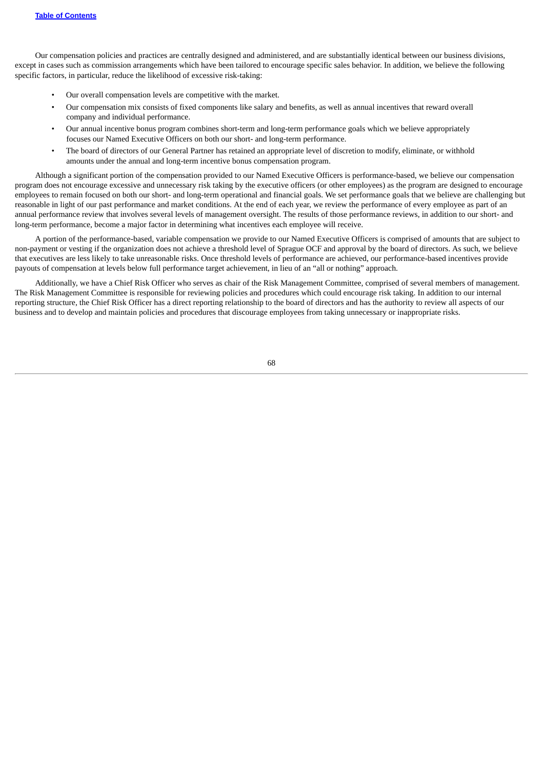Our compensation policies and practices are centrally designed and administered, and are substantially identical between our business divisions, except in cases such as commission arrangements which have been tailored to encourage specific sales behavior. In addition, we believe the following specific factors, in particular, reduce the likelihood of excessive risk-taking:

- Our overall compensation levels are competitive with the market.
- Our compensation mix consists of fixed components like salary and benefits, as well as annual incentives that reward overall company and individual performance.
- Our annual incentive bonus program combines short-term and long-term performance goals which we believe appropriately focuses our Named Executive Officers on both our short- and long-term performance.
- The board of directors of our General Partner has retained an appropriate level of discretion to modify, eliminate, or withhold amounts under the annual and long-term incentive bonus compensation program.

Although a significant portion of the compensation provided to our Named Executive Officers is performance-based, we believe our compensation program does not encourage excessive and unnecessary risk taking by the executive officers (or other employees) as the program are designed to encourage employees to remain focused on both our short- and long-term operational and financial goals. We set performance goals that we believe are challenging but reasonable in light of our past performance and market conditions. At the end of each year, we review the performance of every employee as part of an annual performance review that involves several levels of management oversight. The results of those performance reviews, in addition to our short- and long-term performance, become a major factor in determining what incentives each employee will receive.

A portion of the performance-based, variable compensation we provide to our Named Executive Officers is comprised of amounts that are subject to non-payment or vesting if the organization does not achieve a threshold level of Sprague OCF and approval by the board of directors. As such, we believe that executives are less likely to take unreasonable risks. Once threshold levels of performance are achieved, our performance-based incentives provide payouts of compensation at levels below full performance target achievement, in lieu of an "all or nothing" approach.

Additionally, we have a Chief Risk Officer who serves as chair of the Risk Management Committee, comprised of several members of management. The Risk Management Committee is responsible for reviewing policies and procedures which could encourage risk taking. In addition to our internal reporting structure, the Chief Risk Officer has a direct reporting relationship to the board of directors and has the authority to review all aspects of our business and to develop and maintain policies and procedures that discourage employees from taking unnecessary or inappropriate risks.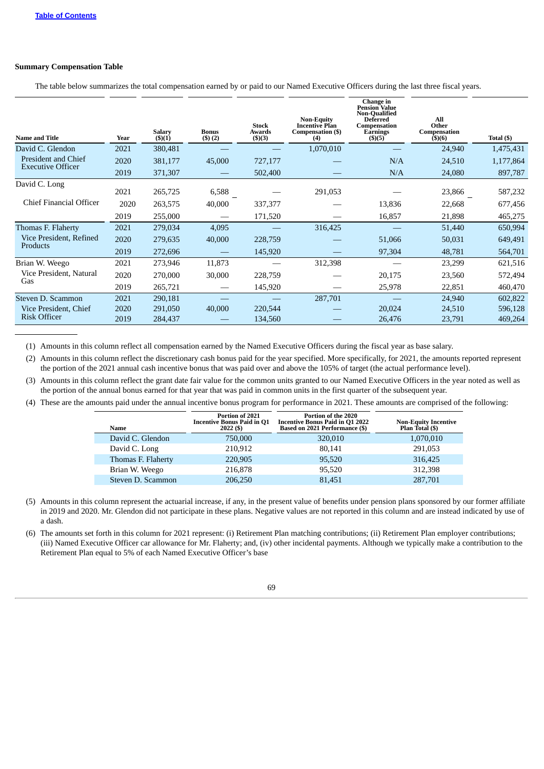# **Summary Compensation Table**

The table below summarizes the total compensation earned by or paid to our Named Executive Officers during the last three fiscal years.

| <b>Name and Title</b>          | Year | <b>Salarv</b><br>$($ \$ $)(1)$ | <b>Bonus</b><br>(3)(2)        | <b>Stock</b><br>Awards<br>$($ \$ $)(3)$ | <b>Non-Equity</b><br><b>Incentive Plan</b><br>Compensation (\$)<br>(4) | Change in<br><b>Pension Value</b><br><b>Non-Qualified</b><br><b>Deferred</b><br>Compensation<br><b>Earnings</b><br>\$)(5) | All<br>Other<br>Compensation<br>\$)(6) | Total (\$) |
|--------------------------------|------|--------------------------------|-------------------------------|-----------------------------------------|------------------------------------------------------------------------|---------------------------------------------------------------------------------------------------------------------------|----------------------------------------|------------|
| David C. Glendon               | 2021 | 380,481                        |                               |                                         | 1,070,010                                                              |                                                                                                                           | 24,940                                 | 1,475,431  |
| President and Chief            | 2020 | 381,177                        | 45,000                        | 727,177                                 |                                                                        | N/A                                                                                                                       | 24,510                                 | 1,177,864  |
| <b>Executive Officer</b>       | 2019 | 371,307                        |                               | 502,400                                 |                                                                        | N/A                                                                                                                       | 24,080                                 | 897,787    |
| David C. Long                  | 2021 | 265,725                        | 6,588                         |                                         | 291,053                                                                |                                                                                                                           | 23,866                                 | 587,232    |
| Chief Financial Officer        | 2020 | 263,575                        | 40,000                        | 337,377                                 |                                                                        | 13,836                                                                                                                    | 22,668                                 | 677,456    |
|                                | 2019 | 255,000                        | $\overbrace{\phantom{12332}}$ | 171,520                                 |                                                                        | 16,857                                                                                                                    | 21,898                                 | 465,275    |
| Thomas F. Flaherty             | 2021 | 279,034                        | 4.095                         |                                         | 316,425                                                                |                                                                                                                           | 51,440                                 | 650,994    |
| Vice President, Refined        | 2020 | 279,635                        | 40,000                        | 228,759                                 |                                                                        | 51,066                                                                                                                    | 50,031                                 | 649,491    |
| Products                       | 2019 | 272,696                        | $\overbrace{\phantom{12333}}$ | 145,920                                 |                                                                        | 97,304                                                                                                                    | 48,781                                 | 564,701    |
| Brian W. Weego                 | 2021 | 273,946                        | 11,873                        |                                         | 312,398                                                                |                                                                                                                           | 23,299                                 | 621,516    |
| Vice President, Natural<br>Gas | 2020 | 270,000                        | 30,000                        | 228,759                                 |                                                                        | 20,175                                                                                                                    | 23,560                                 | 572,494    |
|                                | 2019 | 265,721                        |                               | 145,920                                 |                                                                        | 25,978                                                                                                                    | 22,851                                 | 460,470    |
| Steven D. Scammon              | 2021 | 290,181                        |                               |                                         | 287,701                                                                |                                                                                                                           | 24,940                                 | 602,822    |
| Vice President, Chief          | 2020 | 291,050                        | 40,000                        | 220,544                                 |                                                                        | 20,024                                                                                                                    | 24,510                                 | 596,128    |
| <b>Risk Officer</b>            | 2019 | 284,437                        |                               | 134,560                                 |                                                                        | 26,476                                                                                                                    | 23,791                                 | 469,264    |

(1) Amounts in this column reflect all compensation earned by the Named Executive Officers during the fiscal year as base salary.

(2) Amounts in this column reflect the discretionary cash bonus paid for the year specified. More specifically, for 2021, the amounts reported represent the portion of the 2021 annual cash incentive bonus that was paid over and above the 105% of target (the actual performance level).

(3) Amounts in this column reflect the grant date fair value for the common units granted to our Named Executive Officers in the year noted as well as the portion of the annual bonus earned for that year that was paid in common units in the first quarter of the subsequent year.

(4) These are the amounts paid under the annual incentive bonus program for performance in 2021. These amounts are comprised of the following:

| Name               | Portion of 2021<br><b>Incentive Bonus Paid in Q1</b><br>$2022($ \$) | Portion of the 2020<br>Incentive Bonus Paid in Q1 2022<br>Based on 2021 Performance (\$) | <b>Non-Equity Incentive</b><br>Plan Total (\$) |
|--------------------|---------------------------------------------------------------------|------------------------------------------------------------------------------------------|------------------------------------------------|
| David C. Glendon   | 750,000                                                             | 320,010                                                                                  | 1,070,010                                      |
| David C. Long      | 210,912                                                             | 80.141                                                                                   | 291,053                                        |
| Thomas F. Flaherty | 220,905                                                             | 95,520                                                                                   | 316,425                                        |
| Brian W. Weego     | 216,878                                                             | 95,520                                                                                   | 312,398                                        |
| Steven D. Scammon  | 206,250                                                             | 81,451                                                                                   | 287,701                                        |

(5) Amounts in this column represent the actuarial increase, if any, in the present value of benefits under pension plans sponsored by our former affiliate in 2019 and 2020. Mr. Glendon did not participate in these plans. Negative values are not reported in this column and are instead indicated by use of a dash.

(6) The amounts set forth in this column for 2021 represent: (i) Retirement Plan matching contributions; (ii) Retirement Plan employer contributions; (iii) Named Executive Officer car allowance for Mr. Flaherty; and, (iv) other incidental payments. Although we typically make a contribution to the Retirement Plan equal to 5% of each Named Executive Officer's base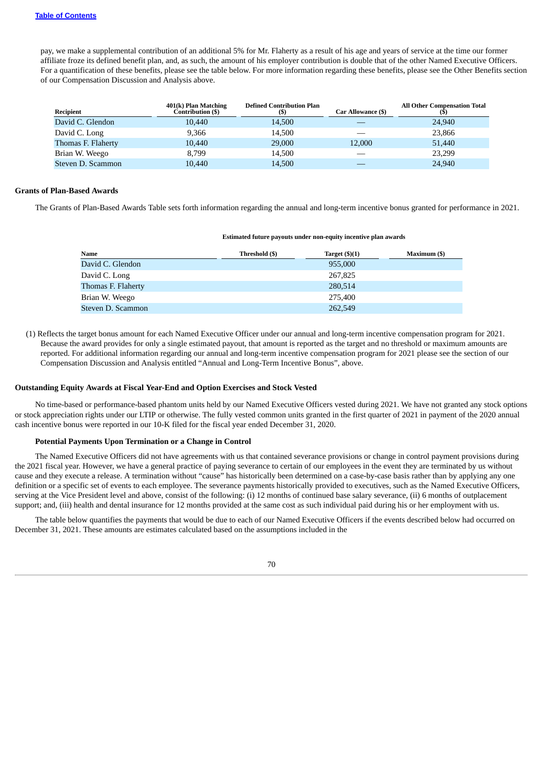pay, we make a supplemental contribution of an additional 5% for Mr. Flaherty as a result of his age and years of service at the time our former affiliate froze its defined benefit plan, and, as such, the amount of his employer contribution is double that of the other Named Executive Officers. For a quantification of these benefits, please see the table below. For more information regarding these benefits, please see the Other Benefits section of our Compensation Discussion and Analysis above.

| Recipient          | 401(k) Plan Matching<br>Contribution (\$) | <b>Defined Contribution Plan</b> | <b>Car Allowance (\$)</b> | <b>All Other Compensation Total</b> |
|--------------------|-------------------------------------------|----------------------------------|---------------------------|-------------------------------------|
| David C. Glendon   | 10.440                                    | 14.500                           |                           | 24,940                              |
| David C. Long      | 9.366                                     | 14.500                           |                           | 23,866                              |
| Thomas F. Flaherty | 10,440                                    | 29,000                           | 12,000                    | 51,440                              |
| Brian W. Weego     | 8.799                                     | 14.500                           |                           | 23,299                              |
| Steven D. Scammon  | 10.440                                    | 14.500                           |                           | 24,940                              |

#### **Grants of Plan-Based Awards**

The Grants of Plan-Based Awards Table sets forth information regarding the annual and long-term incentive bonus granted for performance in 2021.

**Estimated future payouts under non-equity incentive plan awards**

| Name               | Threshold (\$) | Target $(\text{$}5)(1)$ | Maximum (\$) |
|--------------------|----------------|-------------------------|--------------|
| David C. Glendon   |                | 955,000                 |              |
| David C. Long      |                | 267,825                 |              |
| Thomas F. Flaherty |                | 280,514                 |              |
| Brian W. Weego     |                | 275,400                 |              |
| Steven D. Scammon  |                | 262,549                 |              |

(1) Reflects the target bonus amount for each Named Executive Officer under our annual and long-term incentive compensation program for 2021. Because the award provides for only a single estimated payout, that amount is reported as the target and no threshold or maximum amounts are reported. For additional information regarding our annual and long-term incentive compensation program for 2021 please see the section of our Compensation Discussion and Analysis entitled "Annual and Long-Term Incentive Bonus", above.

### **Outstanding Equity Awards at Fiscal Year-End and Option Exercises and Stock Vested**

No time-based or performance-based phantom units held by our Named Executive Officers vested during 2021. We have not granted any stock options or stock appreciation rights under our LTIP or otherwise. The fully vested common units granted in the first quarter of 2021 in payment of the 2020 annual cash incentive bonus were reported in our 10-K filed for the fiscal year ended December 31, 2020.

#### **Potential Payments Upon Termination or a Change in Control**

The Named Executive Officers did not have agreements with us that contained severance provisions or change in control payment provisions during the 2021 fiscal year. However, we have a general practice of paying severance to certain of our employees in the event they are terminated by us without cause and they execute a release. A termination without "cause" has historically been determined on a case-by-case basis rather than by applying any one definition or a specific set of events to each employee. The severance payments historically provided to executives, such as the Named Executive Officers, serving at the Vice President level and above, consist of the following: (i) 12 months of continued base salary severance, (ii) 6 months of outplacement support; and, (iii) health and dental insurance for 12 months provided at the same cost as such individual paid during his or her employment with us.

The table below quantifies the payments that would be due to each of our Named Executive Officers if the events described below had occurred on December 31, 2021. These amounts are estimates calculated based on the assumptions included in the

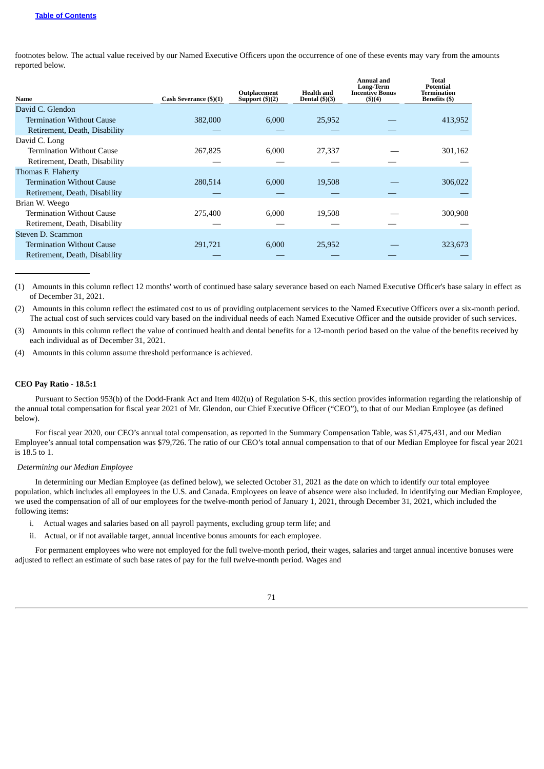footnotes below. The actual value received by our Named Executive Officers upon the occurrence of one of these events may vary from the amounts reported below.

| Name                             | Cash Severance (\$)(1) | Outplacement<br>Support $(3)(2)$ | <b>Health and</b><br>Dental $(\text{\$})(3)$ | Annual and<br><b>Long-Term</b><br><b>Incentive Bonus</b> | <b>Total</b><br>Potential<br>Termination<br>Benefits (\$) |
|----------------------------------|------------------------|----------------------------------|----------------------------------------------|----------------------------------------------------------|-----------------------------------------------------------|
| David C. Glendon                 |                        |                                  |                                              | \$)(4)                                                   |                                                           |
|                                  |                        |                                  |                                              |                                                          |                                                           |
| <b>Termination Without Cause</b> | 382,000                | 6,000                            | 25,952                                       |                                                          | 413,952                                                   |
| Retirement, Death, Disability    |                        |                                  |                                              |                                                          |                                                           |
| David C. Long                    |                        |                                  |                                              |                                                          |                                                           |
| <b>Termination Without Cause</b> | 267,825                | 6.000                            | 27,337                                       |                                                          | 301,162                                                   |
| Retirement, Death, Disability    |                        |                                  |                                              |                                                          |                                                           |
| Thomas F. Flaherty               |                        |                                  |                                              |                                                          |                                                           |
| <b>Termination Without Cause</b> | 280,514                | 6,000                            | 19,508                                       |                                                          | 306,022                                                   |
| Retirement, Death, Disability    |                        |                                  |                                              |                                                          |                                                           |
| Brian W. Weego                   |                        |                                  |                                              |                                                          |                                                           |
| Termination Without Cause        | 275,400                | 6,000                            | 19,508                                       |                                                          | 300,908                                                   |
| Retirement, Death, Disability    |                        |                                  |                                              |                                                          |                                                           |
| Steven D. Scammon                |                        |                                  |                                              |                                                          |                                                           |
| <b>Termination Without Cause</b> | 291,721                | 6.000                            | 25,952                                       |                                                          | 323,673                                                   |
| Retirement, Death, Disability    |                        |                                  |                                              |                                                          |                                                           |

(1) Amounts in this column reflect 12 months' worth of continued base salary severance based on each Named Executive Officer's base salary in effect as of December 31, 2021.

(2) Amounts in this column reflect the estimated cost to us of providing outplacement services to the Named Executive Officers over a six-month period. The actual cost of such services could vary based on the individual needs of each Named Executive Officer and the outside provider of such services.

(3) Amounts in this column reflect the value of continued health and dental benefits for a 12-month period based on the value of the benefits received by each individual as of December 31, 2021.

(4) Amounts in this column assume threshold performance is achieved.

## **CEO Pay Ratio - 18.5:1**

Pursuant to Section 953(b) of the Dodd-Frank Act and Item 402(u) of Regulation S-K, this section provides information regarding the relationship of the annual total compensation for fiscal year 2021 of Mr. Glendon, our Chief Executive Officer ("CEO"), to that of our Median Employee (as defined below).

For fiscal year 2020, our CEO's annual total compensation, as reported in the Summary Compensation Table, was \$1,475,431, and our Median Employee's annual total compensation was \$79,726. The ratio of our CEO's total annual compensation to that of our Median Employee for fiscal year 2021 is 18.5 to 1.

# *Determining our Median Employee*

In determining our Median Employee (as defined below), we selected October 31, 2021 as the date on which to identify our total employee population, which includes all employees in the U.S. and Canada. Employees on leave of absence were also included. In identifying our Median Employee, we used the compensation of all of our employees for the twelve-month period of January 1, 2021, through December 31, 2021, which included the following items:

- i. Actual wages and salaries based on all payroll payments, excluding group term life; and
- ii. Actual, or if not available target, annual incentive bonus amounts for each employee.

For permanent employees who were not employed for the full twelve-month period, their wages, salaries and target annual incentive bonuses were adjusted to reflect an estimate of such base rates of pay for the full twelve-month period. Wages and

71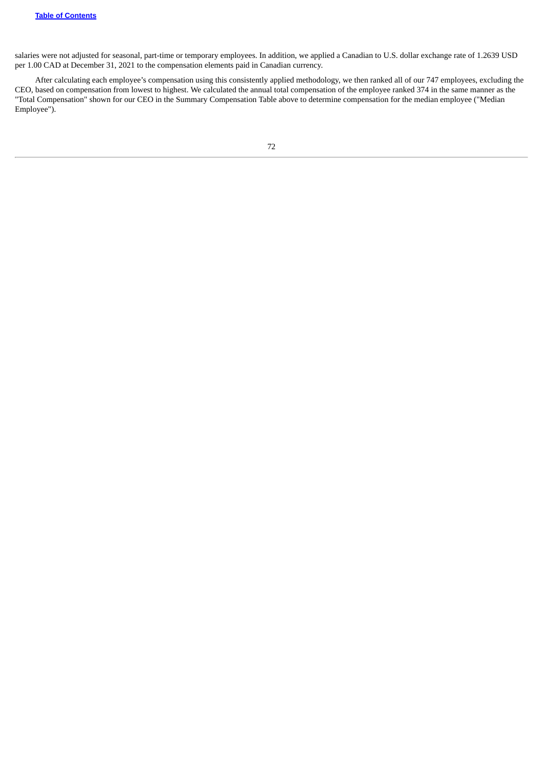salaries were not adjusted for seasonal, part-time or temporary employees. In addition, we applied a Canadian to U.S. dollar exchange rate of 1.2639 USD per 1.00 CAD at December 31, 2021 to the compensation elements paid in Canadian currency.

After calculating each employee's compensation using this consistently applied methodology, we then ranked all of our 747 employees, excluding the CEO, based on compensation from lowest to highest. We calculated the annual total compensation of the employee ranked 374 in the same manner as the "Total Compensation" shown for our CEO in the Summary Compensation Table above to determine compensation for the median employee ("Median Employee").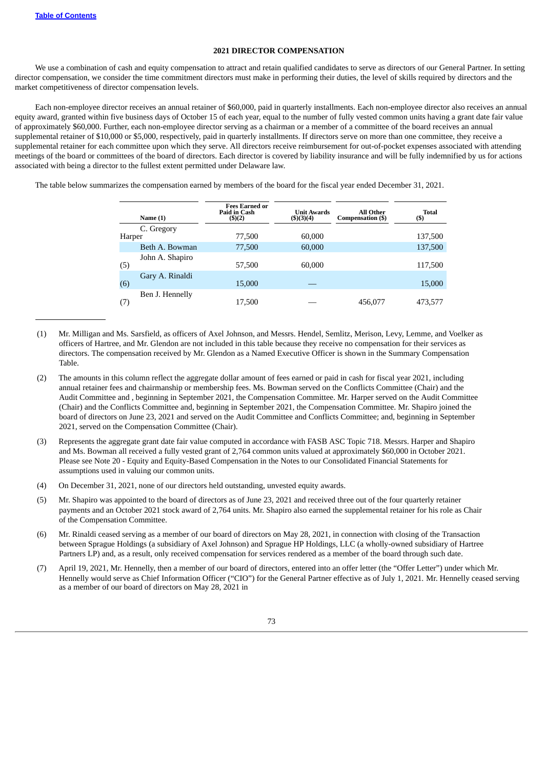# **2021 DIRECTOR COMPENSATION**

We use a combination of cash and equity compensation to attract and retain qualified candidates to serve as directors of our General Partner. In setting director compensation, we consider the time commitment directors must make in performing their duties, the level of skills required by directors and the market competitiveness of director compensation levels.

Each non-employee director receives an annual retainer of \$60,000, paid in quarterly installments. Each non-employee director also receives an annual equity award, granted within five business days of October 15 of each year, equal to the number of fully vested common units having a grant date fair value of approximately \$60,000. Further, each non-employee director serving as a chairman or a member of a committee of the board receives an annual supplemental retainer of \$10,000 or \$5,000, respectively, paid in quarterly installments. If directors serve on more than one committee, they receive a supplemental retainer for each committee upon which they serve. All directors receive reimbursement for out-of-pocket expenses associated with attending meetings of the board or committees of the board of directors. Each director is covered by liability insurance and will be fully indemnified by us for actions associated with being a director to the fullest extent permitted under Delaware law.

The table below summarizes the compensation earned by members of the board for the fiscal year ended December 31, 2021.

|        | Name $(1)$      | <b>Fees Earned or</b><br><b>Paid in Cash</b><br>(5)(2) | <b>Unit Awards</b><br>$($ \$ $)(3)(4)$ | <b>All Other</b><br>Compensation (\$) | <b>Total</b><br>(\$) |
|--------|-----------------|--------------------------------------------------------|----------------------------------------|---------------------------------------|----------------------|
| Harper | C. Gregory      | 77,500                                                 | 60,000                                 |                                       | 137,500              |
|        | Beth A. Bowman  | 77,500                                                 | 60,000                                 |                                       | 137,500              |
| (5)    | John A. Shapiro | 57,500                                                 | 60,000                                 |                                       | 117,500              |
| (6)    | Gary A. Rinaldi | 15,000                                                 |                                        |                                       | 15,000               |
| (7)    | Ben J. Hennelly | 17,500                                                 |                                        | 456,077                               | 473,577              |

- (1) Mr. Milligan and Ms. Sarsfield, as officers of Axel Johnson, and Messrs. Hendel, Semlitz, Merison, Levy, Lemme, and Voelker as officers of Hartree, and Mr. Glendon are not included in this table because they receive no compensation for their services as directors. The compensation received by Mr. Glendon as a Named Executive Officer is shown in the Summary Compensation Table.
- (2) The amounts in this column reflect the aggregate dollar amount of fees earned or paid in cash for fiscal year 2021, including annual retainer fees and chairmanship or membership fees. Ms. Bowman served on the Conflicts Committee (Chair) and the Audit Committee and , beginning in September 2021, the Compensation Committee. Mr. Harper served on the Audit Committee (Chair) and the Conflicts Committee and, beginning in September 2021, the Compensation Committee. Mr. Shapiro joined the board of directors on June 23, 2021 and served on the Audit Committee and Conflicts Committee; and, beginning in September 2021, served on the Compensation Committee (Chair).
- (3) Represents the aggregate grant date fair value computed in accordance with FASB ASC Topic 718. Messrs. Harper and Shapiro and Ms. Bowman all received a fully vested grant of 2,764 common units valued at approximately \$60,000 in October 2021. Please see Note 20 - Equity and Equity-Based Compensation in the Notes to our Consolidated Financial Statements for assumptions used in valuing our common units.
- (4) On December 31, 2021, none of our directors held outstanding, unvested equity awards.
- (5) Mr. Shapiro was appointed to the board of directors as of June 23, 2021 and received three out of the four quarterly retainer payments and an October 2021 stock award of 2,764 units. Mr. Shapiro also earned the supplemental retainer for his role as Chair of the Compensation Committee.
- (6) Mr. Rinaldi ceased serving as a member of our board of directors on May 28, 2021, in connection with closing of the Transaction between Sprague Holdings (a subsidiary of Axel Johnson) and Sprague HP Holdings, LLC (a wholly-owned subsidiary of Hartree Partners LP) and, as a result, only received compensation for services rendered as a member of the board through such date.
- (7) April 19, 2021, Mr. Hennelly, then a member of our board of directors, entered into an offer letter (the "Offer Letter") under which Mr. Hennelly would serve as Chief Information Officer ("CIO") for the General Partner effective as of July 1, 2021. Mr. Hennelly ceased serving as a member of our board of directors on May 28, 2021 in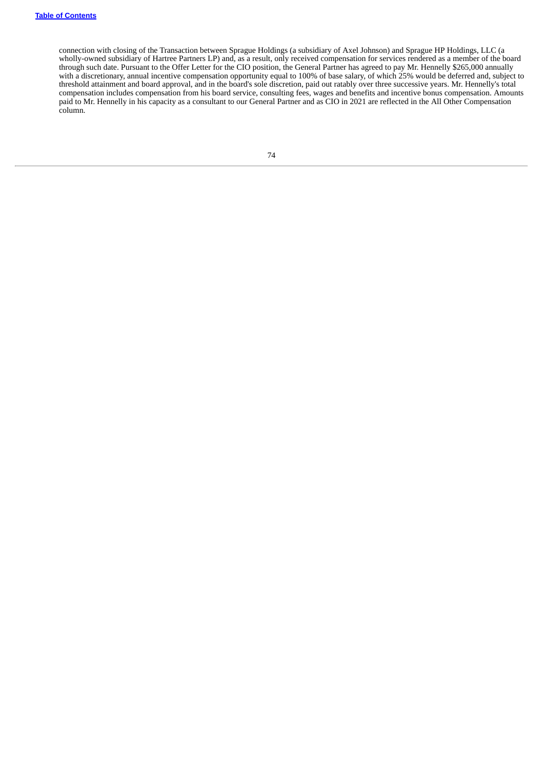connection with closing of the Transaction between Sprague Holdings (a subsidiary of Axel Johnson) and Sprague HP Holdings, LLC (a wholly-owned subsidiary of Hartree Partners LP) and, as a result, only received compensation for services rendered as a member of the board through such date. Pursuant to the Offer Letter for the CIO position, the General Partner has agreed to pay Mr. Hennelly \$265,000 annually with a discretionary, annual incentive compensation opportunity equal to 100% of base salary, of which 25% would be deferred and, subject to threshold attainment and board approval, and in the board's sole discretion, paid out ratably over three successive years. Mr. Hennelly's total compensation includes compensation from his board service, consulting fees, wages and benefits and incentive bonus compensation. Amounts paid to Mr. Hennelly in his capacity as a consultant to our General Partner and as CIO in 2021 are reflected in the All Other Compensation column.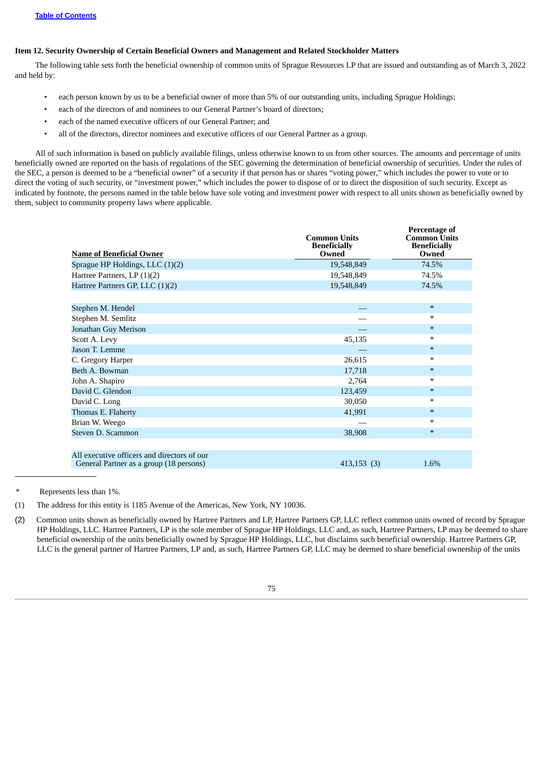# **Item 12. Security Ownership of Certain Beneficial Owners and Management and Related Stockholder Matters**

The following table sets forth the beneficial ownership of common units of Sprague Resources LP that are issued and outstanding as of March 3, 2022 and held by:

- each person known by us to be a beneficial owner of more than 5% of our outstanding units, including Sprague Holdings;
- each of the directors of and nominees to our General Partner's board of directors;
- each of the named executive officers of our General Partner; and
- all of the directors, director nominees and executive officers of our General Partner as a group.

All of such information is based on publicly available filings, unless otherwise known to us from other sources. The amounts and percentage of units beneficially owned are reported on the basis of regulations of the SEC governing the determination of beneficial ownership of securities. Under the rules of the SEC, a person is deemed to be a "beneficial owner" of a security if that person has or shares "voting power," which includes the power to vote or to direct the voting of such security, or "investment power," which includes the power to dispose of or to direct the disposition of such security. Except as indicated by footnote, the persons named in the table below have sole voting and investment power with respect to all units shown as beneficially owned by them, subject to community property laws where applicable.

| <b>Name of Beneficial Owner</b>                                                        | <b>Common Units</b><br><b>Beneficially</b><br>Owned | Percentage of<br><b>Common Units</b><br><b>Beneficially</b><br>Owned |
|----------------------------------------------------------------------------------------|-----------------------------------------------------|----------------------------------------------------------------------|
| Sprague HP Holdings, LLC (1)(2)                                                        | 19,548,849                                          | 74.5%                                                                |
| Hartree Partners, $LP(1)(2)$                                                           | 19,548,849                                          | 74.5%                                                                |
| Hartree Partners GP, LLC (1)(2)                                                        | 19,548,849                                          | 74.5%                                                                |
| Stephen M. Hendel                                                                      |                                                     | $\ast$                                                               |
| Stephen M. Semlitz                                                                     |                                                     | $\ast$                                                               |
| Jonathan Guy Merison                                                                   |                                                     | $\ast$                                                               |
| Scott A. Levy                                                                          | 45,135                                              | $\ast$                                                               |
| Jason T. Lemme                                                                         |                                                     | $\ast$                                                               |
| C. Gregory Harper                                                                      | 26,615                                              | $\ast$                                                               |
| Beth A. Bowman                                                                         | 17,718                                              | $\ast$                                                               |
| John A. Shapiro                                                                        | 2,764                                               | $\ast$                                                               |
| David C. Glendon                                                                       | 123,459                                             | $\ast$                                                               |
| David C. Long                                                                          | 30,050                                              | $\ast$                                                               |
| Thomas E. Flaherty                                                                     | 41,991                                              | $\ast$                                                               |
| Brian W. Weego                                                                         |                                                     | $\ast$                                                               |
| Steven D. Scammon                                                                      | 38,908                                              | $\ast$                                                               |
|                                                                                        |                                                     |                                                                      |
| All executive officers and directors of our<br>General Partner as a group (18 persons) | 413,153(3)                                          | 1.6%                                                                 |

Represents less than 1%.

(1) The address for this entity is 1185 Avenue of the Americas, New York, NY 10036.

(2) Common units shown as beneficially owned by Hartree Partners and LP, Hartree Partners GP, LLC reflect common units owned of record by Sprague HP Holdings, LLC. Hartree Partners, LP is the sole member of Sprague HP Holdings, LLC and, as such, Hartree Partners, LP may be deemed to share beneficial ownership of the units beneficially owned by Sprague HP Holdings, LLC, but disclaims such beneficial ownership. Hartree Partners GP, LLC is the general partner of Hartree Partners, LP and, as such, Hartree Partners GP, LLC may be deemed to share beneficial ownership of the units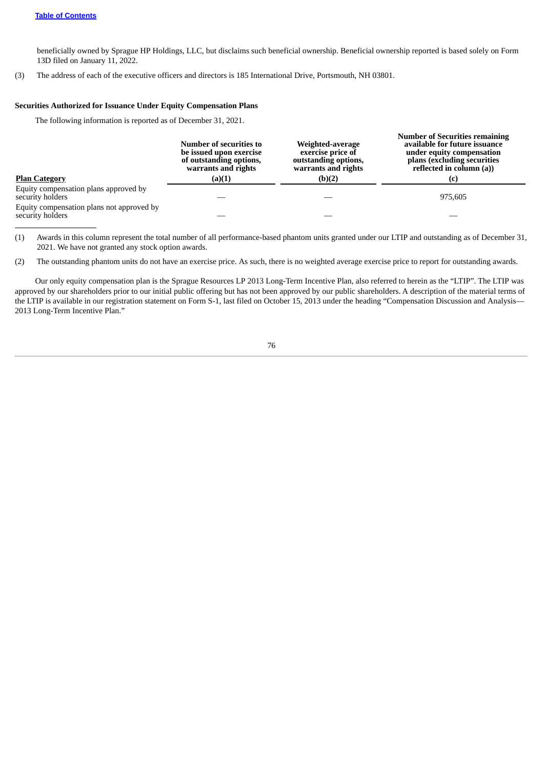beneficially owned by Sprague HP Holdings, LLC, but disclaims such beneficial ownership. Beneficial ownership reported is based solely on Form 13D filed on January 11, 2022.

(3) The address of each of the executive officers and directors is 185 International Drive, Portsmouth, NH 03801.

# **Securities Authorized for Issuance Under Equity Compensation Plans**

The following information is reported as of December 31, 2021.

|                                                               | Number of securities to<br>be issued upon exercise<br>of outstanding options,<br>warrants and rights | Weighted-average<br>exercise price of<br>outstanding options,<br>warrants and rights | <b>Number of Securities remaining</b><br>available for future issuance<br>under equity compensation<br>plans (excluding securities<br>reflected in column (a)) |
|---------------------------------------------------------------|------------------------------------------------------------------------------------------------------|--------------------------------------------------------------------------------------|----------------------------------------------------------------------------------------------------------------------------------------------------------------|
| <b>Plan Category</b>                                          | (a)(1)                                                                                               | (b)(2)                                                                               | lC.                                                                                                                                                            |
| Equity compensation plans approved by<br>security holders     |                                                                                                      |                                                                                      | 975,605                                                                                                                                                        |
| Equity compensation plans not approved by<br>security holders |                                                                                                      |                                                                                      |                                                                                                                                                                |

(1) Awards in this column represent the total number of all performance-based phantom units granted under our LTIP and outstanding as of December 31, 2021. We have not granted any stock option awards.

(2) The outstanding phantom units do not have an exercise price. As such, there is no weighted average exercise price to report for outstanding awards.

Our only equity compensation plan is the Sprague Resources LP 2013 Long-Term Incentive Plan, also referred to herein as the "LTIP". The LTIP was approved by our shareholders prior to our initial public offering but has not been approved by our public shareholders. A description of the material terms of the LTIP is available in our registration statement on Form S-1, last filed on October 15, 2013 under the heading "Compensation Discussion and Analysis— 2013 Long-Term Incentive Plan."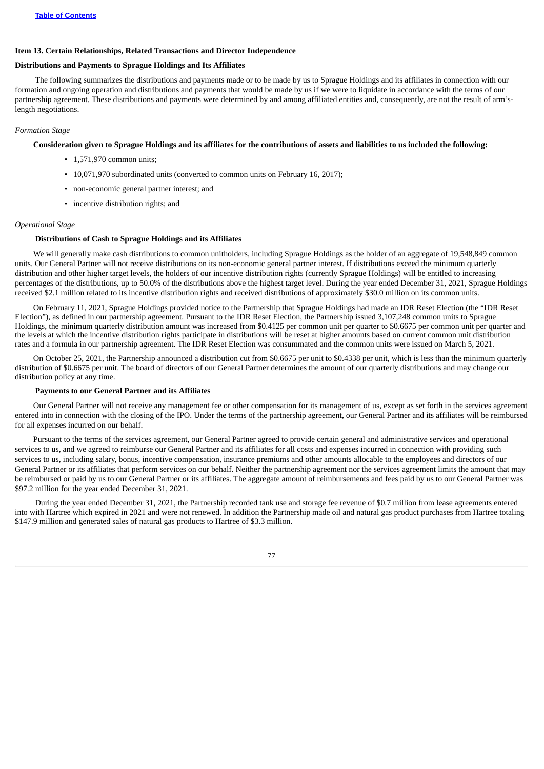#### **Item 13. Certain Relationships, Related Transactions and Director Independence**

#### **Distributions and Payments to Sprague Holdings and Its Affiliates**

The following summarizes the distributions and payments made or to be made by us to Sprague Holdings and its affiliates in connection with our formation and ongoing operation and distributions and payments that would be made by us if we were to liquidate in accordance with the terms of our partnership agreement. These distributions and payments were determined by and among affiliated entities and, consequently, are not the result of arm'slength negotiations.

#### *Formation Stage*

# Consideration given to Sprague Holdings and its affiliates for the contributions of assets and liabilities to us included the following:

- $\cdot$  1,571,970 common units;
- 10,071,970 subordinated units (converted to common units on February 16, 2017);
- non-economic general partner interest; and
- incentive distribution rights; and

#### *Operational Stage*

# **Distributions of Cash to Sprague Holdings and its Affiliates**

We will generally make cash distributions to common unitholders, including Sprague Holdings as the holder of an aggregate of 19,548,849 common units. Our General Partner will not receive distributions on its non-economic general partner interest. If distributions exceed the minimum quarterly distribution and other higher target levels, the holders of our incentive distribution rights (currently Sprague Holdings) will be entitled to increasing percentages of the distributions, up to 50.0% of the distributions above the highest target level. During the year ended December 31, 2021, Sprague Holdings received \$2.1 million related to its incentive distribution rights and received distributions of approximately \$30.0 million on its common units.

On February 11, 2021, Sprague Holdings provided notice to the Partnership that Sprague Holdings had made an IDR Reset Election (the "IDR Reset Election"), as defined in our partnership agreement. Pursuant to the IDR Reset Election, the Partnership issued 3,107,248 common units to Sprague Holdings, the minimum quarterly distribution amount was increased from \$0.4125 per common unit per quarter to \$0.6675 per common unit per quarter and the levels at which the incentive distribution rights participate in distributions will be reset at higher amounts based on current common unit distribution rates and a formula in our partnership agreement. The IDR Reset Election was consummated and the common units were issued on March 5, 2021.

On October 25, 2021, the Partnership announced a distribution cut from \$0.6675 per unit to \$0.4338 per unit, which is less than the minimum quarterly distribution of \$0.6675 per unit. The board of directors of our General Partner determines the amount of our quarterly distributions and may change our distribution policy at any time.

#### **Payments to our General Partner and its Affiliates**

Our General Partner will not receive any management fee or other compensation for its management of us, except as set forth in the services agreement entered into in connection with the closing of the IPO. Under the terms of the partnership agreement, our General Partner and its affiliates will be reimbursed for all expenses incurred on our behalf.

Pursuant to the terms of the services agreement, our General Partner agreed to provide certain general and administrative services and operational services to us, and we agreed to reimburse our General Partner and its affiliates for all costs and expenses incurred in connection with providing such services to us, including salary, bonus, incentive compensation, insurance premiums and other amounts allocable to the employees and directors of our General Partner or its affiliates that perform services on our behalf. Neither the partnership agreement nor the services agreement limits the amount that may be reimbursed or paid by us to our General Partner or its affiliates. The aggregate amount of reimbursements and fees paid by us to our General Partner was \$97.2 million for the year ended December 31, 2021.

During the year ended December 31, 2021, the Partnership recorded tank use and storage fee revenue of \$0.7 million from lease agreements entered into with Hartree which expired in 2021 and were not renewed. In addition the Partnership made oil and natural gas product purchases from Hartree totaling \$147.9 million and generated sales of natural gas products to Hartree of \$3.3 million.

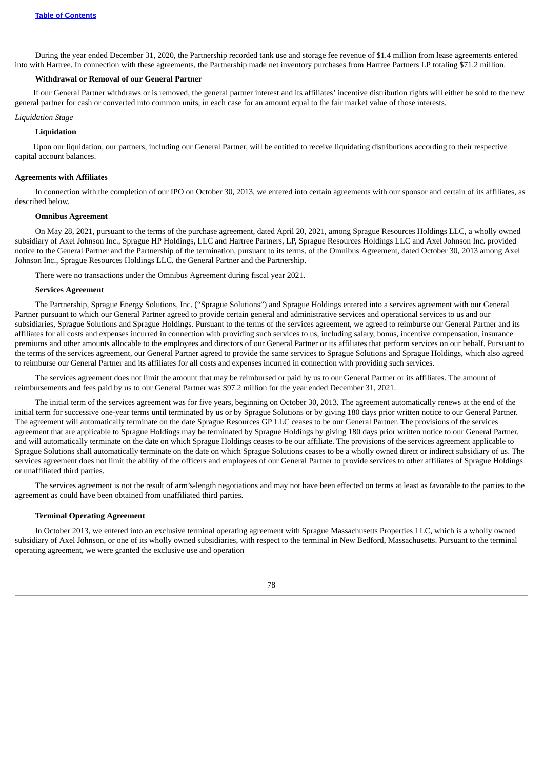During the year ended December 31, 2020, the Partnership recorded tank use and storage fee revenue of \$1.4 million from lease agreements entered into with Hartree. In connection with these agreements, the Partnership made net inventory purchases from Hartree Partners LP totaling \$71.2 million.

#### **Withdrawal or Removal of our General Partner**

If our General Partner withdraws or is removed, the general partner interest and its affiliates' incentive distribution rights will either be sold to the new general partner for cash or converted into common units, in each case for an amount equal to the fair market value of those interests.

#### *Liquidation Stage*

#### **Liquidation**

Upon our liquidation, our partners, including our General Partner, will be entitled to receive liquidating distributions according to their respective capital account balances.

#### **Agreements with Affiliates**

In connection with the completion of our IPO on October 30, 2013, we entered into certain agreements with our sponsor and certain of its affiliates, as described below.

#### **Omnibus Agreement**

On May 28, 2021, pursuant to the terms of the purchase agreement, dated April 20, 2021, among Sprague Resources Holdings LLC, a wholly owned subsidiary of Axel Johnson Inc., Sprague HP Holdings, LLC and Hartree Partners, LP, Sprague Resources Holdings LLC and Axel Johnson Inc. provided notice to the General Partner and the Partnership of the termination, pursuant to its terms, of the Omnibus Agreement, dated October 30, 2013 among Axel Johnson Inc., Sprague Resources Holdings LLC, the General Partner and the Partnership.

There were no transactions under the Omnibus Agreement during fiscal year 2021.

#### **Services Agreement**

The Partnership, Sprague Energy Solutions, Inc. ("Sprague Solutions") and Sprague Holdings entered into a services agreement with our General Partner pursuant to which our General Partner agreed to provide certain general and administrative services and operational services to us and our subsidiaries, Sprague Solutions and Sprague Holdings. Pursuant to the terms of the services agreement, we agreed to reimburse our General Partner and its affiliates for all costs and expenses incurred in connection with providing such services to us, including salary, bonus, incentive compensation, insurance premiums and other amounts allocable to the employees and directors of our General Partner or its affiliates that perform services on our behalf. Pursuant to the terms of the services agreement, our General Partner agreed to provide the same services to Sprague Solutions and Sprague Holdings, which also agreed to reimburse our General Partner and its affiliates for all costs and expenses incurred in connection with providing such services.

The services agreement does not limit the amount that may be reimbursed or paid by us to our General Partner or its affiliates. The amount of reimbursements and fees paid by us to our General Partner was \$97.2 million for the year ended December 31, 2021.

The initial term of the services agreement was for five years, beginning on October 30, 2013. The agreement automatically renews at the end of the initial term for successive one-year terms until terminated by us or by Sprague Solutions or by giving 180 days prior written notice to our General Partner. The agreement will automatically terminate on the date Sprague Resources GP LLC ceases to be our General Partner. The provisions of the services agreement that are applicable to Sprague Holdings may be terminated by Sprague Holdings by giving 180 days prior written notice to our General Partner, and will automatically terminate on the date on which Sprague Holdings ceases to be our affiliate. The provisions of the services agreement applicable to Sprague Solutions shall automatically terminate on the date on which Sprague Solutions ceases to be a wholly owned direct or indirect subsidiary of us. The services agreement does not limit the ability of the officers and employees of our General Partner to provide services to other affiliates of Sprague Holdings or unaffiliated third parties.

The services agreement is not the result of arm's-length negotiations and may not have been effected on terms at least as favorable to the parties to the agreement as could have been obtained from unaffiliated third parties.

#### **Terminal Operating Agreement**

In October 2013, we entered into an exclusive terminal operating agreement with Sprague Massachusetts Properties LLC, which is a wholly owned subsidiary of Axel Johnson, or one of its wholly owned subsidiaries, with respect to the terminal in New Bedford, Massachusetts. Pursuant to the terminal operating agreement, we were granted the exclusive use and operation

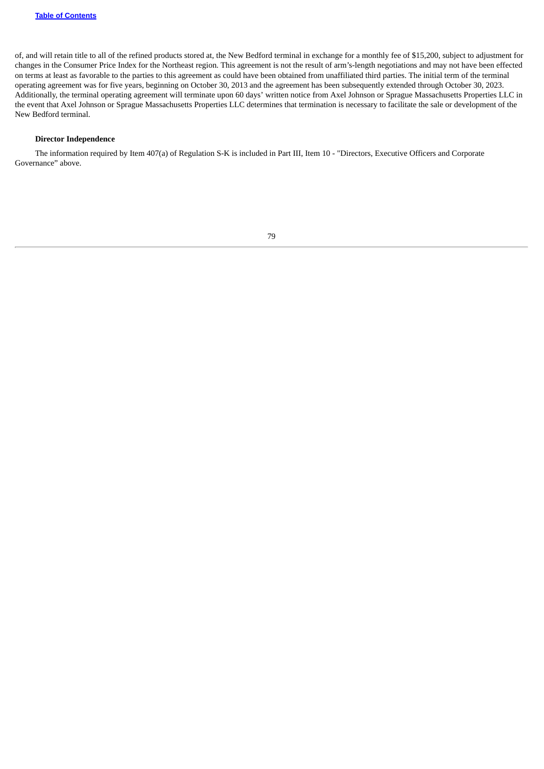of, and will retain title to all of the refined products stored at, the New Bedford terminal in exchange for a monthly fee of \$15,200, subject to adjustment for changes in the Consumer Price Index for the Northeast region. This agreement is not the result of arm's-length negotiations and may not have been effected on terms at least as favorable to the parties to this agreement as could have been obtained from unaffiliated third parties. The initial term of the terminal operating agreement was for five years, beginning on October 30, 2013 and the agreement has been subsequently extended through October 30, 2023. Additionally, the terminal operating agreement will terminate upon 60 days' written notice from Axel Johnson or Sprague Massachusetts Properties LLC in the event that Axel Johnson or Sprague Massachusetts Properties LLC determines that termination is necessary to facilitate the sale or development of the New Bedford terminal.

# **Director Independence**

The information required by Item 407(a) of Regulation S-K is included in Part III, Item 10 - "Directors, Executive Officers and Corporate Governance" above.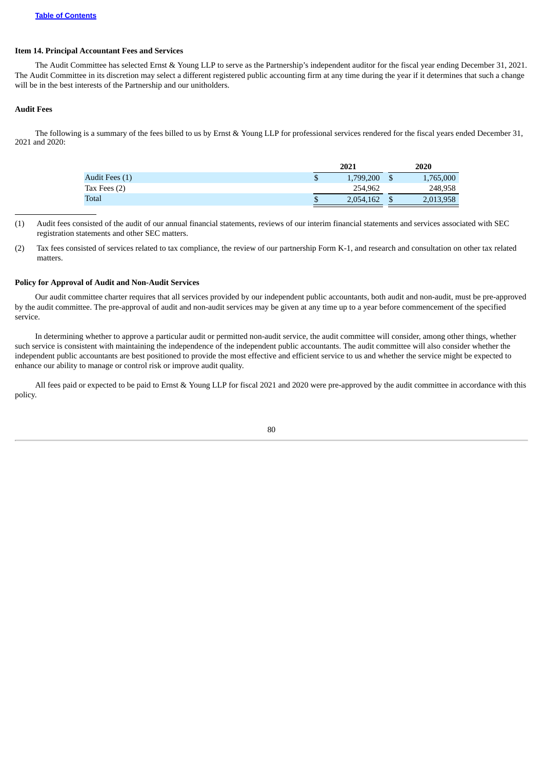#### **Item 14. Principal Accountant Fees and Services**

The Audit Committee has selected Ernst & Young LLP to serve as the Partnership's independent auditor for the fiscal year ending December 31, 2021. The Audit Committee in its discretion may select a different registered public accounting firm at any time during the year if it determines that such a change will be in the best interests of the Partnership and our unitholders.

# **Audit Fees**

The following is a summary of the fees billed to us by Ernst & Young LLP for professional services rendered for the fiscal years ended December 31, 2021 and 2020:

|                | 2021            |   | 2020      |
|----------------|-----------------|---|-----------|
| Audit Fees (1) | \$<br>1,799,200 |   | 1,765,000 |
| Tax Fees (2)   | 254.962         |   | 248,958   |
| Total          | \$<br>2,054,162 | J | 2,013,958 |

- (1) Audit fees consisted of the audit of our annual financial statements, reviews of our interim financial statements and services associated with SEC registration statements and other SEC matters.
- (2) Tax fees consisted of services related to tax compliance, the review of our partnership Form K-1, and research and consultation on other tax related matters.

# **Policy for Approval of Audit and Non-Audit Services**

Our audit committee charter requires that all services provided by our independent public accountants, both audit and non-audit, must be pre-approved by the audit committee. The pre-approval of audit and non-audit services may be given at any time up to a year before commencement of the specified service.

In determining whether to approve a particular audit or permitted non-audit service, the audit committee will consider, among other things, whether such service is consistent with maintaining the independence of the independent public accountants. The audit committee will also consider whether the independent public accountants are best positioned to provide the most effective and efficient service to us and whether the service might be expected to enhance our ability to manage or control risk or improve audit quality.

All fees paid or expected to be paid to Ernst & Young LLP for fiscal 2021 and 2020 were pre-approved by the audit committee in accordance with this policy.

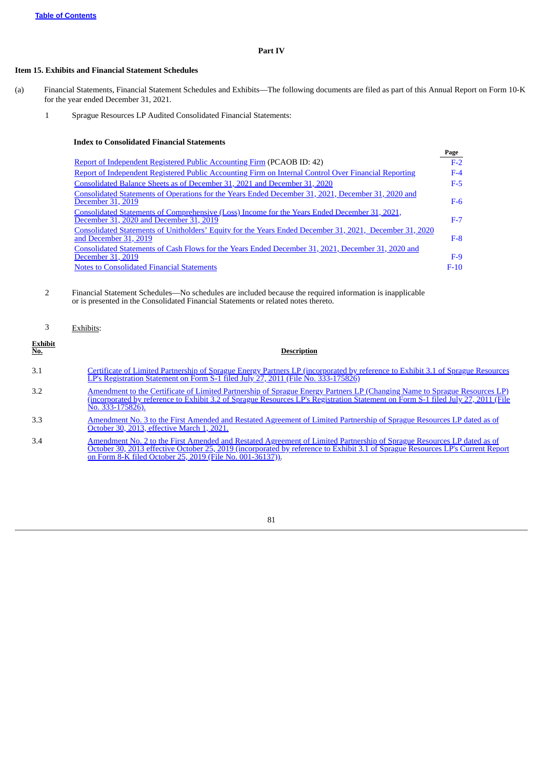# **Part IV**

# **Item 15. Exhibits and Financial Statement Schedules**

(a) Financial Statements, Financial Statement Schedules and Exhibits—The following documents are filed as part of this Annual Report on Form 10-K for the year ended December 31, 2021.

**Page**

1 Sprague Resources LP Audited Consolidated Financial Statements:

# **Index to Consolidated Financial Statements**

|                                                                                                                                          | rage   |
|------------------------------------------------------------------------------------------------------------------------------------------|--------|
| Report of Independent Registered Public Accounting Firm (PCAOB ID: 42)                                                                   | $F-2$  |
| Report of Independent Registered Public Accounting Firm on Internal Control Over Financial Reporting                                     | $F-4$  |
| Consolidated Balance Sheets as of December 31, 2021 and December 31, 2020                                                                | $F-5$  |
| Consolidated Statements of Operations for the Years Ended December 31, 2021, December 31, 2020 and<br>December 31, 2019                  | $F-6$  |
| Consolidated Statements of Comprehensive (Loss) Income for the Years Ended December 31, 2021,<br>December 31, 2020 and December 31, 2019 | $F-7$  |
| Consolidated Statements of Unitholders' Equity for the Years Ended December 31, 2021, December 31, 2020<br>and December 31, 2019         | $F-8$  |
| Consolidated Statements of Cash Flows for the Years Ended December 31, 2021, December 31, 2020 and<br>December 31, 2019                  | $F-9$  |
| <b>Notes to Consolidated Financial Statements</b>                                                                                        | $F-10$ |
|                                                                                                                                          |        |

2 Financial Statement Schedules—No schedules are included because the required information is inapplicable or is presented in the Consolidated Financial Statements or related notes thereto.

# 3 Exhibits:

| <b>Exhibit</b><br><u>No.</u> | <b>Description</b>                                                                                                                                                                                                                                                                                                    |
|------------------------------|-----------------------------------------------------------------------------------------------------------------------------------------------------------------------------------------------------------------------------------------------------------------------------------------------------------------------|
| 3.1                          | Certificate of Limited Partnership of Sprague Energy Partners LP (incorporated by reference to Exhibit 3.1 of Sprague Resources LP's Registration Statement on Form S-1 filed July 27, 2011 (File No. 333-175826).                                                                                                    |
| 3.2                          | Amendment to the Certificate of Limited Partnership of Sprague Energy Partners LP (Changing Name to Sprague Resources LP)<br>(incorporated by reference to Exhibit 3.2 of Sprague Resources LP's Registration Statement on Form S-1 filed July 27, 2011 (File<br>No. 333-175826).                                     |
| 3.3                          | Amendment No. 3 to the First Amended and Restated Agreement of Limited Partnership of Sprague Resources LP dated as of<br>October 30, 2013, effective March 1, 2021.                                                                                                                                                  |
| 3.4                          | Amendment No. 2 to the First Amended and Restated Agreement of Limited Partnership of Sprague Resources LP dated as of<br>October 30, 2013 effective October 25, 2019 (incorporated by reference to Exhibit 3.1 of Sprague Resources LP's Current Report<br>on Form 8-K filed October 25, 2019 (File No. 001-36137)). |

# 81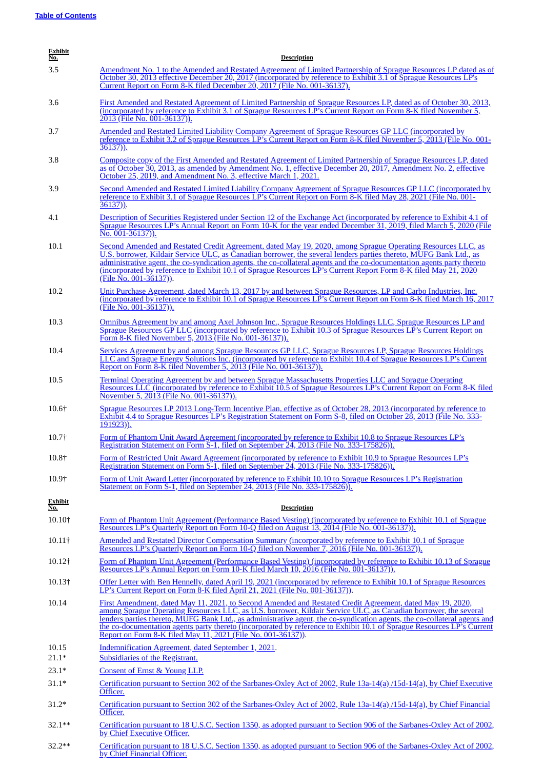| <b>Exhibit</b><br>No. | <b>Description</b>                                                                                                                                                                                                                                                                                                                                                                                                                                                                                                                                  |
|-----------------------|-----------------------------------------------------------------------------------------------------------------------------------------------------------------------------------------------------------------------------------------------------------------------------------------------------------------------------------------------------------------------------------------------------------------------------------------------------------------------------------------------------------------------------------------------------|
| 3.5                   | Amendment No. 1 to the Amended and Restated Agreement of Limited Partnership of Sprague Resources LP dated as of<br>October 30, 2013 effective December 20, 2017 (incorporated by reference to Exhibit 3.1 of Sprague Resources LP's<br>Current Report on Form 8-K filed December 20, 2017 (File No. 001-36137).                                                                                                                                                                                                                                    |
| 3.6                   | First Amended and Restated Agreement of Limited Partnership of Sprague Resources LP, dated as of October 30, 2013,<br>(incorporated by reference to Exhibit 3.1 of Sprague Resources LP's Current Report on Form 8-K filed November 5,<br>2013 (File No. 001-36137)).                                                                                                                                                                                                                                                                               |
| 3.7                   | Amended and Restated Limited Liability Company Agreement of Sprague Resources GP LLC (incorporated by<br>reference to Exhibit 3.2 of Sprague Resources LP's Current Report on Form 8-K filed November 5, 2013 (File No. 001-<br>36137)).                                                                                                                                                                                                                                                                                                            |
| 3.8                   | Composite copy of the First Amended and Restated Agreement of Limited Partnership of Sprague Resources LP, dated<br>as of October 30, 2013, as amended by Amendment No. 1, effective December 20, 2017, Amendment No. 2, effective<br>October 25, 2019, and Amendment No. 3, effective March 1, 2021.                                                                                                                                                                                                                                               |
| 3.9                   | Second Amended and Restated Limited Liability Company Agreement of Sprague Resources GP LLC (incorporated by<br>reference to Exhibit 3.1 of Sprague Resources LP's Current Report on Form 8-K filed May 28, 2021 (File No. 001-<br>36137)).                                                                                                                                                                                                                                                                                                         |
| 4.1                   | Description of Securities Registered under Section 12 of the Exchange Act (incorporated by reference to Exhibit 4.1 of<br>Sprague Resources LP's Annual Report on Form 10-K for the year ended December 31, 2019, filed March 5, 2020 (File<br>$\overline{\text{No. }001-36137)}$ .                                                                                                                                                                                                                                                                 |
| 10.1                  | Second Amended and Restated Credit Agreement, dated May 19, 2020, among Sprague Operating Resources LLC, as<br>U.S. borrower, Kildair Service ULC, as Canadian borrower, the several lenders parties thereto, MUFG Bank Ltd., as<br>administrative agent, the co-syndication agents, the co-collateral agents and the co-documentation agents party thereto<br>(incorporated by reference to Exhibit 10.1 of Sprague Resources LP's Current Report Form 8-K filed May 21, 2020<br>$(File No. 001-36137)).$                                          |
| 10.2                  | Unit Purchase Agreement, dated March 13, 2017 by and between Sprague Resources, LP and Carbo Industries, Inc.<br>(incorporated by reference to Exhibit 10.1 of Sprague Resources LP's Current Report on Form 8-K filed March 16, 2017<br>(File No. 001-36137)).                                                                                                                                                                                                                                                                                     |
| 10.3                  | Omnibus Agreement by and among Axel Johnson Inc., Sprague Resources Holdings LLC, Sprague Resources LP and<br>Sprague Resources GP LLC (incorporated by reference to Exhibit 10.3 of Sprague Resources LP's Current Report on<br>Form 8-K filed November 5, 2013 (File No. 001-36137)).                                                                                                                                                                                                                                                             |
| 10.4                  | Services Agreement by and among Sprague Resources GP LLC, Sprague Resources LP, Sprague Resources Holdings<br>LLC and Sprague Energy Solutions Inc. (incorporated by reference to Exhibit 10.4 of Sprague Resources LP's Current<br>Report on Form 8-K filed November 5, 2013 (File No. 001-36137)).                                                                                                                                                                                                                                                |
| 10.5                  | Terminal Operating Agreement by and between Sprague Massachusetts Properties LLC and Sprague Operating<br>Resources LLC (incorporated by reference to Exhibit 10.5 of Sprague Resources LP's Current Report on Form 8-K filed<br><u>November 5, 2013 (File No. 001-36137)).</u>                                                                                                                                                                                                                                                                     |
| 10.6†                 | Sprague Resources LP 2013 Long-Term Incentive Plan, effective as of October 28, 2013 (incorporated by reference to<br>Exhibit 4.4 to Sprague Resources LP's Registration Statement on Form S-8, filed on October 28, 2013 (File No. 333-<br><u>191923)).</u>                                                                                                                                                                                                                                                                                        |
| 10.7†                 | Form of Phantom Unit Award Agreement (incorporated by reference to Exhibit 10.8 to Sprague Resources LP's<br>Registration Statement on Form S-1, filed on September 24, 2013 (File No. 333-175826)).                                                                                                                                                                                                                                                                                                                                                |
| 10.8+                 | Form of Restricted Unit Award Agreement (incorporated by reference to Exhibit 10.9 to Sprague Resources LP's<br>Registration Statement on Form S-1, filed on September 24, 2013 (File No. 333-175826)).                                                                                                                                                                                                                                                                                                                                             |
| 10.9†                 | Form of Unit Award Letter (incorporated by reference to Exhibit 10.10 to Sprague Resources LP's Registration<br>Statement on Form S-1, filed on September 24, 2013 (File No. 333-175826)).                                                                                                                                                                                                                                                                                                                                                          |
| Exhibit<br>No.        | <b>Description</b>                                                                                                                                                                                                                                                                                                                                                                                                                                                                                                                                  |
| 10.10+                | Form of Phantom Unit Agreement (Performance Based Vesting) (incorporated by reference to Exhibit 10.1 of Sprague<br>Resources LP's Quarterly Report on Form 10-Q filed on August 13, 2014 (File No. 001-36137)).                                                                                                                                                                                                                                                                                                                                    |
| $10.11\dagger$        | Amended and Restated Director Compensation Summary (incorporated by reference to Exhibit 10.1 of Sprague<br>Resources LP's Quarterly Report on Form 10-Q filed on November 7, 2016 (File No. 001-36137)).                                                                                                                                                                                                                                                                                                                                           |
| 10.12†                | Form of Phantom Unit Agreement (Performance Based Vesting) (incorporated by reference to Exhibit 10.13 of Sprague<br>Resources LP's Annual Report on Form 10-K filed March 10, 2016 (File No. 001-36137)).                                                                                                                                                                                                                                                                                                                                          |
| 10.13+                | Offer Letter with Ben Hennelly, dated April 19, 2021 (incorporated by reference to Exhibit 10.1 of Sprague Resources LP's Current Report on Form 8-K filed April 21, 2021 (File No. 001-36137)).                                                                                                                                                                                                                                                                                                                                                    |
| 10.14                 | First Amendment, dated May 11, 2021, to Second Amended and Restated Credit Agreement, dated May 19, 2020,<br>among Sprague Operating Resources LLC, as U.S. borrower, Kildair Service ULC, as Canadian borrower, the several<br>lenders parties thereto, MUFG Bank Ltd., as administrative agent, the co-syndication agents, the co-collateral agents and<br>the co-documentation agents party thereto (incorporated by reference to Exhibit 10.1 of Sprague Resources LP's Current<br>Report on Form 8-K filed May 11, 2021 (File No. 001-36137)). |
| 10.15<br>$21.1*$      | Indemnification Agreement, dated September 1, 2021.<br><b>Subsidiaries of the Registrant.</b>                                                                                                                                                                                                                                                                                                                                                                                                                                                       |
| $23.1*$               | Consent of Ernst & Young LLP.                                                                                                                                                                                                                                                                                                                                                                                                                                                                                                                       |
| $31.1*$               | Certification pursuant to Section 302 of the Sarbanes-Oxley Act of 2002, Rule 13a-14(a)/15d-14(a), by Chief Executive<br>Officer.                                                                                                                                                                                                                                                                                                                                                                                                                   |
| $31.2*$               | Certification pursuant to Section 302 of the Sarbanes-Oxley Act of 2002, Rule 13a-14(a) /15d-14(a), by Chief Financial<br>Officer.                                                                                                                                                                                                                                                                                                                                                                                                                  |
| $32.1***$             | Certification pursuant to 18 U.S.C. Section 1350, as adopted pursuant to Section 906 of the Sarbanes-Oxley Act of 2002,<br>by Chief Executive Officer.                                                                                                                                                                                                                                                                                                                                                                                              |
| $32.2**$              | Certification pursuant to 18 U.S.C. Section 1350, as adopted pursuant to Section 906 of the Sarbanes-Oxley Act of 2002,<br>by Chief Financial Officer.                                                                                                                                                                                                                                                                                                                                                                                              |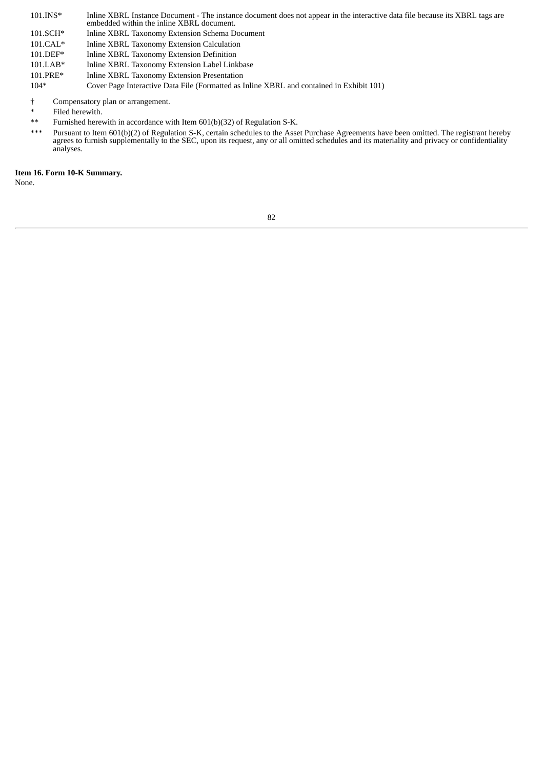- 101.INS\* Inline XBRL Instance Document The instance document does not appear in the interactive data file because its XBRL tags are embedded within the inline XBRL document. 101.SCH\* Inline XBRL Taxonomy Extension Schema Document 101.CAL\* Inline XBRL Taxonomy Extension Calculation 101.DEF\* Inline XBRL Taxonomy Extension Definition 101.LAB\* Inline XBRL Taxonomy Extension Label Linkbase 101.PRE\* Inline XBRL Taxonomy Extension Presentation 104\* Cover Page Interactive Data File (Formatted as Inline XBRL and contained in Exhibit 101)
- † Compensatory plan or arrangement.
- \* Filed herewith.
- \*\* Furnished herewith in accordance with Item 601(b)(32) of Regulation S-K.
- \*\*\* Pursuant to Item 601(b)(2) of Regulation S-K, certain schedules to the Asset Purchase Agreements have been omitted. The registrant hereby agrees to furnish supplementally to the SEC, upon its request, any or all omitted schedules and its materiality and privacy or confidentiality analyses.

**Item 16. Form 10-K Summary.**

None.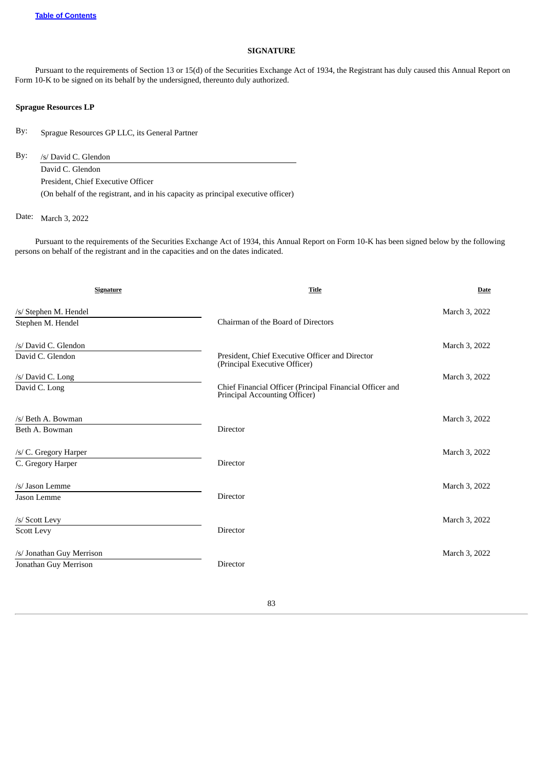# **SIGNATURE**

Pursuant to the requirements of Section 13 or 15(d) of the Securities Exchange Act of 1934, the Registrant has duly caused this Annual Report on Form 10-K to be signed on its behalf by the undersigned, thereunto duly authorized.

### **Sprague Resources LP**

By: Sprague Resources GP LLC, its General Partner

By: /s/ David C. Glendon David C. Glendon President, Chief Executive Officer (On behalf of the registrant, and in his capacity as principal executive officer)

# Date: March 3, 2022

Pursuant to the requirements of the Securities Exchange Act of 1934, this Annual Report on Form 10-K has been signed below by the following persons on behalf of the registrant and in the capacities and on the dates indicated.

| <b>Signature</b>          | <b>Title</b>                                                                              | <b>Date</b>   |
|---------------------------|-------------------------------------------------------------------------------------------|---------------|
| /s/ Stephen M. Hendel     |                                                                                           | March 3, 2022 |
| Stephen M. Hendel         | Chairman of the Board of Directors                                                        |               |
| /s/ David C. Glendon      |                                                                                           | March 3, 2022 |
| David C. Glendon          | President, Chief Executive Officer and Director<br>(Principal Executive Officer)          |               |
| /s/ David C. Long         |                                                                                           | March 3, 2022 |
| David C. Long             | Chief Financial Officer (Principal Financial Officer and<br>Principal Accounting Officer) |               |
| /s/ Beth A. Bowman        |                                                                                           | March 3, 2022 |
| Beth A. Bowman            | <b>Director</b>                                                                           |               |
| /s/ C. Gregory Harper     |                                                                                           | March 3, 2022 |
| C. Gregory Harper         | <b>Director</b>                                                                           |               |
| /s/ Jason Lemme           |                                                                                           | March 3, 2022 |
| Jason Lemme               | Director                                                                                  |               |
| /s/ Scott Levy            |                                                                                           | March 3, 2022 |
| <b>Scott Levy</b>         | <b>Director</b>                                                                           |               |
| /s/ Jonathan Guy Merrison |                                                                                           | March 3, 2022 |
| Jonathan Guy Merrison     | Director                                                                                  |               |

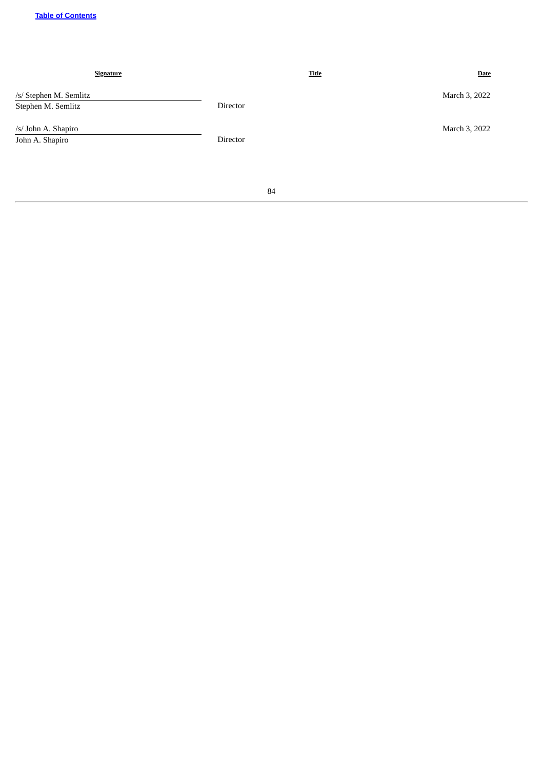| <b>Signature</b>       |          | <b>Title</b> | <b>Date</b>   |
|------------------------|----------|--------------|---------------|
| /s/ Stephen M. Semlitz |          |              | March 3, 2022 |
| Stephen M. Semlitz     | Director |              |               |
| /s/ John A. Shapiro    |          |              | March 3, 2022 |
| John A. Shapiro        | Director |              |               |
|                        |          |              |               |
|                        |          |              |               |

84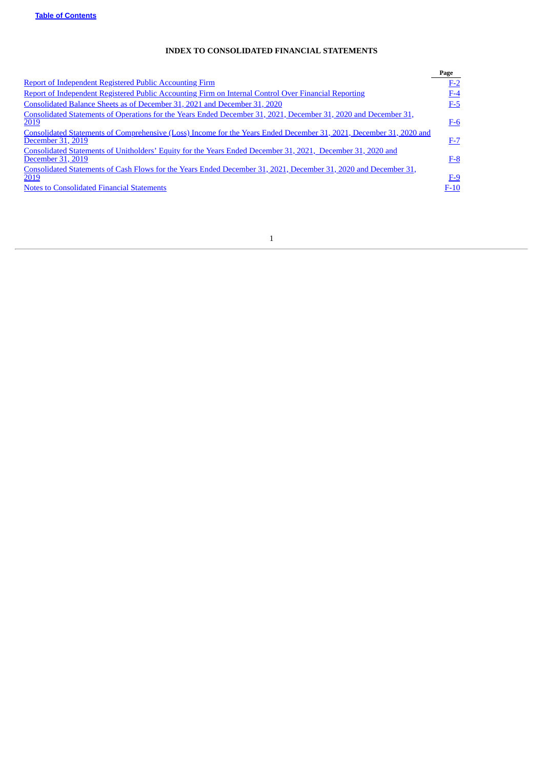# **INDEX TO CONSOLIDATED FINANCIAL STATEMENTS**

<span id="page-88-0"></span>

|                                                                                                                                          | Page   |
|------------------------------------------------------------------------------------------------------------------------------------------|--------|
| <b>Report of Independent Registered Public Accounting Firm</b>                                                                           | $F-2$  |
| Report of Independent Registered Public Accounting Firm on Internal Control Over Financial Reporting                                     | $F-4$  |
| Consolidated Balance Sheets as of December 31, 2021 and December 31, 2020                                                                | $F-5$  |
| Consolidated Statements of Operations for the Years Ended December 31, 2021, December 31, 2020 and December 31,<br>2019                  | $F-6$  |
| Consolidated Statements of Comprehensive (Loss) Income for the Years Ended December 31, 2021, December 31, 2020 and<br>December 31, 2019 | $F-7$  |
| Consolidated Statements of Unitholders' Equity for the Years Ended December 31, 2021, December 31, 2020 and<br>December 31, 2019         | $F-8$  |
| Consolidated Statements of Cash Flows for the Years Ended December 31, 2021, December 31, 2020 and December 31,<br>2019                  | $F-9$  |
| <b>Notes to Consolidated Financial Statements</b>                                                                                        | $F-10$ |

1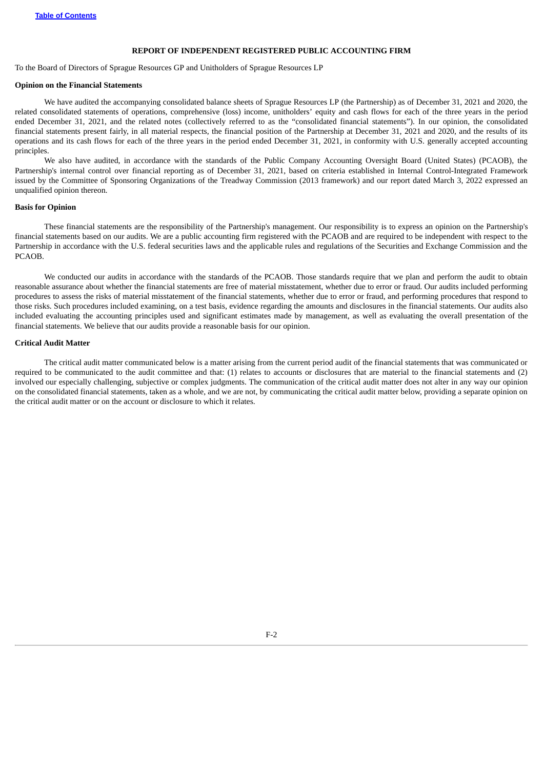#### **REPORT OF INDEPENDENT REGISTERED PUBLIC ACCOUNTING FIRM**

To the Board of Directors of Sprague Resources GP and Unitholders of Sprague Resources LP

## **Opinion on the Financial Statements**

We have audited the accompanying consolidated balance sheets of Sprague Resources LP (the Partnership) as of December 31, 2021 and 2020, the related consolidated statements of operations, comprehensive (loss) income, unitholders' equity and cash flows for each of the three years in the period ended December 31, 2021, and the related notes (collectively referred to as the "consolidated financial statements"). In our opinion, the consolidated financial statements present fairly, in all material respects, the financial position of the Partnership at December 31, 2021 and 2020, and the results of its operations and its cash flows for each of the three years in the period ended December 31, 2021, in conformity with U.S. generally accepted accounting principles.

We also have audited, in accordance with the standards of the Public Company Accounting Oversight Board (United States) (PCAOB), the Partnership's internal control over financial reporting as of December 31, 2021, based on criteria established in Internal Control-Integrated Framework issued by the Committee of Sponsoring Organizations of the Treadway Commission (2013 framework) and our report dated March 3, 2022 expressed an unqualified opinion thereon.

## **Basis for Opinion**

These financial statements are the responsibility of the Partnership's management. Our responsibility is to express an opinion on the Partnership's financial statements based on our audits. We are a public accounting firm registered with the PCAOB and are required to be independent with respect to the Partnership in accordance with the U.S. federal securities laws and the applicable rules and regulations of the Securities and Exchange Commission and the PCAOB.

We conducted our audits in accordance with the standards of the PCAOB. Those standards require that we plan and perform the audit to obtain reasonable assurance about whether the financial statements are free of material misstatement, whether due to error or fraud. Our audits included performing procedures to assess the risks of material misstatement of the financial statements, whether due to error or fraud, and performing procedures that respond to those risks. Such procedures included examining, on a test basis, evidence regarding the amounts and disclosures in the financial statements. Our audits also included evaluating the accounting principles used and significant estimates made by management, as well as evaluating the overall presentation of the financial statements. We believe that our audits provide a reasonable basis for our opinion.

#### **Critical Audit Matter**

The critical audit matter communicated below is a matter arising from the current period audit of the financial statements that was communicated or required to be communicated to the audit committee and that: (1) relates to accounts or disclosures that are material to the financial statements and (2) involved our especially challenging, subjective or complex judgments. The communication of the critical audit matter does not alter in any way our opinion on the consolidated financial statements, taken as a whole, and we are not, by communicating the critical audit matter below, providing a separate opinion on the critical audit matter or on the account or disclosure to which it relates.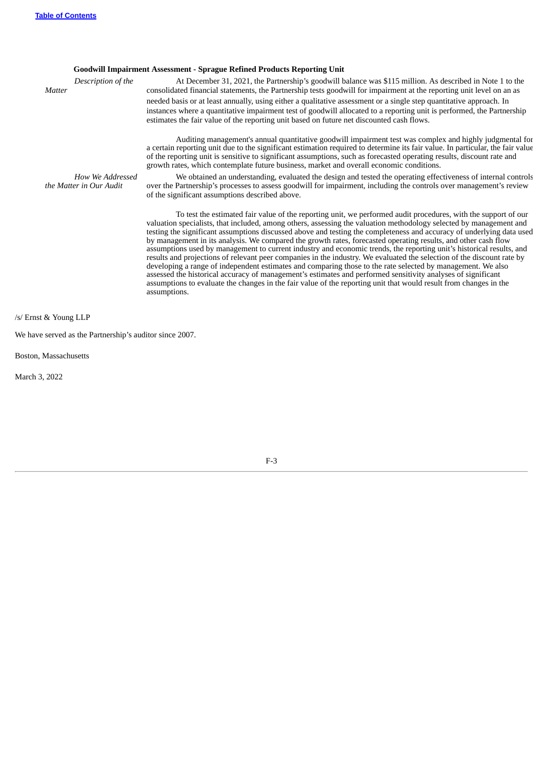# **Goodwill Impairment Assessment - Sprague Refined Products Reporting Unit**

*Matter*

*Description of the* At December 31, 2021, the Partnership's goodwill balance was \$115 million. As described in Note 1 to the consolidated financial statements, the Partnership tests goodwill for impairment at the reporting unit level on an as needed basis or at least annually, using either a qualitative assessment or a single step quantitative approach. In instances where a quantitative impairment test of goodwill allocated to a reporting unit is performed, the Partnership estimates the fair value of the reporting unit based on future net discounted cash flows.

> Auditing management's annual quantitative goodwill impairment test was complex and highly judgmental for a certain reporting unit due to the significant estimation required to determine its fair value. In particular, the fair value of the reporting unit is sensitive to significant assumptions, such as forecasted operating results, discount rate and growth rates, which contemplate future business, market and overall economic conditions.

*How We Addressed the Matter in Our Audit*

We obtained an understanding, evaluated the design and tested the operating effectiveness of internal controls over the Partnership's processes to assess goodwill for impairment, including the controls over management's review of the significant assumptions described above.

To test the estimated fair value of the reporting unit, we performed audit procedures, with the support of our valuation specialists, that included, among others, assessing the valuation methodology selected by management and testing the significant assumptions discussed above and testing the completeness and accuracy of underlying data used by management in its analysis. We compared the growth rates, forecasted operating results, and other cash flow assumptions used by management to current industry and economic trends, the reporting unit's historical results, and results and projections of relevant peer companies in the industry. We evaluated the selection of the discount rate by developing a range of independent estimates and comparing those to the rate selected by management. We also assessed the historical accuracy of management's estimates and performed sensitivity analyses of significant assumptions to evaluate the changes in the fair value of the reporting unit that would result from changes in the assumptions.

/s/ Ernst & Young LLP

We have served as the Partnership's auditor since 2007.

Boston, Massachusetts

<span id="page-90-0"></span>March 3, 2022

F-3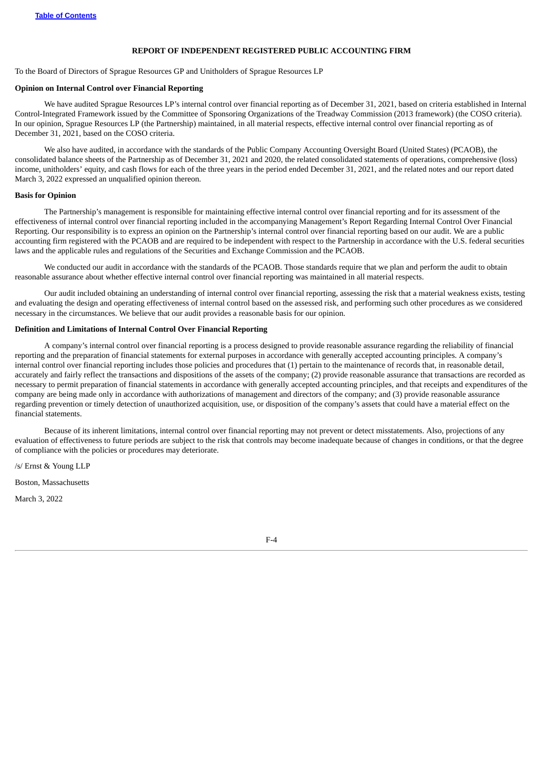#### **REPORT OF INDEPENDENT REGISTERED PUBLIC ACCOUNTING FIRM**

To the Board of Directors of Sprague Resources GP and Unitholders of Sprague Resources LP

# **Opinion on Internal Control over Financial Reporting**

We have audited Sprague Resources LP's internal control over financial reporting as of December 31, 2021, based on criteria established in Internal Control-Integrated Framework issued by the Committee of Sponsoring Organizations of the Treadway Commission (2013 framework) (the COSO criteria). In our opinion, Sprague Resources LP (the Partnership) maintained, in all material respects, effective internal control over financial reporting as of December 31, 2021, based on the COSO criteria.

We also have audited, in accordance with the standards of the Public Company Accounting Oversight Board (United States) (PCAOB), the consolidated balance sheets of the Partnership as of December 31, 2021 and 2020, the related consolidated statements of operations, comprehensive (loss) income, unitholders' equity, and cash flows for each of the three years in the period ended December 31, 2021, and the related notes and our report dated March 3, 2022 expressed an unqualified opinion thereon.

# **Basis for Opinion**

The Partnership's management is responsible for maintaining effective internal control over financial reporting and for its assessment of the effectiveness of internal control over financial reporting included in the accompanying Management's Report Regarding Internal Control Over Financial Reporting. Our responsibility is to express an opinion on the Partnership's internal control over financial reporting based on our audit. We are a public accounting firm registered with the PCAOB and are required to be independent with respect to the Partnership in accordance with the U.S. federal securities laws and the applicable rules and regulations of the Securities and Exchange Commission and the PCAOB.

We conducted our audit in accordance with the standards of the PCAOB. Those standards require that we plan and perform the audit to obtain reasonable assurance about whether effective internal control over financial reporting was maintained in all material respects.

Our audit included obtaining an understanding of internal control over financial reporting, assessing the risk that a material weakness exists, testing and evaluating the design and operating effectiveness of internal control based on the assessed risk, and performing such other procedures as we considered necessary in the circumstances. We believe that our audit provides a reasonable basis for our opinion.

# **Definition and Limitations of Internal Control Over Financial Reporting**

A company's internal control over financial reporting is a process designed to provide reasonable assurance regarding the reliability of financial reporting and the preparation of financial statements for external purposes in accordance with generally accepted accounting principles. A company's internal control over financial reporting includes those policies and procedures that (1) pertain to the maintenance of records that, in reasonable detail, accurately and fairly reflect the transactions and dispositions of the assets of the company; (2) provide reasonable assurance that transactions are recorded as necessary to permit preparation of financial statements in accordance with generally accepted accounting principles, and that receipts and expenditures of the company are being made only in accordance with authorizations of management and directors of the company; and (3) provide reasonable assurance regarding prevention or timely detection of unauthorized acquisition, use, or disposition of the company's assets that could have a material effect on the financial statements.

Because of its inherent limitations, internal control over financial reporting may not prevent or detect misstatements. Also, projections of any evaluation of effectiveness to future periods are subject to the risk that controls may become inadequate because of changes in conditions, or that the degree of compliance with the policies or procedures may deteriorate.

/s/ Ernst & Young LLP

Boston, Massachusetts

<span id="page-91-0"></span>March 3, 2022

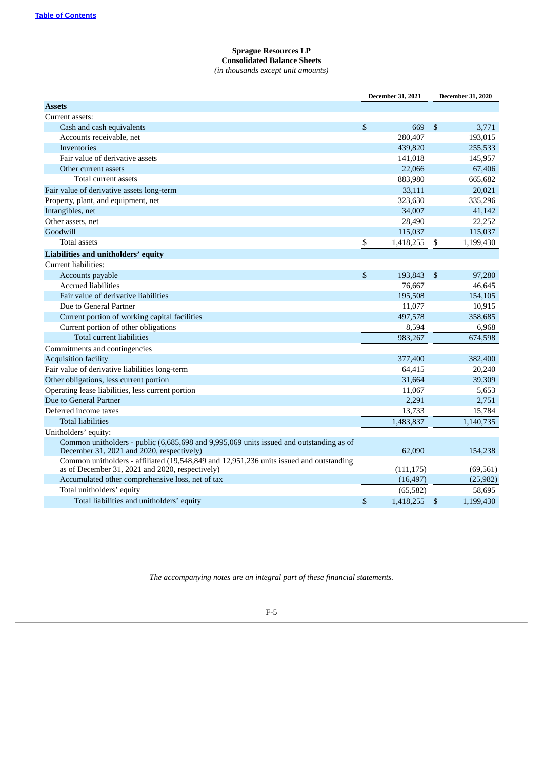# **Sprague Resources LP Consolidated Balance Sheets** *(in thousands except unit amounts)*

|                                                                                                                                            | December 31, 2021 | <b>December 31, 2020</b> |
|--------------------------------------------------------------------------------------------------------------------------------------------|-------------------|--------------------------|
| <b>Assets</b>                                                                                                                              |                   |                          |
| Current assets:                                                                                                                            |                   |                          |
| Cash and cash equivalents                                                                                                                  | \$<br>669         | \$<br>3,771              |
| Accounts receivable, net                                                                                                                   | 280,407           | 193,015                  |
| Inventories                                                                                                                                | 439,820           | 255,533                  |
| Fair value of derivative assets                                                                                                            | 141,018           | 145,957                  |
| Other current assets                                                                                                                       | 22,066            | 67,406                   |
| Total current assets                                                                                                                       | 883,980           | 665,682                  |
| Fair value of derivative assets long-term                                                                                                  | 33,111            | 20,021                   |
| Property, plant, and equipment, net                                                                                                        | 323,630           | 335,296                  |
| Intangibles, net                                                                                                                           | 34,007            | 41,142                   |
| Other assets, net                                                                                                                          | 28,490            | 22,252                   |
| Goodwill                                                                                                                                   | 115,037           | 115,037                  |
| <b>Total assets</b>                                                                                                                        | \$<br>1,418,255   | \$<br>1,199,430          |
| Liabilities and unitholders' equity                                                                                                        |                   |                          |
| Current liabilities:                                                                                                                       |                   |                          |
| Accounts payable                                                                                                                           | \$<br>193,843     | \$<br>97,280             |
| <b>Accrued liabilities</b>                                                                                                                 | 76,667            | 46,645                   |
| Fair value of derivative liabilities                                                                                                       | 195,508           | 154,105                  |
| Due to General Partner                                                                                                                     | 11,077            | 10,915                   |
| Current portion of working capital facilities                                                                                              | 497,578           | 358,685                  |
| Current portion of other obligations                                                                                                       | 8,594             | 6,968                    |
| <b>Total current liabilities</b>                                                                                                           | 983,267           | 674,598                  |
| Commitments and contingencies                                                                                                              |                   |                          |
| <b>Acquisition facility</b>                                                                                                                | 377,400           | 382,400                  |
| Fair value of derivative liabilities long-term                                                                                             | 64,415            | 20,240                   |
| Other obligations, less current portion                                                                                                    | 31,664            | 39,309                   |
| Operating lease liabilities, less current portion                                                                                          | 11,067            | 5,653                    |
| Due to General Partner                                                                                                                     | 2,291             | 2,751                    |
| Deferred income taxes                                                                                                                      | 13,733            | 15,784                   |
| <b>Total liabilities</b>                                                                                                                   | 1,483,837         | 1,140,735                |
| Unitholders' equity:                                                                                                                       |                   |                          |
| Common unitholders - public (6,685,698 and 9,995,069 units issued and outstanding as of<br>December 31, 2021 and 2020, respectively)       | 62,090            | 154,238                  |
| Common unitholders - affiliated (19,548,849 and 12,951,236 units issued and outstanding<br>as of December 31, 2021 and 2020, respectively) | (111, 175)        | (69, 561)                |
| Accumulated other comprehensive loss, net of tax                                                                                           | (16, 497)         | (25, 982)                |
| Total unitholders' equity                                                                                                                  | (65, 582)         | 58,695                   |
| Total liabilities and unitholders' equity                                                                                                  | \$<br>1,418,255   | \$<br>1,199,430          |

<span id="page-92-0"></span>*The accompanying notes are an integral part of these financial statements.*

F-5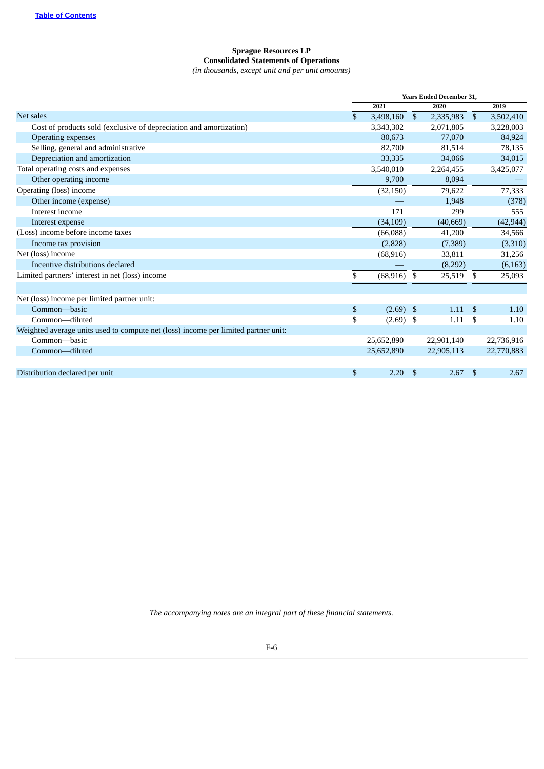# **Sprague Resources LP Consolidated Statements of Operations** *(in thousands, except unit and per unit amounts)*

<span id="page-93-0"></span>

|                                                                                    | <b>Years Ended December 31,</b> |             |              |            |                |            |
|------------------------------------------------------------------------------------|---------------------------------|-------------|--------------|------------|----------------|------------|
|                                                                                    |                                 | 2021        |              | 2020       |                | 2019       |
| Net sales                                                                          | \$                              | 3,498,160   | $\mathbf{s}$ | 2,335,983  | $\mathbf{s}$   | 3,502,410  |
| Cost of products sold (exclusive of depreciation and amortization)                 |                                 | 3,343,302   |              | 2,071,805  |                | 3,228,003  |
| Operating expenses                                                                 |                                 | 80,673      |              | 77,070     |                | 84,924     |
| Selling, general and administrative                                                |                                 | 82,700      |              | 81,514     |                | 78,135     |
| Depreciation and amortization                                                      |                                 | 33,335      |              | 34,066     |                | 34,015     |
| Total operating costs and expenses                                                 |                                 | 3,540,010   |              | 2,264,455  |                | 3,425,077  |
| Other operating income                                                             |                                 | 9,700       |              | 8,094      |                |            |
| Operating (loss) income                                                            |                                 | (32, 150)   |              | 79.622     |                | 77,333     |
| Other income (expense)                                                             |                                 |             |              | 1,948      |                | (378)      |
| Interest income                                                                    |                                 | 171         |              | 299        |                | 555        |
| Interest expense                                                                   |                                 | (34, 109)   |              | (40, 669)  |                | (42, 944)  |
| (Loss) income before income taxes                                                  |                                 | (66,088)    |              | 41,200     |                | 34,566     |
| Income tax provision                                                               |                                 | (2,828)     |              | (7,389)    |                | (3,310)    |
| Net (loss) income                                                                  |                                 | (68, 916)   |              | 33,811     |                | 31,256     |
| Incentive distributions declared                                                   |                                 |             |              | (8,292)    |                | (6, 163)   |
| Limited partners' interest in net (loss) income                                    | \$.                             | (68, 916)   | \$           | 25,519     | S.             | 25,093     |
|                                                                                    |                                 |             |              |            |                |            |
| Net (loss) income per limited partner unit:                                        |                                 |             |              |            |                |            |
| Common-basic                                                                       | \$                              | $(2.69)$ \$ |              | 1.11       | $\mathfrak{S}$ | 1.10       |
| Common-diluted                                                                     | \$                              | $(2.69)$ \$ |              | 1.11       | \$             | 1.10       |
| Weighted average units used to compute net (loss) income per limited partner unit: |                                 |             |              |            |                |            |
| Common—basic                                                                       |                                 | 25,652,890  |              | 22,901,140 |                | 22,736,916 |
| Common-diluted                                                                     |                                 | 25,652,890  |              | 22,905,113 |                | 22,770,883 |
|                                                                                    |                                 |             |              |            |                |            |
| Distribution declared per unit                                                     | \$                              | 2.20        | -\$          | 2.67       | -S             | 2.67       |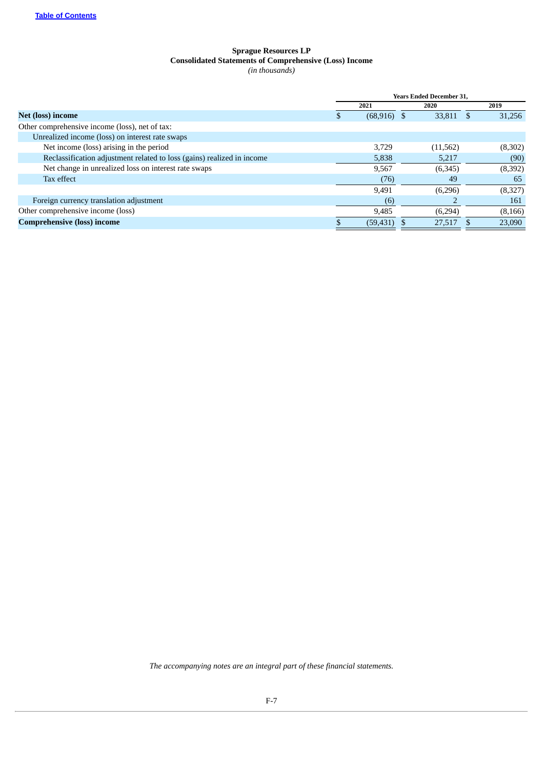# **Sprague Resources LP Consolidated Statements of Comprehensive (Loss) Income** *(in thousands)*

<span id="page-94-0"></span>

|                                                                        | <b>Years Ended December 31,</b> |               |  |           |  |          |
|------------------------------------------------------------------------|---------------------------------|---------------|--|-----------|--|----------|
|                                                                        | 2021                            |               |  | 2020      |  | 2019     |
| Net (loss) income                                                      |                                 | $(68,916)$ \$ |  | 33,811    |  | 31,256   |
| Other comprehensive income (loss), net of tax:                         |                                 |               |  |           |  |          |
| Unrealized income (loss) on interest rate swaps                        |                                 |               |  |           |  |          |
| Net income (loss) arising in the period                                |                                 | 3.729         |  | (11, 562) |  | (8,302)  |
| Reclassification adjustment related to loss (gains) realized in income |                                 | 5,838         |  | 5,217     |  | (90)     |
| Net change in unrealized loss on interest rate swaps                   |                                 | 9,567         |  | (6,345)   |  | (8,392)  |
| Tax effect                                                             |                                 | (76)          |  | 49        |  | 65       |
|                                                                        |                                 | 9,491         |  | (6,296)   |  | (8,327)  |
| Foreign currency translation adjustment                                |                                 | (6)           |  |           |  | 161      |
| Other comprehensive income (loss)                                      |                                 | 9.485         |  | (6,294)   |  | (8, 166) |
| <b>Comprehensive (loss) income</b>                                     |                                 | (59, 431)     |  | 27,517    |  | 23,090   |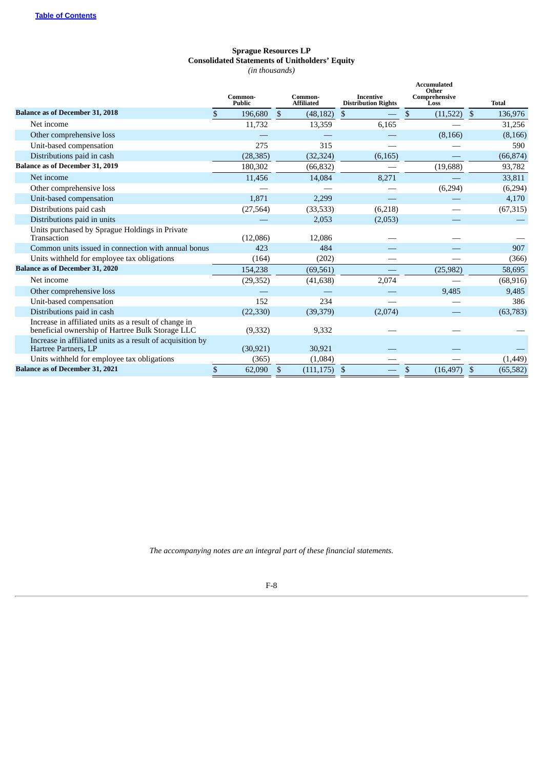# **Sprague Resources LP Consolidated Statements of Unitholders' Equity**

|  | (in thousands) |
|--|----------------|
|--|----------------|

|                                                                                                           | Common-<br>Public |                | Common-<br><b>Affiliated</b> | Incentive<br><b>Distribution Rights</b> |              | <b>Accumulated</b><br>Other<br>Comprehensive<br>Loss |               | <b>Total</b> |
|-----------------------------------------------------------------------------------------------------------|-------------------|----------------|------------------------------|-----------------------------------------|--------------|------------------------------------------------------|---------------|--------------|
| <b>Balance as of December 31, 2018</b>                                                                    | \$<br>196,680     | $\mathfrak{S}$ | (48, 182)                    | \$                                      | \$           | (11, 522)                                            | \$            | 136,976      |
| Net income                                                                                                | 11,732            |                | 13,359                       | 6,165                                   |              |                                                      |               | 31,256       |
| Other comprehensive loss                                                                                  |                   |                |                              |                                         |              | (8, 166)                                             |               | (8, 166)     |
| Unit-based compensation                                                                                   | 275               |                | 315                          |                                         |              |                                                      |               | 590          |
| Distributions paid in cash                                                                                | (28, 385)         |                | (32, 324)                    | (6, 165)                                |              |                                                      |               | (66, 874)    |
| Balance as of December 31, 2019                                                                           | 180,302           |                | (66, 832)                    |                                         |              | (19, 688)                                            |               | 93,782       |
| Net income                                                                                                | 11,456            |                | 14,084                       | 8,271                                   |              |                                                      |               | 33,811       |
| Other comprehensive loss                                                                                  |                   |                |                              |                                         |              | (6,294)                                              |               | (6,294)      |
| Unit-based compensation                                                                                   | 1.871             |                | 2,299                        |                                         |              |                                                      |               | 4,170        |
| Distributions paid cash                                                                                   | (27, 564)         |                | (33,533)                     | (6,218)                                 |              |                                                      |               | (67, 315)    |
| Distributions paid in units                                                                               |                   |                | 2,053                        | (2,053)                                 |              |                                                      |               |              |
| Units purchased by Sprague Holdings in Private<br>Transaction                                             | (12,086)          |                | 12,086                       |                                         |              |                                                      |               |              |
| Common units issued in connection with annual bonus                                                       | 423               |                | 484                          |                                         |              |                                                      |               | 907          |
| Units withheld for employee tax obligations                                                               | (164)             |                | (202)                        |                                         |              |                                                      |               | (366)        |
| <b>Balance as of December 31, 2020</b>                                                                    | 154,238           |                | (69, 561)                    |                                         |              | (25,982)                                             |               | 58,695       |
| Net income                                                                                                | (29, 352)         |                | (41, 638)                    | 2,074                                   |              |                                                      |               | (68, 916)    |
| Other comprehensive loss                                                                                  |                   |                |                              |                                         |              | 9.485                                                |               | 9,485        |
| Unit-based compensation                                                                                   | 152               |                | 234                          |                                         |              |                                                      |               | 386          |
| Distributions paid in cash                                                                                | (22, 330)         |                | (39, 379)                    | (2,074)                                 |              |                                                      |               | (63, 783)    |
| Increase in affiliated units as a result of change in<br>beneficial ownership of Hartree Bulk Storage LLC | (9,332)           |                | 9,332                        |                                         |              |                                                      |               |              |
| Increase in affiliated units as a result of acquisition by<br>Hartree Partners, LP                        | (30, 921)         |                | 30,921                       |                                         |              |                                                      |               |              |
| Units withheld for employee tax obligations                                                               | (365)             |                | (1,084)                      |                                         |              |                                                      |               | (1, 449)     |
| <b>Balance as of December 31, 2021</b>                                                                    | \$<br>62,090      | $\mathcal{S}$  | $(111, 175)$ \$              |                                         | $\mathbb{S}$ | (16, 497)                                            | $\mathcal{S}$ | (65, 582)    |

<span id="page-95-0"></span>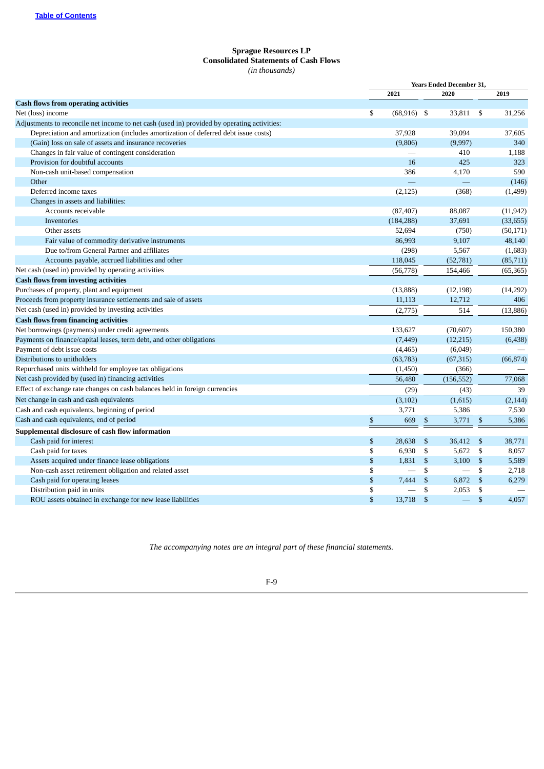# **Sprague Resources LP Consolidated Statements of Cash Flows** *(in thousands)*

|                                                                                             |               | <b>Years Ended December 31,</b> |                    |                 |              |           |
|---------------------------------------------------------------------------------------------|---------------|---------------------------------|--------------------|-----------------|--------------|-----------|
|                                                                                             |               | 2021                            |                    | 2020            |              | 2019      |
| <b>Cash flows from operating activities</b>                                                 |               |                                 |                    |                 |              |           |
| Net (loss) income                                                                           | \$            | $(68,916)$ \$                   |                    | 33,811 \$       |              | 31,256    |
| Adjustments to reconcile net income to net cash (used in) provided by operating activities: |               |                                 |                    |                 |              |           |
| Depreciation and amortization (includes amortization of deferred debt issue costs)          |               | 37,928                          |                    | 39,094          |              | 37,605    |
| (Gain) loss on sale of assets and insurance recoveries                                      |               | (9,806)                         |                    | (9,997)         |              | 340       |
| Changes in fair value of contingent consideration                                           |               |                                 |                    | 410             |              | 1,188     |
| Provision for doubtful accounts                                                             |               | 16                              |                    | 425             |              | 323       |
| Non-cash unit-based compensation                                                            |               | 386                             |                    | 4,170           |              | 590       |
| Other                                                                                       |               |                                 |                    |                 |              | (146)     |
| Deferred income taxes                                                                       |               | (2, 125)                        |                    | (368)           |              | (1,499)   |
| Changes in assets and liabilities:                                                          |               |                                 |                    |                 |              |           |
| Accounts receivable                                                                         |               | (87, 407)                       |                    | 88,087          |              | (11, 942) |
| Inventories                                                                                 |               | (184, 288)                      |                    | 37,691          |              | (33, 655) |
| Other assets                                                                                |               | 52,694                          |                    | (750)           |              | (50, 171) |
| Fair value of commodity derivative instruments                                              |               | 86,993                          |                    | 9,107           |              | 48,140    |
| Due to/from General Partner and affiliates                                                  |               | (298)                           |                    | 5,567           |              | (1,683)   |
| Accounts payable, accrued liabilities and other                                             |               | 118,045                         |                    | (52,781)        |              | (85,711)  |
| Net cash (used in) provided by operating activities                                         |               | (56,778)                        |                    | 154,466         |              | (65, 365) |
| <b>Cash flows from investing activities</b>                                                 |               |                                 |                    |                 |              |           |
| Purchases of property, plant and equipment                                                  |               | (13, 888)                       |                    | (12, 198)       |              | (14,292)  |
| Proceeds from property insurance settlements and sale of assets                             |               | 11,113                          |                    | 12,712          |              | 406       |
| Net cash (used in) provided by investing activities                                         |               | (2,775)                         |                    | 514             |              | (13, 886) |
| <b>Cash flows from financing activities</b>                                                 |               |                                 |                    |                 |              |           |
| Net borrowings (payments) under credit agreements                                           |               | 133,627                         |                    | (70, 607)       |              | 150,380   |
| Payments on finance/capital leases, term debt, and other obligations                        |               | (7, 449)                        |                    | (12, 215)       |              | (6, 438)  |
| Payment of debt issue costs                                                                 |               | (4, 465)                        |                    | (6,049)         |              |           |
| Distributions to unitholders                                                                |               | (63, 783)                       |                    | (67, 315)       |              | (66, 874) |
| Repurchased units withheld for employee tax obligations                                     |               | (1,450)                         |                    | (366)           |              |           |
| Net cash provided by (used in) financing activities                                         |               | 56,480                          |                    | (156, 552)      |              | 77,068    |
| Effect of exchange rate changes on cash balances held in foreign currencies                 |               | (29)                            |                    | (43)            |              | 39        |
| Net change in cash and cash equivalents                                                     |               | (3, 102)                        |                    | (1,615)         |              | (2, 144)  |
| Cash and cash equivalents, beginning of period                                              |               | 3,771                           |                    | 5,386           |              | 7,530     |
| Cash and cash equivalents, end of period                                                    | \$            | 669                             | $\mathfrak{s}$     | 3,771           | \$           | 5,386     |
| Supplemental disclosure of cash flow information                                            |               |                                 |                    |                 |              |           |
| Cash paid for interest                                                                      | \$            | 28,638                          | -\$                | 36,412          | -\$          | 38,771    |
| Cash paid for taxes                                                                         | \$            | 6,930                           | \$                 | 5,672           | - \$         | 8,057     |
| Assets acquired under finance lease obligations                                             | \$            | 1,831                           | -\$                | 3,100           | -\$          | 5,589     |
| Non-cash asset retirement obligation and related asset                                      | \$            |                                 | \$                 | $\qquad \qquad$ | \$           | 2,718     |
| Cash paid for operating leases                                                              | \$            | 7,444                           | $\mathbb{S}$       | 6,872           | $\mathbb{S}$ | 6,279     |
| Distribution paid in units                                                                  | \$            |                                 | \$                 | 2,053           | \$           |           |
| ROU assets obtained in exchange for new lease liabilities                                   | $\mathbf{\$}$ | 13.718                          | $\mathbf{\hat{s}}$ |                 | $\mathbb{S}$ | 4.057     |

<span id="page-96-0"></span>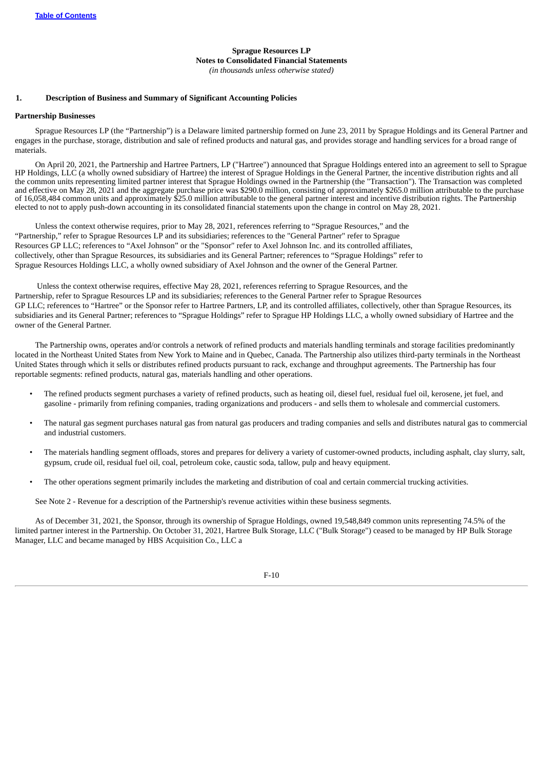# **Sprague Resources LP Notes to Consolidated Financial Statements** *(in thousands unless otherwise stated)*

# **1. Description of Business and Summary of Significant Accounting Policies**

#### **Partnership Businesses**

Sprague Resources LP (the "Partnership") is a Delaware limited partnership formed on June 23, 2011 by Sprague Holdings and its General Partner and engages in the purchase, storage, distribution and sale of refined products and natural gas, and provides storage and handling services for a broad range of materials.

On April 20, 2021, the Partnership and Hartree Partners, LP ("Hartree") announced that Sprague Holdings entered into an agreement to sell to Sprague HP Holdings, LLC (a wholly owned subsidiary of Hartree) the interest of Sprague Holdings in the General Partner, the incentive distribution rights and all the common units representing limited partner interest that Sprague Holdings owned in the Partnership (the "Transaction"). The Transaction was completed and effective on May 28, 2021 and the aggregate purchase price was \$290.0 million, consisting of approximately \$265.0 million attributable to the purchase of 16,058,484 common units and approximately \$25.0 million attributable to the general partner interest and incentive distribution rights. The Partnership elected to not to apply push-down accounting in its consolidated financial statements upon the change in control on May 28, 2021.

Unless the context otherwise requires, prior to May 28, 2021, references referring to "Sprague Resources," and the "Partnership," refer to Sprague Resources LP and its subsidiaries; references to the "General Partner" refer to Sprague Resources GP LLC; references to "Axel Johnson" or the "Sponsor" refer to Axel Johnson Inc. and its controlled affiliates, collectively, other than Sprague Resources, its subsidiaries and its General Partner; references to "Sprague Holdings" refer to Sprague Resources Holdings LLC, a wholly owned subsidiary of Axel Johnson and the owner of the General Partner.

Unless the context otherwise requires, effective May 28, 2021, references referring to Sprague Resources, and the Partnership, refer to Sprague Resources LP and its subsidiaries; references to the General Partner refer to Sprague Resources GP LLC; references to "Hartree" or the Sponsor refer to Hartree Partners, LP, and its controlled affiliates, collectively, other than Sprague Resources, its subsidiaries and its General Partner; references to "Sprague Holdings" refer to Sprague HP Holdings LLC, a wholly owned subsidiary of Hartree and the owner of the General Partner.

The Partnership owns, operates and/or controls a network of refined products and materials handling terminals and storage facilities predominantly located in the Northeast United States from New York to Maine and in Quebec, Canada. The Partnership also utilizes third-party terminals in the Northeast United States through which it sells or distributes refined products pursuant to rack, exchange and throughput agreements. The Partnership has four reportable segments: refined products, natural gas, materials handling and other operations.

- The refined products segment purchases a variety of refined products, such as heating oil, diesel fuel, residual fuel oil, kerosene, jet fuel, and gasoline - primarily from refining companies, trading organizations and producers - and sells them to wholesale and commercial customers.
- The natural gas segment purchases natural gas from natural gas producers and trading companies and sells and distributes natural gas to commercial and industrial customers.
- The materials handling segment offloads, stores and prepares for delivery a variety of customer-owned products, including asphalt, clay slurry, salt, gypsum, crude oil, residual fuel oil, coal, petroleum coke, caustic soda, tallow, pulp and heavy equipment.
- The other operations segment primarily includes the marketing and distribution of coal and certain commercial trucking activities.

See Note 2 - Revenue for a description of the Partnership's revenue activities within these business segments.

As of December 31, 2021, the Sponsor, through its ownership of Sprague Holdings, owned 19,548,849 common units representing 74.5% of the limited partner interest in the Partnership. On October 31, 2021, Hartree Bulk Storage, LLC ("Bulk Storage") ceased to be managed by HP Bulk Storage Manager, LLC and became managed by HBS Acquisition Co., LLC a

F-10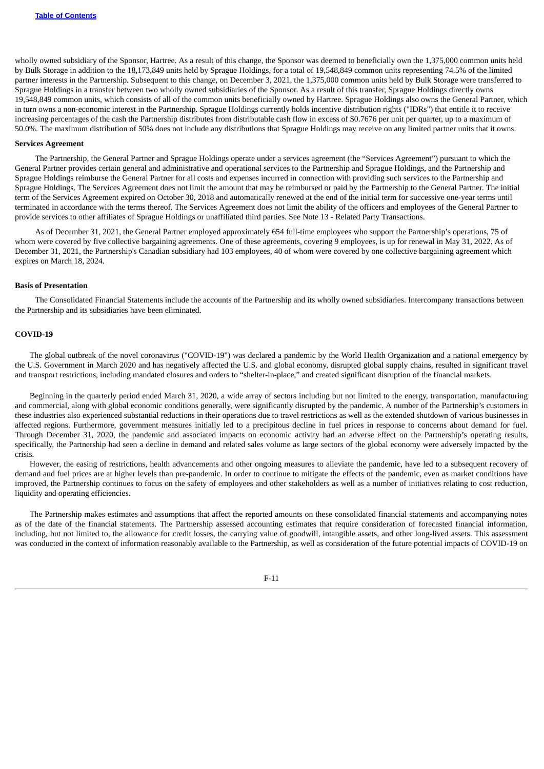wholly owned subsidiary of the Sponsor, Hartree. As a result of this change, the Sponsor was deemed to beneficially own the 1,375,000 common units held by Bulk Storage in addition to the 18,173,849 units held by Sprague Holdings, for a total of 19,548,849 common units representing 74.5% of the limited partner interests in the Partnership. Subsequent to this change, on December 3, 2021, the 1,375,000 common units held by Bulk Storage were transferred to Sprague Holdings in a transfer between two wholly owned subsidiaries of the Sponsor. As a result of this transfer, Sprague Holdings directly owns 19,548,849 common units, which consists of all of the common units beneficially owned by Hartree. Sprague Holdings also owns the General Partner, which in turn owns a non-economic interest in the Partnership. Sprague Holdings currently holds incentive distribution rights ("IDRs") that entitle it to receive increasing percentages of the cash the Partnership distributes from distributable cash flow in excess of \$0.7676 per unit per quarter, up to a maximum of 50.0%. The maximum distribution of 50% does not include any distributions that Sprague Holdings may receive on any limited partner units that it owns.

#### **Services Agreement**

The Partnership, the General Partner and Sprague Holdings operate under a services agreement (the "Services Agreement") pursuant to which the General Partner provides certain general and administrative and operational services to the Partnership and Sprague Holdings, and the Partnership and Sprague Holdings reimburse the General Partner for all costs and expenses incurred in connection with providing such services to the Partnership and Sprague Holdings. The Services Agreement does not limit the amount that may be reimbursed or paid by the Partnership to the General Partner. The initial term of the Services Agreement expired on October 30, 2018 and automatically renewed at the end of the initial term for successive one-year terms until terminated in accordance with the terms thereof. The Services Agreement does not limit the ability of the officers and employees of the General Partner to provide services to other affiliates of Sprague Holdings or unaffiliated third parties. See Note 13 - Related Party Transactions.

As of December 31, 2021, the General Partner employed approximately 654 full-time employees who support the Partnership's operations, 75 of whom were covered by five collective bargaining agreements. One of these agreements, covering 9 employees, is up for renewal in May 31, 2022. As of December 31, 2021, the Partnership's Canadian subsidiary had 103 employees, 40 of whom were covered by one collective bargaining agreement which expires on March 18, 2024.

#### **Basis of Presentation**

The Consolidated Financial Statements include the accounts of the Partnership and its wholly owned subsidiaries. Intercompany transactions between the Partnership and its subsidiaries have been eliminated.

# **COVID-19**

The global outbreak of the novel coronavirus ("COVID-19") was declared a pandemic by the World Health Organization and a national emergency by the U.S. Government in March 2020 and has negatively affected the U.S. and global economy, disrupted global supply chains, resulted in significant travel and transport restrictions, including mandated closures and orders to "shelter-in-place," and created significant disruption of the financial markets.

Beginning in the quarterly period ended March 31, 2020, a wide array of sectors including but not limited to the energy, transportation, manufacturing and commercial, along with global economic conditions generally, were significantly disrupted by the pandemic. A number of the Partnership's customers in these industries also experienced substantial reductions in their operations due to travel restrictions as well as the extended shutdown of various businesses in affected regions. Furthermore, government measures initially led to a precipitous decline in fuel prices in response to concerns about demand for fuel. Through December 31, 2020, the pandemic and associated impacts on economic activity had an adverse effect on the Partnership's operating results, specifically, the Partnership had seen a decline in demand and related sales volume as large sectors of the global economy were adversely impacted by the crisis.

However, the easing of restrictions, health advancements and other ongoing measures to alleviate the pandemic, have led to a subsequent recovery of demand and fuel prices are at higher levels than pre-pandemic. In order to continue to mitigate the effects of the pandemic, even as market conditions have improved, the Partnership continues to focus on the safety of employees and other stakeholders as well as a number of initiatives relating to cost reduction, liquidity and operating efficiencies.

The Partnership makes estimates and assumptions that affect the reported amounts on these consolidated financial statements and accompanying notes as of the date of the financial statements. The Partnership assessed accounting estimates that require consideration of forecasted financial information, including, but not limited to, the allowance for credit losses, the carrying value of goodwill, intangible assets, and other long-lived assets. This assessment was conducted in the context of information reasonably available to the Partnership, as well as consideration of the future potential impacts of COVID-19 on

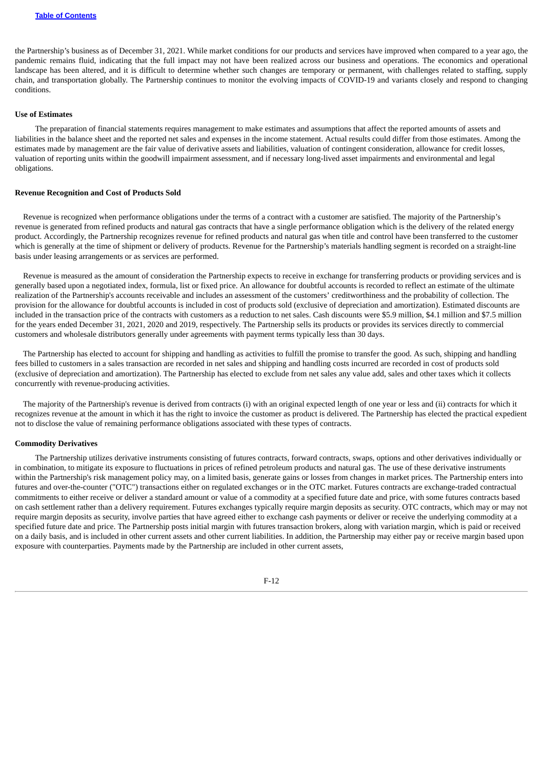the Partnership's business as of December 31, 2021. While market conditions for our products and services have improved when compared to a year ago, the pandemic remains fluid, indicating that the full impact may not have been realized across our business and operations. The economics and operational landscape has been altered, and it is difficult to determine whether such changes are temporary or permanent, with challenges related to staffing, supply chain, and transportation globally. The Partnership continues to monitor the evolving impacts of COVID-19 and variants closely and respond to changing conditions.

#### **Use of Estimates**

The preparation of financial statements requires management to make estimates and assumptions that affect the reported amounts of assets and liabilities in the balance sheet and the reported net sales and expenses in the income statement. Actual results could differ from those estimates. Among the estimates made by management are the fair value of derivative assets and liabilities, valuation of contingent consideration, allowance for credit losses, valuation of reporting units within the goodwill impairment assessment, and if necessary long-lived asset impairments and environmental and legal obligations.

#### **Revenue Recognition and Cost of Products Sold**

Revenue is recognized when performance obligations under the terms of a contract with a customer are satisfied. The majority of the Partnership's revenue is generated from refined products and natural gas contracts that have a single performance obligation which is the delivery of the related energy product. Accordingly, the Partnership recognizes revenue for refined products and natural gas when title and control have been transferred to the customer which is generally at the time of shipment or delivery of products. Revenue for the Partnership's materials handling segment is recorded on a straight-line basis under leasing arrangements or as services are performed.

Revenue is measured as the amount of consideration the Partnership expects to receive in exchange for transferring products or providing services and is generally based upon a negotiated index, formula, list or fixed price. An allowance for doubtful accounts is recorded to reflect an estimate of the ultimate realization of the Partnership's accounts receivable and includes an assessment of the customers' creditworthiness and the probability of collection. The provision for the allowance for doubtful accounts is included in cost of products sold (exclusive of depreciation and amortization). Estimated discounts are included in the transaction price of the contracts with customers as a reduction to net sales. Cash discounts were \$5.9 million, \$4.1 million and \$7.5 million for the years ended December 31, 2021, 2020 and 2019, respectively. The Partnership sells its products or provides its services directly to commercial customers and wholesale distributors generally under agreements with payment terms typically less than 30 days.

The Partnership has elected to account for shipping and handling as activities to fulfill the promise to transfer the good. As such, shipping and handling fees billed to customers in a sales transaction are recorded in net sales and shipping and handling costs incurred are recorded in cost of products sold (exclusive of depreciation and amortization). The Partnership has elected to exclude from net sales any value add, sales and other taxes which it collects concurrently with revenue-producing activities.

The majority of the Partnership's revenue is derived from contracts (i) with an original expected length of one year or less and (ii) contracts for which it recognizes revenue at the amount in which it has the right to invoice the customer as product is delivered. The Partnership has elected the practical expedient not to disclose the value of remaining performance obligations associated with these types of contracts.

#### **Commodity Derivatives**

The Partnership utilizes derivative instruments consisting of futures contracts, forward contracts, swaps, options and other derivatives individually or in combination, to mitigate its exposure to fluctuations in prices of refined petroleum products and natural gas. The use of these derivative instruments within the Partnership's risk management policy may, on a limited basis, generate gains or losses from changes in market prices. The Partnership enters into futures and over-the-counter ("OTC") transactions either on regulated exchanges or in the OTC market. Futures contracts are exchange-traded contractual commitments to either receive or deliver a standard amount or value of a commodity at a specified future date and price, with some futures contracts based on cash settlement rather than a delivery requirement. Futures exchanges typically require margin deposits as security. OTC contracts, which may or may not require margin deposits as security, involve parties that have agreed either to exchange cash payments or deliver or receive the underlying commodity at a specified future date and price. The Partnership posts initial margin with futures transaction brokers, along with variation margin, which is paid or received on a daily basis, and is included in other current assets and other current liabilities. In addition, the Partnership may either pay or receive margin based upon exposure with counterparties. Payments made by the Partnership are included in other current assets,

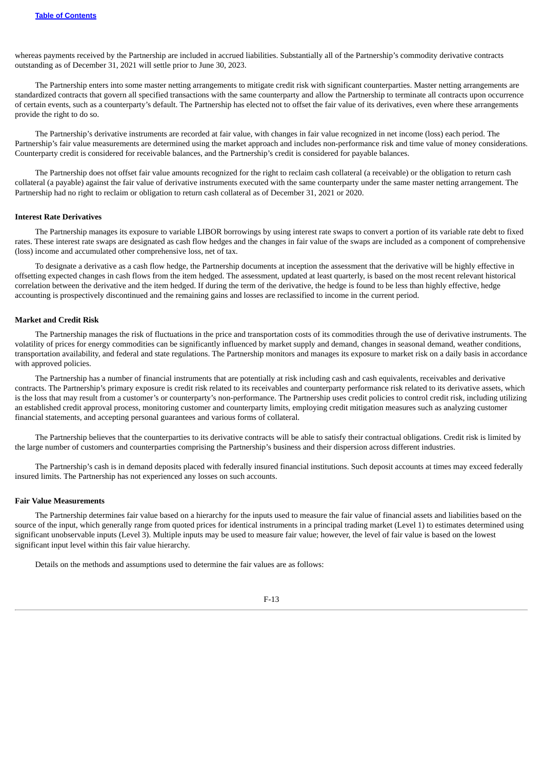whereas payments received by the Partnership are included in accrued liabilities. Substantially all of the Partnership's commodity derivative contracts outstanding as of December 31, 2021 will settle prior to June 30, 2023.

The Partnership enters into some master netting arrangements to mitigate credit risk with significant counterparties. Master netting arrangements are standardized contracts that govern all specified transactions with the same counterparty and allow the Partnership to terminate all contracts upon occurrence of certain events, such as a counterparty's default. The Partnership has elected not to offset the fair value of its derivatives, even where these arrangements provide the right to do so.

The Partnership's derivative instruments are recorded at fair value, with changes in fair value recognized in net income (loss) each period. The Partnership's fair value measurements are determined using the market approach and includes non-performance risk and time value of money considerations. Counterparty credit is considered for receivable balances, and the Partnership's credit is considered for payable balances.

The Partnership does not offset fair value amounts recognized for the right to reclaim cash collateral (a receivable) or the obligation to return cash collateral (a payable) against the fair value of derivative instruments executed with the same counterparty under the same master netting arrangement. The Partnership had no right to reclaim or obligation to return cash collateral as of December 31, 2021 or 2020.

#### **Interest Rate Derivatives**

The Partnership manages its exposure to variable LIBOR borrowings by using interest rate swaps to convert a portion of its variable rate debt to fixed rates. These interest rate swaps are designated as cash flow hedges and the changes in fair value of the swaps are included as a component of comprehensive (loss) income and accumulated other comprehensive loss, net of tax.

To designate a derivative as a cash flow hedge, the Partnership documents at inception the assessment that the derivative will be highly effective in offsetting expected changes in cash flows from the item hedged. The assessment, updated at least quarterly, is based on the most recent relevant historical correlation between the derivative and the item hedged. If during the term of the derivative, the hedge is found to be less than highly effective, hedge accounting is prospectively discontinued and the remaining gains and losses are reclassified to income in the current period.

#### **Market and Credit Risk**

The Partnership manages the risk of fluctuations in the price and transportation costs of its commodities through the use of derivative instruments. The volatility of prices for energy commodities can be significantly influenced by market supply and demand, changes in seasonal demand, weather conditions, transportation availability, and federal and state regulations. The Partnership monitors and manages its exposure to market risk on a daily basis in accordance with approved policies.

The Partnership has a number of financial instruments that are potentially at risk including cash and cash equivalents, receivables and derivative contracts. The Partnership's primary exposure is credit risk related to its receivables and counterparty performance risk related to its derivative assets, which is the loss that may result from a customer's or counterparty's non-performance. The Partnership uses credit policies to control credit risk, including utilizing an established credit approval process, monitoring customer and counterparty limits, employing credit mitigation measures such as analyzing customer financial statements, and accepting personal guarantees and various forms of collateral.

The Partnership believes that the counterparties to its derivative contracts will be able to satisfy their contractual obligations. Credit risk is limited by the large number of customers and counterparties comprising the Partnership's business and their dispersion across different industries.

The Partnership's cash is in demand deposits placed with federally insured financial institutions. Such deposit accounts at times may exceed federally insured limits. The Partnership has not experienced any losses on such accounts.

## **Fair Value Measurements**

The Partnership determines fair value based on a hierarchy for the inputs used to measure the fair value of financial assets and liabilities based on the source of the input, which generally range from quoted prices for identical instruments in a principal trading market (Level 1) to estimates determined using significant unobservable inputs (Level 3). Multiple inputs may be used to measure fair value; however, the level of fair value is based on the lowest significant input level within this fair value hierarchy.

Details on the methods and assumptions used to determine the fair values are as follows:

F-13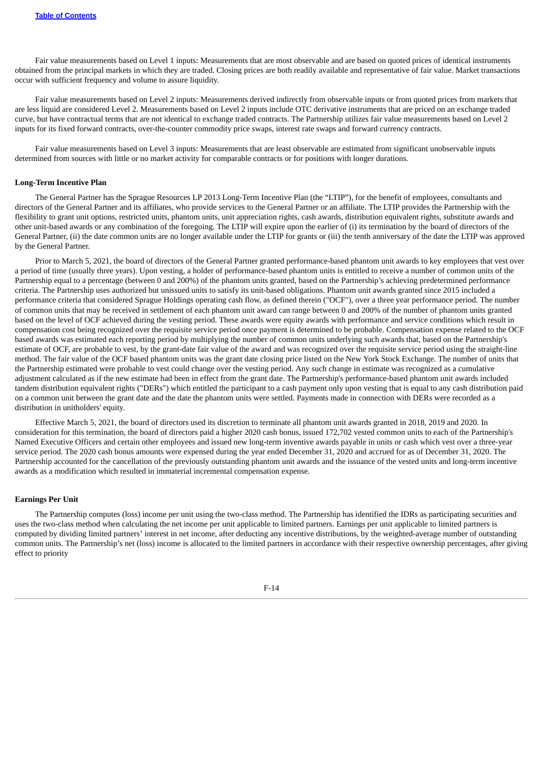Fair value measurements based on Level 1 inputs: Measurements that are most observable and are based on quoted prices of identical instruments obtained from the principal markets in which they are traded. Closing prices are both readily available and representative of fair value. Market transactions occur with sufficient frequency and volume to assure liquidity.

Fair value measurements based on Level 2 inputs: Measurements derived indirectly from observable inputs or from quoted prices from markets that are less liquid are considered Level 2. Measurements based on Level 2 inputs include OTC derivative instruments that are priced on an exchange traded curve, but have contractual terms that are not identical to exchange traded contracts. The Partnership utilizes fair value measurements based on Level 2 inputs for its fixed forward contracts, over-the-counter commodity price swaps, interest rate swaps and forward currency contracts.

Fair value measurements based on Level 3 inputs: Measurements that are least observable are estimated from significant unobservable inputs determined from sources with little or no market activity for comparable contracts or for positions with longer durations.

#### **Long-Term Incentive Plan**

The General Partner has the Sprague Resources LP 2013 Long-Term Incentive Plan (the "LTIP"), for the benefit of employees, consultants and directors of the General Partner and its affiliates, who provide services to the General Partner or an affiliate. The LTIP provides the Partnership with the flexibility to grant unit options, restricted units, phantom units, unit appreciation rights, cash awards, distribution equivalent rights, substitute awards and other unit-based awards or any combination of the foregoing. The LTIP will expire upon the earlier of (i) its termination by the board of directors of the General Partner, (ii) the date common units are no longer available under the LTIP for grants or (iii) the tenth anniversary of the date the LTIP was approved by the General Partner.

Prior to March 5, 2021, the board of directors of the General Partner granted performance-based phantom unit awards to key employees that vest over a period of time (usually three years). Upon vesting, a holder of performance-based phantom units is entitled to receive a number of common units of the Partnership equal to a percentage (between 0 and 200%) of the phantom units granted, based on the Partnership's achieving predetermined performance criteria. The Partnership uses authorized but unissued units to satisfy its unit-based obligations. Phantom unit awards granted since 2015 included a performance criteria that considered Sprague Holdings operating cash flow, as defined therein ("OCF"), over a three year performance period. The number of common units that may be received in settlement of each phantom unit award can range between 0 and 200% of the number of phantom units granted based on the level of OCF achieved during the vesting period. These awards were equity awards with performance and service conditions which result in compensation cost being recognized over the requisite service period once payment is determined to be probable. Compensation expense related to the OCF based awards was estimated each reporting period by multiplying the number of common units underlying such awards that, based on the Partnership's estimate of OCF, are probable to vest, by the grant-date fair value of the award and was recognized over the requisite service period using the straight-line method. The fair value of the OCF based phantom units was the grant date closing price listed on the New York Stock Exchange. The number of units that the Partnership estimated were probable to vest could change over the vesting period. Any such change in estimate was recognized as a cumulative adjustment calculated as if the new estimate had been in effect from the grant date. The Partnership's performance-based phantom unit awards included tandem distribution equivalent rights ("DERs") which entitled the participant to a cash payment only upon vesting that is equal to any cash distribution paid on a common unit between the grant date and the date the phantom units were settled. Payments made in connection with DERs were recorded as a distribution in unitholders' equity.

Effective March 5, 2021, the board of directors used its discretion to terminate all phantom unit awards granted in 2018, 2019 and 2020. In consideration for this termination, the board of directors paid a higher 2020 cash bonus, issued 172,702 vested common units to each of the Partnership's Named Executive Officers and certain other employees and issued new long-term inventive awards payable in units or cash which vest over a three-year service period. The 2020 cash bonus amounts were expensed during the year ended December 31, 2020 and accrued for as of December 31, 2020. The Partnership accounted for the cancellation of the previously outstanding phantom unit awards and the issuance of the vested units and long-term incentive awards as a modification which resulted in immaterial incremental compensation expense.

#### **Earnings Per Unit**

The Partnership computes (loss) income per unit using the two-class method. The Partnership has identified the IDRs as participating securities and uses the two-class method when calculating the net income per unit applicable to limited partners. Earnings per unit applicable to limited partners is computed by dividing limited partners' interest in net income, after deducting any incentive distributions, by the weighted-average number of outstanding common units. The Partnership's net (loss) income is allocated to the limited partners in accordance with their respective ownership percentages, after giving effect to priority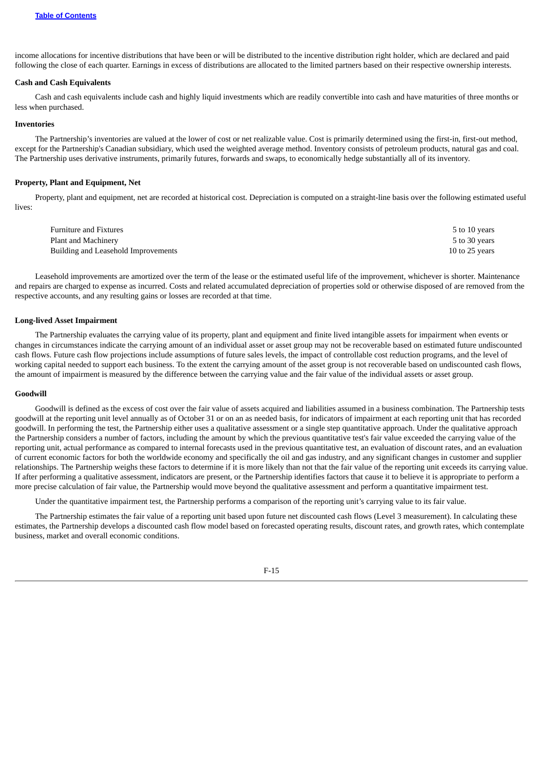income allocations for incentive distributions that have been or will be distributed to the incentive distribution right holder, which are declared and paid following the close of each quarter. Earnings in excess of distributions are allocated to the limited partners based on their respective ownership interests.

## **Cash and Cash Equivalents**

Cash and cash equivalents include cash and highly liquid investments which are readily convertible into cash and have maturities of three months or less when purchased.

#### **Inventories**

The Partnership's inventories are valued at the lower of cost or net realizable value. Cost is primarily determined using the first-in, first-out method, except for the Partnership's Canadian subsidiary, which used the weighted average method. Inventory consists of petroleum products, natural gas and coal. The Partnership uses derivative instruments, primarily futures, forwards and swaps, to economically hedge substantially all of its inventory.

#### **Property, Plant and Equipment, Net**

Property, plant and equipment, net are recorded at historical cost. Depreciation is computed on a straight-line basis over the following estimated useful lives:

| Furniture and Fixtures              | 5 to 10 years    |
|-------------------------------------|------------------|
| Plant and Machinery                 | 5 to 30 years    |
| Building and Leasehold Improvements | $10$ to 25 years |

Leasehold improvements are amortized over the term of the lease or the estimated useful life of the improvement, whichever is shorter. Maintenance and repairs are charged to expense as incurred. Costs and related accumulated depreciation of properties sold or otherwise disposed of are removed from the respective accounts, and any resulting gains or losses are recorded at that time.

#### **Long-lived Asset Impairment**

The Partnership evaluates the carrying value of its property, plant and equipment and finite lived intangible assets for impairment when events or changes in circumstances indicate the carrying amount of an individual asset or asset group may not be recoverable based on estimated future undiscounted cash flows. Future cash flow projections include assumptions of future sales levels, the impact of controllable cost reduction programs, and the level of working capital needed to support each business. To the extent the carrying amount of the asset group is not recoverable based on undiscounted cash flows, the amount of impairment is measured by the difference between the carrying value and the fair value of the individual assets or asset group.

#### **Goodwill**

Goodwill is defined as the excess of cost over the fair value of assets acquired and liabilities assumed in a business combination. The Partnership tests goodwill at the reporting unit level annually as of October 31 or on an as needed basis, for indicators of impairment at each reporting unit that has recorded goodwill. In performing the test, the Partnership either uses a qualitative assessment or a single step quantitative approach. Under the qualitative approach the Partnership considers a number of factors, including the amount by which the previous quantitative test's fair value exceeded the carrying value of the reporting unit, actual performance as compared to internal forecasts used in the previous quantitative test, an evaluation of discount rates, and an evaluation of current economic factors for both the worldwide economy and specifically the oil and gas industry, and any significant changes in customer and supplier relationships. The Partnership weighs these factors to determine if it is more likely than not that the fair value of the reporting unit exceeds its carrying value. If after performing a qualitative assessment, indicators are present, or the Partnership identifies factors that cause it to believe it is appropriate to perform a more precise calculation of fair value, the Partnership would move beyond the qualitative assessment and perform a quantitative impairment test.

Under the quantitative impairment test, the Partnership performs a comparison of the reporting unit's carrying value to its fair value.

The Partnership estimates the fair value of a reporting unit based upon future net discounted cash flows (Level 3 measurement). In calculating these estimates, the Partnership develops a discounted cash flow model based on forecasted operating results, discount rates, and growth rates, which contemplate business, market and overall economic conditions.

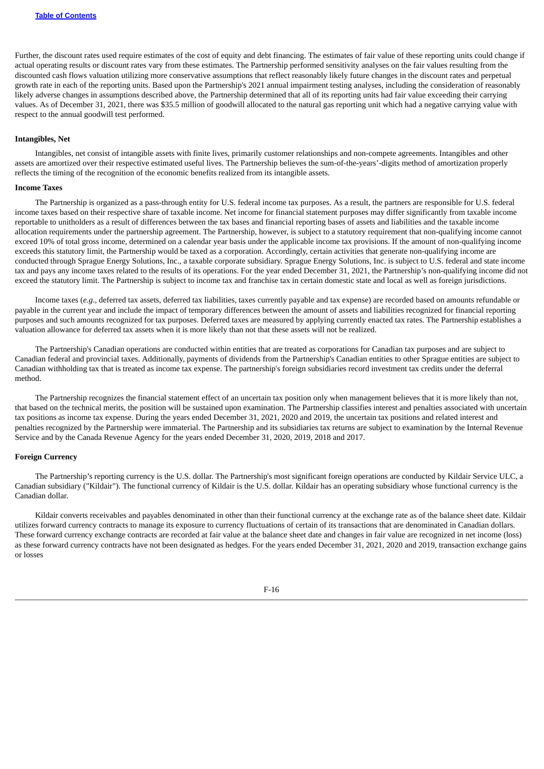Further, the discount rates used require estimates of the cost of equity and debt financing. The estimates of fair value of these reporting units could change if actual operating results or discount rates vary from these estimates. The Partnership performed sensitivity analyses on the fair values resulting from the discounted cash flows valuation utilizing more conservative assumptions that reflect reasonably likely future changes in the discount rates and perpetual growth rate in each of the reporting units. Based upon the Partnership's 2021 annual impairment testing analyses, including the consideration of reasonably likely adverse changes in assumptions described above, the Partnership determined that all of its reporting units had fair value exceeding their carrying values. As of December 31, 2021, there was \$35.5 million of goodwill allocated to the natural gas reporting unit which had a negative carrying value with respect to the annual goodwill test performed.

### **Intangibles, Net**

Intangibles, net consist of intangible assets with finite lives, primarily customer relationships and non-compete agreements. Intangibles and other assets are amortized over their respective estimated useful lives. The Partnership believes the sum-of-the-years'-digits method of amortization properly reflects the timing of the recognition of the economic benefits realized from its intangible assets.

### **Income Taxes**

The Partnership is organized as a pass-through entity for U.S. federal income tax purposes. As a result, the partners are responsible for U.S. federal income taxes based on their respective share of taxable income. Net income for financial statement purposes may differ significantly from taxable income reportable to unitholders as a result of differences between the tax bases and financial reporting bases of assets and liabilities and the taxable income allocation requirements under the partnership agreement. The Partnership, however, is subject to a statutory requirement that non-qualifying income cannot exceed 10% of total gross income, determined on a calendar year basis under the applicable income tax provisions. If the amount of non-qualifying income exceeds this statutory limit, the Partnership would be taxed as a corporation. Accordingly, certain activities that generate non-qualifying income are conducted through Sprague Energy Solutions, Inc., a taxable corporate subsidiary. Sprague Energy Solutions, Inc. is subject to U.S. federal and state income tax and pays any income taxes related to the results of its operations. For the year ended December 31, 2021, the Partnership's non-qualifying income did not exceed the statutory limit. The Partnership is subject to income tax and franchise tax in certain domestic state and local as well as foreign jurisdictions.

Income taxes (*e.g*., deferred tax assets, deferred tax liabilities, taxes currently payable and tax expense) are recorded based on amounts refundable or payable in the current year and include the impact of temporary differences between the amount of assets and liabilities recognized for financial reporting purposes and such amounts recognized for tax purposes. Deferred taxes are measured by applying currently enacted tax rates. The Partnership establishes a valuation allowance for deferred tax assets when it is more likely than not that these assets will not be realized.

The Partnership's Canadian operations are conducted within entities that are treated as corporations for Canadian tax purposes and are subject to Canadian federal and provincial taxes. Additionally, payments of dividends from the Partnership's Canadian entities to other Sprague entities are subject to Canadian withholding tax that is treated as income tax expense. The partnership's foreign subsidiaries record investment tax credits under the deferral method.

The Partnership recognizes the financial statement effect of an uncertain tax position only when management believes that it is more likely than not, that based on the technical merits, the position will be sustained upon examination. The Partnership classifies interest and penalties associated with uncertain tax positions as income tax expense. During the years ended December 31, 2021, 2020 and 2019, the uncertain tax positions and related interest and penalties recognized by the Partnership were immaterial. The Partnership and its subsidiaries tax returns are subject to examination by the Internal Revenue Service and by the Canada Revenue Agency for the years ended December 31, 2020, 2019, 2018 and 2017.

# **Foreign Currency**

The Partnership's reporting currency is the U.S. dollar. The Partnership's most significant foreign operations are conducted by Kildair Service ULC, a Canadian subsidiary ("Kildair"). The functional currency of Kildair is the U.S. dollar. Kildair has an operating subsidiary whose functional currency is the Canadian dollar.

Kildair converts receivables and payables denominated in other than their functional currency at the exchange rate as of the balance sheet date. Kildair utilizes forward currency contracts to manage its exposure to currency fluctuations of certain of its transactions that are denominated in Canadian dollars. These forward currency exchange contracts are recorded at fair value at the balance sheet date and changes in fair value are recognized in net income (loss) as these forward currency contracts have not been designated as hedges. For the years ended December 31, 2021, 2020 and 2019, transaction exchange gains or losses

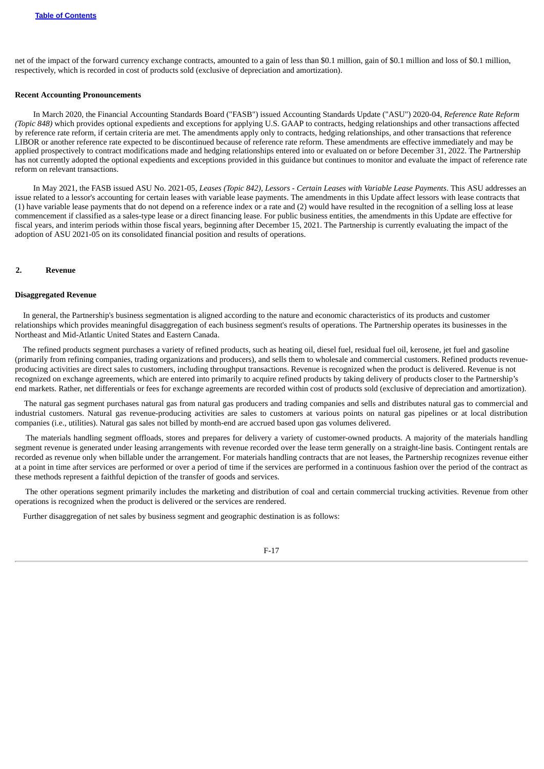net of the impact of the forward currency exchange contracts, amounted to a gain of less than \$0.1 million, gain of \$0.1 million and loss of \$0.1 million, respectively, which is recorded in cost of products sold (exclusive of depreciation and amortization).

### **Recent Accounting Pronouncements**

In March 2020, the Financial Accounting Standards Board ("FASB") issued Accounting Standards Update ("ASU") 2020-04, *Reference Rate Reform (Topic 848)* which provides optional expedients and exceptions for applying U.S. GAAP to contracts, hedging relationships and other transactions affected by reference rate reform, if certain criteria are met. The amendments apply only to contracts, hedging relationships, and other transactions that reference LIBOR or another reference rate expected to be discontinued because of reference rate reform. These amendments are effective immediately and may be applied prospectively to contract modifications made and hedging relationships entered into or evaluated on or before December 31, 2022. The Partnership has not currently adopted the optional expedients and exceptions provided in this guidance but continues to monitor and evaluate the impact of reference rate reform on relevant transactions.

In May 2021, the FASB issued ASU No. 2021-05, *Leases (Topic 842), Lessors - Certain Leases with Variable Lease Payments*. This ASU addresses an issue related to a lessor's accounting for certain leases with variable lease payments. The amendments in this Update affect lessors with lease contracts that (1) have variable lease payments that do not depend on a reference index or a rate and (2) would have resulted in the recognition of a selling loss at lease commencement if classified as a sales-type lease or a direct financing lease. For public business entities, the amendments in this Update are effective for fiscal years, and interim periods within those fiscal years, beginning after December 15, 2021. The Partnership is currently evaluating the impact of the adoption of ASU 2021-05 on its consolidated financial position and results of operations.

#### **2. Revenue**

# **Disaggregated Revenue**

In general, the Partnership's business segmentation is aligned according to the nature and economic characteristics of its products and customer relationships which provides meaningful disaggregation of each business segment's results of operations. The Partnership operates its businesses in the Northeast and Mid-Atlantic United States and Eastern Canada.

The refined products segment purchases a variety of refined products, such as heating oil, diesel fuel, residual fuel oil, kerosene, jet fuel and gasoline (primarily from refining companies, trading organizations and producers), and sells them to wholesale and commercial customers. Refined products revenueproducing activities are direct sales to customers, including throughput transactions. Revenue is recognized when the product is delivered. Revenue is not recognized on exchange agreements, which are entered into primarily to acquire refined products by taking delivery of products closer to the Partnership's end markets. Rather, net differentials or fees for exchange agreements are recorded within cost of products sold (exclusive of depreciation and amortization).

The natural gas segment purchases natural gas from natural gas producers and trading companies and sells and distributes natural gas to commercial and industrial customers. Natural gas revenue-producing activities are sales to customers at various points on natural gas pipelines or at local distribution companies (i.e., utilities). Natural gas sales not billed by month-end are accrued based upon gas volumes delivered.

The materials handling segment offloads, stores and prepares for delivery a variety of customer-owned products. A majority of the materials handling segment revenue is generated under leasing arrangements with revenue recorded over the lease term generally on a straight-line basis. Contingent rentals are recorded as revenue only when billable under the arrangement. For materials handling contracts that are not leases, the Partnership recognizes revenue either at a point in time after services are performed or over a period of time if the services are performed in a continuous fashion over the period of the contract as these methods represent a faithful depiction of the transfer of goods and services.

The other operations segment primarily includes the marketing and distribution of coal and certain commercial trucking activities. Revenue from other operations is recognized when the product is delivered or the services are rendered.

Further disaggregation of net sales by business segment and geographic destination is as follows:

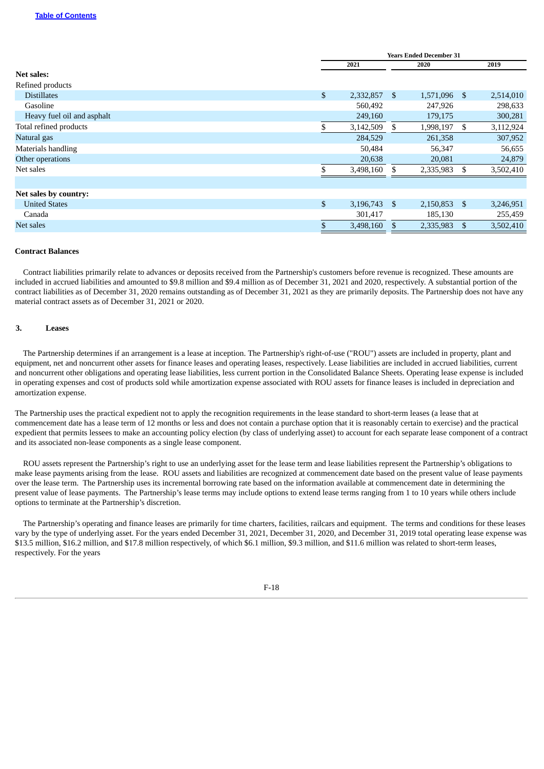|                            | <b>Years Ended December 31</b> |           |               |              |               |           |
|----------------------------|--------------------------------|-----------|---------------|--------------|---------------|-----------|
|                            |                                | 2021      |               | 2020         |               | 2019      |
| <b>Net sales:</b>          |                                |           |               |              |               |           |
| Refined products           |                                |           |               |              |               |           |
| <b>Distillates</b>         | $\mathbb{S}$                   | 2,332,857 | $\mathbb{S}$  | 1,571,096 \$ |               | 2,514,010 |
| Gasoline                   |                                | 560,492   |               | 247,926      |               | 298,633   |
| Heavy fuel oil and asphalt |                                | 249,160   |               | 179,175      |               | 300,281   |
| Total refined products     |                                | 3,142,509 | \$            | 1,998,197    | -\$           | 3,112,924 |
| Natural gas                |                                | 284,529   |               | 261,358      |               | 307,952   |
| Materials handling         |                                | 50,484    |               | 56,347       |               | 56,655    |
| Other operations           |                                | 20,638    |               | 20,081       |               | 24,879    |
| Net sales                  |                                | 3,498,160 | \$            | 2,335,983    | \$            | 3,502,410 |
|                            |                                |           |               |              |               |           |
| Net sales by country:      |                                |           |               |              |               |           |
| <b>United States</b>       | $\mathfrak{S}$                 | 3,196,743 | <sup>\$</sup> | 2,150,853    | - \$          | 3,246,951 |
| Canada                     |                                | 301,417   |               | 185,130      |               | 255,459   |
| Net sales                  |                                | 3,498,160 | \$            | 2,335,983    | <sup>\$</sup> | 3,502,410 |

# **Contract Balances**

Contract liabilities primarily relate to advances or deposits received from the Partnership's customers before revenue is recognized. These amounts are included in accrued liabilities and amounted to \$9.8 million and \$9.4 million as of December 31, 2021 and 2020, respectively. A substantial portion of the contract liabilities as of December 31, 2020 remains outstanding as of December 31, 2021 as they are primarily deposits. The Partnership does not have any material contract assets as of December 31, 2021 or 2020.

# **3. Leases**

The Partnership determines if an arrangement is a lease at inception. The Partnership's right-of-use ("ROU") assets are included in property, plant and equipment, net and noncurrent other assets for finance leases and operating leases, respectively. Lease liabilities are included in accrued liabilities, current and noncurrent other obligations and operating lease liabilities, less current portion in the Consolidated Balance Sheets. Operating lease expense is included in operating expenses and cost of products sold while amortization expense associated with ROU assets for finance leases is included in depreciation and amortization expense.

The Partnership uses the practical expedient not to apply the recognition requirements in the lease standard to short-term leases (a lease that at commencement date has a lease term of 12 months or less and does not contain a purchase option that it is reasonably certain to exercise) and the practical expedient that permits lessees to make an accounting policy election (by class of underlying asset) to account for each separate lease component of a contract and its associated non-lease components as a single lease component.

ROU assets represent the Partnership's right to use an underlying asset for the lease term and lease liabilities represent the Partnership's obligations to make lease payments arising from the lease. ROU assets and liabilities are recognized at commencement date based on the present value of lease payments over the lease term. The Partnership uses its incremental borrowing rate based on the information available at commencement date in determining the present value of lease payments. The Partnership's lease terms may include options to extend lease terms ranging from 1 to 10 years while others include options to terminate at the Partnership's discretion.

The Partnership's operating and finance leases are primarily for time charters, facilities, railcars and equipment. The terms and conditions for these leases vary by the type of underlying asset. For the years ended December 31, 2021, December 31, 2020, and December 31, 2019 total operating lease expense was \$13.5 million, \$16.2 million, and \$17.8 million respectively, of which \$6.1 million, \$9.3 million, and \$11.6 million was related to short-term leases, respectively. For the years

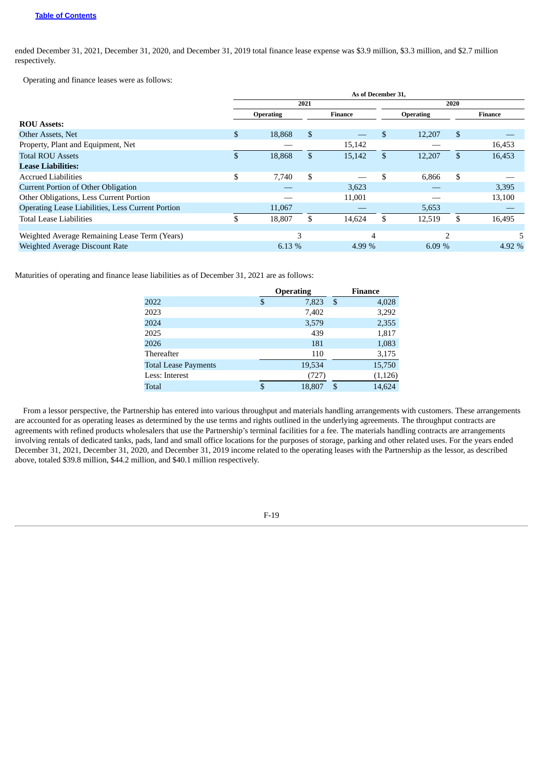ended December 31, 2021, December 31, 2020, and December 31, 2019 total finance lease expense was \$3.9 million, \$3.3 million, and \$2.7 million respectively.

Operating and finance leases were as follows:

|                                                   |     | As of December 31. |     |         |     |                  |      |         |  |  |
|---------------------------------------------------|-----|--------------------|-----|---------|-----|------------------|------|---------|--|--|
|                                                   |     | 2021               |     |         |     |                  | 2020 |         |  |  |
|                                                   |     | <b>Operating</b>   |     | Finance |     | <b>Operating</b> |      | Finance |  |  |
| <b>ROU Assets:</b>                                |     |                    |     |         |     |                  |      |         |  |  |
| Other Assets, Net                                 | \$  | 18,868             | \$  |         | S.  | 12,207           | \$   |         |  |  |
| Property, Plant and Equipment, Net                |     |                    |     | 15,142  |     |                  |      | 16,453  |  |  |
| <b>Total ROU Assets</b>                           | Эħ. | 18,868             | \$. | 15,142  | \$. | 12,207           | \$   | 16,453  |  |  |
| <b>Lease Liabilities:</b>                         |     |                    |     |         |     |                  |      |         |  |  |
| <b>Accrued Liabilities</b>                        | \$  | 7,740              | \$  |         | \$  | 6,866            | \$   |         |  |  |
| <b>Current Portion of Other Obligation</b>        |     |                    |     | 3,623   |     |                  |      | 3,395   |  |  |
| Other Obligations, Less Current Portion           |     |                    |     | 11,001  |     |                  |      | 13,100  |  |  |
| Operating Lease Liabilities, Less Current Portion |     | 11,067             |     |         |     | 5,653            |      |         |  |  |
| <b>Total Lease Liabilities</b>                    | ۰D. | 18,807             | \$  | 14,624  | \$  | 12,519           | \$   | 16,495  |  |  |
|                                                   |     |                    |     |         |     |                  |      |         |  |  |
| Weighted Average Remaining Lease Term (Years)     |     | 3                  |     | 4       |     | 2                |      |         |  |  |
| Weighted Average Discount Rate                    |     | 6.13 %             |     | 4.99 %  |     | 6.09%            |      | 4.92 %  |  |  |

Maturities of operating and finance lease liabilities as of December 31, 2021 are as follows:

|                             | <b>Operating</b> | <b>Finance</b> |
|-----------------------------|------------------|----------------|
| 2022                        | \$<br>7,823      | \$<br>4,028    |
| 2023                        | 7,402            | 3,292          |
| 2024                        | 3,579            | 2,355          |
| 2025                        | 439              | 1,817          |
| 2026                        | 181              | 1,083          |
| Thereafter                  | 110              | 3,175          |
| <b>Total Lease Payments</b> | 19,534           | 15,750         |
| Less: Interest              | (727)            | (1, 126)       |
| <b>Total</b>                | \$<br>18,807     | \$<br>14,624   |

From a lessor perspective, the Partnership has entered into various throughput and materials handling arrangements with customers. These arrangements are accounted for as operating leases as determined by the use terms and rights outlined in the underlying agreements. The throughput contracts are agreements with refined products wholesalers that use the Partnership's terminal facilities for a fee. The materials handling contracts are arrangements involving rentals of dedicated tanks, pads, land and small office locations for the purposes of storage, parking and other related uses. For the years ended December 31, 2021, December 31, 2020, and December 31, 2019 income related to the operating leases with the Partnership as the lessor, as described above, totaled \$39.8 million, \$44.2 million, and \$40.1 million respectively.

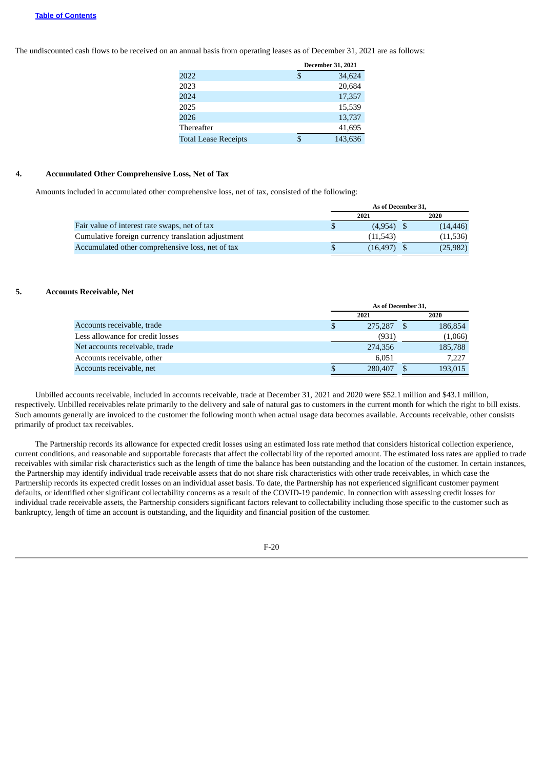# **[Table of Contents](#page-0-0)**

The undiscounted cash flows to be received on an annual basis from operating leases as of December 31, 2021 are as follows:

|                             | <b>December 31, 2021</b> |         |  |  |  |  |
|-----------------------------|--------------------------|---------|--|--|--|--|
| 2022                        | \$                       | 34,624  |  |  |  |  |
| 2023                        |                          | 20,684  |  |  |  |  |
| 2024                        |                          | 17,357  |  |  |  |  |
| 2025                        |                          | 15,539  |  |  |  |  |
| 2026                        |                          | 13,737  |  |  |  |  |
| Thereafter                  |                          | 41,695  |  |  |  |  |
| <b>Total Lease Receipts</b> | S                        | 143,636 |  |  |  |  |

#### **4. Accumulated Other Comprehensive Loss, Net of Tax**

Amounts included in accumulated other comprehensive loss, net of tax, consisted of the following:

|                                                    | As of December 31, |  |           |  |
|----------------------------------------------------|--------------------|--|-----------|--|
|                                                    | 2021               |  | 2020      |  |
| Fair value of interest rate swaps, net of tax      | $(4.954)$ \$       |  | (14, 446) |  |
| Cumulative foreign currency translation adjustment | (11,543)           |  | (11,536)  |  |
| Accumulated other comprehensive loss, net of tax   | (16.497)           |  | (25,982)  |  |

#### **5. Accounts Receivable, Net**

|                                  | As of December 31. |  |         |  |
|----------------------------------|--------------------|--|---------|--|
|                                  | 2021               |  | 2020    |  |
| Accounts receivable, trade       | 275,287            |  | 186,854 |  |
| Less allowance for credit losses | (931)              |  | (1,066) |  |
| Net accounts receivable, trade   | 274,356            |  | 185,788 |  |
| Accounts receivable, other       | 6.051              |  | 7.227   |  |
| Accounts receivable, net         | 280,407            |  | 193,015 |  |

Unbilled accounts receivable, included in accounts receivable, trade at December 31, 2021 and 2020 were \$52.1 million and \$43.1 million, respectively. Unbilled receivables relate primarily to the delivery and sale of natural gas to customers in the current month for which the right to bill exists. Such amounts generally are invoiced to the customer the following month when actual usage data becomes available. Accounts receivable, other consists primarily of product tax receivables.

The Partnership records its allowance for expected credit losses using an estimated loss rate method that considers historical collection experience, current conditions, and reasonable and supportable forecasts that affect the collectability of the reported amount. The estimated loss rates are applied to trade receivables with similar risk characteristics such as the length of time the balance has been outstanding and the location of the customer. In certain instances, the Partnership may identify individual trade receivable assets that do not share risk characteristics with other trade receivables, in which case the Partnership records its expected credit losses on an individual asset basis. To date, the Partnership has not experienced significant customer payment defaults, or identified other significant collectability concerns as a result of the COVID-19 pandemic. In connection with assessing credit losses for individual trade receivable assets, the Partnership considers significant factors relevant to collectability including those specific to the customer such as bankruptcy, length of time an account is outstanding, and the liquidity and financial position of the customer.

F-20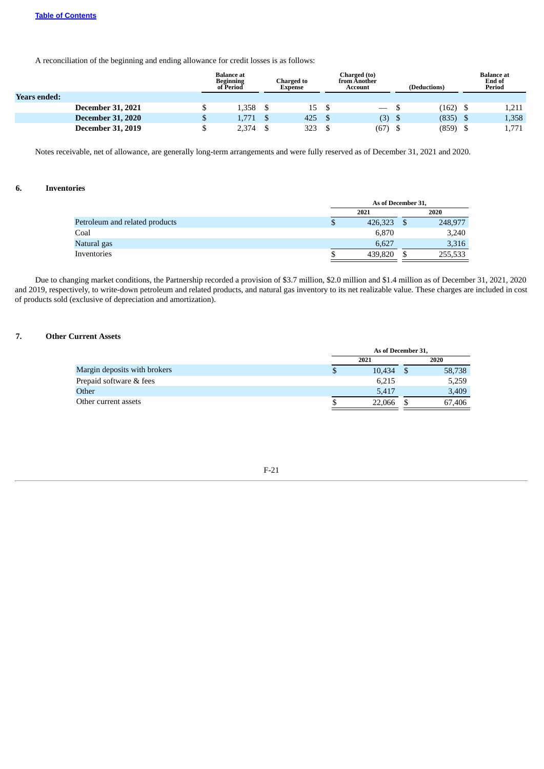A reconciliation of the beginning and ending allowance for credit losses is as follows:

|              |                          |   | <b>Balance</b> at<br><b>Beginning</b><br>of Period |  | Charged to<br><b>Expense</b> | Charged (to)<br>from Another<br>Account |                                 | (Deductions) |       | <b>Balance</b> at<br>End of<br>Period |       |
|--------------|--------------------------|---|----------------------------------------------------|--|------------------------------|-----------------------------------------|---------------------------------|--------------|-------|---------------------------------------|-------|
| Years ended: |                          |   |                                                    |  |                              |                                         |                                 |              |       |                                       |       |
|              | <b>December 31, 2021</b> |   | 1,358                                              |  | 15                           |                                         | $\hspace{0.1mm}-\hspace{0.1mm}$ |              | 162)  |                                       | 1,211 |
|              | <b>December 31, 2020</b> | ω | 1.771                                              |  | 425                          |                                         | (3)                             |              | (835) |                                       | 1,358 |
|              | <b>December 31, 2019</b> |   | 2,374                                              |  | 323                          | ¢                                       | (67)                            |              | (859) |                                       | 1,771 |

Notes receivable, net of allowance, are generally long-term arrangements and were fully reserved as of December 31, 2021 and 2020.

# **6. Inventories**

|                                |    | As of December 31, |  |         |  |
|--------------------------------|----|--------------------|--|---------|--|
|                                |    | 2021               |  | 2020    |  |
| Petroleum and related products | ۰D | 426,323            |  | 248,977 |  |
| Coal                           |    | 6,870              |  | 3,240   |  |
| Natural gas                    |    | 6,627              |  | 3,316   |  |
| Inventories                    |    | 439,820            |  | 255,533 |  |

Due to changing market conditions, the Partnership recorded a provision of \$3.7 million, \$2.0 million and \$1.4 million as of December 31, 2021, 2020 and 2019, respectively, to write-down petroleum and related products, and natural gas inventory to its net realizable value. These charges are included in cost of products sold (exclusive of depreciation and amortization).

# **7. Other Current Assets**

|                              | As of December 31, |  |        |  |
|------------------------------|--------------------|--|--------|--|
|                              | 2021               |  | 2020   |  |
| Margin deposits with brokers | 10.434             |  | 58,738 |  |
| Prepaid software & fees      | 6,215              |  | 5,259  |  |
| Other                        | 5,417              |  | 3,409  |  |
| Other current assets         | 22,066             |  | 67.406 |  |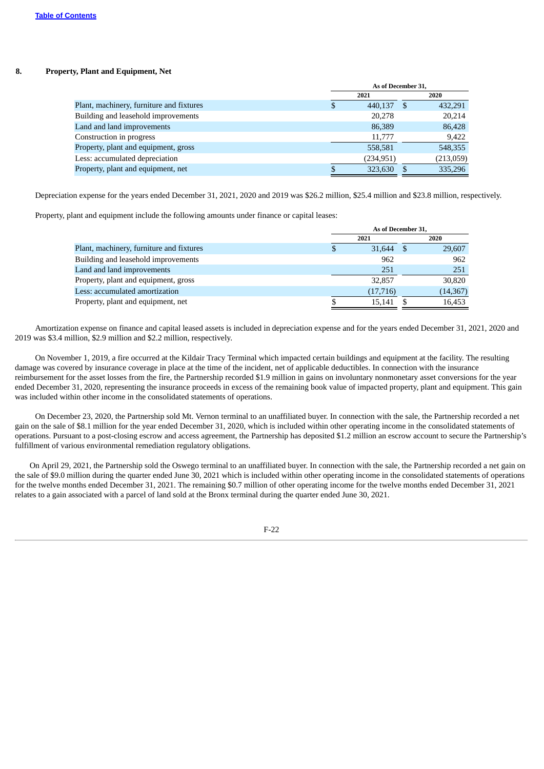### **8. Property, Plant and Equipment, Net**

|                                          | As of December 31, |            |   |            |  |
|------------------------------------------|--------------------|------------|---|------------|--|
|                                          |                    | 2021       |   | 2020       |  |
| Plant, machinery, furniture and fixtures |                    | 440.137    | S | 432,291    |  |
| Building and leasehold improvements      |                    | 20,278     |   | 20,214     |  |
| Land and land improvements               |                    | 86,389     |   | 86,428     |  |
| Construction in progress                 |                    | 11,777     |   | 9,422      |  |
| Property, plant and equipment, gross     |                    | 558,581    |   | 548,355    |  |
| Less: accumulated depreciation           |                    | (234, 951) |   | (213, 059) |  |
| Property, plant and equipment, net       |                    | 323,630    |   | 335,296    |  |

Depreciation expense for the years ended December 31, 2021, 2020 and 2019 was \$26.2 million, \$25.4 million and \$23.8 million, respectively.

Property, plant and equipment include the following amounts under finance or capital leases:

|                                          | As of December 31. |          |  |           |
|------------------------------------------|--------------------|----------|--|-----------|
|                                          |                    | 2021     |  | 2020      |
| Plant, machinery, furniture and fixtures |                    | 31.644   |  | 29,607    |
| Building and leasehold improvements      |                    | 962      |  | 962       |
| Land and land improvements               |                    | 251      |  | 251       |
| Property, plant and equipment, gross     |                    | 32,857   |  | 30,820    |
| Less: accumulated amortization           |                    | (17,716) |  | (14, 367) |
| Property, plant and equipment, net       |                    | 15,141   |  | 16,453    |

Amortization expense on finance and capital leased assets is included in depreciation expense and for the years ended December 31, 2021, 2020 and 2019 was \$3.4 million, \$2.9 million and \$2.2 million, respectively.

On November 1, 2019, a fire occurred at the Kildair Tracy Terminal which impacted certain buildings and equipment at the facility. The resulting damage was covered by insurance coverage in place at the time of the incident, net of applicable deductibles. In connection with the insurance reimbursement for the asset losses from the fire, the Partnership recorded \$1.9 million in gains on involuntary nonmonetary asset conversions for the year ended December 31, 2020, representing the insurance proceeds in excess of the remaining book value of impacted property, plant and equipment. This gain was included within other income in the consolidated statements of operations.

On December 23, 2020, the Partnership sold Mt. Vernon terminal to an unaffiliated buyer. In connection with the sale, the Partnership recorded a net gain on the sale of \$8.1 million for the year ended December 31, 2020, which is included within other operating income in the consolidated statements of operations. Pursuant to a post-closing escrow and access agreement, the Partnership has deposited \$1.2 million an escrow account to secure the Partnership's fulfillment of various environmental remediation regulatory obligations.

On April 29, 2021, the Partnership sold the Oswego terminal to an unaffiliated buyer. In connection with the sale, the Partnership recorded a net gain on the sale of \$9.0 million during the quarter ended June 30, 2021 which is included within other operating income in the consolidated statements of operations for the twelve months ended December 31, 2021. The remaining \$0.7 million of other operating income for the twelve months ended December 31, 2021 relates to a gain associated with a parcel of land sold at the Bronx terminal during the quarter ended June 30, 2021.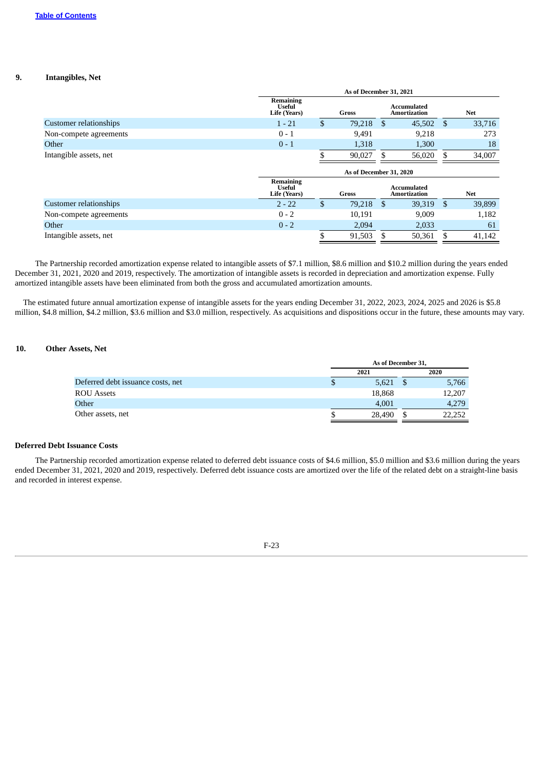# **9. Intangibles, Net**

|                               |                                            | As of December 31, 2021 |              |      |                                           |      |            |
|-------------------------------|--------------------------------------------|-------------------------|--------------|------|-------------------------------------------|------|------------|
|                               | Remaining<br><b>Useful</b><br>Life (Years) |                         | Gross        |      | Accumulated<br><b>Amortization</b>        |      | <b>Net</b> |
| <b>Customer relationships</b> | $1 - 21$                                   | \$                      | 79,218       | - \$ | 45,502                                    | - \$ | 33,716     |
| Non-compete agreements        | $0 - 1$                                    |                         | 9,491        |      | 9,218                                     |      | 273        |
| Other                         | $0 - 1$                                    |                         | 1,318        |      | 1,300                                     |      | 18         |
| Intangible assets, net        |                                            |                         | 90,027       |      | 56,020                                    | £.   | 34,007     |
|                               | As of December 31, 2020                    |                         |              |      |                                           |      |            |
|                               |                                            |                         |              |      |                                           |      |            |
|                               | Remaining<br><b>Useful</b><br>Life (Years) |                         | <b>Gross</b> |      | <b>Accumulated</b><br><b>Amortization</b> |      | Net        |
| <b>Customer relationships</b> | $2 - 22$                                   | \$                      | 79,218       | -\$  | 39,319                                    | -\$  | 39,899     |
| Non-compete agreements        | $0 - 2$                                    |                         | 10,191       |      | 9,009                                     |      | 1,182      |
| Other                         | $0 - 2$                                    |                         | 2,094        |      | 2,033                                     |      | 61         |

The Partnership recorded amortization expense related to intangible assets of \$7.1 million, \$8.6 million and \$10.2 million during the years ended December 31, 2021, 2020 and 2019, respectively. The amortization of intangible assets is recorded in depreciation and amortization expense. Fully amortized intangible assets have been eliminated from both the gross and accumulated amortization amounts.

The estimated future annual amortization expense of intangible assets for the years ending December 31, 2022, 2023, 2024, 2025 and 2026 is \$5.8 million, \$4.8 million, \$4.2 million, \$3.6 million and \$3.0 million, respectively. As acquisitions and dispositions occur in the future, these amounts may vary.

### **10. Other Assets, Net**

|                                   | As of December 31, |  |        |  |
|-----------------------------------|--------------------|--|--------|--|
|                                   | 2021               |  | 2020   |  |
| Deferred debt issuance costs, net | 5,621              |  | 5,766  |  |
| <b>ROU Assets</b>                 | 18,868             |  | 12,207 |  |
| Other                             | 4,001              |  | 4.279  |  |
| Other assets, net                 | 28,490             |  | 22,252 |  |

### **Deferred Debt Issuance Costs**

The Partnership recorded amortization expense related to deferred debt issuance costs of \$4.6 million, \$5.0 million and \$3.6 million during the years ended December 31, 2021, 2020 and 2019, respectively. Deferred debt issuance costs are amortized over the life of the related debt on a straight-line basis and recorded in interest expense.

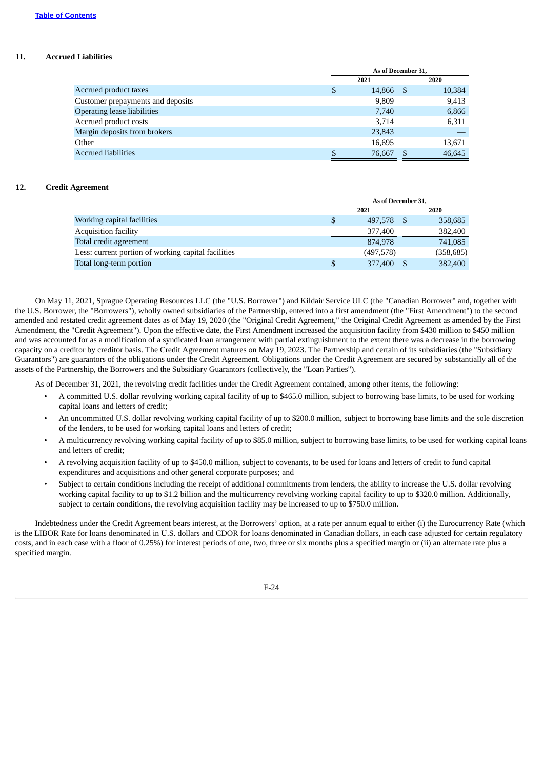### **11. Accrued Liabilities**

|                                    | As of December 31, |        |  |        |
|------------------------------------|--------------------|--------|--|--------|
|                                    |                    | 2021   |  | 2020   |
| Accrued product taxes              |                    | 14,866 |  | 10,384 |
| Customer prepayments and deposits  |                    | 9,809  |  | 9,413  |
| <b>Operating lease liabilities</b> |                    | 7,740  |  | 6,866  |
| Accrued product costs              |                    | 3.714  |  | 6,311  |
| Margin deposits from brokers       |                    | 23,843 |  |        |
| Other                              |                    | 16,695 |  | 13,671 |
| <b>Accrued liabilities</b>         |                    | 76.667 |  | 46,645 |

#### **12. Credit Agreement**

|                                                     | As of December 31. |           |  |            |
|-----------------------------------------------------|--------------------|-----------|--|------------|
|                                                     |                    | 2021      |  | 2020       |
| Working capital facilities                          |                    | 497,578   |  | 358,685    |
| <b>Acquisition facility</b>                         |                    | 377,400   |  | 382,400    |
| Total credit agreement                              |                    | 874,978   |  | 741,085    |
| Less: current portion of working capital facilities |                    | (497,578) |  | (358, 685) |
| Total long-term portion                             |                    | 377,400   |  | 382,400    |

On May 11, 2021, Sprague Operating Resources LLC (the "U.S. Borrower") and Kildair Service ULC (the "Canadian Borrower" and, together with the U.S. Borrower, the "Borrowers"), wholly owned subsidiaries of the Partnership, entered into a first amendment (the "First Amendment") to the second amended and restated credit agreement dates as of May 19, 2020 (the "Original Credit Agreement," the Original Credit Agreement as amended by the First Amendment, the "Credit Agreement"). Upon the effective date, the First Amendment increased the acquisition facility from \$430 million to \$450 million and was accounted for as a modification of a syndicated loan arrangement with partial extinguishment to the extent there was a decrease in the borrowing capacity on a creditor by creditor basis. The Credit Agreement matures on May 19, 2023. The Partnership and certain of its subsidiaries (the "Subsidiary Guarantors") are guarantors of the obligations under the Credit Agreement. Obligations under the Credit Agreement are secured by substantially all of the assets of the Partnership, the Borrowers and the Subsidiary Guarantors (collectively, the "Loan Parties").

As of December 31, 2021, the revolving credit facilities under the Credit Agreement contained, among other items, the following:

- A committed U.S. dollar revolving working capital facility of up to \$465.0 million, subject to borrowing base limits, to be used for working capital loans and letters of credit;
- An uncommitted U.S. dollar revolving working capital facility of up to \$200.0 million, subject to borrowing base limits and the sole discretion of the lenders, to be used for working capital loans and letters of credit;
- A multicurrency revolving working capital facility of up to \$85.0 million, subject to borrowing base limits, to be used for working capital loans and letters of credit;
- A revolving acquisition facility of up to \$450.0 million, subject to covenants, to be used for loans and letters of credit to fund capital expenditures and acquisitions and other general corporate purposes; and
- Subject to certain conditions including the receipt of additional commitments from lenders, the ability to increase the U.S. dollar revolving working capital facility to up to \$1.2 billion and the multicurrency revolving working capital facility to up to \$320.0 million. Additionally, subject to certain conditions, the revolving acquisition facility may be increased to up to \$750.0 million.

Indebtedness under the Credit Agreement bears interest, at the Borrowers' option, at a rate per annum equal to either (i) the Eurocurrency Rate (which is the LIBOR Rate for loans denominated in U.S. dollars and CDOR for loans denominated in Canadian dollars, in each case adjusted for certain regulatory costs, and in each case with a floor of 0.25%) for interest periods of one, two, three or six months plus a specified margin or (ii) an alternate rate plus a specified margin.

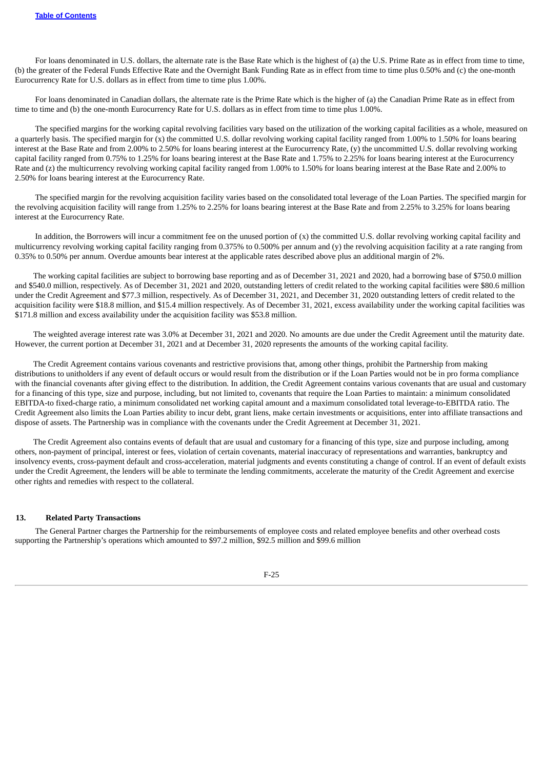For loans denominated in U.S. dollars, the alternate rate is the Base Rate which is the highest of (a) the U.S. Prime Rate as in effect from time to time, (b) the greater of the Federal Funds Effective Rate and the Overnight Bank Funding Rate as in effect from time to time plus 0.50% and (c) the one-month Eurocurrency Rate for U.S. dollars as in effect from time to time plus 1.00%.

For loans denominated in Canadian dollars, the alternate rate is the Prime Rate which is the higher of (a) the Canadian Prime Rate as in effect from time to time and (b) the one-month Eurocurrency Rate for U.S. dollars as in effect from time to time plus 1.00%.

The specified margins for the working capital revolving facilities vary based on the utilization of the working capital facilities as a whole, measured on a quarterly basis. The specified margin for (x) the committed U.S. dollar revolving working capital facility ranged from 1.00% to 1.50% for loans bearing interest at the Base Rate and from 2.00% to 2.50% for loans bearing interest at the Eurocurrency Rate, (y) the uncommitted U.S. dollar revolving working capital facility ranged from 0.75% to 1.25% for loans bearing interest at the Base Rate and 1.75% to 2.25% for loans bearing interest at the Eurocurrency Rate and (z) the multicurrency revolving working capital facility ranged from 1.00% to 1.50% for loans bearing interest at the Base Rate and 2.00% to 2.50% for loans bearing interest at the Eurocurrency Rate.

The specified margin for the revolving acquisition facility varies based on the consolidated total leverage of the Loan Parties. The specified margin for the revolving acquisition facility will range from 1.25% to 2.25% for loans bearing interest at the Base Rate and from 2.25% to 3.25% for loans bearing interest at the Eurocurrency Rate.

In addition, the Borrowers will incur a commitment fee on the unused portion of (x) the committed U.S. dollar revolving working capital facility and multicurrency revolving working capital facility ranging from 0.375% to 0.500% per annum and (y) the revolving acquisition facility at a rate ranging from 0.35% to 0.50% per annum. Overdue amounts bear interest at the applicable rates described above plus an additional margin of 2%.

The working capital facilities are subject to borrowing base reporting and as of December 31, 2021 and 2020, had a borrowing base of \$750.0 million and \$540.0 million, respectively. As of December 31, 2021 and 2020, outstanding letters of credit related to the working capital facilities were \$80.6 million under the Credit Agreement and \$77.3 million, respectively. As of December 31, 2021, and December 31, 2020 outstanding letters of credit related to the acquisition facility were \$18.8 million, and \$15.4 million respectively. As of December 31, 2021, excess availability under the working capital facilities was \$171.8 million and excess availability under the acquisition facility was \$53.8 million.

The weighted average interest rate was 3.0% at December 31, 2021 and 2020. No amounts are due under the Credit Agreement until the maturity date. However, the current portion at December 31, 2021 and at December 31, 2020 represents the amounts of the working capital facility.

The Credit Agreement contains various covenants and restrictive provisions that, among other things, prohibit the Partnership from making distributions to unitholders if any event of default occurs or would result from the distribution or if the Loan Parties would not be in pro forma compliance with the financial covenants after giving effect to the distribution. In addition, the Credit Agreement contains various covenants that are usual and customary for a financing of this type, size and purpose, including, but not limited to, covenants that require the Loan Parties to maintain: a minimum consolidated EBITDA-to fixed-charge ratio, a minimum consolidated net working capital amount and a maximum consolidated total leverage-to-EBITDA ratio. The Credit Agreement also limits the Loan Parties ability to incur debt, grant liens, make certain investments or acquisitions, enter into affiliate transactions and dispose of assets. The Partnership was in compliance with the covenants under the Credit Agreement at December 31, 2021.

The Credit Agreement also contains events of default that are usual and customary for a financing of this type, size and purpose including, among others, non-payment of principal, interest or fees, violation of certain covenants, material inaccuracy of representations and warranties, bankruptcy and insolvency events, cross-payment default and cross-acceleration, material judgments and events constituting a change of control. If an event of default exists under the Credit Agreement, the lenders will be able to terminate the lending commitments, accelerate the maturity of the Credit Agreement and exercise other rights and remedies with respect to the collateral.

### **13. Related Party Transactions**

The General Partner charges the Partnership for the reimbursements of employee costs and related employee benefits and other overhead costs supporting the Partnership's operations which amounted to \$97.2 million, \$92.5 million and \$99.6 million

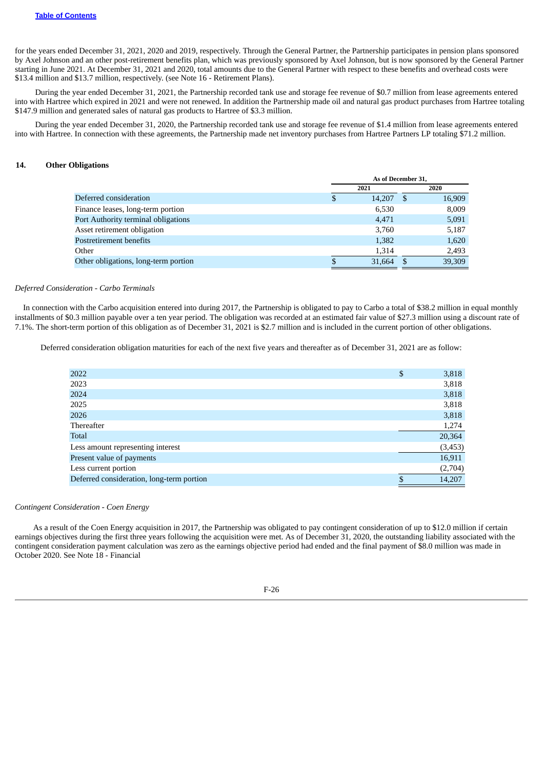for the years ended December 31, 2021, 2020 and 2019, respectively. Through the General Partner, the Partnership participates in pension plans sponsored by Axel Johnson and an other post-retirement benefits plan, which was previously sponsored by Axel Johnson, but is now sponsored by the General Partner starting in June 2021. At December 31, 2021 and 2020, total amounts due to the General Partner with respect to these benefits and overhead costs were \$13.4 million and \$13.7 million, respectively. (see Note 16 - Retirement Plans).

During the year ended December 31, 2021, the Partnership recorded tank use and storage fee revenue of \$0.7 million from lease agreements entered into with Hartree which expired in 2021 and were not renewed. In addition the Partnership made oil and natural gas product purchases from Hartree totaling \$147.9 million and generated sales of natural gas products to Hartree of \$3.3 million.

During the year ended December 31, 2020, the Partnership recorded tank use and storage fee revenue of \$1.4 million from lease agreements entered into with Hartree. In connection with these agreements, the Partnership made net inventory purchases from Hartree Partners LP totaling \$71.2 million.

# **14. Other Obligations**

|                                      | As of December 31. |        |    |        |
|--------------------------------------|--------------------|--------|----|--------|
|                                      |                    | 2021   |    | 2020   |
| Deferred consideration               |                    | 14,207 | -S | 16,909 |
| Finance leases, long-term portion    |                    | 6,530  |    | 8,009  |
| Port Authority terminal obligations  |                    | 4.471  |    | 5,091  |
| Asset retirement obligation          |                    | 3,760  |    | 5,187  |
| Postretirement benefits              |                    | 1,382  |    | 1,620  |
| Other                                |                    | 1,314  |    | 2,493  |
| Other obligations, long-term portion |                    | 31,664 |    | 39,309 |

#### *Deferred Consideration - Carbo Terminals*

In connection with the Carbo acquisition entered into during 2017, the Partnership is obligated to pay to Carbo a total of \$38.2 million in equal monthly installments of \$0.3 million payable over a ten year period. The obligation was recorded at an estimated fair value of \$27.3 million using a discount rate of 7.1%. The short-term portion of this obligation as of December 31, 2021 is \$2.7 million and is included in the current portion of other obligations.

Deferred consideration obligation maturities for each of the next five years and thereafter as of December 31, 2021 are as follow:

| 2022                                      | \$ | 3,818    |
|-------------------------------------------|----|----------|
| 2023                                      |    | 3,818    |
| 2024                                      |    | 3,818    |
| 2025                                      |    | 3,818    |
| 2026                                      |    | 3,818    |
| Thereafter                                |    | 1,274    |
| Total                                     |    | 20,364   |
| Less amount representing interest         |    | (3, 453) |
| Present value of payments                 |    | 16,911   |
| Less current portion                      |    | (2,704)  |
| Deferred consideration, long-term portion | ¢  | 14,207   |
|                                           |    |          |

#### *Contingent Consideration - Coen Energy*

As a result of the Coen Energy acquisition in 2017, the Partnership was obligated to pay contingent consideration of up to \$12.0 million if certain earnings objectives during the first three years following the acquisition were met. As of December 31, 2020, the outstanding liability associated with the contingent consideration payment calculation was zero as the earnings objective period had ended and the final payment of \$8.0 million was made in October 2020. See Note 18 - Financial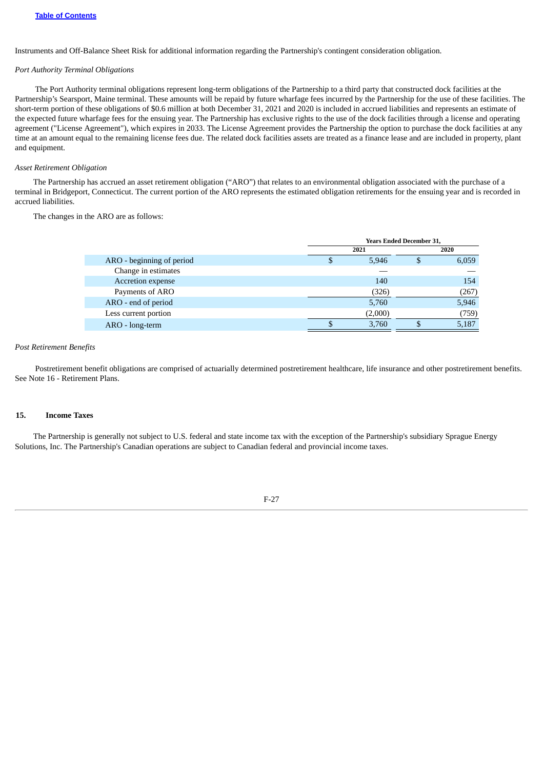Instruments and Off-Balance Sheet Risk for additional information regarding the Partnership's contingent consideration obligation.

### *Port Authority Terminal Obligations*

The Port Authority terminal obligations represent long-term obligations of the Partnership to a third party that constructed dock facilities at the Partnership's Searsport, Maine terminal. These amounts will be repaid by future wharfage fees incurred by the Partnership for the use of these facilities. The short-term portion of these obligations of \$0.6 million at both December 31, 2021 and 2020 is included in accrued liabilities and represents an estimate of the expected future wharfage fees for the ensuing year. The Partnership has exclusive rights to the use of the dock facilities through a license and operating agreement ("License Agreement"), which expires in 2033. The License Agreement provides the Partnership the option to purchase the dock facilities at any time at an amount equal to the remaining license fees due. The related dock facilities assets are treated as a finance lease and are included in property, plant and equipment.

#### *Asset Retirement Obligation*

The Partnership has accrued an asset retirement obligation ("ARO") that relates to an environmental obligation associated with the purchase of a terminal in Bridgeport, Connecticut. The current portion of the ARO represents the estimated obligation retirements for the ensuing year and is recorded in accrued liabilities.

The changes in the ARO are as follows:

|                           | <b>Years Ended December 31,</b> |         |      |       |  |
|---------------------------|---------------------------------|---------|------|-------|--|
|                           |                                 | 2021    | 2020 |       |  |
| ARO - beginning of period | D                               | 5,946   |      | 6,059 |  |
| Change in estimates       |                                 |         |      |       |  |
| <b>Accretion expense</b>  |                                 | 140     |      | 154   |  |
| Payments of ARO           |                                 | (326)   |      | (267) |  |
| ARO - end of period       |                                 | 5,760   |      | 5,946 |  |
| Less current portion      |                                 | (2,000) |      | (759) |  |
| ARO - long-term           |                                 | 3,760   |      | 5,187 |  |

#### *Post Retirement Benefits*

Postretirement benefit obligations are comprised of actuarially determined postretirement healthcare, life insurance and other postretirement benefits. See Note 16 - Retirement Plans.

#### **15. Income Taxes**

The Partnership is generally not subject to U.S. federal and state income tax with the exception of the Partnership's subsidiary Sprague Energy Solutions, Inc. The Partnership's Canadian operations are subject to Canadian federal and provincial income taxes.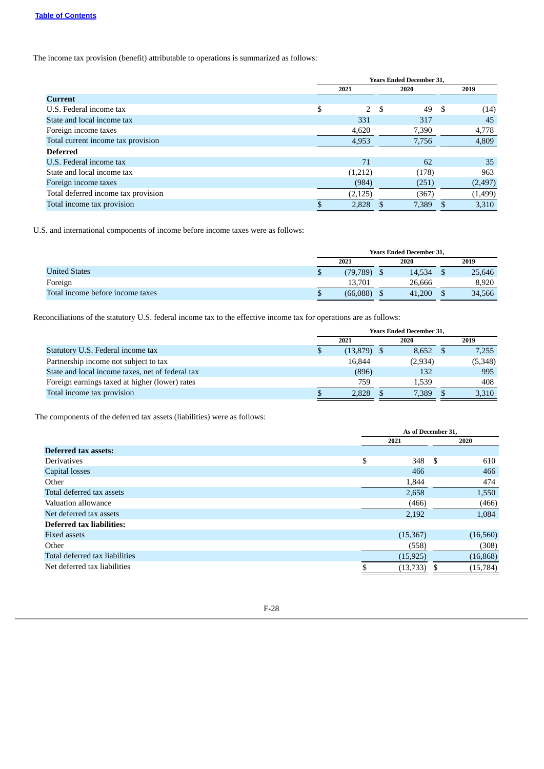The income tax provision (benefit) attributable to operations is summarized as follows:

|                                     | <b>Years Ended December 31,</b> |           |              |  |  |  |
|-------------------------------------|---------------------------------|-----------|--------------|--|--|--|
|                                     | 2021                            | 2020      | 2019         |  |  |  |
| <b>Current</b>                      |                                 |           |              |  |  |  |
| U.S. Federal income tax             | \$<br>$\overline{2}$            | 49<br>- S | - \$<br>(14) |  |  |  |
| State and local income tax          | 331                             | 317       | 45           |  |  |  |
| Foreign income taxes                | 4,620                           | 7,390     | 4,778        |  |  |  |
| Total current income tax provision  | 4,953                           | 7,756     | 4,809        |  |  |  |
| <b>Deferred</b>                     |                                 |           |              |  |  |  |
| U.S. Federal income tax             | 71                              | 62        | 35           |  |  |  |
| State and local income tax          | (1,212)                         | (178)     | 963          |  |  |  |
| Foreign income taxes                | (984)                           | (251)     | (2, 497)     |  |  |  |
| Total deferred income tax provision | (2, 125)                        | (367)     | (1, 499)     |  |  |  |
| Total income tax provision          | 2,828                           | 7,389     | 3,310        |  |  |  |

U.S. and international components of income before income taxes were as follows:

|                                  | <b>Years Ended December 31,</b> |          |  |        |  |        |  |
|----------------------------------|---------------------------------|----------|--|--------|--|--------|--|
|                                  |                                 | 2021     |  | 2020   |  | 2019   |  |
| <b>United States</b>             |                                 | (79.789) |  | 14,534 |  | 25,646 |  |
| Foreign                          |                                 | 13.701   |  | 26.666 |  | 8,920  |  |
| Total income before income taxes |                                 | (66.088) |  | 41,200 |  | 34,566 |  |

Reconciliations of the statutory U.S. federal income tax to the effective income tax for operations are as follows:

|                                                  | <b>Years Ended December 31,</b> |               |  |         |  |         |
|--------------------------------------------------|---------------------------------|---------------|--|---------|--|---------|
|                                                  |                                 | 2021          |  | 2020    |  | 2019    |
| Statutory U.S. Federal income tax                |                                 | $(13,879)$ \$ |  | 8,652   |  | 7,255   |
| Partnership income not subject to tax            |                                 | 16,844        |  | (2,934) |  | (5,348) |
| State and local income taxes, net of federal tax |                                 | (896)         |  | 132     |  | 995     |
| Foreign earnings taxed at higher (lower) rates   |                                 | 759           |  | 1.539   |  | 408     |
| Total income tax provision                       |                                 | 2.828         |  | 7,389   |  | 3,310   |

The components of the deferred tax assets (liabilities) were as follows:

|                                  | As of December 31, |           |  |           |  |
|----------------------------------|--------------------|-----------|--|-----------|--|
|                                  |                    | 2021      |  | 2020      |  |
| <b>Deferred tax assets:</b>      |                    |           |  |           |  |
| <b>Derivatives</b>               | \$                 | 348 \$    |  | 610       |  |
| Capital losses                   |                    | 466       |  | 466       |  |
| Other                            |                    | 1,844     |  | 474       |  |
| Total deferred tax assets        |                    | 2,658     |  | 1,550     |  |
| Valuation allowance              |                    | (466)     |  | (466)     |  |
| Net deferred tax assets          |                    | 2,192     |  | 1,084     |  |
| <b>Deferred tax liabilities:</b> |                    |           |  |           |  |
| <b>Fixed assets</b>              |                    | (15, 367) |  | (16, 560) |  |
| Other                            |                    | (558)     |  | (308)     |  |
| Total deferred tax liabilities   |                    | (15, 925) |  | (16, 868) |  |
| Net deferred tax liabilities     | đ                  | (13,733)  |  | (15,784)  |  |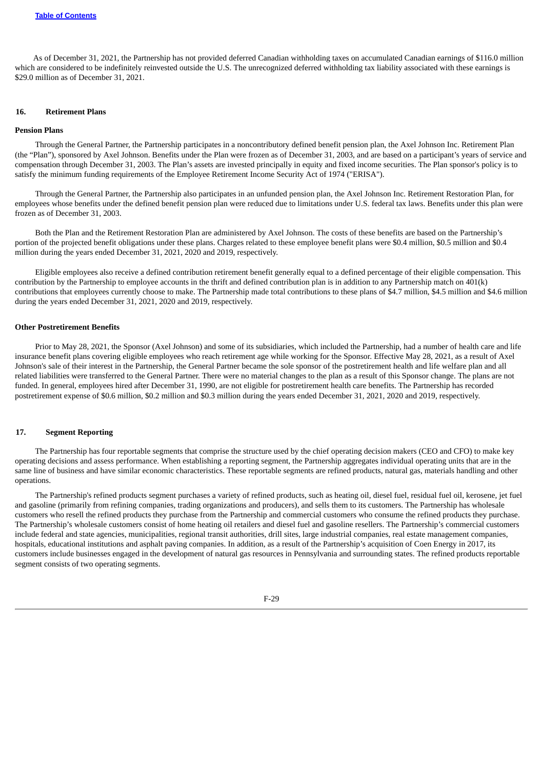As of December 31, 2021, the Partnership has not provided deferred Canadian withholding taxes on accumulated Canadian earnings of \$116.0 million which are considered to be indefinitely reinvested outside the U.S. The unrecognized deferred withholding tax liability associated with these earnings is \$29.0 million as of December 31, 2021.

#### **16. Retirement Plans**

#### **Pension Plans**

Through the General Partner, the Partnership participates in a noncontributory defined benefit pension plan, the Axel Johnson Inc. Retirement Plan (the "Plan"), sponsored by Axel Johnson. Benefits under the Plan were frozen as of December 31, 2003, and are based on a participant's years of service and compensation through December 31, 2003. The Plan's assets are invested principally in equity and fixed income securities. The Plan sponsor's policy is to satisfy the minimum funding requirements of the Employee Retirement Income Security Act of 1974 ("ERISA").

Through the General Partner, the Partnership also participates in an unfunded pension plan, the Axel Johnson Inc. Retirement Restoration Plan, for employees whose benefits under the defined benefit pension plan were reduced due to limitations under U.S. federal tax laws. Benefits under this plan were frozen as of December 31, 2003.

Both the Plan and the Retirement Restoration Plan are administered by Axel Johnson. The costs of these benefits are based on the Partnership's portion of the projected benefit obligations under these plans. Charges related to these employee benefit plans were \$0.4 million, \$0.5 million and \$0.4 million during the years ended December 31, 2021, 2020 and 2019, respectively.

Eligible employees also receive a defined contribution retirement benefit generally equal to a defined percentage of their eligible compensation. This contribution by the Partnership to employee accounts in the thrift and defined contribution plan is in addition to any Partnership match on 401(k) contributions that employees currently choose to make. The Partnership made total contributions to these plans of \$4.7 million, \$4.5 million and \$4.6 million during the years ended December 31, 2021, 2020 and 2019, respectively.

#### **Other Postretirement Benefits**

Prior to May 28, 2021, the Sponsor (Axel Johnson) and some of its subsidiaries, which included the Partnership, had a number of health care and life insurance benefit plans covering eligible employees who reach retirement age while working for the Sponsor. Effective May 28, 2021, as a result of Axel Johnson's sale of their interest in the Partnership, the General Partner became the sole sponsor of the postretirement health and life welfare plan and all related liabilities were transferred to the General Partner. There were no material changes to the plan as a result of this Sponsor change. The plans are not funded. In general, employees hired after December 31, 1990, are not eligible for postretirement health care benefits. The Partnership has recorded postretirement expense of \$0.6 million, \$0.2 million and \$0.3 million during the years ended December 31, 2021, 2020 and 2019, respectively.

#### **17. Segment Reporting**

The Partnership has four reportable segments that comprise the structure used by the chief operating decision makers (CEO and CFO) to make key operating decisions and assess performance. When establishing a reporting segment, the Partnership aggregates individual operating units that are in the same line of business and have similar economic characteristics. These reportable segments are refined products, natural gas, materials handling and other operations.

The Partnership's refined products segment purchases a variety of refined products, such as heating oil, diesel fuel, residual fuel oil, kerosene, jet fuel and gasoline (primarily from refining companies, trading organizations and producers), and sells them to its customers. The Partnership has wholesale customers who resell the refined products they purchase from the Partnership and commercial customers who consume the refined products they purchase. The Partnership's wholesale customers consist of home heating oil retailers and diesel fuel and gasoline resellers. The Partnership's commercial customers include federal and state agencies, municipalities, regional transit authorities, drill sites, large industrial companies, real estate management companies, hospitals, educational institutions and asphalt paving companies. In addition, as a result of the Partnership's acquisition of Coen Energy in 2017, its customers include businesses engaged in the development of natural gas resources in Pennsylvania and surrounding states. The refined products reportable segment consists of two operating segments.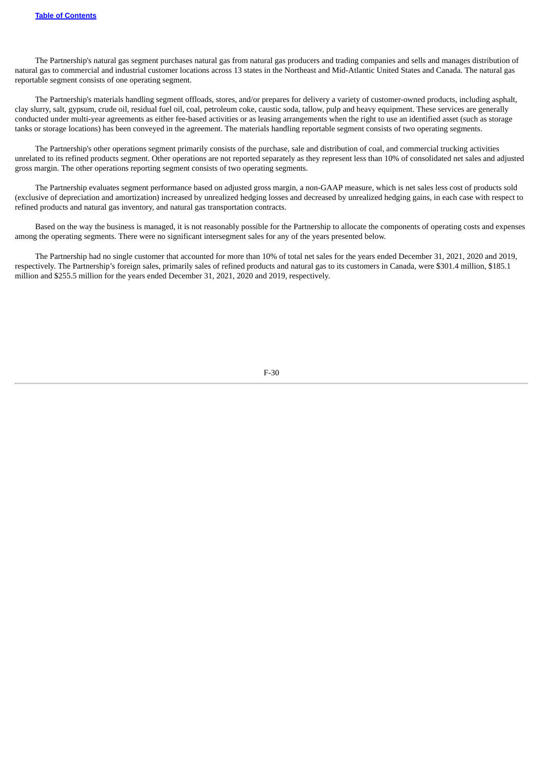The Partnership's natural gas segment purchases natural gas from natural gas producers and trading companies and sells and manages distribution of natural gas to commercial and industrial customer locations across 13 states in the Northeast and Mid-Atlantic United States and Canada. The natural gas reportable segment consists of one operating segment.

The Partnership's materials handling segment offloads, stores, and/or prepares for delivery a variety of customer-owned products, including asphalt, clay slurry, salt, gypsum, crude oil, residual fuel oil, coal, petroleum coke, caustic soda, tallow, pulp and heavy equipment. These services are generally conducted under multi-year agreements as either fee-based activities or as leasing arrangements when the right to use an identified asset (such as storage tanks or storage locations) has been conveyed in the agreement. The materials handling reportable segment consists of two operating segments.

The Partnership's other operations segment primarily consists of the purchase, sale and distribution of coal, and commercial trucking activities unrelated to its refined products segment. Other operations are not reported separately as they represent less than 10% of consolidated net sales and adjusted gross margin. The other operations reporting segment consists of two operating segments.

The Partnership evaluates segment performance based on adjusted gross margin, a non-GAAP measure, which is net sales less cost of products sold (exclusive of depreciation and amortization) increased by unrealized hedging losses and decreased by unrealized hedging gains, in each case with respect to refined products and natural gas inventory, and natural gas transportation contracts.

Based on the way the business is managed, it is not reasonably possible for the Partnership to allocate the components of operating costs and expenses among the operating segments. There were no significant intersegment sales for any of the years presented below.

The Partnership had no single customer that accounted for more than 10% of total net sales for the years ended December 31, 2021, 2020 and 2019, respectively. The Partnership's foreign sales, primarily sales of refined products and natural gas to its customers in Canada, were \$301.4 million, \$185.1 million and \$255.5 million for the years ended December 31, 2021, 2020 and 2019, respectively.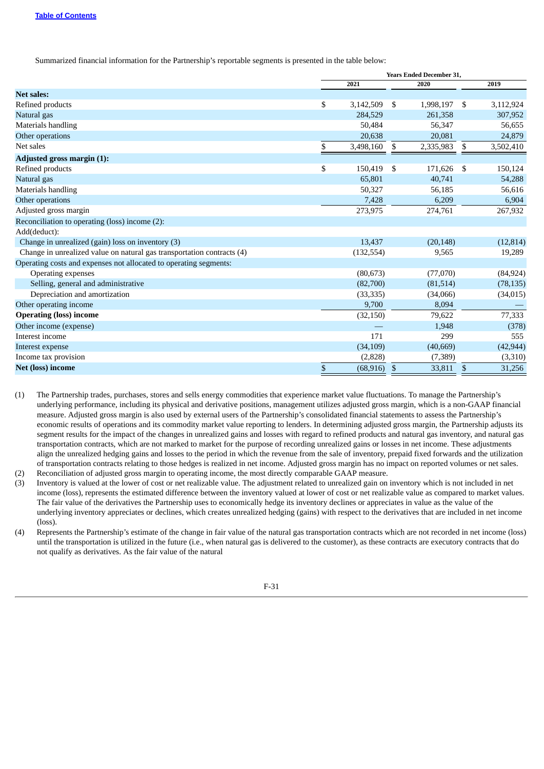Summarized financial information for the Partnership's reportable segments is presented in the table below:

|                                                                        | <b>Years Ended December 31,</b> |            |    |           |     |           |
|------------------------------------------------------------------------|---------------------------------|------------|----|-----------|-----|-----------|
|                                                                        |                                 | 2021       |    | 2020      |     | 2019      |
| <b>Net sales:</b>                                                      |                                 |            |    |           |     |           |
| Refined products                                                       | \$                              | 3,142,509  | \$ | 1,998,197 | -\$ | 3,112,924 |
| Natural gas                                                            |                                 | 284,529    |    | 261,358   |     | 307,952   |
| Materials handling                                                     |                                 | 50,484     |    | 56,347    |     | 56,655    |
| Other operations                                                       |                                 | 20,638     |    | 20,081    |     | 24,879    |
| Net sales                                                              | \$                              | 3,498,160  | \$ | 2,335,983 | \$  | 3,502,410 |
| <b>Adjusted gross margin (1):</b>                                      |                                 |            |    |           |     |           |
| Refined products                                                       | \$                              | 150,419    | \$ | 171,626   | -\$ | 150,124   |
| Natural gas                                                            |                                 | 65,801     |    | 40,741    |     | 54,288    |
| Materials handling                                                     |                                 | 50,327     |    | 56,185    |     | 56,616    |
| Other operations                                                       |                                 | 7,428      |    | 6,209     |     | 6,904     |
| Adjusted gross margin                                                  |                                 | 273,975    |    | 274,761   |     | 267,932   |
| Reconciliation to operating (loss) income (2):                         |                                 |            |    |           |     |           |
| Add(deduct):                                                           |                                 |            |    |           |     |           |
| Change in unrealized (gain) loss on inventory (3)                      |                                 | 13,437     |    | (20, 148) |     | (12, 814) |
| Change in unrealized value on natural gas transportation contracts (4) |                                 | (132, 554) |    | 9,565     |     | 19,289    |
| Operating costs and expenses not allocated to operating segments:      |                                 |            |    |           |     |           |
| <b>Operating expenses</b>                                              |                                 | (80, 673)  |    | (77,070)  |     | (84, 924) |
| Selling, general and administrative                                    |                                 | (82,700)   |    | (81,514)  |     | (78, 135) |
| Depreciation and amortization                                          |                                 | (33, 335)  |    | (34,066)  |     | (34, 015) |
| Other operating income                                                 |                                 | 9,700      |    | 8,094     |     |           |
| <b>Operating (loss) income</b>                                         |                                 | (32, 150)  |    | 79,622    |     | 77,333    |
| Other income (expense)                                                 |                                 |            |    | 1,948     |     | (378)     |
| Interest income                                                        |                                 | 171        |    | 299       |     | 555       |
| Interest expense                                                       |                                 | (34, 109)  |    | (40, 669) |     | (42, 944) |
| Income tax provision                                                   |                                 | (2,828)    |    | (7,389)   |     | (3,310)   |
| <b>Net (loss) income</b>                                               | \$                              | (68, 916)  | \$ | 33,811    | \$  | 31,256    |

(1) The Partnership trades, purchases, stores and sells energy commodities that experience market value fluctuations. To manage the Partnership's underlying performance, including its physical and derivative positions, management utilizes adjusted gross margin, which is a non-GAAP financial measure. Adjusted gross margin is also used by external users of the Partnership's consolidated financial statements to assess the Partnership's economic results of operations and its commodity market value reporting to lenders. In determining adjusted gross margin, the Partnership adjusts its segment results for the impact of the changes in unrealized gains and losses with regard to refined products and natural gas inventory, and natural gas transportation contracts, which are not marked to market for the purpose of recording unrealized gains or losses in net income. These adjustments align the unrealized hedging gains and losses to the period in which the revenue from the sale of inventory, prepaid fixed forwards and the utilization of transportation contracts relating to those hedges is realized in net income. Adjusted gross margin has no impact on reported volumes or net sales.

(2) Reconciliation of adjusted gross margin to operating income, the most directly comparable GAAP measure.

(3) Inventory is valued at the lower of cost or net realizable value. The adjustment related to unrealized gain on inventory which is not included in net income (loss), represents the estimated difference between the inventory valued at lower of cost or net realizable value as compared to market values. The fair value of the derivatives the Partnership uses to economically hedge its inventory declines or appreciates in value as the value of the underlying inventory appreciates or declines, which creates unrealized hedging (gains) with respect to the derivatives that are included in net income (loss).

(4) Represents the Partnership's estimate of the change in fair value of the natural gas transportation contracts which are not recorded in net income (loss) until the transportation is utilized in the future (i.e., when natural gas is delivered to the customer), as these contracts are executory contracts that do not qualify as derivatives. As the fair value of the natural

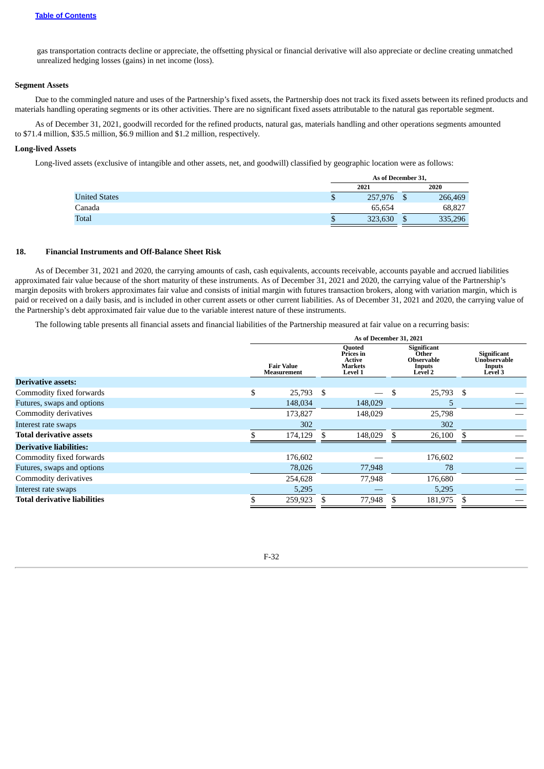gas transportation contracts decline or appreciate, the offsetting physical or financial derivative will also appreciate or decline creating unmatched unrealized hedging losses (gains) in net income (loss).

### **Segment Assets**

Due to the commingled nature and uses of the Partnership's fixed assets, the Partnership does not track its fixed assets between its refined products and materials handling operating segments or its other activities. There are no significant fixed assets attributable to the natural gas reportable segment.

As of December 31, 2021, goodwill recorded for the refined products, natural gas, materials handling and other operations segments amounted to \$71.4 million, \$35.5 million, \$6.9 million and \$1.2 million, respectively.

#### **Long-lived Assets**

Long-lived assets (exclusive of intangible and other assets, net, and goodwill) classified by geographic location were as follows:

|                      |   | As of December 31, |      |         |  |  |  |
|----------------------|---|--------------------|------|---------|--|--|--|
|                      |   |                    | 2020 |         |  |  |  |
| <b>United States</b> | D | 257,976            |      | 266,469 |  |  |  |
| Canada               |   | 65.654             |      | 68,827  |  |  |  |
| <b>Total</b>         |   | 323,630            | Φ    | 335,296 |  |  |  |

#### **18. Financial Instruments and Off-Balance Sheet Risk**

As of December 31, 2021 and 2020, the carrying amounts of cash, cash equivalents, accounts receivable, accounts payable and accrued liabilities approximated fair value because of the short maturity of these instruments. As of December 31, 2021 and 2020, the carrying value of the Partnership's margin deposits with brokers approximates fair value and consists of initial margin with futures transaction brokers, along with variation margin, which is paid or received on a daily basis, and is included in other current assets or other current liabilities. As of December 31, 2021 and 2020, the carrying value of the Partnership's debt approximated fair value due to the variable interest nature of these instruments.

The following table presents all financial assets and financial liabilities of the Partnership measured at fair value on a recurring basis:

|                                     | As of December 31, 2021 |                                         |    |                                                                   |     |                                                                |      |                                                         |  |
|-------------------------------------|-------------------------|-----------------------------------------|----|-------------------------------------------------------------------|-----|----------------------------------------------------------------|------|---------------------------------------------------------|--|
|                                     |                         | <b>Fair Value</b><br><b>Measurement</b> |    | <b>Quoted</b><br>Prices in<br>Active<br><b>Markets</b><br>Level 1 |     | Significant<br>Other<br><b>Observable</b><br>Inputs<br>Level 2 |      | Significant<br>Unobservable<br>Inputs<br><b>Level 3</b> |  |
| <b>Derivative assets:</b>           |                         |                                         |    |                                                                   |     |                                                                |      |                                                         |  |
| Commodity fixed forwards            | \$                      | 25,793                                  | -S | $\hspace{0.05cm}$                                                 | \$  | 25,793                                                         | - \$ |                                                         |  |
| Futures, swaps and options          |                         | 148,034                                 |    | 148,029                                                           |     | 5                                                              |      |                                                         |  |
| Commodity derivatives               |                         | 173,827                                 |    | 148,029                                                           |     | 25,798                                                         |      |                                                         |  |
| Interest rate swaps                 |                         | 302                                     |    |                                                                   |     | 302                                                            |      |                                                         |  |
| <b>Total derivative assets</b>      |                         | 174,129                                 | S. | 148,029                                                           | \$. | 26,100                                                         |      |                                                         |  |
| <b>Derivative liabilities:</b>      |                         |                                         |    |                                                                   |     |                                                                |      |                                                         |  |
| Commodity fixed forwards            |                         | 176,602                                 |    |                                                                   |     | 176,602                                                        |      |                                                         |  |
| Futures, swaps and options          |                         | 78,026                                  |    | 77,948                                                            |     | 78                                                             |      |                                                         |  |
| Commodity derivatives               |                         | 254,628                                 |    | 77,948                                                            |     | 176,680                                                        |      |                                                         |  |
| Interest rate swaps                 |                         | 5,295                                   |    |                                                                   |     | 5,295                                                          |      |                                                         |  |
| <b>Total derivative liabilities</b> |                         | 259,923                                 |    | 77,948                                                            | \$. | 181,975                                                        |      |                                                         |  |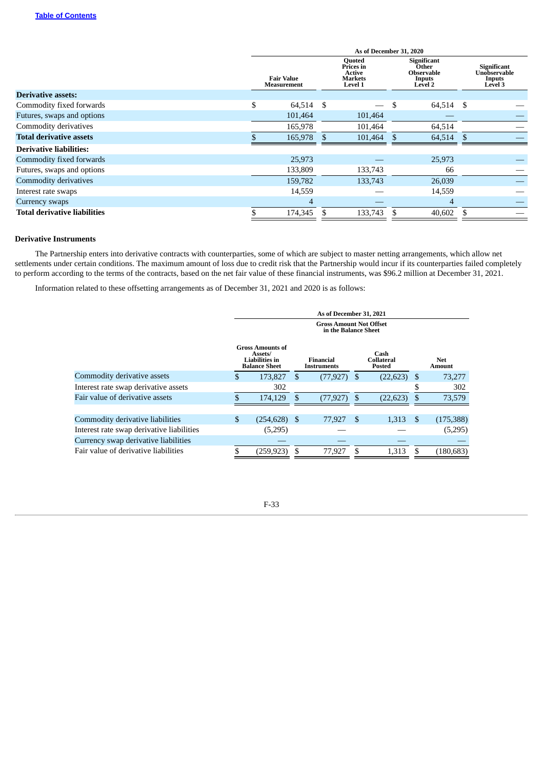|                                     | As of December 31, 2020 |                                  |  |                                                            |               |                                                                |      |                                                         |
|-------------------------------------|-------------------------|----------------------------------|--|------------------------------------------------------------|---------------|----------------------------------------------------------------|------|---------------------------------------------------------|
|                                     |                         | <b>Fair Value</b><br>Measurement |  | Quoted<br>Prices in<br><b>Active</b><br>Markets<br>Level 1 |               | <b>Significant</b><br>Other<br>Observable<br>Inputs<br>Level 2 |      | Significant<br>Unobservable<br>Inputs<br><b>Level 3</b> |
| <b>Derivative assets:</b>           |                         |                                  |  |                                                            |               |                                                                |      |                                                         |
| Commodity fixed forwards            | \$                      | 64,514 \$                        |  |                                                            | \$            | 64,514 \$                                                      |      |                                                         |
| Futures, swaps and options          |                         | 101,464                          |  | 101,464                                                    |               |                                                                |      |                                                         |
| Commodity derivatives               |                         | 165,978                          |  | 101,464                                                    |               | 64,514                                                         |      |                                                         |
| <b>Total derivative assets</b>      |                         | 165,978                          |  | 101,464                                                    | $\mathbf{\$}$ | 64,514                                                         | - \$ |                                                         |
| <b>Derivative liabilities:</b>      |                         |                                  |  |                                                            |               |                                                                |      |                                                         |
| Commodity fixed forwards            |                         | 25,973                           |  |                                                            |               | 25,973                                                         |      |                                                         |
| Futures, swaps and options          |                         | 133,809                          |  | 133,743                                                    |               | 66                                                             |      |                                                         |
| Commodity derivatives               |                         | 159,782                          |  | 133,743                                                    |               | 26,039                                                         |      |                                                         |
| Interest rate swaps                 |                         | 14,559                           |  |                                                            |               | 14,559                                                         |      |                                                         |
| Currency swaps                      |                         | 4                                |  |                                                            |               | 4                                                              |      |                                                         |
| <b>Total derivative liabilities</b> |                         | 174,345                          |  | 133,743                                                    | S             | 40,602                                                         |      |                                                         |

### **Derivative Instruments**

The Partnership enters into derivative contracts with counterparties, some of which are subject to master netting arrangements, which allow net settlements under certain conditions. The maximum amount of loss due to credit risk that the Partnership would incur if its counterparties failed completely to perform according to the terms of the contracts, based on the net fair value of these financial instruments, was \$96.2 million at December 31, 2021.

Information related to these offsetting arrangements as of December 31, 2021 and 2020 is as follows:

|                                           |                                                                                                                 |                 |               | As of December 31, 2021      |    |               |    |            |  |  |  |  |
|-------------------------------------------|-----------------------------------------------------------------------------------------------------------------|-----------------|---------------|------------------------------|----|---------------|----|------------|--|--|--|--|
|                                           | <b>Gross Amount Not Offset</b><br>in the Balance Sheet                                                          |                 |               |                              |    |               |    |            |  |  |  |  |
|                                           | <b>Gross Amounts of</b><br>Assets/<br>Liabilities in<br>Financial<br><b>Balance Sheet</b><br><b>Instruments</b> |                 |               | Cash<br>Collateral<br>Posted |    | Net<br>Amount |    |            |  |  |  |  |
| Commodity derivative assets               | S.                                                                                                              | 173,827         | <sup>\$</sup> | (77, 927)                    |    | (22, 623)     | S. | 73,277     |  |  |  |  |
| Interest rate swap derivative assets      |                                                                                                                 | 302             |               |                              |    |               | S  | 302        |  |  |  |  |
| Fair value of derivative assets           | \$.                                                                                                             | 174,129         | \$            | (77,927)                     | \$ | (22, 623)     |    | 73,579     |  |  |  |  |
|                                           |                                                                                                                 |                 |               |                              |    |               |    |            |  |  |  |  |
| Commodity derivative liabilities          | $\mathfrak{S}$                                                                                                  | $(254, 628)$ \$ |               | 77,927                       | -S | 1,313         | -S | (175, 388) |  |  |  |  |
| Interest rate swap derivative liabilities |                                                                                                                 | (5,295)         |               |                              |    |               |    | (5,295)    |  |  |  |  |
| Currency swap derivative liabilities      |                                                                                                                 |                 |               |                              |    |               |    |            |  |  |  |  |
| Fair value of derivative liabilities      | \$                                                                                                              | (259,923)       | \$            | 77,927                       |    | 1,313         |    | (180, 683) |  |  |  |  |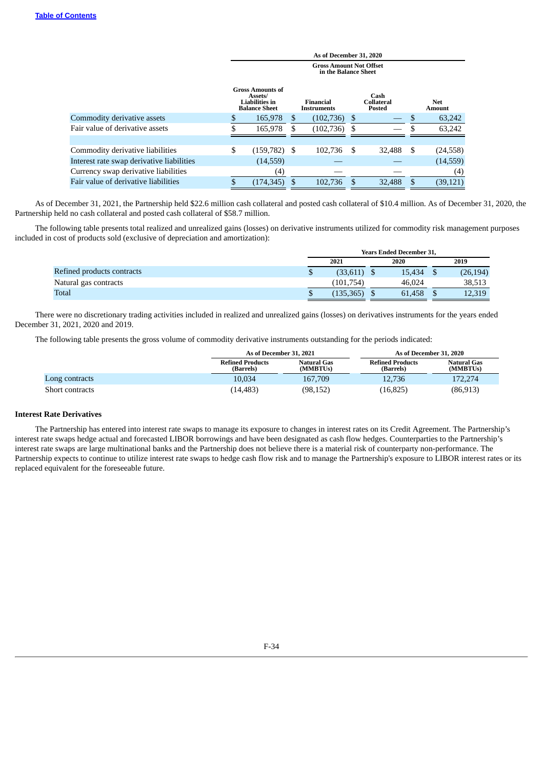|                                           |                                                        |                                                                              |   | As of December 31, 2020  |    |                              |    |                   |  |  |  |
|-------------------------------------------|--------------------------------------------------------|------------------------------------------------------------------------------|---|--------------------------|----|------------------------------|----|-------------------|--|--|--|
|                                           | <b>Gross Amount Not Offset</b><br>in the Balance Sheet |                                                                              |   |                          |    |                              |    |                   |  |  |  |
|                                           |                                                        | <b>Gross Amounts of</b><br>Assets/<br>Liabilities in<br><b>Balance Sheet</b> |   | Financial<br>Instruments |    | Cash<br>Collateral<br>Posted |    | Net<br>Amount     |  |  |  |
| Commodity derivative assets               | Æ,                                                     | 165,978                                                                      | S | (102, 736)               |    |                              |    | 63,242            |  |  |  |
| Fair value of derivative assets           |                                                        | 165,978                                                                      |   | (102, 736)               |    |                              |    | 63.242            |  |  |  |
|                                           |                                                        |                                                                              |   |                          |    |                              |    |                   |  |  |  |
| Commodity derivative liabilities          | \$                                                     | $(159, 782)$ \$                                                              |   | 102,736                  | -S | 32,488                       | -S | (24, 558)         |  |  |  |
| Interest rate swap derivative liabilities |                                                        | (14, 559)                                                                    |   |                          |    |                              |    | (14, 559)         |  |  |  |
| Currency swap derivative liabilities      |                                                        | (4)                                                                          |   |                          |    |                              |    | $\left( 4\right)$ |  |  |  |
| Fair value of derivative liabilities      |                                                        | (174, 345)                                                                   | S | 102,736                  | S  | 32,488                       |    | (39, 121)         |  |  |  |

As of December 31, 2021, the Partnership held \$22.6 million cash collateral and posted cash collateral of \$10.4 million. As of December 31, 2020, the Partnership held no cash collateral and posted cash collateral of \$58.7 million.

The following table presents total realized and unrealized gains (losses) on derivative instruments utilized for commodity risk management purposes included in cost of products sold (exclusive of depreciation and amortization):

|                            | <b>Years Ended December 31.</b> |            |  |        |  |           |  |
|----------------------------|---------------------------------|------------|--|--------|--|-----------|--|
|                            |                                 | 2021       |  | 2020   |  | 2019      |  |
| Refined products contracts |                                 | (33,611)   |  | 15,434 |  | (26, 194) |  |
| Natural gas contracts      |                                 | (101, 754) |  | 46,024 |  | 38,513    |  |
| <b>Total</b>               |                                 | (135, 365) |  | 61.458 |  | 12,319    |  |

There were no discretionary trading activities included in realized and unrealized gains (losses) on derivatives instruments for the years ended December 31, 2021, 2020 and 2019.

The following table presents the gross volume of commodity derivative instruments outstanding for the periods indicated:

|                 | As of December 31, 2021              |                                | As of December 31, 2020              |                                |  |  |
|-----------------|--------------------------------------|--------------------------------|--------------------------------------|--------------------------------|--|--|
|                 | <b>Refined Products</b><br>(Barrels) | <b>Natural Gas</b><br>(MMBTUs) | <b>Refined Products</b><br>(Barrels) | <b>Natural Gas</b><br>(MMBTUs) |  |  |
| Long contracts  | 10,034                               | 167,709                        | 12.736                               | 172,274                        |  |  |
| Short contracts | (14, 483)                            | (98, 152)                      | (16,825)                             | (86, 913)                      |  |  |

#### **Interest Rate Derivatives**

The Partnership has entered into interest rate swaps to manage its exposure to changes in interest rates on its Credit Agreement. The Partnership's interest rate swaps hedge actual and forecasted LIBOR borrowings and have been designated as cash flow hedges. Counterparties to the Partnership's interest rate swaps are large multinational banks and the Partnership does not believe there is a material risk of counterparty non-performance. The Partnership expects to continue to utilize interest rate swaps to hedge cash flow risk and to manage the Partnership's exposure to LIBOR interest rates or its replaced equivalent for the foreseeable future.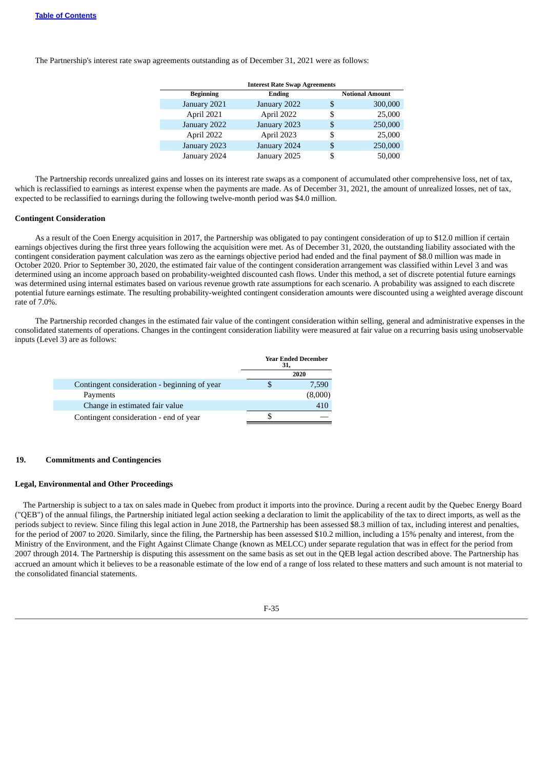The Partnership's interest rate swap agreements outstanding as of December 31, 2021 were as follows:

| <b>Interest Rate Swap Agreements</b> |              |    |                        |  |  |  |
|--------------------------------------|--------------|----|------------------------|--|--|--|
| <b>Beginning</b>                     | Ending       |    | <b>Notional Amount</b> |  |  |  |
| January 2021                         | January 2022 | S  | 300,000                |  |  |  |
| April 2021                           | April 2022   | \$ | 25,000                 |  |  |  |
| January 2022                         | January 2023 | S  | 250,000                |  |  |  |
| April 2022                           | April 2023   | \$ | 25,000                 |  |  |  |
| January 2023                         | January 2024 | S  | 250,000                |  |  |  |
| January 2024                         | January 2025 | \$ | 50,000                 |  |  |  |

The Partnership records unrealized gains and losses on its interest rate swaps as a component of accumulated other comprehensive loss, net of tax, which is reclassified to earnings as interest expense when the payments are made. As of December 31, 2021, the amount of unrealized losses, net of tax, expected to be reclassified to earnings during the following twelve-month period was \$4.0 million.

#### **Contingent Consideration**

As a result of the Coen Energy acquisition in 2017, the Partnership was obligated to pay contingent consideration of up to \$12.0 million if certain earnings objectives during the first three years following the acquisition were met. As of December 31, 2020, the outstanding liability associated with the contingent consideration payment calculation was zero as the earnings objective period had ended and the final payment of \$8.0 million was made in October 2020. Prior to September 30, 2020, the estimated fair value of the contingent consideration arrangement was classified within Level 3 and was determined using an income approach based on probability-weighted discounted cash flows. Under this method, a set of discrete potential future earnings was determined using internal estimates based on various revenue growth rate assumptions for each scenario. A probability was assigned to each discrete potential future earnings estimate. The resulting probability-weighted contingent consideration amounts were discounted using a weighted average discount rate of 7.0%.

The Partnership recorded changes in the estimated fair value of the contingent consideration within selling, general and administrative expenses in the consolidated statements of operations. Changes in the contingent consideration liability were measured at fair value on a recurring basis using unobservable inputs (Level 3) are as follows:

|                                              | <b>Year Ended December</b><br>31. |         |
|----------------------------------------------|-----------------------------------|---------|
|                                              |                                   | 2020    |
| Contingent consideration - beginning of year |                                   | 7,590   |
| Payments                                     |                                   | (8,000) |
| Change in estimated fair value               |                                   |         |
| Contingent consideration - end of year       |                                   |         |

#### **19. Commitments and Contingencies**

#### **Legal, Environmental and Other Proceedings**

The Partnership is subject to a tax on sales made in Quebec from product it imports into the province. During a recent audit by the Quebec Energy Board ("QEB") of the annual filings, the Partnership initiated legal action seeking a declaration to limit the applicability of the tax to direct imports, as well as the periods subject to review. Since filing this legal action in June 2018, the Partnership has been assessed \$8.3 million of tax, including interest and penalties, for the period of 2007 to 2020. Similarly, since the filing, the Partnership has been assessed \$10.2 million, including a 15% penalty and interest, from the Ministry of the Environment, and the Fight Against Climate Change (known as MELCC) under separate regulation that was in effect for the period from 2007 through 2014. The Partnership is disputing this assessment on the same basis as set out in the QEB legal action described above. The Partnership has accrued an amount which it believes to be a reasonable estimate of the low end of a range of loss related to these matters and such amount is not material to the consolidated financial statements.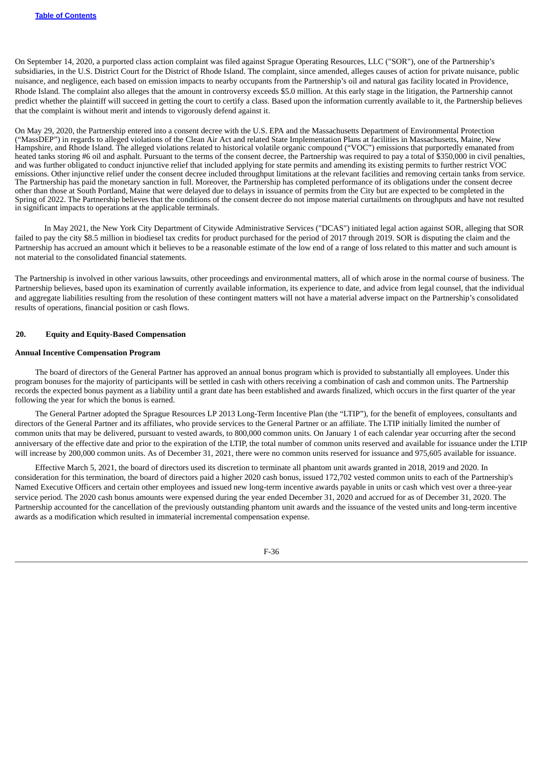On September 14, 2020, a purported class action complaint was filed against Sprague Operating Resources, LLC ("SOR"), one of the Partnership's subsidiaries, in the U.S. District Court for the District of Rhode Island. The complaint, since amended, alleges causes of action for private nuisance, public nuisance, and negligence, each based on emission impacts to nearby occupants from the Partnership's oil and natural gas facility located in Providence, Rhode Island. The complaint also alleges that the amount in controversy exceeds \$5.0 million. At this early stage in the litigation, the Partnership cannot predict whether the plaintiff will succeed in getting the court to certify a class. Based upon the information currently available to it, the Partnership believes that the complaint is without merit and intends to vigorously defend against it.

On May 29, 2020, the Partnership entered into a consent decree with the U.S. EPA and the Massachusetts Department of Environmental Protection ("MassDEP") in regards to alleged violations of the Clean Air Act and related State Implementation Plans at facilities in Massachusetts, Maine, New Hampshire, and Rhode Island. The alleged violations related to historical volatile organic compound ("VOC") emissions that purportedly emanated from heated tanks storing #6 oil and asphalt. Pursuant to the terms of the consent decree, the Partnership was required to pay a total of \$350,000 in civil penalties, and was further obligated to conduct injunctive relief that included applying for state permits and amending its existing permits to further restrict VOC emissions. Other injunctive relief under the consent decree included throughput limitations at the relevant facilities and removing certain tanks from service. The Partnership has paid the monetary sanction in full. Moreover, the Partnership has completed performance of its obligations under the consent decree other than those at South Portland, Maine that were delayed due to delays in issuance of permits from the City but are expected to be completed in the Spring of 2022. The Partnership believes that the conditions of the consent decree do not impose material curtailments on throughputs and have not resulted in significant impacts to operations at the applicable terminals.

In May 2021, the New York City Department of Citywide Administrative Services ("DCAS") initiated legal action against SOR, alleging that SOR failed to pay the city \$8.5 million in biodiesel tax credits for product purchased for the period of 2017 through 2019. SOR is disputing the claim and the Partnership has accrued an amount which it believes to be a reasonable estimate of the low end of a range of loss related to this matter and such amount is not material to the consolidated financial statements.

The Partnership is involved in other various lawsuits, other proceedings and environmental matters, all of which arose in the normal course of business. The Partnership believes, based upon its examination of currently available information, its experience to date, and advice from legal counsel, that the individual and aggregate liabilities resulting from the resolution of these contingent matters will not have a material adverse impact on the Partnership's consolidated results of operations, financial position or cash flows.

# **20. Equity and Equity-Based Compensation**

#### **Annual Incentive Compensation Program**

The board of directors of the General Partner has approved an annual bonus program which is provided to substantially all employees. Under this program bonuses for the majority of participants will be settled in cash with others receiving a combination of cash and common units. The Partnership records the expected bonus payment as a liability until a grant date has been established and awards finalized, which occurs in the first quarter of the year following the year for which the bonus is earned.

The General Partner adopted the Sprague Resources LP 2013 Long-Term Incentive Plan (the "LTIP"), for the benefit of employees, consultants and directors of the General Partner and its affiliates, who provide services to the General Partner or an affiliate. The LTIP initially limited the number of common units that may be delivered, pursuant to vested awards, to 800,000 common units. On January 1 of each calendar year occurring after the second anniversary of the effective date and prior to the expiration of the LTIP, the total number of common units reserved and available for issuance under the LTIP will increase by 200,000 common units. As of December 31, 2021, there were no common units reserved for issuance and 975,605 available for issuance.

Effective March 5, 2021, the board of directors used its discretion to terminate all phantom unit awards granted in 2018, 2019 and 2020. In consideration for this termination, the board of directors paid a higher 2020 cash bonus, issued 172,702 vested common units to each of the Partnership's Named Executive Officers and certain other employees and issued new long-term incentive awards payable in units or cash which vest over a three-year service period. The 2020 cash bonus amounts were expensed during the year ended December 31, 2020 and accrued for as of December 31, 2020. The Partnership accounted for the cancellation of the previously outstanding phantom unit awards and the issuance of the vested units and long-term incentive awards as a modification which resulted in immaterial incremental compensation expense.

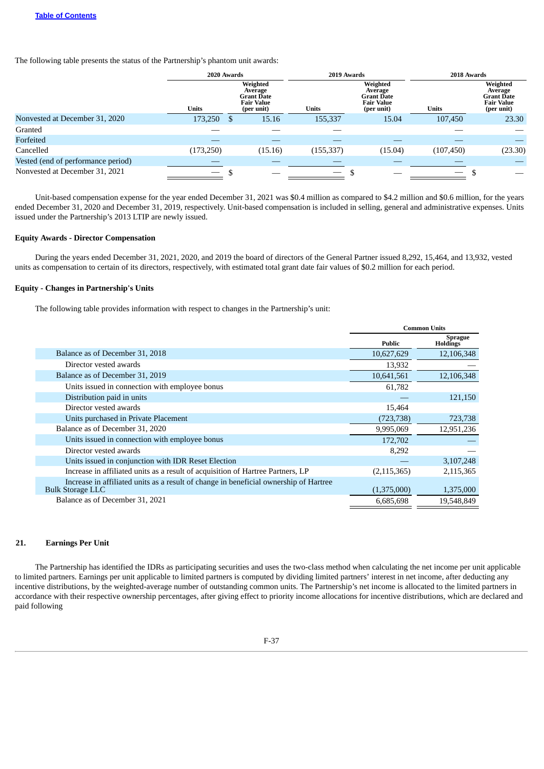The following table presents the status of the Partnership's phantom unit awards:

|                                    | 2020 Awards  |  |                                                                             | 2019 Awards  | 2018 Awards                                                          |              |                                                                             |
|------------------------------------|--------------|--|-----------------------------------------------------------------------------|--------------|----------------------------------------------------------------------|--------------|-----------------------------------------------------------------------------|
|                                    | <b>Units</b> |  | Weighted<br>Average<br><b>Grant Date</b><br><b>Fair Value</b><br>(per unit) | <b>Units</b> | Weighted<br>Average<br>Grant Date<br><b>Fair Value</b><br>(per unit) | <b>Units</b> | Weighted<br>Average<br><b>Grant Date</b><br><b>Fair Value</b><br>(per unit) |
| Nonvested at December 31, 2020     | 173,250      |  | 15.16                                                                       | 155,337      | 15.04                                                                | 107,450      | 23.30                                                                       |
| Granted                            |              |  |                                                                             |              |                                                                      |              |                                                                             |
| Forfeited                          |              |  |                                                                             |              |                                                                      |              |                                                                             |
| Cancelled                          | (173, 250)   |  | (15.16)                                                                     | (155, 337)   | (15.04)                                                              | (107, 450)   | (23.30)                                                                     |
| Vested (end of performance period) |              |  |                                                                             |              |                                                                      |              |                                                                             |
| Nonvested at December 31, 2021     |              |  |                                                                             |              |                                                                      |              |                                                                             |

Unit-based compensation expense for the year ended December 31, 2021 was \$0.4 million as compared to \$4.2 million and \$0.6 million, for the years ended December 31, 2020 and December 31, 2019, respectively. Unit-based compensation is included in selling, general and administrative expenses. Units issued under the Partnership's 2013 LTIP are newly issued.

#### **Equity Awards - Director Compensation**

During the years ended December 31, 2021, 2020, and 2019 the board of directors of the General Partner issued 8,292, 15,464, and 13,932, vested units as compensation to certain of its directors, respectively, with estimated total grant date fair values of \$0.2 million for each period.

#### **Equity - Changes in Partnership's Units**

The following table provides information with respect to changes in the Partnership's unit:

|                                                                                                                  | <b>Common Units</b> |                            |
|------------------------------------------------------------------------------------------------------------------|---------------------|----------------------------|
|                                                                                                                  | Public              | Sprague<br><b>Holdings</b> |
| Balance as of December 31, 2018                                                                                  | 10,627,629          | 12,106,348                 |
| Director vested awards                                                                                           | 13,932              |                            |
| Balance as of December 31, 2019                                                                                  | 10,641,561          | 12,106,348                 |
| Units issued in connection with employee bonus                                                                   | 61,782              |                            |
| Distribution paid in units                                                                                       |                     | 121,150                    |
| Director vested awards                                                                                           | 15,464              |                            |
| Units purchased in Private Placement                                                                             | (723, 738)          | 723,738                    |
| Balance as of December 31, 2020                                                                                  | 9,995,069           | 12,951,236                 |
| Units issued in connection with employee bonus                                                                   | 172,702             |                            |
| Director vested awards                                                                                           | 8,292               |                            |
| Units issued in conjunction with IDR Reset Election                                                              |                     | 3,107,248                  |
| Increase in affiliated units as a result of acquisition of Hartree Partners, LP                                  | (2, 115, 365)       | 2,115,365                  |
| Increase in affiliated units as a result of change in beneficial ownership of Hartree<br><b>Bulk Storage LLC</b> | (1,375,000)         | 1,375,000                  |
| Balance as of December 31, 2021                                                                                  | 6,685,698           | 19,548,849                 |

#### **21. Earnings Per Unit**

The Partnership has identified the IDRs as participating securities and uses the two-class method when calculating the net income per unit applicable to limited partners. Earnings per unit applicable to limited partners is computed by dividing limited partners' interest in net income, after deducting any incentive distributions, by the weighted-average number of outstanding common units. The Partnership's net income is allocated to the limited partners in accordance with their respective ownership percentages, after giving effect to priority income allocations for incentive distributions, which are declared and paid following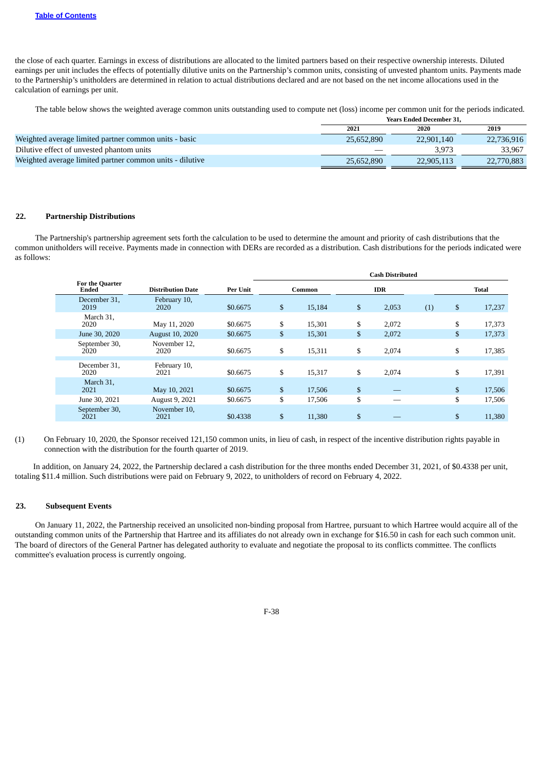the close of each quarter. Earnings in excess of distributions are allocated to the limited partners based on their respective ownership interests. Diluted earnings per unit includes the effects of potentially dilutive units on the Partnership's common units, consisting of unvested phantom units. Payments made to the Partnership's unitholders are determined in relation to actual distributions declared and are not based on the net income allocations used in the calculation of earnings per unit.

The table below shows the weighted average common units outstanding used to compute net (loss) income per common unit for the periods indicated.

|                                                          | <b>Years Ended December 31.</b> |            |            |  |
|----------------------------------------------------------|---------------------------------|------------|------------|--|
|                                                          | 2021                            | 2020       | 2019       |  |
| Weighted average limited partner common units - basic    | 25.652.890                      | 22,901,140 | 22,736,916 |  |
| Dilutive effect of unvested phantom units                |                                 | 3.973      | 33,967     |  |
| Weighted average limited partner common units - dilutive | 25.652.890                      | 22,905,113 | 22,770,883 |  |

## **22. Partnership Distributions**

The Partnership's partnership agreement sets forth the calculation to be used to determine the amount and priority of cash distributions that the common unitholders will receive. Payments made in connection with DERs are recorded as a distribution. Cash distributions for the periods indicated were as follows:

|                                 |                          |                 | <b>Cash Distributed</b> |        |    |            |     |              |
|---------------------------------|--------------------------|-----------------|-------------------------|--------|----|------------|-----|--------------|
| <b>For the Quarter</b><br>Ended | <b>Distribution Date</b> | <b>Per Unit</b> |                         | Common |    | <b>IDR</b> |     | <b>Total</b> |
| December 31,<br>2019            | February 10,<br>2020     | \$0.6675        | \$                      | 15,184 | \$ | 2,053      | (1) | \$<br>17,237 |
| March 31,<br>2020               | May 11, 2020             | \$0.6675        | \$                      | 15,301 | \$ | 2,072      |     | \$<br>17,373 |
| June 30, 2020                   | August 10, 2020          | \$0.6675        | \$                      | 15,301 | \$ | 2,072      |     | \$<br>17,373 |
| September 30,<br>2020           | November 12,<br>2020     | \$0.6675        | \$                      | 15,311 | \$ | 2,074      |     | \$<br>17,385 |
| December 31.<br>2020            | February 10,<br>2021     | \$0.6675        | \$                      | 15,317 | \$ | 2,074      |     | \$<br>17,391 |
| March 31,<br>2021               | May 10, 2021             | \$0.6675        | \$                      | 17,506 | \$ |            |     | \$<br>17,506 |
| June 30, 2021                   | August 9, 2021           | \$0.6675        | \$                      | 17,506 | \$ |            |     | \$<br>17,506 |
| September 30,<br>2021           | November 10,<br>2021     | \$0.4338        | \$                      | 11,380 | \$ |            |     | \$<br>11,380 |
|                                 |                          |                 |                         |        |    |            |     |              |

(1) On February 10, 2020, the Sponsor received 121,150 common units, in lieu of cash, in respect of the incentive distribution rights payable in connection with the distribution for the fourth quarter of 2019.

In addition, on January 24, 2022, the Partnership declared a cash distribution for the three months ended December 31, 2021, of \$0.4338 per unit, totaling \$11.4 million. Such distributions were paid on February 9, 2022, to unitholders of record on February 4, 2022.

# **23. Subsequent Events**

On January 11, 2022, the Partnership received an unsolicited non-binding proposal from Hartree, pursuant to which Hartree would acquire all of the outstanding common units of the Partnership that Hartree and its affiliates do not already own in exchange for \$16.50 in cash for each such common unit. The board of directors of the General Partner has delegated authority to evaluate and negotiate the proposal to its conflicts committee. The conflicts committee's evaluation process is currently ongoing.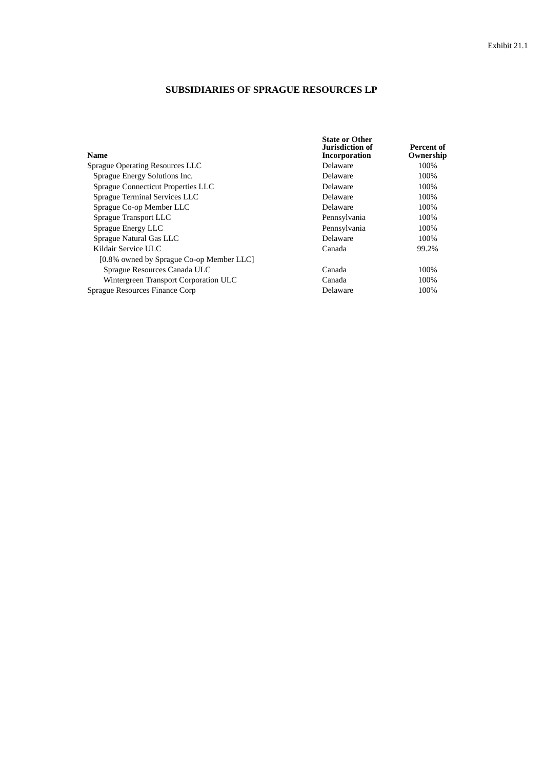# **SUBSIDIARIES OF SPRAGUE RESOURCES LP**

| Name                                     | <b>State or Other</b><br>Jurisdiction of<br><b>Incorporation</b> | Percent of<br>Ownership |
|------------------------------------------|------------------------------------------------------------------|-------------------------|
| <b>Sprague Operating Resources LLC</b>   | Delaware                                                         | 100%                    |
| Sprague Energy Solutions Inc.            | Delaware                                                         | 100%                    |
| Sprague Connecticut Properties LLC       | <b>Delaware</b>                                                  | 100%                    |
| Sprague Terminal Services LLC            | Delaware                                                         | 100%                    |
| Sprague Co-op Member LLC                 | Delaware                                                         | 100%                    |
| Sprague Transport LLC                    | Pennsylvania                                                     | 100%                    |
| Sprague Energy LLC                       | Pennsylvania                                                     | 100%                    |
| Sprague Natural Gas LLC                  | Delaware                                                         | 100%                    |
| Kildair Service ULC                      | Canada                                                           | 99.2%                   |
| [0.8% owned by Sprague Co-op Member LLC] |                                                                  |                         |
| Sprague Resources Canada ULC             | Canada                                                           | 100%                    |
| Wintergreen Transport Corporation ULC    | Canada                                                           | 100%                    |
| Sprague Resources Finance Corp           | Delaware                                                         | 100%                    |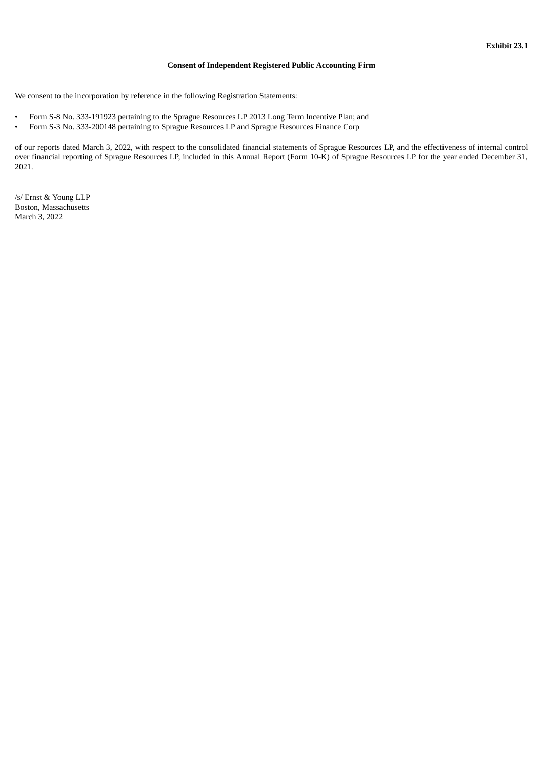## **Consent of Independent Registered Public Accounting Firm**

We consent to the incorporation by reference in the following Registration Statements:

- Form S-8 No. 333-191923 pertaining to the Sprague Resources LP 2013 Long Term Incentive Plan; and
- Form S-3 No. 333-200148 pertaining to Sprague Resources LP and Sprague Resources Finance Corp

of our reports dated March 3, 2022, with respect to the consolidated financial statements of Sprague Resources LP, and the effectiveness of internal control over financial reporting of Sprague Resources LP, included in this Annual Report (Form 10-K) of Sprague Resources LP for the year ended December 31, 2021.

/s/ Ernst & Young LLP Boston, Massachusetts March 3, 2022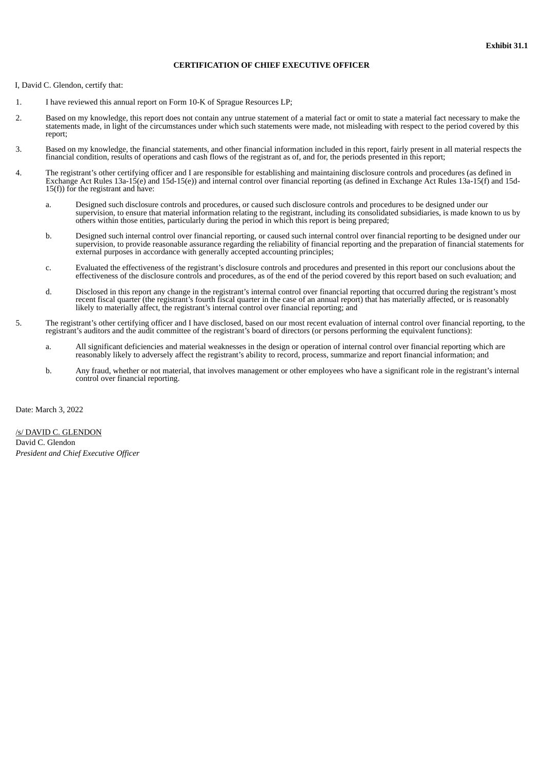# **CERTIFICATION OF CHIEF EXECUTIVE OFFICER**

I, David C. Glendon, certify that:

- 1. I have reviewed this annual report on Form 10-K of Sprague Resources LP;
- 2. Based on my knowledge, this report does not contain any untrue statement of a material fact or omit to state a material fact necessary to make the statements made, in light of the circumstances under which such statements were made, not misleading with respect to the period covered by this report;
- 3. Based on my knowledge, the financial statements, and other financial information included in this report, fairly present in all material respects the financial condition, results of operations and cash flows of the registrant as of, and for, the periods presented in this report;
- 4. The registrant's other certifying officer and I are responsible for establishing and maintaining disclosure controls and procedures (as defined in Exchange Act Rules 13a-15(e) and 15d-15(e)) and internal control over financial reporting (as defined in Exchange Act Rules 13a-15(f) and 15d- $15(f)$ ) for the registrant and have:
	- a. Designed such disclosure controls and procedures, or caused such disclosure controls and procedures to be designed under our supervision, to ensure that material information relating to the registrant, including its consolidated subsidiaries, is made known to us by others within those entities, particularly during the period in which this report is being prepared;
	- b. Designed such internal control over financial reporting, or caused such internal control over financial reporting to be designed under our supervision, to provide reasonable assurance regarding the reliability of financial reporting and the preparation of financial statements for external purposes in accordance with generally accepted accounting principles;
	- c. Evaluated the effectiveness of the registrant's disclosure controls and procedures and presented in this report our conclusions about the effectiveness of the disclosure controls and procedures, as of the end of the period covered by this report based on such evaluation; and
	- d. Disclosed in this report any change in the registrant's internal control over financial reporting that occurred during the registrant's most recent fiscal quarter (the registrant's fourth fiscal quarter in the case of an annual report) that has materially affected, or is reasonably likely to materially affect, the registrant's internal control over financial reporting; and
- 5. The registrant's other certifying officer and I have disclosed, based on our most recent evaluation of internal control over financial reporting, to the registrant's auditors and the audit committee of the registrant's board of directors (or persons performing the equivalent functions):
	- a. All significant deficiencies and material weaknesses in the design or operation of internal control over financial reporting which are reasonably likely to adversely affect the registrant's ability to record, process, summarize and report financial information; and
	- b. Any fraud, whether or not material, that involves management or other employees who have a significant role in the registrant's internal control over financial reporting.

Date: March 3, 2022

/s/ DAVID C. GLENDON David C. Glendon *President and Chief Executive Officer*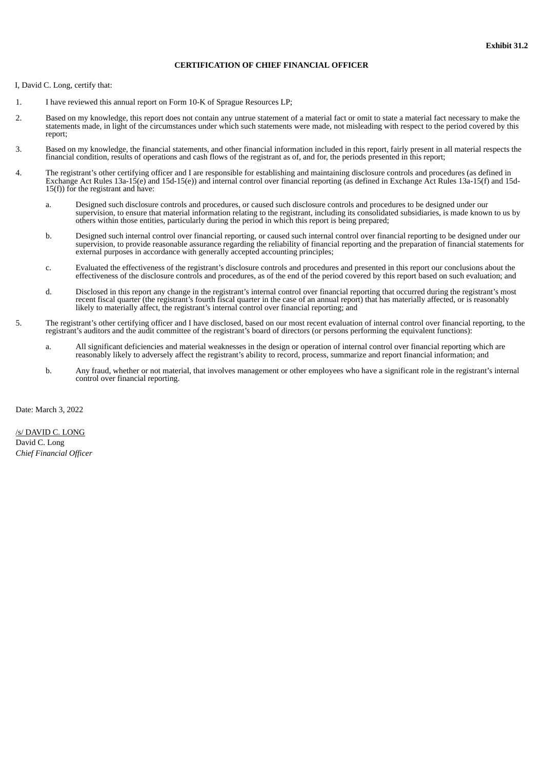## **CERTIFICATION OF CHIEF FINANCIAL OFFICER**

I, David C. Long, certify that:

- 1. I have reviewed this annual report on Form 10-K of Sprague Resources LP;
- 2. Based on my knowledge, this report does not contain any untrue statement of a material fact or omit to state a material fact necessary to make the statements made, in light of the circumstances under which such statements were made, not misleading with respect to the period covered by this report;
- 3. Based on my knowledge, the financial statements, and other financial information included in this report, fairly present in all material respects the financial condition, results of operations and cash flows of the registrant as of, and for, the periods presented in this report;
- 4. The registrant's other certifying officer and I are responsible for establishing and maintaining disclosure controls and procedures (as defined in Exchange Act Rules 13a-15(e) and 15d-15(e)) and internal control over financial reporting (as defined in Exchange Act Rules 13a-15(f) and 15d- $15(f)$ ) for the registrant and have:
	- a. Designed such disclosure controls and procedures, or caused such disclosure controls and procedures to be designed under our supervision, to ensure that material information relating to the registrant, including its consolidated subsidiaries, is made known to us by others within those entities, particularly during the period in which this report is being prepared;
	- b. Designed such internal control over financial reporting, or caused such internal control over financial reporting to be designed under our supervision, to provide reasonable assurance regarding the reliability of financial reporting and the preparation of financial statements for external purposes in accordance with generally accepted accounting principles;
	- c. Evaluated the effectiveness of the registrant's disclosure controls and procedures and presented in this report our conclusions about the effectiveness of the disclosure controls and procedures, as of the end of the period covered by this report based on such evaluation; and
	- d. Disclosed in this report any change in the registrant's internal control over financial reporting that occurred during the registrant's most recent fiscal quarter (the registrant's fourth fiscal quarter in the case of an annual report) that has materially affected, or is reasonably likely to materially affect, the registrant's internal control over financial reporting; and
- 5. The registrant's other certifying officer and I have disclosed, based on our most recent evaluation of internal control over financial reporting, to the registrant's auditors and the audit committee of the registrant's board of directors (or persons performing the equivalent functions):
	- a. All significant deficiencies and material weaknesses in the design or operation of internal control over financial reporting which are reasonably likely to adversely affect the registrant's ability to record, process, summarize and report financial information; and
	- b. Any fraud, whether or not material, that involves management or other employees who have a significant role in the registrant's internal control over financial reporting.

Date: March 3, 2022

/s/ DAVID C. LONG David C. Long *Chief Financial Officer*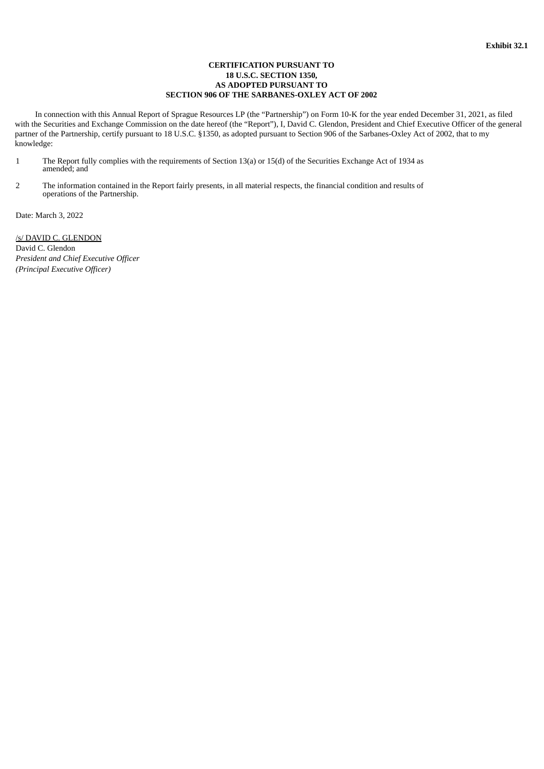### **CERTIFICATION PURSUANT TO 18 U.S.C. SECTION 1350, AS ADOPTED PURSUANT TO SECTION 906 OF THE SARBANES-OXLEY ACT OF 2002**

In connection with this Annual Report of Sprague Resources LP (the "Partnership") on Form 10-K for the year ended December 31, 2021, as filed with the Securities and Exchange Commission on the date hereof (the "Report"), I, David C. Glendon, President and Chief Executive Officer of the general partner of the Partnership, certify pursuant to 18 U.S.C. §1350, as adopted pursuant to Section 906 of the Sarbanes-Oxley Act of 2002, that to my knowledge:

- 1 The Report fully complies with the requirements of Section 13(a) or 15(d) of the Securities Exchange Act of 1934 as amended; and
- 2 The information contained in the Report fairly presents, in all material respects, the financial condition and results of operations of the Partnership.

Date: March 3, 2022

/s/ DAVID C. GLENDON David C. Glendon *President and Chief Executive Officer (Principal Executive Officer)*